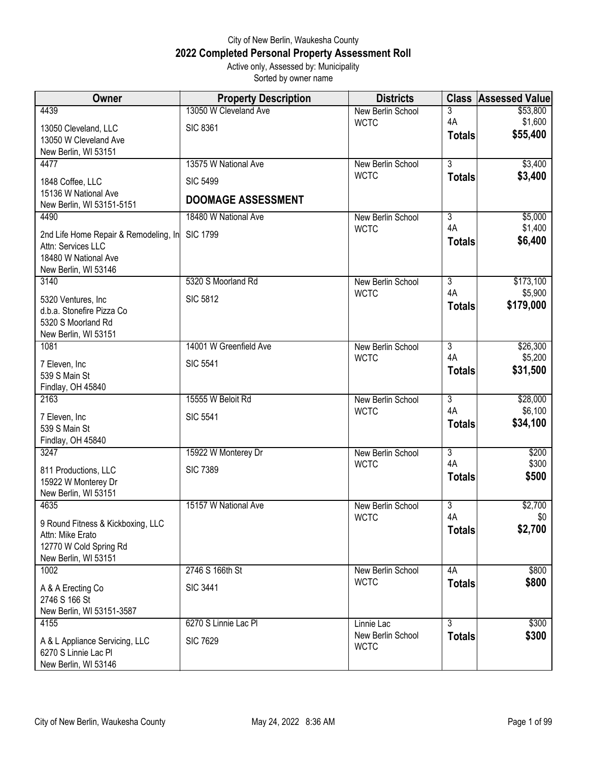## City of New Berlin, Waukesha County **2022 Completed Personal Property Assessment Roll** Active only, Assessed by: Municipality

| Active only, Assessed by: Municipality |  |
|----------------------------------------|--|
| Sorted by owner name                   |  |

| Owner                                                 | <b>Property Description</b> | <b>Districts</b>                 | <b>Class</b>         | <b>Assessed Value</b> |
|-------------------------------------------------------|-----------------------------|----------------------------------|----------------------|-----------------------|
| 4439                                                  | 13050 W Cleveland Ave       | New Berlin School                | 3                    | \$53,800              |
| 13050 Cleveland, LLC                                  | <b>SIC 8361</b>             | <b>WCTC</b>                      | 4A                   | \$1,600               |
| 13050 W Cleveland Ave                                 |                             |                                  | <b>Totals</b>        | \$55,400              |
| New Berlin, WI 53151                                  |                             |                                  |                      |                       |
| 4477                                                  | 13575 W National Ave        | New Berlin School                | $\overline{3}$       | \$3,400               |
| 1848 Coffee, LLC                                      | <b>SIC 5499</b>             | <b>WCTC</b>                      | <b>Totals</b>        | \$3,400               |
| 15136 W National Ave                                  | <b>DOOMAGE ASSESSMENT</b>   |                                  |                      |                       |
| New Berlin, WI 53151-5151                             |                             |                                  |                      |                       |
| 4490                                                  | 18480 W National Ave        | New Berlin School                | $\overline{3}$       | \$5,000               |
| 2nd Life Home Repair & Remodeling, In                 | <b>SIC 1799</b>             | <b>WCTC</b>                      | 4A                   | \$1,400               |
| Attn: Services LLC                                    |                             |                                  | <b>Totals</b>        | \$6,400               |
| 18480 W National Ave                                  |                             |                                  |                      |                       |
| New Berlin, WI 53146                                  |                             |                                  |                      |                       |
| 3140                                                  | 5320 S Moorland Rd          | New Berlin School<br><b>WCTC</b> | $\overline{3}$<br>4A | \$173,100<br>\$5,900  |
| 5320 Ventures, Inc                                    | <b>SIC 5812</b>             |                                  | <b>Totals</b>        | \$179,000             |
| d.b.a. Stonefire Pizza Co                             |                             |                                  |                      |                       |
| 5320 S Moorland Rd                                    |                             |                                  |                      |                       |
| New Berlin, WI 53151<br>1081                          | 14001 W Greenfield Ave      | New Berlin School                | $\overline{3}$       | \$26,300              |
|                                                       |                             | <b>WCTC</b>                      | 4A                   | \$5,200               |
| 7 Eleven, Inc                                         | <b>SIC 5541</b>             |                                  | <b>Totals</b>        | \$31,500              |
| 539 S Main St<br>Findlay, OH 45840                    |                             |                                  |                      |                       |
| 2163                                                  | 15555 W Beloit Rd           | New Berlin School                | $\overline{3}$       | \$28,000              |
|                                                       |                             | <b>WCTC</b>                      | 4A                   | \$6,100               |
| 7 Eleven, Inc                                         | <b>SIC 5541</b>             |                                  | <b>Totals</b>        | \$34,100              |
| 539 S Main St<br>Findlay, OH 45840                    |                             |                                  |                      |                       |
| 3247                                                  | 15922 W Monterey Dr         | New Berlin School                | $\overline{3}$       | \$200                 |
|                                                       |                             | <b>WCTC</b>                      | 4A                   | \$300                 |
| 811 Productions, LLC<br>15922 W Monterey Dr           | <b>SIC 7389</b>             |                                  | <b>Totals</b>        | \$500                 |
| New Berlin, WI 53151                                  |                             |                                  |                      |                       |
| 4635                                                  | 15157 W National Ave        | New Berlin School                | $\overline{3}$       | \$2,700               |
|                                                       |                             | <b>WCTC</b>                      | 4A                   | \$0                   |
| 9 Round Fitness & Kickboxing, LLC<br>Attn: Mike Erato |                             |                                  | <b>Totals</b>        | \$2,700               |
| 12770 W Cold Spring Rd                                |                             |                                  |                      |                       |
| New Berlin, WI 53151                                  |                             |                                  |                      |                       |
| 1002                                                  | 2746 S 166th St             | New Berlin School                | 4A                   | \$800                 |
| A & A Erecting Co                                     | <b>SIC 3441</b>             | <b>WCTC</b>                      | <b>Totals</b>        | \$800                 |
| 2746 S 166 St                                         |                             |                                  |                      |                       |
| New Berlin, WI 53151-3587                             |                             |                                  |                      |                       |
| 4155                                                  | 6270 S Linnie Lac PI        | Linnie Lac                       | $\overline{3}$       | \$300                 |
| A & L Appliance Servicing, LLC                        | <b>SIC 7629</b>             | New Berlin School                | <b>Totals</b>        | \$300                 |
| 6270 S Linnie Lac Pl                                  |                             | <b>WCTC</b>                      |                      |                       |
| New Berlin, WI 53146                                  |                             |                                  |                      |                       |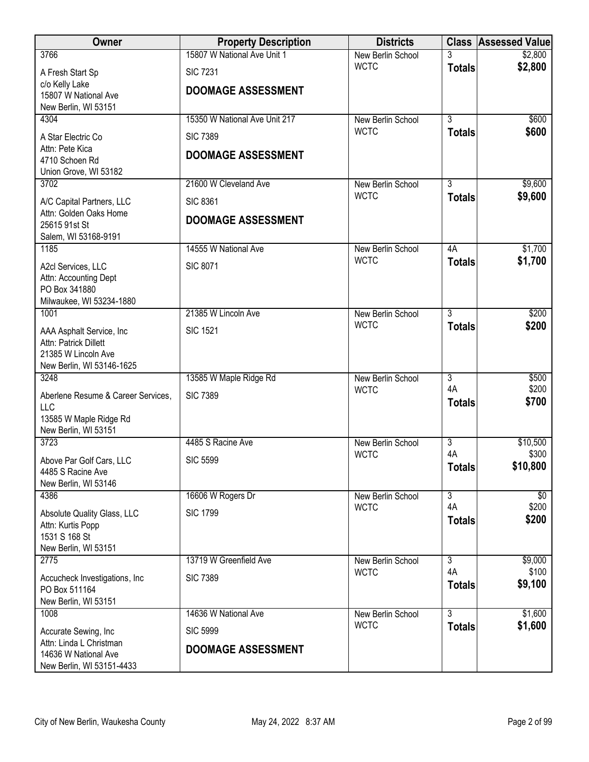| Owner                                               | <b>Property Description</b>   | <b>Districts</b>                 |                     | <b>Class Assessed Value</b> |
|-----------------------------------------------------|-------------------------------|----------------------------------|---------------------|-----------------------------|
| 3766                                                | 15807 W National Ave Unit 1   | New Berlin School                | 3                   | \$2,800                     |
| A Fresh Start Sp                                    | <b>SIC 7231</b>               | <b>WCTC</b>                      | <b>Totals</b>       | \$2,800                     |
| c/o Kelly Lake<br>15807 W National Ave              | <b>DOOMAGE ASSESSMENT</b>     |                                  |                     |                             |
| New Berlin, WI 53151                                |                               |                                  |                     |                             |
| 4304                                                | 15350 W National Ave Unit 217 | <b>New Berlin School</b>         | $\overline{3}$      | \$600                       |
| A Star Electric Co                                  | <b>SIC 7389</b>               | <b>WCTC</b>                      | <b>Totals</b>       | \$600                       |
| Attn: Pete Kica                                     | <b>DOOMAGE ASSESSMENT</b>     |                                  |                     |                             |
| 4710 Schoen Rd                                      |                               |                                  |                     |                             |
| Union Grove, WI 53182<br>3702                       | 21600 W Cleveland Ave         | New Berlin School                | $\overline{3}$      | \$9,600                     |
|                                                     | <b>SIC 8361</b>               | <b>WCTC</b>                      | <b>Totals</b>       | \$9,600                     |
| A/C Capital Partners, LLC<br>Attn: Golden Oaks Home |                               |                                  |                     |                             |
| 25615 91st St                                       | <b>DOOMAGE ASSESSMENT</b>     |                                  |                     |                             |
| Salem, WI 53168-9191                                |                               |                                  |                     |                             |
| 1185                                                | 14555 W National Ave          | New Berlin School<br><b>WCTC</b> | 4A<br><b>Totals</b> | \$1,700<br>\$1,700          |
| A2cl Services, LLC<br>Attn: Accounting Dept         | <b>SIC 8071</b>               |                                  |                     |                             |
| PO Box 341880                                       |                               |                                  |                     |                             |
| Milwaukee, WI 53234-1880                            |                               |                                  |                     |                             |
| 1001                                                | 21385 W Lincoln Ave           | New Berlin School                | $\overline{3}$      | \$200                       |
| AAA Asphalt Service, Inc                            | <b>SIC 1521</b>               | <b>WCTC</b>                      | <b>Totals</b>       | \$200                       |
| Attn: Patrick Dillett                               |                               |                                  |                     |                             |
| 21385 W Lincoln Ave<br>New Berlin, WI 53146-1625    |                               |                                  |                     |                             |
| 3248                                                | 13585 W Maple Ridge Rd        | New Berlin School                | $\overline{3}$      | \$500                       |
| Aberlene Resume & Career Services,                  | <b>SIC 7389</b>               | <b>WCTC</b>                      | 4A                  | \$200                       |
| <b>LLC</b>                                          |                               |                                  | <b>Totals</b>       | \$700                       |
| 13585 W Maple Ridge Rd<br>New Berlin, WI 53151      |                               |                                  |                     |                             |
| 3723                                                | 4485 S Racine Ave             | <b>New Berlin School</b>         | $\overline{3}$      | \$10,500                    |
| Above Par Golf Cars, LLC                            | <b>SIC 5599</b>               | <b>WCTC</b>                      | 4A                  | \$300                       |
| 4485 S Racine Ave                                   |                               |                                  | <b>Totals</b>       | \$10,800                    |
| New Berlin, WI 53146                                |                               |                                  |                     |                             |
| 4386                                                | 16606 W Rogers Dr             | New Berlin School                | 3<br>4A             | $\sqrt[6]{}$                |
| Absolute Quality Glass, LLC                         | <b>SIC 1799</b>               | <b>WCTC</b>                      | <b>Totals</b>       | \$200<br>\$200              |
| Attn: Kurtis Popp<br>1531 S 168 St                  |                               |                                  |                     |                             |
| New Berlin, WI 53151                                |                               |                                  |                     |                             |
| 2775                                                | 13719 W Greenfield Ave        | New Berlin School                | 3                   | \$9,000                     |
| Accucheck Investigations, Inc                       | <b>SIC 7389</b>               | <b>WCTC</b>                      | 4A                  | \$100                       |
| PO Box 511164                                       |                               |                                  | <b>Totals</b>       | \$9,100                     |
| New Berlin, WI 53151<br>1008                        | 14636 W National Ave          |                                  | $\overline{3}$      | \$1,600                     |
|                                                     |                               | New Berlin School<br><b>WCTC</b> | <b>Totals</b>       | \$1,600                     |
| Accurate Sewing, Inc<br>Attn: Linda L Christman     | <b>SIC 5999</b>               |                                  |                     |                             |
| 14636 W National Ave                                | <b>DOOMAGE ASSESSMENT</b>     |                                  |                     |                             |
| New Berlin, WI 53151-4433                           |                               |                                  |                     |                             |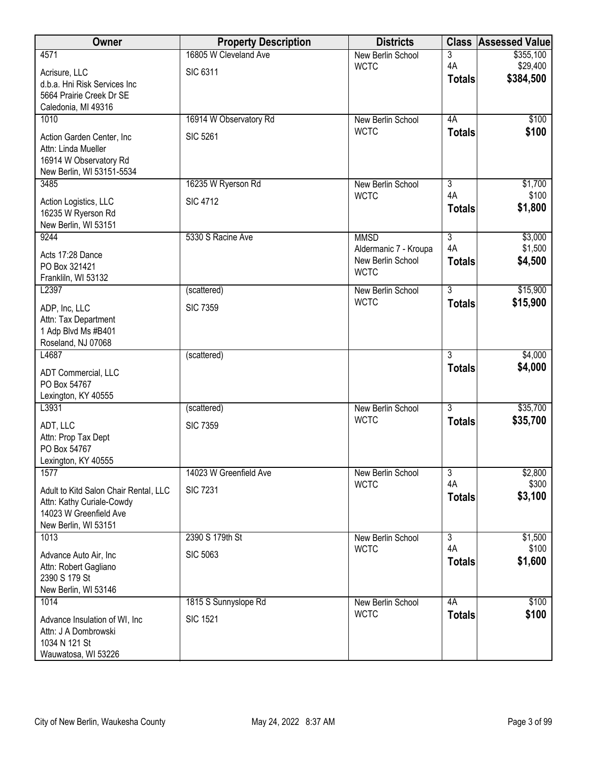| Owner                                                  | <b>Property Description</b> | <b>Districts</b>                 | <b>Class</b>   | <b>Assessed Value</b> |
|--------------------------------------------------------|-----------------------------|----------------------------------|----------------|-----------------------|
| 4571                                                   | 16805 W Cleveland Ave       | New Berlin School                | 3              | \$355,100             |
| Acrisure, LLC                                          | <b>SIC 6311</b>             | <b>WCTC</b>                      | 4A             | \$29,400              |
| d.b.a. Hni Risk Services Inc                           |                             |                                  | <b>Totals</b>  | \$384,500             |
| 5664 Prairie Creek Dr SE                               |                             |                                  |                |                       |
| Caledonia, MI 49316<br>1010                            |                             |                                  | 4A             |                       |
|                                                        | 16914 W Observatory Rd      | New Berlin School<br><b>WCTC</b> |                | \$100<br>\$100        |
| Action Garden Center, Inc                              | <b>SIC 5261</b>             |                                  | <b>Totals</b>  |                       |
| Attn: Linda Mueller                                    |                             |                                  |                |                       |
| 16914 W Observatory Rd<br>New Berlin, WI 53151-5534    |                             |                                  |                |                       |
| 3485                                                   | 16235 W Ryerson Rd          | New Berlin School                | $\overline{3}$ | \$1,700               |
|                                                        |                             | <b>WCTC</b>                      | 4A             | \$100                 |
| Action Logistics, LLC<br>16235 W Ryerson Rd            | <b>SIC 4712</b>             |                                  | <b>Totals</b>  | \$1,800               |
| New Berlin, WI 53151                                   |                             |                                  |                |                       |
| 9244                                                   | 5330 S Racine Ave           | <b>MMSD</b>                      | $\overline{3}$ | \$3,000               |
| Acts 17:28 Dance                                       |                             | Aldermanic 7 - Kroupa            | 4A             | \$1,500               |
| PO Box 321421                                          |                             | New Berlin School                | <b>Totals</b>  | \$4,500               |
| Frankliln, WI 53132                                    |                             | <b>WCTC</b>                      |                |                       |
| L2397                                                  | (scattered)                 | New Berlin School                | $\overline{3}$ | \$15,900              |
| ADP, Inc, LLC                                          | <b>SIC 7359</b>             | <b>WCTC</b>                      | <b>Totals</b>  | \$15,900              |
| Attn: Tax Department                                   |                             |                                  |                |                       |
| 1 Adp Blvd Ms #B401                                    |                             |                                  |                |                       |
| Roseland, NJ 07068                                     |                             |                                  |                |                       |
| L4687                                                  | (scattered)                 |                                  | $\overline{3}$ | \$4,000               |
| ADT Commercial, LLC                                    |                             |                                  | <b>Totals</b>  | \$4,000               |
| PO Box 54767                                           |                             |                                  |                |                       |
| Lexington, KY 40555                                    |                             |                                  |                |                       |
| L3931                                                  | (scattered)                 | New Berlin School                | $\overline{3}$ | \$35,700              |
| ADT, LLC                                               | <b>SIC 7359</b>             | <b>WCTC</b>                      | <b>Totals</b>  | \$35,700              |
| Attn: Prop Tax Dept                                    |                             |                                  |                |                       |
| PO Box 54767                                           |                             |                                  |                |                       |
| Lexington, KY 40555                                    |                             |                                  |                |                       |
| 1577                                                   | 14023 W Greenfield Ave      | New Berlin School<br><b>WCTC</b> | 3<br>4A        | \$2,800<br>\$300      |
| Adult to Kitd Salon Chair Rental, LLC                  | <b>SIC 7231</b>             |                                  | <b>Totals</b>  | \$3,100               |
| Attn: Kathy Curiale-Cowdy                              |                             |                                  |                |                       |
| 14023 W Greenfield Ave<br>New Berlin, WI 53151         |                             |                                  |                |                       |
| 1013                                                   | 2390 S 179th St             | New Berlin School                | $\overline{3}$ | \$1,500               |
|                                                        |                             | <b>WCTC</b>                      | 4A             | \$100                 |
| Advance Auto Air, Inc                                  | <b>SIC 5063</b>             |                                  | <b>Totals</b>  | \$1,600               |
| Attn: Robert Gagliano<br>2390 S 179 St                 |                             |                                  |                |                       |
| New Berlin, WI 53146                                   |                             |                                  |                |                       |
| 1014                                                   | 1815 S Sunnyslope Rd        | New Berlin School                | 4A             | \$100                 |
|                                                        | <b>SIC 1521</b>             | <b>WCTC</b>                      | <b>Totals</b>  | \$100                 |
| Advance Insulation of WI, Inc.<br>Attn: J A Dombrowski |                             |                                  |                |                       |
| 1034 N 121 St                                          |                             |                                  |                |                       |
| Wauwatosa, WI 53226                                    |                             |                                  |                |                       |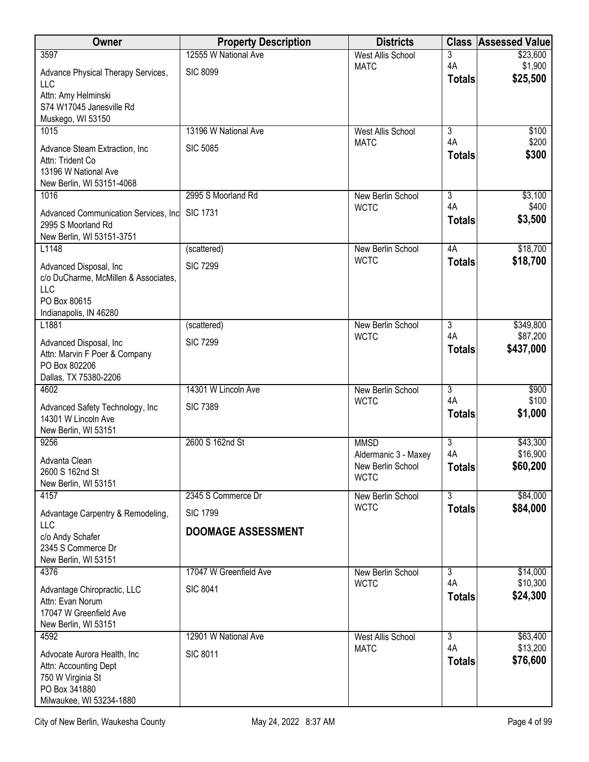| Owner                                                      | <b>Property Description</b> | <b>Districts</b>                 | <b>Class</b>         | <b>Assessed Value</b> |
|------------------------------------------------------------|-----------------------------|----------------------------------|----------------------|-----------------------|
| 3597                                                       | 12555 W National Ave        | <b>West Allis School</b>         | 3                    | \$23,600              |
| Advance Physical Therapy Services,                         | <b>SIC 8099</b>             | <b>MATC</b>                      | 4A                   | \$1,900<br>\$25,500   |
| LLC                                                        |                             |                                  | <b>Totals</b>        |                       |
| Attn: Amy Helminski<br>S74 W17045 Janesville Rd            |                             |                                  |                      |                       |
| Muskego, WI 53150                                          |                             |                                  |                      |                       |
| 1015                                                       | 13196 W National Ave        | <b>West Allis School</b>         | $\overline{3}$       | \$100                 |
| Advance Steam Extraction, Inc.                             | <b>SIC 5085</b>             | <b>MATC</b>                      | 4A                   | \$200                 |
| Attn: Trident Co                                           |                             |                                  | <b>Totals</b>        | \$300                 |
| 13196 W National Ave                                       |                             |                                  |                      |                       |
| New Berlin, WI 53151-4068<br>1016                          | 2995 S Moorland Rd          | New Berlin School                | $\overline{3}$       | \$3,100               |
|                                                            |                             | <b>WCTC</b>                      | 4A                   | \$400                 |
| Advanced Communication Services, Inc<br>2995 S Moorland Rd | <b>SIC 1731</b>             |                                  | <b>Totals</b>        | \$3,500               |
| New Berlin, WI 53151-3751                                  |                             |                                  |                      |                       |
| L1148                                                      | (scattered)                 | New Berlin School                | 4A                   | \$18,700              |
| Advanced Disposal, Inc                                     | <b>SIC 7299</b>             | <b>WCTC</b>                      | <b>Totals</b>        | \$18,700              |
| c/o DuCharme, McMillen & Associates,                       |                             |                                  |                      |                       |
| <b>LLC</b>                                                 |                             |                                  |                      |                       |
| PO Box 80615<br>Indianapolis, IN 46280                     |                             |                                  |                      |                       |
| L1881                                                      | (scattered)                 | New Berlin School                | $\overline{3}$       | \$349,800             |
| Advanced Disposal, Inc                                     | <b>SIC 7299</b>             | <b>WCTC</b>                      | 4A                   | \$87,200              |
| Attn: Marvin F Poer & Company                              |                             |                                  | <b>Totals</b>        | \$437,000             |
| PO Box 802206                                              |                             |                                  |                      |                       |
| Dallas, TX 75380-2206                                      |                             |                                  |                      |                       |
| 4602                                                       | 14301 W Lincoln Ave         | New Berlin School<br><b>WCTC</b> | $\overline{3}$<br>4A | \$900<br>\$100        |
| Advanced Safety Technology, Inc.                           | <b>SIC 7389</b>             |                                  | <b>Totals</b>        | \$1,000               |
| 14301 W Lincoln Ave<br>New Berlin, WI 53151                |                             |                                  |                      |                       |
| 9256                                                       | 2600 S 162nd St             | <b>MMSD</b>                      | $\overline{3}$       | \$43,300              |
| Advanta Clean                                              |                             | Aldermanic 3 - Maxey             | 4A                   | \$16,900              |
| 2600 S 162nd St                                            |                             | New Berlin School                | <b>Totals</b>        | \$60,200              |
| New Berlin, WI 53151                                       |                             | <b>WCTC</b>                      |                      |                       |
| 4157                                                       | 2345 S Commerce Dr          | New Berlin School                | $\overline{3}$       | \$84,000              |
| Advantage Carpentry & Remodeling,                          | <b>SIC 1799</b>             | <b>WCTC</b>                      | <b>Totals</b>        | \$84,000              |
| LLC                                                        | <b>DOOMAGE ASSESSMENT</b>   |                                  |                      |                       |
| c/o Andy Schafer<br>2345 S Commerce Dr                     |                             |                                  |                      |                       |
| New Berlin, WI 53151                                       |                             |                                  |                      |                       |
| 4376                                                       | 17047 W Greenfield Ave      | New Berlin School                | $\overline{3}$       | \$14,000              |
| Advantage Chiropractic, LLC                                | <b>SIC 8041</b>             | <b>WCTC</b>                      | 4A                   | \$10,300              |
| Attn: Evan Norum                                           |                             |                                  | <b>Totals</b>        | \$24,300              |
| 17047 W Greenfield Ave                                     |                             |                                  |                      |                       |
| New Berlin, WI 53151<br>4592                               | 12901 W National Ave        | West Allis School                | $\overline{3}$       | \$63,400              |
|                                                            |                             | <b>MATC</b>                      | 4A                   | \$13,200              |
| Advocate Aurora Health, Inc.<br>Attn: Accounting Dept      | <b>SIC 8011</b>             |                                  | <b>Totals</b>        | \$76,600              |
| 750 W Virginia St                                          |                             |                                  |                      |                       |
| PO Box 341880                                              |                             |                                  |                      |                       |
| Milwaukee, WI 53234-1880                                   |                             |                                  |                      |                       |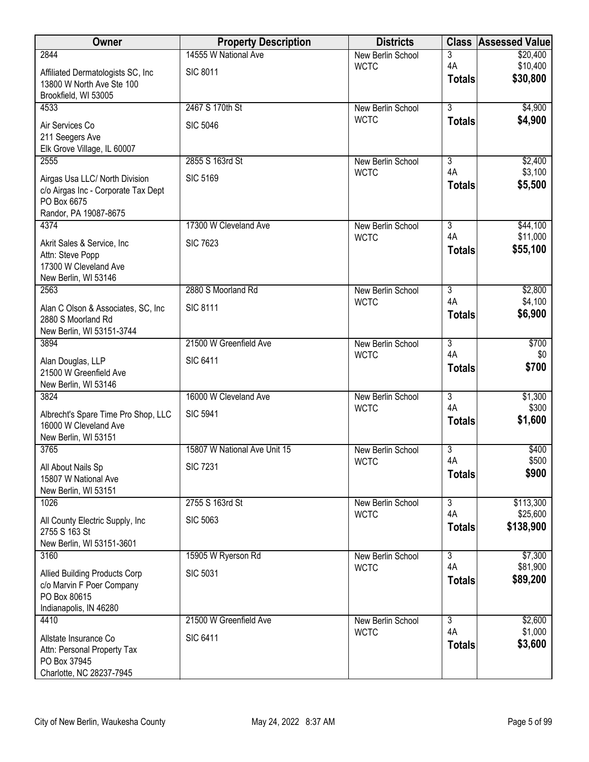| Owner                                           | <b>Property Description</b>  | <b>Districts</b>                        |                      | <b>Class Assessed Value</b> |
|-------------------------------------------------|------------------------------|-----------------------------------------|----------------------|-----------------------------|
| 2844                                            | 14555 W National Ave         | <b>New Berlin School</b>                | 3                    | \$20,400                    |
| Affiliated Dermatologists SC, Inc               | <b>SIC 8011</b>              | <b>WCTC</b>                             | 4A<br><b>Totals</b>  | \$10,400<br>\$30,800        |
| 13800 W North Ave Ste 100                       |                              |                                         |                      |                             |
| Brookfield, WI 53005<br>4533                    | 2467 S 170th St              | <b>New Berlin School</b>                | $\overline{3}$       | \$4,900                     |
|                                                 |                              | <b>WCTC</b>                             | <b>Totals</b>        | \$4,900                     |
| Air Services Co<br>211 Seegers Ave              | <b>SIC 5046</b>              |                                         |                      |                             |
| Elk Grove Village, IL 60007                     |                              |                                         |                      |                             |
| 2555                                            | 2855 S 163rd St              | <b>New Berlin School</b>                | $\overline{3}$       | \$2,400                     |
| Airgas Usa LLC/ North Division                  | <b>SIC 5169</b>              | <b>WCTC</b>                             | 4A                   | \$3,100                     |
| c/o Airgas Inc - Corporate Tax Dept             |                              |                                         | <b>Totals</b>        | \$5,500                     |
| PO Box 6675                                     |                              |                                         |                      |                             |
| Randor, PA 19087-8675<br>4374                   | 17300 W Cleveland Ave        | New Berlin School                       | $\overline{3}$       | \$44,100                    |
|                                                 |                              | <b>WCTC</b>                             | 4A                   | \$11,000                    |
| Akrit Sales & Service, Inc.<br>Attn: Steve Popp | <b>SIC 7623</b>              |                                         | <b>Totals</b>        | \$55,100                    |
| 17300 W Cleveland Ave                           |                              |                                         |                      |                             |
| New Berlin, WI 53146                            |                              |                                         |                      |                             |
| 2563                                            | 2880 S Moorland Rd           | <b>New Berlin School</b>                | $\overline{3}$       | \$2,800                     |
| Alan C Olson & Associates, SC, Inc.             | <b>SIC 8111</b>              | <b>WCTC</b>                             | 4A<br><b>Totals</b>  | \$4,100<br>\$6,900          |
| 2880 S Moorland Rd                              |                              |                                         |                      |                             |
| New Berlin, WI 53151-3744<br>3894               | 21500 W Greenfield Ave       | <b>New Berlin School</b>                | $\overline{3}$       | \$700                       |
|                                                 |                              | <b>WCTC</b>                             | 4A                   | \$0                         |
| Alan Douglas, LLP<br>21500 W Greenfield Ave     | <b>SIC 6411</b>              |                                         | <b>Totals</b>        | \$700                       |
| New Berlin, WI 53146                            |                              |                                         |                      |                             |
| 3824                                            | 16000 W Cleveland Ave        | <b>New Berlin School</b>                | $\overline{3}$       | \$1,300                     |
| Albrecht's Spare Time Pro Shop, LLC             | <b>SIC 5941</b>              | <b>WCTC</b>                             | 4A                   | \$300                       |
| 16000 W Cleveland Ave                           |                              |                                         | <b>Totals</b>        | \$1,600                     |
| New Berlin, WI 53151                            |                              |                                         |                      |                             |
| 3765                                            | 15807 W National Ave Unit 15 | <b>New Berlin School</b><br><b>WCTC</b> | $\overline{3}$<br>4A | \$400<br>\$500              |
| All About Nails Sp                              | <b>SIC 7231</b>              |                                         | <b>Totals</b>        | \$900                       |
| 15807 W National Ave<br>New Berlin, WI 53151    |                              |                                         |                      |                             |
| 1026                                            | 2755 S 163rd St              | New Berlin School                       | $\overline{3}$       | \$113,300                   |
| All County Electric Supply, Inc.                | <b>SIC 5063</b>              | <b>WCTC</b>                             | 4A                   | \$25,600                    |
| 2755 S 163 St                                   |                              |                                         | <b>Totals</b>        | \$138,900                   |
| New Berlin, WI 53151-3601                       |                              |                                         |                      |                             |
| 3160                                            | 15905 W Ryerson Rd           | New Berlin School                       | $\overline{3}$<br>4A | \$7,300                     |
| <b>Allied Building Products Corp</b>            | <b>SIC 5031</b>              | <b>WCTC</b>                             | <b>Totals</b>        | \$81,900<br>\$89,200        |
| c/o Marvin F Poer Company<br>PO Box 80615       |                              |                                         |                      |                             |
| Indianapolis, IN 46280                          |                              |                                         |                      |                             |
| 4410                                            | 21500 W Greenfield Ave       | New Berlin School                       | $\overline{3}$       | \$2,600                     |
| Allstate Insurance Co                           | <b>SIC 6411</b>              | <b>WCTC</b>                             | 4A                   | \$1,000                     |
| Attn: Personal Property Tax                     |                              |                                         | <b>Totals</b>        | \$3,600                     |
| PO Box 37945                                    |                              |                                         |                      |                             |
| Charlotte, NC 28237-7945                        |                              |                                         |                      |                             |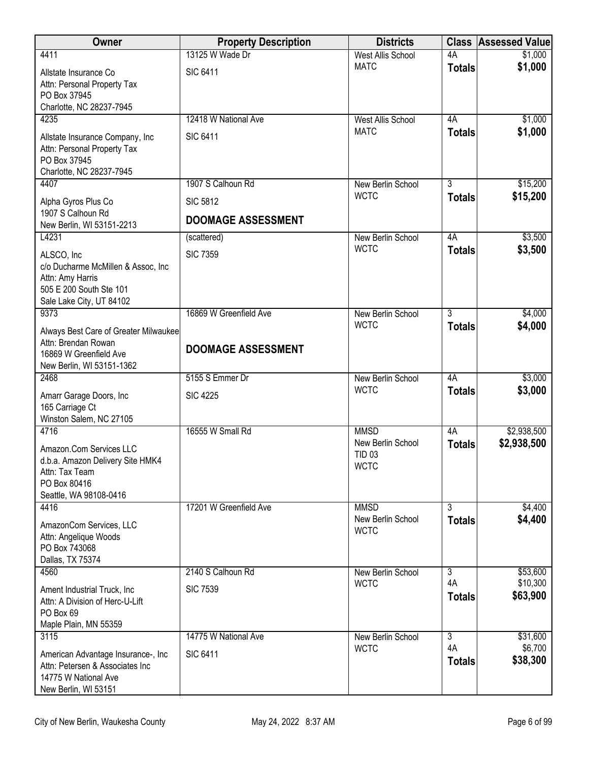| Owner                                                                                                                           | <b>Property Description</b> | <b>Districts</b>                                                 |                     | <b>Class Assessed Value</b> |
|---------------------------------------------------------------------------------------------------------------------------------|-----------------------------|------------------------------------------------------------------|---------------------|-----------------------------|
| 4411                                                                                                                            | 13125 W Wade Dr             | <b>West Allis School</b>                                         | 4A                  | \$1,000                     |
| Allstate Insurance Co<br>Attn: Personal Property Tax<br>PO Box 37945<br>Charlotte, NC 28237-7945                                | <b>SIC 6411</b>             | <b>MATC</b>                                                      | <b>Totals</b>       | \$1,000                     |
| 4235                                                                                                                            | 12418 W National Ave        | <b>West Allis School</b>                                         | 4A                  | \$1,000                     |
| Allstate Insurance Company, Inc<br>Attn: Personal Property Tax<br>PO Box 37945<br>Charlotte, NC 28237-7945                      | <b>SIC 6411</b>             | <b>MATC</b>                                                      | <b>Totals</b>       | \$1,000                     |
| 4407                                                                                                                            | 1907 S Calhoun Rd           | New Berlin School                                                | 3                   | \$15,200                    |
| Alpha Gyros Plus Co                                                                                                             | <b>SIC 5812</b>             | <b>WCTC</b>                                                      | <b>Totals</b>       | \$15,200                    |
| 1907 S Calhoun Rd<br>New Berlin, WI 53151-2213                                                                                  | <b>DOOMAGE ASSESSMENT</b>   |                                                                  |                     |                             |
| L4231                                                                                                                           | (scattered)                 | New Berlin School                                                | 4A                  | \$3,500                     |
| ALSCO, Inc<br>c/o Ducharme McMillen & Assoc, Inc<br>Attn: Amy Harris<br>505 E 200 South Ste 101<br>Sale Lake City, UT 84102     | <b>SIC 7359</b>             | <b>WCTC</b>                                                      | <b>Totals</b>       | \$3,500                     |
| 9373                                                                                                                            | 16869 W Greenfield Ave      | New Berlin School                                                | $\overline{3}$      | \$4,000                     |
| Always Best Care of Greater Milwaukee<br>Attn: Brendan Rowan<br>16869 W Greenfield Ave<br>New Berlin, WI 53151-1362             | <b>DOOMAGE ASSESSMENT</b>   | <b>WCTC</b>                                                      | <b>Totals</b>       | \$4,000                     |
| 2468                                                                                                                            | 5155 S Emmer Dr             | New Berlin School                                                | 4A                  | \$3,000                     |
| Amarr Garage Doors, Inc<br>165 Carriage Ct<br>Winston Salem, NC 27105                                                           | <b>SIC 4225</b>             | <b>WCTC</b>                                                      | <b>Totals</b>       | \$3,000                     |
| 4716<br>Amazon.Com Services LLC<br>d.b.a. Amazon Delivery Site HMK4<br>Attn: Tax Team<br>PO Box 80416<br>Seattle, WA 98108-0416 | 16555 W Small Rd            | <b>MMSD</b><br>New Berlin School<br><b>TID 03</b><br><b>WCTC</b> | 4A<br><b>Totals</b> | \$2,938,500<br>\$2,938,500  |
| 4416                                                                                                                            | 17201 W Greenfield Ave      | <b>MMSD</b>                                                      | $\overline{3}$      | \$4,400                     |
| AmazonCom Services, LLC<br>Attn: Angelique Woods<br>PO Box 743068<br>Dallas, TX 75374                                           |                             | New Berlin School<br><b>WCTC</b>                                 | <b>Totals</b>       | \$4,400                     |
| 4560                                                                                                                            | 2140 S Calhoun Rd           | New Berlin School                                                | $\overline{3}$      | \$53,600                    |
| Ament Industrial Truck, Inc.<br>Attn: A Division of Herc-U-Lift<br>PO Box 69<br>Maple Plain, MN 55359                           | <b>SIC 7539</b>             | <b>WCTC</b>                                                      | 4A<br><b>Totals</b> | \$10,300<br>\$63,900        |
| 3115                                                                                                                            | 14775 W National Ave        | New Berlin School                                                | $\overline{3}$      | \$31,600                    |
| American Advantage Insurance-, Inc<br>Attn: Petersen & Associates Inc<br>14775 W National Ave<br>New Berlin, WI 53151           | <b>SIC 6411</b>             | <b>WCTC</b>                                                      | 4A<br><b>Totals</b> | \$6,700<br>\$38,300         |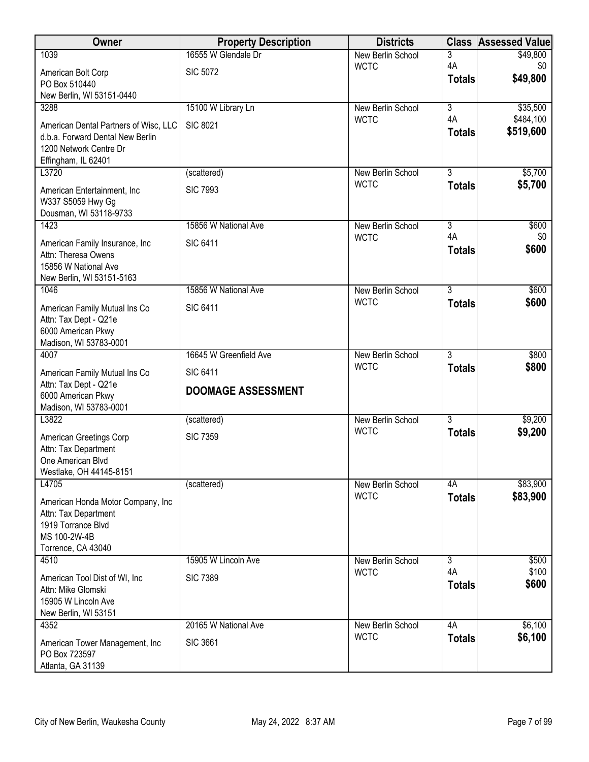| Owner                                                                     | <b>Property Description</b> | <b>Districts</b>                 | <b>Class</b>              | <b>Assessed Value</b> |
|---------------------------------------------------------------------------|-----------------------------|----------------------------------|---------------------------|-----------------------|
| 1039                                                                      | 16555 W Glendale Dr         | New Berlin School                | 3                         | \$49,800              |
| American Bolt Corp                                                        | <b>SIC 5072</b>             | <b>WCTC</b>                      | 4A<br><b>Totals</b>       | \$0<br>\$49,800       |
| PO Box 510440                                                             |                             |                                  |                           |                       |
| New Berlin, WI 53151-0440<br>3288                                         | 15100 W Library Ln          | New Berlin School                | $\overline{\overline{3}}$ | \$35,500              |
|                                                                           | <b>SIC 8021</b>             | <b>WCTC</b>                      | 4A                        | \$484,100             |
| American Dental Partners of Wisc, LLC<br>d.b.a. Forward Dental New Berlin |                             |                                  | <b>Totals</b>             | \$519,600             |
| 1200 Network Centre Dr                                                    |                             |                                  |                           |                       |
| Effingham, IL 62401                                                       |                             |                                  |                           |                       |
| L3720                                                                     | (scattered)                 | New Berlin School<br><b>WCTC</b> | $\overline{3}$            | \$5,700<br>\$5,700    |
| American Entertainment, Inc.                                              | <b>SIC 7993</b>             |                                  | <b>Totals</b>             |                       |
| W337 S5059 Hwy Gg<br>Dousman, WI 53118-9733                               |                             |                                  |                           |                       |
| 1423                                                                      | 15856 W National Ave        | New Berlin School                | $\overline{3}$            | \$600                 |
| American Family Insurance, Inc                                            | <b>SIC 6411</b>             | <b>WCTC</b>                      | 4A                        | \$0                   |
| Attn: Theresa Owens                                                       |                             |                                  | <b>Totals</b>             | \$600                 |
| 15856 W National Ave                                                      |                             |                                  |                           |                       |
| New Berlin, WI 53151-5163                                                 | 15856 W National Ave        |                                  | $\overline{3}$            |                       |
| 1046                                                                      |                             | New Berlin School<br><b>WCTC</b> | <b>Totals</b>             | \$600<br>\$600        |
| American Family Mutual Ins Co                                             | <b>SIC 6411</b>             |                                  |                           |                       |
| Attn: Tax Dept - Q21e<br>6000 American Pkwy                               |                             |                                  |                           |                       |
| Madison, WI 53783-0001                                                    |                             |                                  |                           |                       |
| 4007                                                                      | 16645 W Greenfield Ave      | New Berlin School                | $\overline{3}$            | \$800                 |
| American Family Mutual Ins Co                                             | <b>SIC 6411</b>             | <b>WCTC</b>                      | <b>Totals</b>             | \$800                 |
| Attn: Tax Dept - Q21e<br>6000 American Pkwy                               | <b>DOOMAGE ASSESSMENT</b>   |                                  |                           |                       |
| Madison, WI 53783-0001                                                    |                             |                                  |                           |                       |
| L3822                                                                     | (scattered)                 | New Berlin School                | $\overline{3}$            | \$9,200               |
| American Greetings Corp                                                   | <b>SIC 7359</b>             | <b>WCTC</b>                      | <b>Totals</b>             | \$9,200               |
| Attn: Tax Department                                                      |                             |                                  |                           |                       |
| One American Blvd                                                         |                             |                                  |                           |                       |
| Westlake, OH 44145-8151<br>L4705                                          | (scattered)                 | New Berlin School                | 4A                        | \$83,900              |
|                                                                           |                             | <b>WCTC</b>                      | <b>Totals</b>             | \$83,900              |
| American Honda Motor Company, Inc<br>Attn: Tax Department                 |                             |                                  |                           |                       |
| 1919 Torrance Blvd                                                        |                             |                                  |                           |                       |
| MS 100-2W-4B                                                              |                             |                                  |                           |                       |
| Torrence, CA 43040<br>4510                                                | 15905 W Lincoln Ave         | New Berlin School                | $\overline{3}$            | \$500                 |
|                                                                           |                             | <b>WCTC</b>                      | 4A                        | \$100                 |
| American Tool Dist of WI, Inc.<br>Attn: Mike Glomski                      | <b>SIC 7389</b>             |                                  | <b>Totals</b>             | \$600                 |
| 15905 W Lincoln Ave                                                       |                             |                                  |                           |                       |
| New Berlin, WI 53151                                                      |                             |                                  |                           |                       |
| 4352                                                                      | 20165 W National Ave        | New Berlin School                | 4A                        | \$6,100               |
| American Tower Management, Inc                                            | <b>SIC 3661</b>             | <b>WCTC</b>                      | <b>Totals</b>             | \$6,100               |
| PO Box 723597<br>Atlanta, GA 31139                                        |                             |                                  |                           |                       |
|                                                                           |                             |                                  |                           |                       |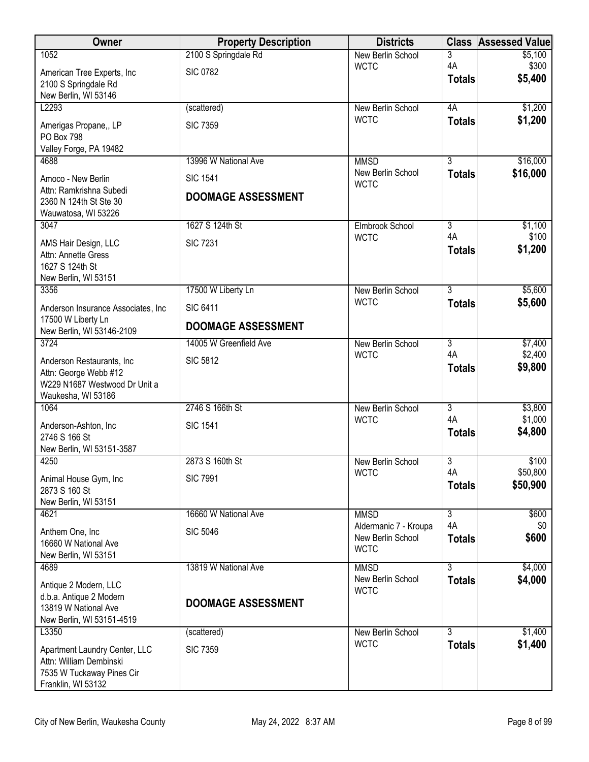| New Berlin School<br>3<br>4A<br>\$300<br><b>WCTC</b><br><b>SIC 0782</b><br>American Tree Experts, Inc<br>\$5,400<br><b>Totals</b><br>2100 S Springdale Rd<br>New Berlin, WI 53146<br>\$1,200<br>L2293<br>4A<br>(scattered)<br>New Berlin School<br><b>WCTC</b><br>\$1,200<br><b>Totals</b><br><b>SIC 7359</b><br>Amerigas Propane,, LP<br>PO Box 798<br>Valley Forge, PA 19482<br>$\overline{3}$<br>\$16,000<br>13996 W National Ave<br><b>MMSD</b><br>4688<br>\$16,000<br>New Berlin School<br><b>Totals</b><br><b>SIC 1541</b><br>Amoco - New Berlin<br><b>WCTC</b><br>Attn: Ramkrishna Subedi<br><b>DOOMAGE ASSESSMENT</b><br>2360 N 124th St Ste 30<br>Wauwatosa, WI 53226<br>3047<br>1627 S 124th St<br>$\overline{3}$<br>\$1,100<br>Elmbrook School<br>4A<br>\$100<br><b>WCTC</b><br><b>SIC 7231</b><br>AMS Hair Design, LLC<br>\$1,200<br><b>Totals</b><br>Attn: Annette Gress<br>1627 S 124th St<br>New Berlin, WI 53151<br>$\overline{3}$<br>\$5,600<br>17500 W Liberty Ln<br>3356<br>New Berlin School<br>\$5,600<br><b>WCTC</b><br><b>Totals</b><br><b>SIC 6411</b><br>Anderson Insurance Associates, Inc.<br>17500 W Liberty Ln<br><b>DOOMAGE ASSESSMENT</b><br>New Berlin, WI 53146-2109<br>\$7,400<br>3724<br>14005 W Greenfield Ave<br>$\overline{3}$<br>New Berlin School<br>4A<br>\$2,400<br><b>WCTC</b><br><b>SIC 5812</b><br>Anderson Restaurants, Inc.<br>\$9,800<br><b>Totals</b><br>Attn: George Webb #12<br>W229 N1687 Westwood Dr Unit a<br>Waukesha, WI 53186<br>2746 S 166th St<br>$\overline{3}$<br>\$3,800<br>1064<br>New Berlin School<br>4A<br>\$1,000<br><b>WCTC</b><br><b>SIC 1541</b><br>Anderson-Ashton, Inc<br>\$4,800<br><b>Totals</b><br>2746 S 166 St<br>New Berlin, WI 53151-3587<br>2873 S 160th St<br>3<br>\$100<br>4250<br>New Berlin School<br>4A<br>\$50,800<br><b>WCTC</b><br><b>SIC 7991</b><br>Animal House Gym, Inc.<br>\$50,900<br><b>Totals</b><br>2873 S 160 St<br>New Berlin, WI 53151<br>$\overline{3}$<br>\$600<br>16660 W National Ave<br><b>MMSD</b><br>4621<br>4A<br>\$0<br>Aldermanic 7 - Kroupa<br>Anthem One, Inc<br><b>SIC 5046</b><br>\$600<br>New Berlin School<br><b>Totals</b><br>16660 W National Ave<br><b>WCTC</b><br>New Berlin, WI 53151<br>13819 W National Ave<br><b>MMSD</b><br>3<br>\$4,000<br>4689<br>\$4,000<br>New Berlin School<br><b>Totals</b><br>Antique 2 Modern, LLC<br><b>WCTC</b><br>d.b.a. Antique 2 Modern<br><b>DOOMAGE ASSESSMENT</b><br>13819 W National Ave<br>New Berlin, WI 53151-4519<br>L3350<br>3<br>\$1,400<br>New Berlin School<br>(scattered)<br><b>WCTC</b><br>\$1,400<br><b>Totals</b><br><b>SIC 7359</b><br>Apartment Laundry Center, LLC<br>Attn: William Dembinski<br>7535 W Tuckaway Pines Cir | <b>Owner</b> | <b>Property Description</b> | <b>Districts</b> | <b>Class</b> | <b>Assessed Value</b> |
|---------------------------------------------------------------------------------------------------------------------------------------------------------------------------------------------------------------------------------------------------------------------------------------------------------------------------------------------------------------------------------------------------------------------------------------------------------------------------------------------------------------------------------------------------------------------------------------------------------------------------------------------------------------------------------------------------------------------------------------------------------------------------------------------------------------------------------------------------------------------------------------------------------------------------------------------------------------------------------------------------------------------------------------------------------------------------------------------------------------------------------------------------------------------------------------------------------------------------------------------------------------------------------------------------------------------------------------------------------------------------------------------------------------------------------------------------------------------------------------------------------------------------------------------------------------------------------------------------------------------------------------------------------------------------------------------------------------------------------------------------------------------------------------------------------------------------------------------------------------------------------------------------------------------------------------------------------------------------------------------------------------------------------------------------------------------------------------------------------------------------------------------------------------------------------------------------------------------------------------------------------------------------------------------------------------------------------------------------------------------------------------------------------------------------------------------------------------------------------------------------------------------------------------------------------------------------------------------------------------------------------------------------------------------------------------------------------|--------------|-----------------------------|------------------|--------------|-----------------------|
|                                                                                                                                                                                                                                                                                                                                                                                                                                                                                                                                                                                                                                                                                                                                                                                                                                                                                                                                                                                                                                                                                                                                                                                                                                                                                                                                                                                                                                                                                                                                                                                                                                                                                                                                                                                                                                                                                                                                                                                                                                                                                                                                                                                                                                                                                                                                                                                                                                                                                                                                                                                                                                                                                                         | 1052         | 2100 S Springdale Rd        |                  |              | \$5,100               |
|                                                                                                                                                                                                                                                                                                                                                                                                                                                                                                                                                                                                                                                                                                                                                                                                                                                                                                                                                                                                                                                                                                                                                                                                                                                                                                                                                                                                                                                                                                                                                                                                                                                                                                                                                                                                                                                                                                                                                                                                                                                                                                                                                                                                                                                                                                                                                                                                                                                                                                                                                                                                                                                                                                         |              |                             |                  |              |                       |
|                                                                                                                                                                                                                                                                                                                                                                                                                                                                                                                                                                                                                                                                                                                                                                                                                                                                                                                                                                                                                                                                                                                                                                                                                                                                                                                                                                                                                                                                                                                                                                                                                                                                                                                                                                                                                                                                                                                                                                                                                                                                                                                                                                                                                                                                                                                                                                                                                                                                                                                                                                                                                                                                                                         |              |                             |                  |              |                       |
|                                                                                                                                                                                                                                                                                                                                                                                                                                                                                                                                                                                                                                                                                                                                                                                                                                                                                                                                                                                                                                                                                                                                                                                                                                                                                                                                                                                                                                                                                                                                                                                                                                                                                                                                                                                                                                                                                                                                                                                                                                                                                                                                                                                                                                                                                                                                                                                                                                                                                                                                                                                                                                                                                                         |              |                             |                  |              |                       |
|                                                                                                                                                                                                                                                                                                                                                                                                                                                                                                                                                                                                                                                                                                                                                                                                                                                                                                                                                                                                                                                                                                                                                                                                                                                                                                                                                                                                                                                                                                                                                                                                                                                                                                                                                                                                                                                                                                                                                                                                                                                                                                                                                                                                                                                                                                                                                                                                                                                                                                                                                                                                                                                                                                         |              |                             |                  |              |                       |
|                                                                                                                                                                                                                                                                                                                                                                                                                                                                                                                                                                                                                                                                                                                                                                                                                                                                                                                                                                                                                                                                                                                                                                                                                                                                                                                                                                                                                                                                                                                                                                                                                                                                                                                                                                                                                                                                                                                                                                                                                                                                                                                                                                                                                                                                                                                                                                                                                                                                                                                                                                                                                                                                                                         |              |                             |                  |              |                       |
|                                                                                                                                                                                                                                                                                                                                                                                                                                                                                                                                                                                                                                                                                                                                                                                                                                                                                                                                                                                                                                                                                                                                                                                                                                                                                                                                                                                                                                                                                                                                                                                                                                                                                                                                                                                                                                                                                                                                                                                                                                                                                                                                                                                                                                                                                                                                                                                                                                                                                                                                                                                                                                                                                                         |              |                             |                  |              |                       |
|                                                                                                                                                                                                                                                                                                                                                                                                                                                                                                                                                                                                                                                                                                                                                                                                                                                                                                                                                                                                                                                                                                                                                                                                                                                                                                                                                                                                                                                                                                                                                                                                                                                                                                                                                                                                                                                                                                                                                                                                                                                                                                                                                                                                                                                                                                                                                                                                                                                                                                                                                                                                                                                                                                         |              |                             |                  |              |                       |
|                                                                                                                                                                                                                                                                                                                                                                                                                                                                                                                                                                                                                                                                                                                                                                                                                                                                                                                                                                                                                                                                                                                                                                                                                                                                                                                                                                                                                                                                                                                                                                                                                                                                                                                                                                                                                                                                                                                                                                                                                                                                                                                                                                                                                                                                                                                                                                                                                                                                                                                                                                                                                                                                                                         |              |                             |                  |              |                       |
|                                                                                                                                                                                                                                                                                                                                                                                                                                                                                                                                                                                                                                                                                                                                                                                                                                                                                                                                                                                                                                                                                                                                                                                                                                                                                                                                                                                                                                                                                                                                                                                                                                                                                                                                                                                                                                                                                                                                                                                                                                                                                                                                                                                                                                                                                                                                                                                                                                                                                                                                                                                                                                                                                                         |              |                             |                  |              |                       |
|                                                                                                                                                                                                                                                                                                                                                                                                                                                                                                                                                                                                                                                                                                                                                                                                                                                                                                                                                                                                                                                                                                                                                                                                                                                                                                                                                                                                                                                                                                                                                                                                                                                                                                                                                                                                                                                                                                                                                                                                                                                                                                                                                                                                                                                                                                                                                                                                                                                                                                                                                                                                                                                                                                         |              |                             |                  |              |                       |
|                                                                                                                                                                                                                                                                                                                                                                                                                                                                                                                                                                                                                                                                                                                                                                                                                                                                                                                                                                                                                                                                                                                                                                                                                                                                                                                                                                                                                                                                                                                                                                                                                                                                                                                                                                                                                                                                                                                                                                                                                                                                                                                                                                                                                                                                                                                                                                                                                                                                                                                                                                                                                                                                                                         |              |                             |                  |              |                       |
|                                                                                                                                                                                                                                                                                                                                                                                                                                                                                                                                                                                                                                                                                                                                                                                                                                                                                                                                                                                                                                                                                                                                                                                                                                                                                                                                                                                                                                                                                                                                                                                                                                                                                                                                                                                                                                                                                                                                                                                                                                                                                                                                                                                                                                                                                                                                                                                                                                                                                                                                                                                                                                                                                                         |              |                             |                  |              |                       |
|                                                                                                                                                                                                                                                                                                                                                                                                                                                                                                                                                                                                                                                                                                                                                                                                                                                                                                                                                                                                                                                                                                                                                                                                                                                                                                                                                                                                                                                                                                                                                                                                                                                                                                                                                                                                                                                                                                                                                                                                                                                                                                                                                                                                                                                                                                                                                                                                                                                                                                                                                                                                                                                                                                         |              |                             |                  |              |                       |
|                                                                                                                                                                                                                                                                                                                                                                                                                                                                                                                                                                                                                                                                                                                                                                                                                                                                                                                                                                                                                                                                                                                                                                                                                                                                                                                                                                                                                                                                                                                                                                                                                                                                                                                                                                                                                                                                                                                                                                                                                                                                                                                                                                                                                                                                                                                                                                                                                                                                                                                                                                                                                                                                                                         |              |                             |                  |              |                       |
|                                                                                                                                                                                                                                                                                                                                                                                                                                                                                                                                                                                                                                                                                                                                                                                                                                                                                                                                                                                                                                                                                                                                                                                                                                                                                                                                                                                                                                                                                                                                                                                                                                                                                                                                                                                                                                                                                                                                                                                                                                                                                                                                                                                                                                                                                                                                                                                                                                                                                                                                                                                                                                                                                                         |              |                             |                  |              |                       |
|                                                                                                                                                                                                                                                                                                                                                                                                                                                                                                                                                                                                                                                                                                                                                                                                                                                                                                                                                                                                                                                                                                                                                                                                                                                                                                                                                                                                                                                                                                                                                                                                                                                                                                                                                                                                                                                                                                                                                                                                                                                                                                                                                                                                                                                                                                                                                                                                                                                                                                                                                                                                                                                                                                         |              |                             |                  |              |                       |
|                                                                                                                                                                                                                                                                                                                                                                                                                                                                                                                                                                                                                                                                                                                                                                                                                                                                                                                                                                                                                                                                                                                                                                                                                                                                                                                                                                                                                                                                                                                                                                                                                                                                                                                                                                                                                                                                                                                                                                                                                                                                                                                                                                                                                                                                                                                                                                                                                                                                                                                                                                                                                                                                                                         |              |                             |                  |              |                       |
|                                                                                                                                                                                                                                                                                                                                                                                                                                                                                                                                                                                                                                                                                                                                                                                                                                                                                                                                                                                                                                                                                                                                                                                                                                                                                                                                                                                                                                                                                                                                                                                                                                                                                                                                                                                                                                                                                                                                                                                                                                                                                                                                                                                                                                                                                                                                                                                                                                                                                                                                                                                                                                                                                                         |              |                             |                  |              |                       |
|                                                                                                                                                                                                                                                                                                                                                                                                                                                                                                                                                                                                                                                                                                                                                                                                                                                                                                                                                                                                                                                                                                                                                                                                                                                                                                                                                                                                                                                                                                                                                                                                                                                                                                                                                                                                                                                                                                                                                                                                                                                                                                                                                                                                                                                                                                                                                                                                                                                                                                                                                                                                                                                                                                         |              |                             |                  |              |                       |
|                                                                                                                                                                                                                                                                                                                                                                                                                                                                                                                                                                                                                                                                                                                                                                                                                                                                                                                                                                                                                                                                                                                                                                                                                                                                                                                                                                                                                                                                                                                                                                                                                                                                                                                                                                                                                                                                                                                                                                                                                                                                                                                                                                                                                                                                                                                                                                                                                                                                                                                                                                                                                                                                                                         |              |                             |                  |              |                       |
|                                                                                                                                                                                                                                                                                                                                                                                                                                                                                                                                                                                                                                                                                                                                                                                                                                                                                                                                                                                                                                                                                                                                                                                                                                                                                                                                                                                                                                                                                                                                                                                                                                                                                                                                                                                                                                                                                                                                                                                                                                                                                                                                                                                                                                                                                                                                                                                                                                                                                                                                                                                                                                                                                                         |              |                             |                  |              |                       |
|                                                                                                                                                                                                                                                                                                                                                                                                                                                                                                                                                                                                                                                                                                                                                                                                                                                                                                                                                                                                                                                                                                                                                                                                                                                                                                                                                                                                                                                                                                                                                                                                                                                                                                                                                                                                                                                                                                                                                                                                                                                                                                                                                                                                                                                                                                                                                                                                                                                                                                                                                                                                                                                                                                         |              |                             |                  |              |                       |
|                                                                                                                                                                                                                                                                                                                                                                                                                                                                                                                                                                                                                                                                                                                                                                                                                                                                                                                                                                                                                                                                                                                                                                                                                                                                                                                                                                                                                                                                                                                                                                                                                                                                                                                                                                                                                                                                                                                                                                                                                                                                                                                                                                                                                                                                                                                                                                                                                                                                                                                                                                                                                                                                                                         |              |                             |                  |              |                       |
|                                                                                                                                                                                                                                                                                                                                                                                                                                                                                                                                                                                                                                                                                                                                                                                                                                                                                                                                                                                                                                                                                                                                                                                                                                                                                                                                                                                                                                                                                                                                                                                                                                                                                                                                                                                                                                                                                                                                                                                                                                                                                                                                                                                                                                                                                                                                                                                                                                                                                                                                                                                                                                                                                                         |              |                             |                  |              |                       |
|                                                                                                                                                                                                                                                                                                                                                                                                                                                                                                                                                                                                                                                                                                                                                                                                                                                                                                                                                                                                                                                                                                                                                                                                                                                                                                                                                                                                                                                                                                                                                                                                                                                                                                                                                                                                                                                                                                                                                                                                                                                                                                                                                                                                                                                                                                                                                                                                                                                                                                                                                                                                                                                                                                         |              |                             |                  |              |                       |
|                                                                                                                                                                                                                                                                                                                                                                                                                                                                                                                                                                                                                                                                                                                                                                                                                                                                                                                                                                                                                                                                                                                                                                                                                                                                                                                                                                                                                                                                                                                                                                                                                                                                                                                                                                                                                                                                                                                                                                                                                                                                                                                                                                                                                                                                                                                                                                                                                                                                                                                                                                                                                                                                                                         |              |                             |                  |              |                       |
|                                                                                                                                                                                                                                                                                                                                                                                                                                                                                                                                                                                                                                                                                                                                                                                                                                                                                                                                                                                                                                                                                                                                                                                                                                                                                                                                                                                                                                                                                                                                                                                                                                                                                                                                                                                                                                                                                                                                                                                                                                                                                                                                                                                                                                                                                                                                                                                                                                                                                                                                                                                                                                                                                                         |              |                             |                  |              |                       |
|                                                                                                                                                                                                                                                                                                                                                                                                                                                                                                                                                                                                                                                                                                                                                                                                                                                                                                                                                                                                                                                                                                                                                                                                                                                                                                                                                                                                                                                                                                                                                                                                                                                                                                                                                                                                                                                                                                                                                                                                                                                                                                                                                                                                                                                                                                                                                                                                                                                                                                                                                                                                                                                                                                         |              |                             |                  |              |                       |
|                                                                                                                                                                                                                                                                                                                                                                                                                                                                                                                                                                                                                                                                                                                                                                                                                                                                                                                                                                                                                                                                                                                                                                                                                                                                                                                                                                                                                                                                                                                                                                                                                                                                                                                                                                                                                                                                                                                                                                                                                                                                                                                                                                                                                                                                                                                                                                                                                                                                                                                                                                                                                                                                                                         |              |                             |                  |              |                       |
|                                                                                                                                                                                                                                                                                                                                                                                                                                                                                                                                                                                                                                                                                                                                                                                                                                                                                                                                                                                                                                                                                                                                                                                                                                                                                                                                                                                                                                                                                                                                                                                                                                                                                                                                                                                                                                                                                                                                                                                                                                                                                                                                                                                                                                                                                                                                                                                                                                                                                                                                                                                                                                                                                                         |              |                             |                  |              |                       |
|                                                                                                                                                                                                                                                                                                                                                                                                                                                                                                                                                                                                                                                                                                                                                                                                                                                                                                                                                                                                                                                                                                                                                                                                                                                                                                                                                                                                                                                                                                                                                                                                                                                                                                                                                                                                                                                                                                                                                                                                                                                                                                                                                                                                                                                                                                                                                                                                                                                                                                                                                                                                                                                                                                         |              |                             |                  |              |                       |
|                                                                                                                                                                                                                                                                                                                                                                                                                                                                                                                                                                                                                                                                                                                                                                                                                                                                                                                                                                                                                                                                                                                                                                                                                                                                                                                                                                                                                                                                                                                                                                                                                                                                                                                                                                                                                                                                                                                                                                                                                                                                                                                                                                                                                                                                                                                                                                                                                                                                                                                                                                                                                                                                                                         |              |                             |                  |              |                       |
|                                                                                                                                                                                                                                                                                                                                                                                                                                                                                                                                                                                                                                                                                                                                                                                                                                                                                                                                                                                                                                                                                                                                                                                                                                                                                                                                                                                                                                                                                                                                                                                                                                                                                                                                                                                                                                                                                                                                                                                                                                                                                                                                                                                                                                                                                                                                                                                                                                                                                                                                                                                                                                                                                                         |              |                             |                  |              |                       |
|                                                                                                                                                                                                                                                                                                                                                                                                                                                                                                                                                                                                                                                                                                                                                                                                                                                                                                                                                                                                                                                                                                                                                                                                                                                                                                                                                                                                                                                                                                                                                                                                                                                                                                                                                                                                                                                                                                                                                                                                                                                                                                                                                                                                                                                                                                                                                                                                                                                                                                                                                                                                                                                                                                         |              |                             |                  |              |                       |
|                                                                                                                                                                                                                                                                                                                                                                                                                                                                                                                                                                                                                                                                                                                                                                                                                                                                                                                                                                                                                                                                                                                                                                                                                                                                                                                                                                                                                                                                                                                                                                                                                                                                                                                                                                                                                                                                                                                                                                                                                                                                                                                                                                                                                                                                                                                                                                                                                                                                                                                                                                                                                                                                                                         |              |                             |                  |              |                       |
|                                                                                                                                                                                                                                                                                                                                                                                                                                                                                                                                                                                                                                                                                                                                                                                                                                                                                                                                                                                                                                                                                                                                                                                                                                                                                                                                                                                                                                                                                                                                                                                                                                                                                                                                                                                                                                                                                                                                                                                                                                                                                                                                                                                                                                                                                                                                                                                                                                                                                                                                                                                                                                                                                                         |              |                             |                  |              |                       |
|                                                                                                                                                                                                                                                                                                                                                                                                                                                                                                                                                                                                                                                                                                                                                                                                                                                                                                                                                                                                                                                                                                                                                                                                                                                                                                                                                                                                                                                                                                                                                                                                                                                                                                                                                                                                                                                                                                                                                                                                                                                                                                                                                                                                                                                                                                                                                                                                                                                                                                                                                                                                                                                                                                         |              |                             |                  |              |                       |
|                                                                                                                                                                                                                                                                                                                                                                                                                                                                                                                                                                                                                                                                                                                                                                                                                                                                                                                                                                                                                                                                                                                                                                                                                                                                                                                                                                                                                                                                                                                                                                                                                                                                                                                                                                                                                                                                                                                                                                                                                                                                                                                                                                                                                                                                                                                                                                                                                                                                                                                                                                                                                                                                                                         |              |                             |                  |              |                       |
|                                                                                                                                                                                                                                                                                                                                                                                                                                                                                                                                                                                                                                                                                                                                                                                                                                                                                                                                                                                                                                                                                                                                                                                                                                                                                                                                                                                                                                                                                                                                                                                                                                                                                                                                                                                                                                                                                                                                                                                                                                                                                                                                                                                                                                                                                                                                                                                                                                                                                                                                                                                                                                                                                                         |              |                             |                  |              |                       |
|                                                                                                                                                                                                                                                                                                                                                                                                                                                                                                                                                                                                                                                                                                                                                                                                                                                                                                                                                                                                                                                                                                                                                                                                                                                                                                                                                                                                                                                                                                                                                                                                                                                                                                                                                                                                                                                                                                                                                                                                                                                                                                                                                                                                                                                                                                                                                                                                                                                                                                                                                                                                                                                                                                         |              |                             |                  |              |                       |
| Franklin, WI 53132                                                                                                                                                                                                                                                                                                                                                                                                                                                                                                                                                                                                                                                                                                                                                                                                                                                                                                                                                                                                                                                                                                                                                                                                                                                                                                                                                                                                                                                                                                                                                                                                                                                                                                                                                                                                                                                                                                                                                                                                                                                                                                                                                                                                                                                                                                                                                                                                                                                                                                                                                                                                                                                                                      |              |                             |                  |              |                       |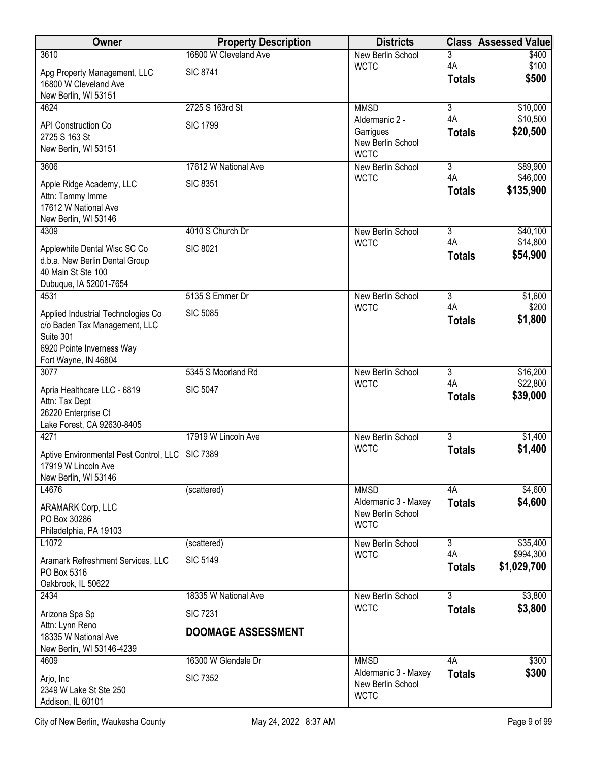| Owner                                                                                                                                 | <b>Property Description</b>                  | <b>Districts</b>                                                | <b>Class</b>        | <b>Assessed Value</b>    |
|---------------------------------------------------------------------------------------------------------------------------------------|----------------------------------------------|-----------------------------------------------------------------|---------------------|--------------------------|
| 3610                                                                                                                                  | 16800 W Cleveland Ave                        | New Berlin School                                               | 3                   | \$400                    |
| Apg Property Management, LLC<br>16800 W Cleveland Ave<br>New Berlin, WI 53151                                                         | <b>SIC 8741</b>                              | <b>WCTC</b>                                                     | 4A<br><b>Totals</b> | \$100<br>\$500           |
| 4624                                                                                                                                  | 2725 S 163rd St                              | <b>MMSD</b>                                                     | 3                   | \$10,000                 |
| <b>API Construction Co</b><br>2725 S 163 St<br>New Berlin, WI 53151                                                                   | <b>SIC 1799</b>                              | Aldermanic 2 -<br>Garrigues<br>New Berlin School<br><b>WCTC</b> | 4A<br><b>Totals</b> | \$10,500<br>\$20,500     |
| 3606                                                                                                                                  | 17612 W National Ave                         | New Berlin School                                               | $\overline{3}$      | \$89,900                 |
| Apple Ridge Academy, LLC<br>Attn: Tammy Imme<br>17612 W National Ave<br>New Berlin, WI 53146                                          | <b>SIC 8351</b>                              | <b>WCTC</b>                                                     | 4A<br><b>Totals</b> | \$46,000<br>\$135,900    |
| 4309                                                                                                                                  | 4010 S Church Dr                             | New Berlin School                                               | $\overline{3}$      | \$40,100                 |
| Applewhite Dental Wisc SC Co<br>d.b.a. New Berlin Dental Group<br>40 Main St Ste 100<br>Dubuque, IA 52001-7654                        | <b>SIC 8021</b>                              | <b>WCTC</b>                                                     | 4A<br><b>Totals</b> | \$14,800<br>\$54,900     |
| 4531                                                                                                                                  | 5135 S Emmer Dr                              | New Berlin School                                               | $\overline{3}$      | \$1,600                  |
| Applied Industrial Technologies Co<br>c/o Baden Tax Management, LLC<br>Suite 301<br>6920 Pointe Inverness Way<br>Fort Wayne, IN 46804 | <b>SIC 5085</b>                              | <b>WCTC</b>                                                     | 4A<br><b>Totals</b> | \$200<br>\$1,800         |
| 3077                                                                                                                                  | 5345 S Moorland Rd                           | New Berlin School                                               | $\overline{3}$      | \$16,200                 |
| Apria Healthcare LLC - 6819<br>Attn: Tax Dept<br>26220 Enterprise Ct<br>Lake Forest, CA 92630-8405                                    | <b>SIC 5047</b>                              | <b>WCTC</b>                                                     | 4A<br><b>Totals</b> | \$22,800<br>\$39,000     |
| 4271                                                                                                                                  | 17919 W Lincoln Ave                          | New Berlin School                                               | $\overline{3}$      | \$1,400                  |
| Aptive Environmental Pest Control, LLC<br>17919 W Lincoln Ave<br>New Berlin, WI 53146                                                 | <b>SIC 7389</b>                              | <b>WCTC</b>                                                     | <b>Totals</b>       | \$1,400                  |
| L4676                                                                                                                                 | (scattered)                                  | <b>MMSD</b>                                                     | 4A                  | \$4,600                  |
| ARAMARK Corp, LLC<br>PO Box 30286<br>Philadelphia, PA 19103                                                                           |                                              | Aldermanic 3 - Maxey<br>New Berlin School<br><b>WCTC</b>        | <b>Totals</b>       | \$4,600                  |
| L1072                                                                                                                                 | (scattered)                                  | New Berlin School                                               | $\overline{3}$      | \$35,400                 |
| Aramark Refreshment Services, LLC<br>PO Box 5316<br>Oakbrook, IL 50622                                                                | <b>SIC 5149</b>                              | <b>WCTC</b>                                                     | 4A<br><b>Totals</b> | \$994,300<br>\$1,029,700 |
| 2434                                                                                                                                  | 18335 W National Ave                         | New Berlin School                                               | 3                   | \$3,800                  |
| Arizona Spa Sp<br>Attn: Lynn Reno<br>18335 W National Ave<br>New Berlin, WI 53146-4239                                                | <b>SIC 7231</b><br><b>DOOMAGE ASSESSMENT</b> | <b>WCTC</b>                                                     | <b>Totals</b>       | \$3,800                  |
| 4609                                                                                                                                  | 16300 W Glendale Dr                          | <b>MMSD</b>                                                     | 4A                  | \$300                    |
| Arjo, Inc<br>2349 W Lake St Ste 250<br>Addison, IL 60101                                                                              | <b>SIC 7352</b>                              | Aldermanic 3 - Maxey<br>New Berlin School<br><b>WCTC</b>        | <b>Totals</b>       | \$300                    |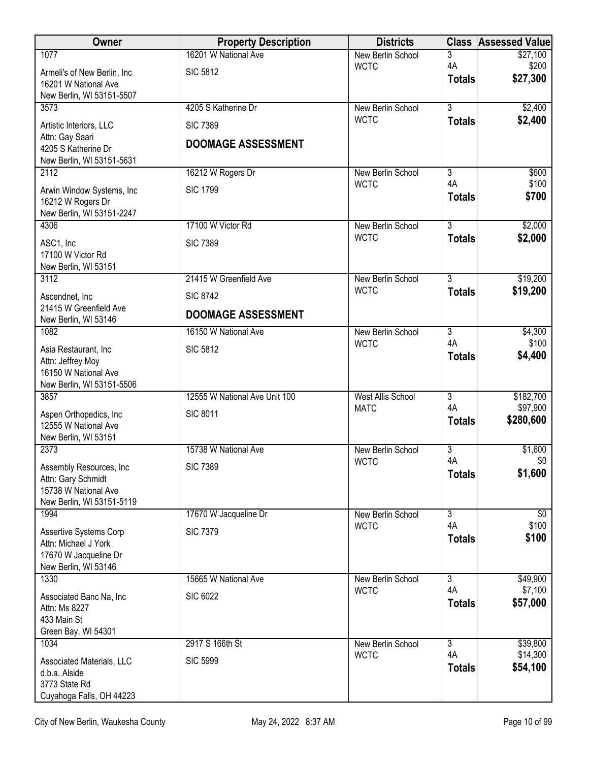| Owner                                                                                               | <b>Property Description</b>   | <b>Districts</b>         | <b>Class</b>        | <b>Assessed Value</b> |
|-----------------------------------------------------------------------------------------------------|-------------------------------|--------------------------|---------------------|-----------------------|
| 1077                                                                                                | 16201 W National Ave          | New Berlin School        | 3                   | \$27,100              |
| Armeli's of New Berlin, Inc                                                                         | <b>SIC 5812</b>               | <b>WCTC</b>              | 4A<br><b>Totals</b> | \$200<br>\$27,300     |
| 16201 W National Ave<br>New Berlin, WI 53151-5507                                                   |                               |                          |                     |                       |
| 3573                                                                                                | 4205 S Katherine Dr           | New Berlin School        | $\overline{3}$      | \$2,400               |
| Artistic Interiors, LLC                                                                             | <b>SIC 7389</b>               | <b>WCTC</b>              | <b>Totals</b>       | \$2,400               |
| Attn: Gay Saari<br>4205 S Katherine Dr<br>New Berlin, WI 53151-5631                                 | <b>DOOMAGE ASSESSMENT</b>     |                          |                     |                       |
| 2112                                                                                                | 16212 W Rogers Dr             | New Berlin School        | $\overline{3}$      | \$600                 |
| Arwin Window Systems, Inc<br>16212 W Rogers Dr<br>New Berlin, WI 53151-2247                         | <b>SIC 1799</b>               | <b>WCTC</b>              | 4A<br><b>Totals</b> | \$100<br>\$700        |
| 4306                                                                                                | 17100 W Victor Rd             | New Berlin School        | $\overline{3}$      | \$2,000               |
| ASC1, Inc<br>17100 W Victor Rd                                                                      | <b>SIC 7389</b>               | <b>WCTC</b>              | <b>Totals</b>       | \$2,000               |
| New Berlin, WI 53151<br>3112                                                                        | 21415 W Greenfield Ave        | New Berlin School        | $\overline{3}$      | \$19,200              |
|                                                                                                     | <b>SIC 8742</b>               | <b>WCTC</b>              | <b>Totals</b>       | \$19,200              |
| Ascendnet, Inc<br>21415 W Greenfield Ave<br>New Berlin, WI 53146                                    | <b>DOOMAGE ASSESSMENT</b>     |                          |                     |                       |
| 1082                                                                                                | 16150 W National Ave          | New Berlin School        | $\overline{3}$      | \$4,300               |
| Asia Restaurant, Inc<br>Attn: Jeffrey Moy<br>16150 W National Ave<br>New Berlin, WI 53151-5506      | <b>SIC 5812</b>               | <b>WCTC</b>              | 4A<br><b>Totals</b> | \$100<br>\$4,400      |
| 3857                                                                                                | 12555 W National Ave Unit 100 | <b>West Allis School</b> | $\overline{3}$      | \$182,700             |
| Aspen Orthopedics, Inc.<br>12555 W National Ave<br>New Berlin, WI 53151                             | <b>SIC 8011</b>               | <b>MATC</b>              | 4A<br><b>Totals</b> | \$97,900<br>\$280,600 |
| 2373                                                                                                | 15738 W National Ave          | New Berlin School        | $\overline{3}$      | \$1,600               |
| Assembly Resources, Inc.<br>Attn: Gary Schmidt<br>15738 W National Ave<br>New Berlin, WI 53151-5119 | <b>SIC 7389</b>               | <b>WCTC</b>              | 4A<br><b>Totals</b> | \$0<br>\$1,600        |
| 1994                                                                                                | 17670 W Jacqueline Dr         | New Berlin School        | $\overline{3}$      | \$0                   |
| Assertive Systems Corp<br>Attn: Michael J York<br>17670 W Jacqueline Dr<br>New Berlin, WI 53146     | <b>SIC 7379</b>               | <b>WCTC</b>              | 4A<br><b>Totals</b> | \$100<br>\$100        |
| 1330                                                                                                | 15665 W National Ave          | New Berlin School        | $\overline{3}$      | \$49,900              |
| Associated Banc Na, Inc.<br>Attn: Ms 8227<br>433 Main St<br>Green Bay, WI 54301                     | <b>SIC 6022</b>               | <b>WCTC</b>              | 4A<br><b>Totals</b> | \$7,100<br>\$57,000   |
| 1034                                                                                                | 2917 S 166th St               | New Berlin School        | $\overline{3}$      | \$39,800              |
| Associated Materials, LLC<br>d.b.a. Alside<br>3773 State Rd<br>Cuyahoga Falls, OH 44223             | <b>SIC 5999</b>               | <b>WCTC</b>              | 4A<br><b>Totals</b> | \$14,300<br>\$54,100  |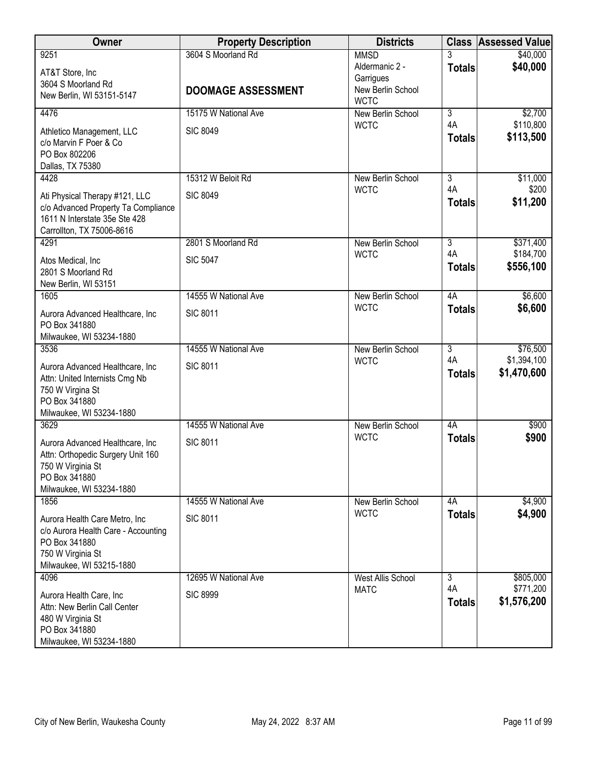| Owner                                                                 | <b>Property Description</b> | <b>Districts</b>                        |                      | <b>Class Assessed Value</b> |
|-----------------------------------------------------------------------|-----------------------------|-----------------------------------------|----------------------|-----------------------------|
| 9251                                                                  | 3604 S Moorland Rd          | <b>MMSD</b>                             |                      | \$40,000                    |
| AT&T Store, Inc                                                       |                             | Aldermanic 2 -<br>Garrigues             | <b>Totals</b>        | \$40,000                    |
| 3604 S Moorland Rd<br>New Berlin, WI 53151-5147                       | <b>DOOMAGE ASSESSMENT</b>   | New Berlin School                       |                      |                             |
| 4476                                                                  | 15175 W National Ave        | <b>WCTC</b><br>New Berlin School        | $\overline{3}$       | \$2,700                     |
|                                                                       |                             | <b>WCTC</b>                             | 4A                   | \$110,800                   |
| Athletico Management, LLC<br>c/o Marvin F Poer & Co                   | <b>SIC 8049</b>             |                                         | <b>Totals</b>        | \$113,500                   |
| PO Box 802206                                                         |                             |                                         |                      |                             |
| Dallas, TX 75380                                                      |                             |                                         |                      |                             |
| 4428                                                                  | 15312 W Beloit Rd           | New Berlin School<br><b>WCTC</b>        | $\overline{3}$<br>4A | \$11,000<br>\$200           |
| Ati Physical Therapy #121, LLC<br>c/o Advanced Property Ta Compliance | <b>SIC 8049</b>             |                                         | <b>Totals</b>        | \$11,200                    |
| 1611 N Interstate 35e Ste 428                                         |                             |                                         |                      |                             |
| Carrollton, TX 75006-8616                                             |                             |                                         |                      |                             |
| 4291                                                                  | 2801 S Moorland Rd          | New Berlin School                       | $\overline{3}$<br>4A | \$371,400<br>\$184,700      |
| Atos Medical, Inc                                                     | <b>SIC 5047</b>             | <b>WCTC</b>                             | <b>Totals</b>        | \$556,100                   |
| 2801 S Moorland Rd<br>New Berlin, WI 53151                            |                             |                                         |                      |                             |
| 1605                                                                  | 14555 W National Ave        | New Berlin School                       | 4A                   | \$6,600                     |
| Aurora Advanced Healthcare, Inc                                       | <b>SIC 8011</b>             | <b>WCTC</b>                             | <b>Totals</b>        | \$6,600                     |
| PO Box 341880                                                         |                             |                                         |                      |                             |
| Milwaukee, WI 53234-1880                                              |                             |                                         |                      |                             |
| 3536                                                                  | 14555 W National Ave        | New Berlin School<br><b>WCTC</b>        | $\overline{3}$<br>4A | \$76,500<br>\$1,394,100     |
| Aurora Advanced Healthcare, Inc                                       | <b>SIC 8011</b>             |                                         | <b>Totals</b>        | \$1,470,600                 |
| Attn: United Internists Cmg Nb<br>750 W Virgina St                    |                             |                                         |                      |                             |
| PO Box 341880                                                         |                             |                                         |                      |                             |
| Milwaukee, WI 53234-1880                                              |                             |                                         |                      |                             |
| 3629                                                                  | 14555 W National Ave        | <b>New Berlin School</b><br><b>WCTC</b> | 4A<br><b>Totals</b>  | \$900<br>\$900              |
| Aurora Advanced Healthcare, Inc                                       | <b>SIC 8011</b>             |                                         |                      |                             |
| Attn: Orthopedic Surgery Unit 160<br>750 W Virginia St                |                             |                                         |                      |                             |
| PO Box 341880                                                         |                             |                                         |                      |                             |
| Milwaukee, WI 53234-1880<br>1856                                      | 14555 W National Ave        | New Berlin School                       | 4A                   | \$4,900                     |
|                                                                       |                             | <b>WCTC</b>                             | <b>Totals</b>        | \$4,900                     |
| Aurora Health Care Metro, Inc.<br>c/o Aurora Health Care - Accounting | <b>SIC 8011</b>             |                                         |                      |                             |
| PO Box 341880                                                         |                             |                                         |                      |                             |
| 750 W Virginia St                                                     |                             |                                         |                      |                             |
| Milwaukee, WI 53215-1880<br>4096                                      | 12695 W National Ave        | West Allis School                       | $\overline{3}$       | \$805,000                   |
|                                                                       |                             | <b>MATC</b>                             | 4A                   | \$771,200                   |
| Aurora Health Care, Inc.<br>Attn: New Berlin Call Center              | <b>SIC 8999</b>             |                                         | <b>Totals</b>        | \$1,576,200                 |
| 480 W Virginia St                                                     |                             |                                         |                      |                             |
| PO Box 341880                                                         |                             |                                         |                      |                             |
| Milwaukee, WI 53234-1880                                              |                             |                                         |                      |                             |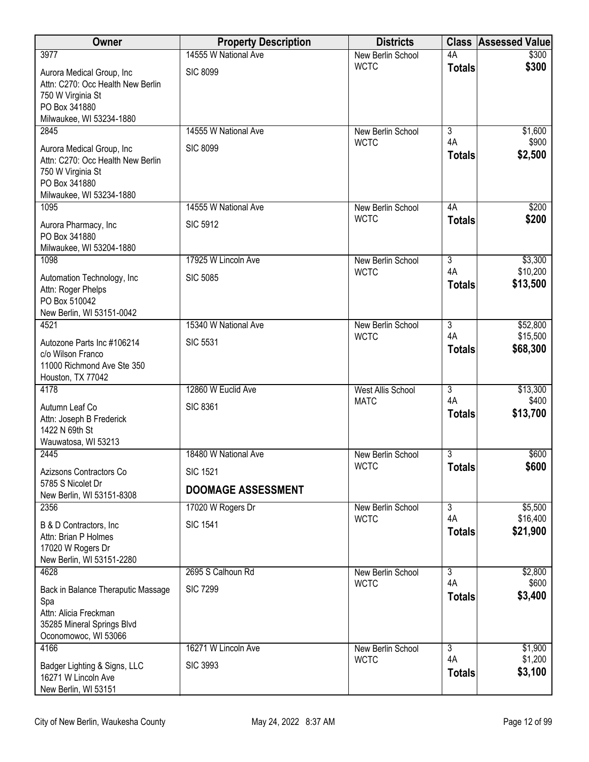| <b>Owner</b>                                                                                                                     | <b>Property Description</b> | <b>Districts</b>                 |                      | <b>Class Assessed Value</b> |
|----------------------------------------------------------------------------------------------------------------------------------|-----------------------------|----------------------------------|----------------------|-----------------------------|
| 3977                                                                                                                             | 14555 W National Ave        | New Berlin School                | 4A                   | \$300                       |
| Aurora Medical Group, Inc<br>Attn: C270: Occ Health New Berlin<br>750 W Virginia St<br>PO Box 341880<br>Milwaukee, WI 53234-1880 | <b>SIC 8099</b>             | <b>WCTC</b>                      | <b>Totals</b>        | \$300                       |
| 2845                                                                                                                             | 14555 W National Ave        | New Berlin School                | $\overline{3}$       | \$1,600                     |
| Aurora Medical Group, Inc<br>Attn: C270: Occ Health New Berlin<br>750 W Virginia St<br>PO Box 341880<br>Milwaukee, WI 53234-1880 | <b>SIC 8099</b>             | <b>WCTC</b>                      | 4A<br><b>Totals</b>  | \$900<br>\$2,500            |
| 1095                                                                                                                             | 14555 W National Ave        | New Berlin School                | 4A                   | \$200                       |
| Aurora Pharmacy, Inc<br>PO Box 341880<br>Milwaukee, WI 53204-1880                                                                | <b>SIC 5912</b>             | <b>WCTC</b>                      | <b>Totals</b>        | \$200                       |
| 1098                                                                                                                             | 17925 W Lincoln Ave         | New Berlin School                | $\overline{3}$       | \$3,300                     |
| Automation Technology, Inc<br>Attn: Roger Phelps<br>PO Box 510042<br>New Berlin, WI 53151-0042                                   | <b>SIC 5085</b>             | <b>WCTC</b>                      | 4A<br><b>Totals</b>  | \$10,200<br>\$13,500        |
| 4521                                                                                                                             | 15340 W National Ave        | New Berlin School                | $\overline{3}$       | \$52,800                    |
| Autozone Parts Inc #106214<br>c/o Wilson Franco<br>11000 Richmond Ave Ste 350<br>Houston, TX 77042                               | <b>SIC 5531</b>             | <b>WCTC</b>                      | 4A<br><b>Totals</b>  | \$15,500<br>\$68,300        |
| 4178                                                                                                                             | 12860 W Euclid Ave          | <b>West Allis School</b>         | $\overline{3}$       | \$13,300                    |
| Autumn Leaf Co<br>Attn: Joseph B Frederick<br>1422 N 69th St<br>Wauwatosa, WI 53213                                              | <b>SIC 8361</b>             | <b>MATC</b>                      | 4A<br><b>Totals</b>  | \$400<br>\$13,700           |
| 2445                                                                                                                             | 18480 W National Ave        | New Berlin School                | $\overline{3}$       | \$600                       |
| Azizsons Contractors Co                                                                                                          | <b>SIC 1521</b>             | <b>WCTC</b>                      | <b>Totals</b>        | \$600                       |
| 5785 S Nicolet Dr<br>New Berlin, WI 53151-8308                                                                                   | <b>DOOMAGE ASSESSMENT</b>   |                                  |                      |                             |
| 2356                                                                                                                             | 17020 W Rogers Dr           | New Berlin School                | $\overline{3}$       | \$5,500                     |
| B & D Contractors, Inc.<br>Attn: Brian P Holmes<br>17020 W Rogers Dr<br>New Berlin, WI 53151-2280                                | <b>SIC 1541</b>             | <b>WCTC</b>                      | 4A<br><b>Totals</b>  | \$16,400<br>\$21,900        |
| 4628                                                                                                                             | 2695 S Calhoun Rd           | New Berlin School                | $\overline{3}$       | \$2,800                     |
| Back in Balance Theraputic Massage<br>Spa<br>Attn: Alicia Freckman<br>35285 Mineral Springs Blvd<br>Oconomowoc, WI 53066         | <b>SIC 7299</b>             | <b>WCTC</b>                      | 4A<br><b>Totals</b>  | \$600<br>\$3,400            |
| 4166                                                                                                                             | 16271 W Lincoln Ave         | New Berlin School<br><b>WCTC</b> | $\overline{3}$<br>4A | \$1,900<br>\$1,200          |
| Badger Lighting & Signs, LLC<br>16271 W Lincoln Ave<br>New Berlin, WI 53151                                                      | <b>SIC 3993</b>             |                                  | <b>Totals</b>        | \$3,100                     |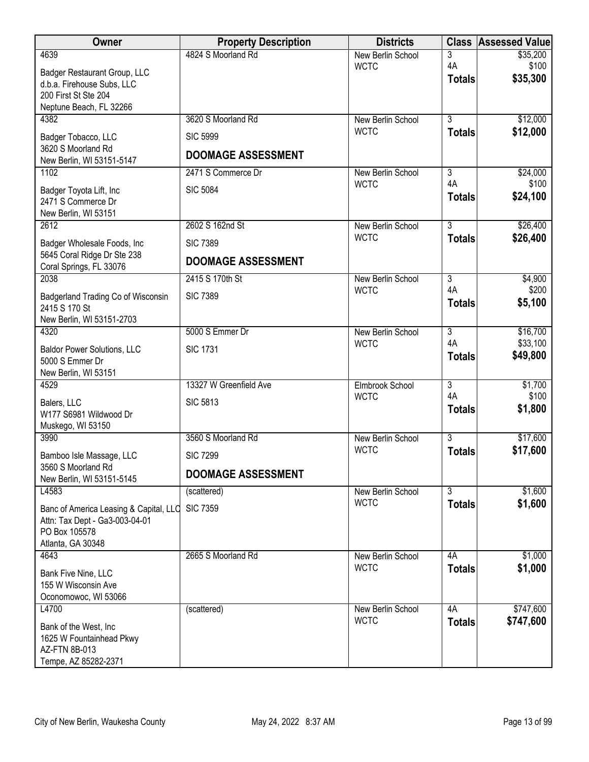| Owner                                                  | <b>Property Description</b> | <b>Districts</b>                 |                           | <b>Class Assessed Value</b> |
|--------------------------------------------------------|-----------------------------|----------------------------------|---------------------------|-----------------------------|
| 4639                                                   | 4824 S Moorland Rd          | New Berlin School                | 3                         | \$35,200                    |
| Badger Restaurant Group, LLC                           |                             | <b>WCTC</b>                      | 4A<br><b>Totals</b>       | \$100<br>\$35,300           |
| d.b.a. Firehouse Subs, LLC                             |                             |                                  |                           |                             |
| 200 First St Ste 204<br>Neptune Beach, FL 32266        |                             |                                  |                           |                             |
| 4382                                                   | 3620 S Moorland Rd          | New Berlin School                | $\overline{3}$            | \$12,000                    |
| Badger Tobacco, LLC                                    | <b>SIC 5999</b>             | <b>WCTC</b>                      | <b>Totals</b>             | \$12,000                    |
| 3620 S Moorland Rd                                     |                             |                                  |                           |                             |
| New Berlin, WI 53151-5147                              | <b>DOOMAGE ASSESSMENT</b>   |                                  |                           |                             |
| 1102                                                   | 2471 S Commerce Dr          | New Berlin School                | $\overline{\overline{3}}$ | \$24,000                    |
| Badger Toyota Lift, Inc                                | <b>SIC 5084</b>             | <b>WCTC</b>                      | 4A                        | \$100                       |
| 2471 S Commerce Dr                                     |                             |                                  | <b>Totals</b>             | \$24,100                    |
| New Berlin, WI 53151                                   |                             |                                  | $\overline{3}$            |                             |
| 2612                                                   | 2602 S 162nd St             | New Berlin School<br><b>WCTC</b> | <b>Totals</b>             | \$26,400<br>\$26,400        |
| Badger Wholesale Foods, Inc.                           | <b>SIC 7389</b>             |                                  |                           |                             |
| 5645 Coral Ridge Dr Ste 238<br>Coral Springs, FL 33076 | <b>DOOMAGE ASSESSMENT</b>   |                                  |                           |                             |
| 2038                                                   | 2415 S 170th St             | New Berlin School                | $\overline{3}$            | \$4,900                     |
| Badgerland Trading Co of Wisconsin                     | <b>SIC 7389</b>             | <b>WCTC</b>                      | 4A                        | \$200                       |
| 2415 S 170 St                                          |                             |                                  | <b>Totals</b>             | \$5,100                     |
| New Berlin, WI 53151-2703                              |                             |                                  |                           |                             |
| 4320                                                   | 5000 S Emmer Dr             | New Berlin School                | $\overline{3}$            | \$16,700                    |
| <b>Baldor Power Solutions, LLC</b>                     | <b>SIC 1731</b>             | <b>WCTC</b>                      | 4A                        | \$33,100<br>\$49,800        |
| 5000 S Emmer Dr                                        |                             |                                  | <b>Totals</b>             |                             |
| New Berlin, WI 53151<br>4529                           | 13327 W Greenfield Ave      |                                  | $\overline{3}$            | \$1,700                     |
|                                                        |                             | Elmbrook School<br><b>WCTC</b>   | 4A                        | \$100                       |
| Balers, LLC                                            | <b>SIC 5813</b>             |                                  | <b>Totals</b>             | \$1,800                     |
| W177 S6981 Wildwood Dr<br>Muskego, WI 53150            |                             |                                  |                           |                             |
| 3990                                                   | 3560 S Moorland Rd          | New Berlin School                | $\overline{3}$            | \$17,600                    |
| Bamboo Isle Massage, LLC                               | <b>SIC 7299</b>             | <b>WCTC</b>                      | <b>Totals</b>             | \$17,600                    |
| 3560 S Moorland Rd                                     |                             |                                  |                           |                             |
| New Berlin, WI 53151-5145                              | <b>DOOMAGE ASSESSMENT</b>   |                                  |                           |                             |
| L4583                                                  | (scattered)                 | New Berlin School                | $\overline{3}$            | \$1,600                     |
| Banc of America Leasing & Capital, LLC                 | <b>SIC 7359</b>             | <b>WCTC</b>                      | <b>Totals</b>             | \$1,600                     |
| Attn: Tax Dept - Ga3-003-04-01                         |                             |                                  |                           |                             |
| PO Box 105578<br>Atlanta, GA 30348                     |                             |                                  |                           |                             |
| 4643                                                   | 2665 S Moorland Rd          | New Berlin School                | 4A                        | \$1,000                     |
| Bank Five Nine, LLC                                    |                             | <b>WCTC</b>                      | <b>Totals</b>             | \$1,000                     |
| 155 W Wisconsin Ave                                    |                             |                                  |                           |                             |
| Oconomowoc, WI 53066                                   |                             |                                  |                           |                             |
| L4700                                                  | (scattered)                 | New Berlin School                | 4A                        | \$747,600                   |
| Bank of the West, Inc                                  |                             | <b>WCTC</b>                      | <b>Totals</b>             | \$747,600                   |
| 1625 W Fountainhead Pkwy                               |                             |                                  |                           |                             |
| AZ-FTN 8B-013<br>Tempe, AZ 85282-2371                  |                             |                                  |                           |                             |
|                                                        |                             |                                  |                           |                             |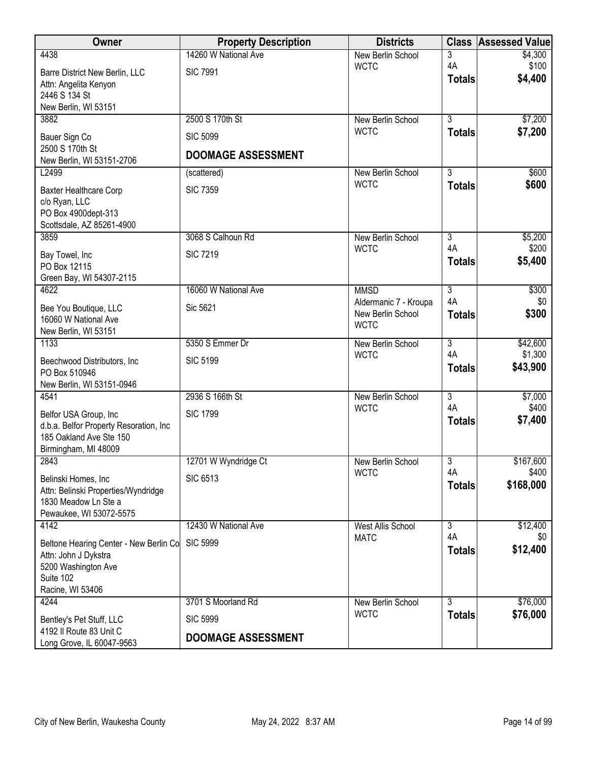| Owner                                                          | <b>Property Description</b> | <b>Districts</b>                 |                      | <b>Class Assessed Value</b> |
|----------------------------------------------------------------|-----------------------------|----------------------------------|----------------------|-----------------------------|
| 4438                                                           | 14260 W National Ave        | New Berlin School                | 3                    | \$4,300                     |
| Barre District New Berlin, LLC                                 | <b>SIC 7991</b>             | <b>WCTC</b>                      | 4A<br><b>Totals</b>  | \$100<br>\$4,400            |
| Attn: Angelita Kenyon<br>2446 S 134 St                         |                             |                                  |                      |                             |
| New Berlin, WI 53151                                           |                             |                                  |                      |                             |
| 3882                                                           | 2500 S 170th St             | New Berlin School                | $\overline{3}$       | \$7,200                     |
| Bauer Sign Co                                                  | <b>SIC 5099</b>             | <b>WCTC</b>                      | <b>Totals</b>        | \$7,200                     |
| 2500 S 170th St                                                | <b>DOOMAGE ASSESSMENT</b>   |                                  |                      |                             |
| New Berlin, WI 53151-2706<br>L2499                             | (scattered)                 | New Berlin School                | $\overline{3}$       | \$600                       |
|                                                                |                             | <b>WCTC</b>                      | <b>Totals</b>        | \$600                       |
| <b>Baxter Healthcare Corp</b><br>c/o Ryan, LLC                 | <b>SIC 7359</b>             |                                  |                      |                             |
| PO Box 4900dept-313                                            |                             |                                  |                      |                             |
| Scottsdale, AZ 85261-4900                                      |                             |                                  |                      |                             |
| 3859                                                           | 3068 S Calhoun Rd           | New Berlin School<br><b>WCTC</b> | $\overline{3}$<br>4A | \$5,200<br>\$200            |
| Bay Towel, Inc                                                 | <b>SIC 7219</b>             |                                  | <b>Totals</b>        | \$5,400                     |
| PO Box 12115<br>Green Bay, WI 54307-2115                       |                             |                                  |                      |                             |
| 4622                                                           | 16060 W National Ave        | <b>MMSD</b>                      | $\overline{3}$       | \$300                       |
| Bee You Boutique, LLC                                          | Sic 5621                    | Aldermanic 7 - Kroupa            | 4A                   | \$0                         |
| 16060 W National Ave                                           |                             | New Berlin School<br><b>WCTC</b> | <b>Totals</b>        | \$300                       |
| New Berlin, WI 53151                                           |                             |                                  |                      |                             |
| 1133                                                           | 5350 S Emmer Dr             | New Berlin School<br><b>WCTC</b> | $\overline{3}$<br>4A | \$42,600<br>\$1,300         |
| Beechwood Distributors, Inc                                    | <b>SIC 5199</b>             |                                  | <b>Totals</b>        | \$43,900                    |
| PO Box 510946<br>New Berlin, WI 53151-0946                     |                             |                                  |                      |                             |
| 4541                                                           | 2936 S 166th St             | New Berlin School                | $\overline{3}$       | \$7,000                     |
| Belfor USA Group, Inc                                          | <b>SIC 1799</b>             | <b>WCTC</b>                      | 4A                   | \$400                       |
| d.b.a. Belfor Property Resoration, Inc                         |                             |                                  | <b>Totals</b>        | \$7,400                     |
| 185 Oakland Ave Ste 150<br>Birmingham, MI 48009                |                             |                                  |                      |                             |
| 2843                                                           | 12701 W Wyndridge Ct        | New Berlin School                | 3                    | \$167,600                   |
| Belinski Homes, Inc                                            | <b>SIC 6513</b>             | <b>WCTC</b>                      | 4A                   | \$400                       |
| Attn: Belinski Properties/Wyndridge                            |                             |                                  | <b>Totals</b>        | \$168,000                   |
| 1830 Meadow Ln Ste a                                           |                             |                                  |                      |                             |
| Pewaukee, WI 53072-5575<br>4142                                | 12430 W National Ave        | <b>West Allis School</b>         | $\overline{3}$       | \$12,400                    |
|                                                                | <b>SIC 5999</b>             | <b>MATC</b>                      | 4A                   | \$0                         |
| Beltone Hearing Center - New Berlin Co<br>Attn: John J Dykstra |                             |                                  | <b>Totals</b>        | \$12,400                    |
| 5200 Washington Ave                                            |                             |                                  |                      |                             |
| Suite 102                                                      |                             |                                  |                      |                             |
| Racine, WI 53406<br>4244                                       | 3701 S Moorland Rd          | New Berlin School                | 3                    | \$76,000                    |
|                                                                | <b>SIC 5999</b>             | <b>WCTC</b>                      | <b>Totals</b>        | \$76,000                    |
| Bentley's Pet Stuff, LLC<br>4192 Il Route 83 Unit C            |                             |                                  |                      |                             |
| Long Grove, IL 60047-9563                                      | <b>DOOMAGE ASSESSMENT</b>   |                                  |                      |                             |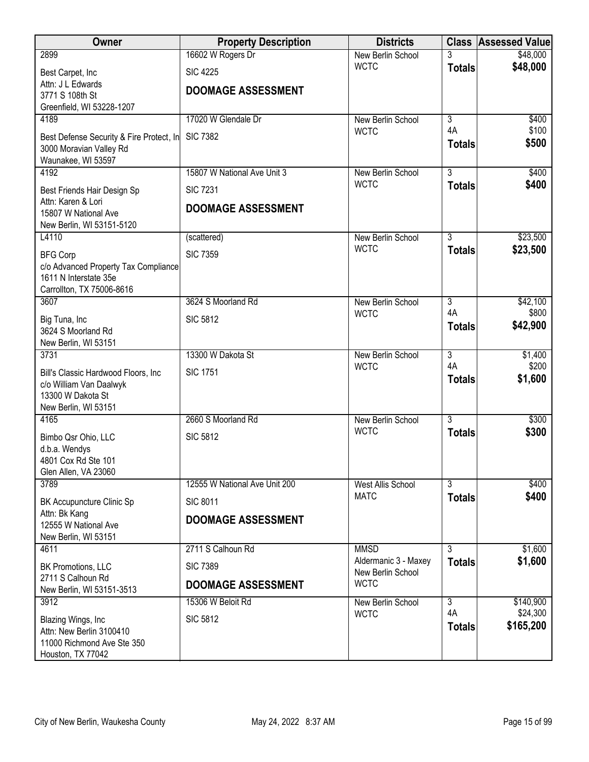| Owner                                          | <b>Property Description</b>   | <b>Districts</b>                          |                | <b>Class Assessed Value</b> |
|------------------------------------------------|-------------------------------|-------------------------------------------|----------------|-----------------------------|
| 2899                                           | 16602 W Rogers Dr             | New Berlin School                         |                | \$48,000                    |
| Best Carpet, Inc                               | <b>SIC 4225</b>               | <b>WCTC</b>                               | <b>Totals</b>  | \$48,000                    |
| Attn: J L Edwards                              | <b>DOOMAGE ASSESSMENT</b>     |                                           |                |                             |
| 3771 S 108th St<br>Greenfield, WI 53228-1207   |                               |                                           |                |                             |
| 4189                                           | 17020 W Glendale Dr           | New Berlin School                         | $\overline{3}$ | \$400                       |
| Best Defense Security & Fire Protect, In       | <b>SIC 7382</b>               | <b>WCTC</b>                               | 4A             | \$100                       |
| 3000 Moravian Valley Rd                        |                               |                                           | <b>Totals</b>  | \$500                       |
| Waunakee, WI 53597                             |                               |                                           |                |                             |
| 4192                                           | 15807 W National Ave Unit 3   | New Berlin School                         | $\overline{3}$ | \$400                       |
| Best Friends Hair Design Sp                    | <b>SIC 7231</b>               | <b>WCTC</b>                               | <b>Totals</b>  | \$400                       |
| Attn: Karen & Lori<br>15807 W National Ave     | <b>DOOMAGE ASSESSMENT</b>     |                                           |                |                             |
| New Berlin, WI 53151-5120                      |                               |                                           |                |                             |
| L4110                                          | (scattered)                   | New Berlin School                         | $\overline{3}$ | \$23,500                    |
| <b>BFG Corp</b>                                | <b>SIC 7359</b>               | <b>WCTC</b>                               | <b>Totals</b>  | \$23,500                    |
| c/o Advanced Property Tax Compliance           |                               |                                           |                |                             |
| 1611 N Interstate 35e                          |                               |                                           |                |                             |
| Carrollton, TX 75006-8616<br>3607              | 3624 S Moorland Rd            | New Berlin School                         | $\overline{3}$ | \$42,100                    |
|                                                |                               | <b>WCTC</b>                               | 4A             | \$800                       |
| Big Tuna, Inc<br>3624 S Moorland Rd            | <b>SIC 5812</b>               |                                           | <b>Totals</b>  | \$42,900                    |
| New Berlin, WI 53151                           |                               |                                           |                |                             |
| 3731                                           | 13300 W Dakota St             | New Berlin School                         | $\overline{3}$ | \$1,400                     |
| Bill's Classic Hardwood Floors, Inc.           | <b>SIC 1751</b>               | <b>WCTC</b>                               | 4A             | \$200<br>\$1,600            |
| c/o William Van Daalwyk                        |                               |                                           | <b>Totals</b>  |                             |
| 13300 W Dakota St<br>New Berlin, WI 53151      |                               |                                           |                |                             |
| 4165                                           | 2660 S Moorland Rd            | New Berlin School                         | $\overline{3}$ | \$300                       |
| Bimbo Qsr Ohio, LLC                            | <b>SIC 5812</b>               | <b>WCTC</b>                               | <b>Totals</b>  | \$300                       |
| d.b.a. Wendys                                  |                               |                                           |                |                             |
| 4801 Cox Rd Ste 101                            |                               |                                           |                |                             |
| Glen Allen, VA 23060<br>3789                   | 12555 W National Ave Unit 200 | <b>West Allis School</b>                  | $\overline{3}$ | \$400                       |
|                                                |                               | <b>MATC</b>                               | <b>Totals</b>  | \$400                       |
| BK Accupuncture Clinic Sp<br>Attn: Bk Kang     | <b>SIC 8011</b>               |                                           |                |                             |
| 12555 W National Ave                           | <b>DOOMAGE ASSESSMENT</b>     |                                           |                |                             |
| New Berlin, WI 53151                           |                               |                                           |                |                             |
| 4611                                           | 2711 S Calhoun Rd             | <b>MMSD</b>                               | $\overline{3}$ | \$1,600                     |
| BK Promotions, LLC                             | <b>SIC 7389</b>               | Aldermanic 3 - Maxey<br>New Berlin School | <b>Totals</b>  | \$1,600                     |
| 2711 S Calhoun Rd<br>New Berlin, WI 53151-3513 | <b>DOOMAGE ASSESSMENT</b>     | <b>WCTC</b>                               |                |                             |
| 3912                                           | 15306 W Beloit Rd             | New Berlin School                         | $\overline{3}$ | \$140,900                   |
| Blazing Wings, Inc                             | <b>SIC 5812</b>               | <b>WCTC</b>                               | 4A             | \$24,300                    |
| Attn: New Berlin 3100410                       |                               |                                           | <b>Totals</b>  | \$165,200                   |
| 11000 Richmond Ave Ste 350                     |                               |                                           |                |                             |
| Houston, TX 77042                              |                               |                                           |                |                             |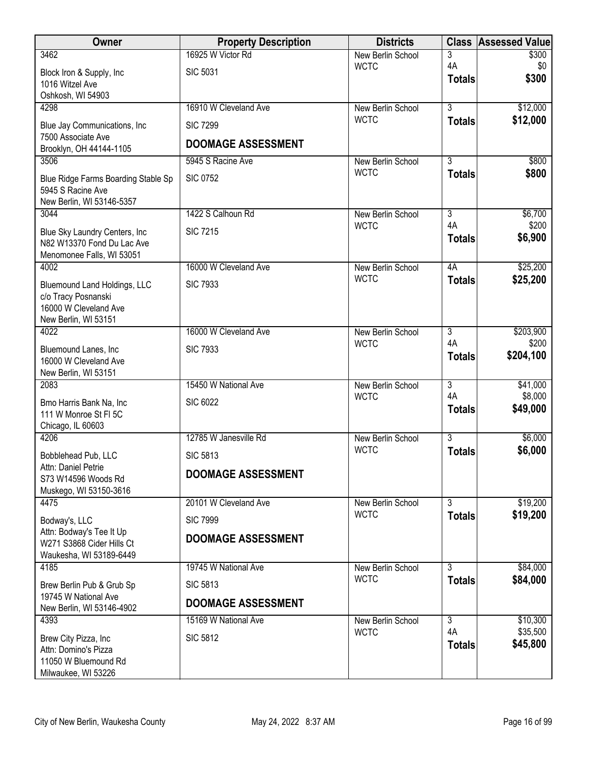| Owner                                                | <b>Property Description</b> | <b>Districts</b>                 |                           | <b>Class Assessed Value</b> |
|------------------------------------------------------|-----------------------------|----------------------------------|---------------------------|-----------------------------|
| 3462                                                 | 16925 W Victor Rd           | New Berlin School                | 3                         | \$300                       |
| Block Iron & Supply, Inc.                            | <b>SIC 5031</b>             | <b>WCTC</b>                      | 4A<br><b>Totals</b>       | \$0<br>\$300                |
| 1016 Witzel Ave<br>Oshkosh, WI 54903                 |                             |                                  |                           |                             |
| 4298                                                 | 16910 W Cleveland Ave       | New Berlin School                | $\overline{3}$            | \$12,000                    |
| Blue Jay Communications, Inc                         | <b>SIC 7299</b>             | <b>WCTC</b>                      | <b>Totals</b>             | \$12,000                    |
| 7500 Associate Ave                                   |                             |                                  |                           |                             |
| Brooklyn, OH 44144-1105                              | <b>DOOMAGE ASSESSMENT</b>   |                                  |                           |                             |
| 3506                                                 | 5945 S Racine Ave           | New Berlin School<br><b>WCTC</b> | $\overline{3}$            | \$800                       |
| Blue Ridge Farms Boarding Stable Sp                  | <b>SIC 0752</b>             |                                  | <b>Totals</b>             | \$800                       |
| 5945 S Racine Ave<br>New Berlin, WI 53146-5357       |                             |                                  |                           |                             |
| 3044                                                 | 1422 S Calhoun Rd           | New Berlin School                | $\overline{3}$            | \$6,700                     |
| Blue Sky Laundry Centers, Inc.                       | <b>SIC 7215</b>             | <b>WCTC</b>                      | 4A                        | \$200                       |
| N82 W13370 Fond Du Lac Ave                           |                             |                                  | <b>Totals</b>             | \$6,900                     |
| Menomonee Falls, WI 53051                            |                             |                                  |                           |                             |
| 4002                                                 | 16000 W Cleveland Ave       | New Berlin School<br><b>WCTC</b> | 4A                        | \$25,200                    |
| Bluemound Land Holdings, LLC                         | <b>SIC 7933</b>             |                                  | <b>Totals</b>             | \$25,200                    |
| c/o Tracy Posnanski<br>16000 W Cleveland Ave         |                             |                                  |                           |                             |
| New Berlin, WI 53151                                 |                             |                                  |                           |                             |
| 4022                                                 | 16000 W Cleveland Ave       | New Berlin School                | 3                         | \$203,900                   |
| Bluemound Lanes, Inc                                 | <b>SIC 7933</b>             | <b>WCTC</b>                      | 4A                        | \$200<br>\$204,100          |
| 16000 W Cleveland Ave                                |                             |                                  | <b>Totals</b>             |                             |
| New Berlin, WI 53151<br>2083                         | 15450 W National Ave        | New Berlin School                | $\overline{\overline{3}}$ | \$41,000                    |
|                                                      |                             | <b>WCTC</b>                      | 4A                        | \$8,000                     |
| Bmo Harris Bank Na, Inc<br>111 W Monroe St FI 5C     | <b>SIC 6022</b>             |                                  | <b>Totals</b>             | \$49,000                    |
| Chicago, IL 60603                                    |                             |                                  |                           |                             |
| 4206                                                 | 12785 W Janesville Rd       | New Berlin School                | $\overline{3}$            | \$6,000                     |
| Bobblehead Pub, LLC                                  | <b>SIC 5813</b>             | <b>WCTC</b>                      | <b>Totals</b>             | \$6,000                     |
| Attn: Daniel Petrie                                  | <b>DOOMAGE ASSESSMENT</b>   |                                  |                           |                             |
| S73 W14596 Woods Rd<br>Muskego, WI 53150-3616        |                             |                                  |                           |                             |
| 4475                                                 | 20101 W Cleveland Ave       | New Berlin School                | $\overline{3}$            | \$19,200                    |
| Bodway's, LLC                                        | <b>SIC 7999</b>             | <b>WCTC</b>                      | <b>Totals</b>             | \$19,200                    |
| Attn: Bodway's Tee It Up                             | <b>DOOMAGE ASSESSMENT</b>   |                                  |                           |                             |
| W271 S3868 Cider Hills Ct<br>Waukesha, WI 53189-6449 |                             |                                  |                           |                             |
| 4185                                                 | 19745 W National Ave        | New Berlin School                | 3                         | \$84,000                    |
| Brew Berlin Pub & Grub Sp                            | <b>SIC 5813</b>             | <b>WCTC</b>                      | <b>Totals</b>             | \$84,000                    |
| 19745 W National Ave                                 |                             |                                  |                           |                             |
| New Berlin, WI 53146-4902                            | <b>DOOMAGE ASSESSMENT</b>   |                                  |                           |                             |
| 4393                                                 | 15169 W National Ave        | New Berlin School<br><b>WCTC</b> | $\overline{3}$<br>4A      | \$10,300<br>\$35,500        |
| Brew City Pizza, Inc                                 | <b>SIC 5812</b>             |                                  | <b>Totals</b>             | \$45,800                    |
| Attn: Domino's Pizza<br>11050 W Bluemound Rd         |                             |                                  |                           |                             |
| Milwaukee, WI 53226                                  |                             |                                  |                           |                             |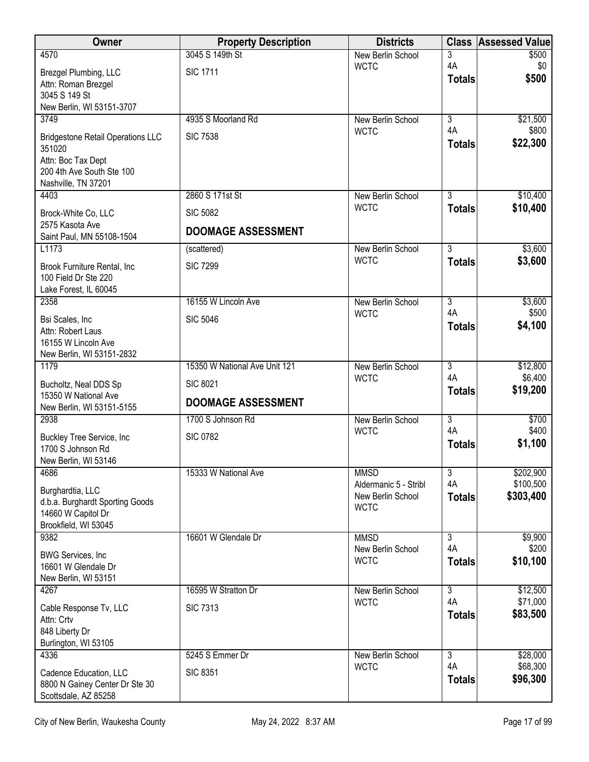| Owner                                                  | <b>Property Description</b>   | <b>Districts</b>                 | <b>Class</b>         | <b>Assessed Value</b> |
|--------------------------------------------------------|-------------------------------|----------------------------------|----------------------|-----------------------|
| 4570                                                   | 3045 S 149th St               | New Berlin School                | 3<br>4A              | \$500                 |
| Brezgel Plumbing, LLC                                  | <b>SIC 1711</b>               | <b>WCTC</b>                      | <b>Totals</b>        | \$0<br>\$500          |
| Attn: Roman Brezgel<br>3045 S 149 St                   |                               |                                  |                      |                       |
| New Berlin, WI 53151-3707                              |                               |                                  |                      |                       |
| 3749                                                   | 4935 S Moorland Rd            | New Berlin School                | $\overline{3}$       | \$21,500              |
| <b>Bridgestone Retail Operations LLC</b>               | <b>SIC 7538</b>               | <b>WCTC</b>                      | 4A                   | \$800                 |
| 351020                                                 |                               |                                  | <b>Totals</b>        | \$22,300              |
| Attn: Boc Tax Dept<br>200 4th Ave South Ste 100        |                               |                                  |                      |                       |
| Nashville, TN 37201                                    |                               |                                  |                      |                       |
| 4403                                                   | 2860 S 171st St               | New Berlin School                | 3                    | \$10,400              |
| Brock-White Co, LLC                                    | <b>SIC 5082</b>               | <b>WCTC</b>                      | <b>Totals</b>        | \$10,400              |
| 2575 Kasota Ave<br>Saint Paul, MN 55108-1504           | <b>DOOMAGE ASSESSMENT</b>     |                                  |                      |                       |
| L1173                                                  | (scattered)                   | New Berlin School                | $\overline{3}$       | \$3,600               |
| Brook Furniture Rental, Inc                            | <b>SIC 7299</b>               | <b>WCTC</b>                      | <b>Totals</b>        | \$3,600               |
| 100 Field Dr Ste 220                                   |                               |                                  |                      |                       |
| Lake Forest, IL 60045<br>2358                          | 16155 W Lincoln Ave           | New Berlin School                | $\overline{3}$       | \$3,600               |
| Bsi Scales, Inc                                        | <b>SIC 5046</b>               | <b>WCTC</b>                      | 4A                   | \$500                 |
| Attn: Robert Laus                                      |                               |                                  | <b>Totals</b>        | \$4,100               |
| 16155 W Lincoln Ave                                    |                               |                                  |                      |                       |
| New Berlin, WI 53151-2832<br>1179                      | 15350 W National Ave Unit 121 | New Berlin School                | $\overline{3}$       | \$12,800              |
| Bucholtz, Neal DDS Sp                                  | <b>SIC 8021</b>               | <b>WCTC</b>                      | 4A                   | \$6,400               |
| 15350 W National Ave                                   |                               |                                  | <b>Totals</b>        | \$19,200              |
| New Berlin, WI 53151-5155                              | <b>DOOMAGE ASSESSMENT</b>     |                                  |                      |                       |
| 2938                                                   | 1700 S Johnson Rd             | New Berlin School<br><b>WCTC</b> | $\overline{3}$<br>4A | \$700<br>\$400        |
| <b>Buckley Tree Service, Inc</b>                       | <b>SIC 0782</b>               |                                  | <b>Totals</b>        | \$1,100               |
| 1700 S Johnson Rd<br>New Berlin, WI 53146              |                               |                                  |                      |                       |
| 4686                                                   | 15333 W National Ave          | <b>MMSD</b>                      | 3                    | \$202,900             |
| Burghardtia, LLC                                       |                               | Aldermanic 5 - Stribl            | 4A                   | \$100,500             |
| d.b.a. Burghardt Sporting Goods                        |                               | New Berlin School<br><b>WCTC</b> | <b>Totals</b>        | \$303,400             |
| 14660 W Capitol Dr<br>Brookfield, WI 53045             |                               |                                  |                      |                       |
| 9382                                                   | 16601 W Glendale Dr           | <b>MMSD</b>                      | $\overline{3}$       | \$9,900               |
| <b>BWG Services, Inc.</b>                              |                               | New Berlin School                | 4A                   | \$200                 |
| 16601 W Glendale Dr                                    |                               | <b>WCTC</b>                      | <b>Totals</b>        | \$10,100              |
| New Berlin, WI 53151<br>4267                           | 16595 W Stratton Dr           |                                  | $\overline{3}$       | \$12,500              |
|                                                        |                               | New Berlin School<br><b>WCTC</b> | 4A                   | \$71,000              |
| Cable Response Tv, LLC<br>Attn: Crtv                   | <b>SIC 7313</b>               |                                  | <b>Totals</b>        | \$83,500              |
| 848 Liberty Dr                                         |                               |                                  |                      |                       |
| Burlington, WI 53105                                   |                               |                                  |                      |                       |
| 4336                                                   | 5245 S Emmer Dr               | New Berlin School<br><b>WCTC</b> | 3<br>4A              | \$28,000<br>\$68,300  |
| Cadence Education, LLC                                 | <b>SIC 8351</b>               |                                  | <b>Totals</b>        | \$96,300              |
| 8800 N Gainey Center Dr Ste 30<br>Scottsdale, AZ 85258 |                               |                                  |                      |                       |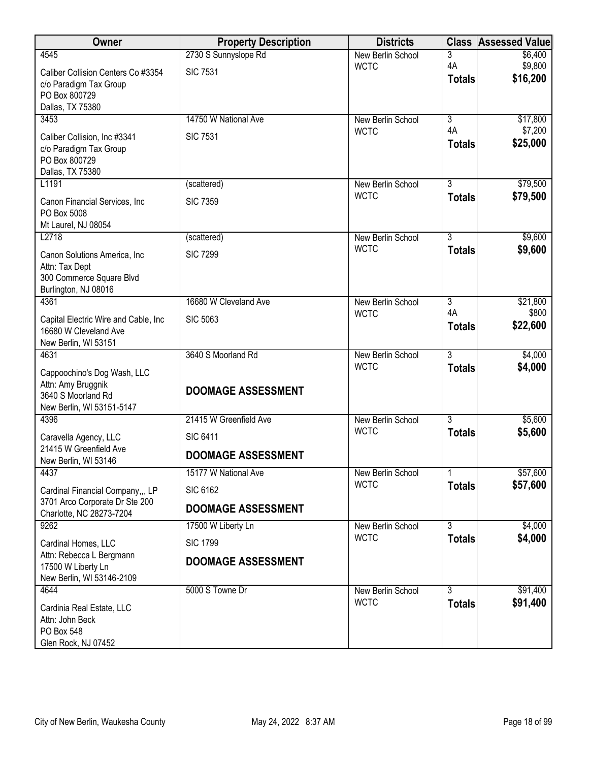| Owner                                                      | <b>Property Description</b> | <b>Districts</b>                 | <b>Class</b>        | Assessed Value      |
|------------------------------------------------------------|-----------------------------|----------------------------------|---------------------|---------------------|
| 4545                                                       | 2730 S Sunnyslope Rd        | New Berlin School                | 3                   | \$6,400             |
| Caliber Collision Centers Co #3354                         | <b>SIC 7531</b>             | <b>WCTC</b>                      | 4A<br><b>Totals</b> | \$9,800<br>\$16,200 |
| c/o Paradigm Tax Group<br>PO Box 800729                    |                             |                                  |                     |                     |
| Dallas, TX 75380                                           |                             |                                  |                     |                     |
| 3453                                                       | 14750 W National Ave        | New Berlin School                | $\overline{3}$      | \$17,800            |
| Caliber Collision, Inc #3341                               | <b>SIC 7531</b>             | <b>WCTC</b>                      | 4A                  | \$7,200             |
| c/o Paradigm Tax Group                                     |                             |                                  | <b>Totals</b>       | \$25,000            |
| PO Box 800729                                              |                             |                                  |                     |                     |
| Dallas, TX 75380<br>L1191                                  | (scattered)                 | New Berlin School                | $\overline{3}$      | \$79,500            |
| Canon Financial Services, Inc.                             | <b>SIC 7359</b>             | <b>WCTC</b>                      | <b>Totals</b>       | \$79,500            |
| PO Box 5008                                                |                             |                                  |                     |                     |
| Mt Laurel, NJ 08054                                        |                             |                                  |                     |                     |
| L2718                                                      | (scattered)                 | New Berlin School                | $\overline{3}$      | \$9,600             |
| Canon Solutions America, Inc.                              | <b>SIC 7299</b>             | <b>WCTC</b>                      | <b>Totals</b>       | \$9,600             |
| Attn: Tax Dept<br>300 Commerce Square Blvd                 |                             |                                  |                     |                     |
| Burlington, NJ 08016                                       |                             |                                  |                     |                     |
| 4361                                                       | 16680 W Cleveland Ave       | New Berlin School                | $\overline{3}$      | \$21,800            |
| Capital Electric Wire and Cable, Inc                       | <b>SIC 5063</b>             | <b>WCTC</b>                      | 4A                  | \$800               |
| 16680 W Cleveland Ave                                      |                             |                                  | <b>Totals</b>       | \$22,600            |
| New Berlin, WI 53151<br>4631                               | 3640 S Moorland Rd          |                                  | $\overline{3}$      |                     |
|                                                            |                             | New Berlin School<br><b>WCTC</b> | <b>Totals</b>       | \$4,000<br>\$4,000  |
| Cappoochino's Dog Wash, LLC<br>Attn: Amy Bruggnik          |                             |                                  |                     |                     |
| 3640 S Moorland Rd                                         | <b>DOOMAGE ASSESSMENT</b>   |                                  |                     |                     |
| New Berlin, WI 53151-5147                                  |                             |                                  |                     |                     |
| 4396                                                       | 21415 W Greenfield Ave      | New Berlin School<br><b>WCTC</b> | $\overline{3}$      | \$5,600             |
| Caravella Agency, LLC                                      | <b>SIC 6411</b>             |                                  | <b>Totals</b>       | \$5,600             |
| 21415 W Greenfield Ave<br>New Berlin, WI 53146             | <b>DOOMAGE ASSESSMENT</b>   |                                  |                     |                     |
| 4437                                                       | 15177 W National Ave        | New Berlin School                | 1                   | \$57,600            |
| Cardinal Financial Company,,, LP                           | <b>SIC 6162</b>             | <b>WCTC</b>                      | <b>Totals</b>       | \$57,600            |
| 3701 Arco Corporate Dr Ste 200<br>Charlotte, NC 28273-7204 | <b>DOOMAGE ASSESSMENT</b>   |                                  |                     |                     |
| 9262                                                       | 17500 W Liberty Ln          | New Berlin School                | $\overline{3}$      | \$4,000             |
| Cardinal Homes, LLC                                        | <b>SIC 1799</b>             | <b>WCTC</b>                      | <b>Totals</b>       | \$4,000             |
| Attn: Rebecca L Bergmann                                   | <b>DOOMAGE ASSESSMENT</b>   |                                  |                     |                     |
| 17500 W Liberty Ln<br>New Berlin, WI 53146-2109            |                             |                                  |                     |                     |
| 4644                                                       | 5000 S Towne Dr             | New Berlin School                | $\overline{3}$      | \$91,400            |
| Cardinia Real Estate, LLC                                  |                             | <b>WCTC</b>                      | <b>Totals</b>       | \$91,400            |
| Attn: John Beck                                            |                             |                                  |                     |                     |
| PO Box 548                                                 |                             |                                  |                     |                     |
| Glen Rock, NJ 07452                                        |                             |                                  |                     |                     |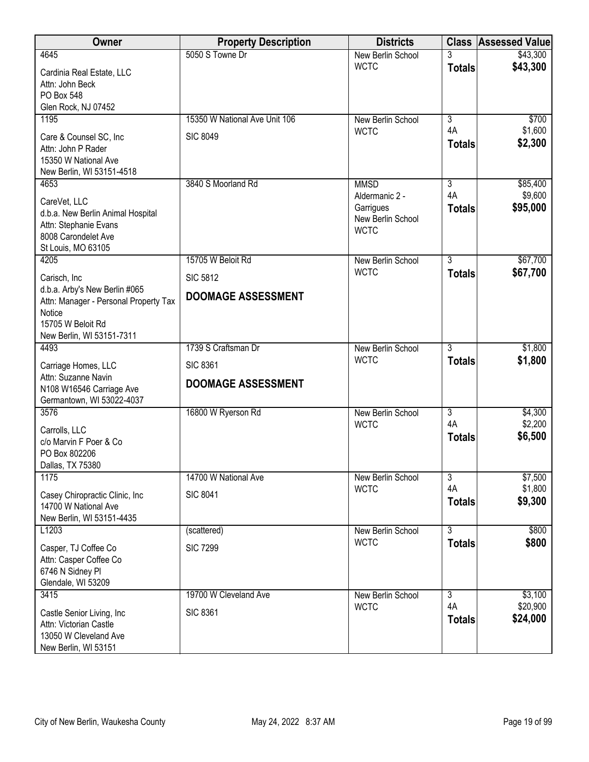| <b>Owner</b>                                                                                                                       | <b>Property Description</b>                  | <b>Districts</b>                                                |                           | <b>Class Assessed Value</b> |
|------------------------------------------------------------------------------------------------------------------------------------|----------------------------------------------|-----------------------------------------------------------------|---------------------------|-----------------------------|
| 4645                                                                                                                               | 5050 S Towne Dr                              | New Berlin School                                               |                           | \$43,300                    |
| Cardinia Real Estate, LLC<br>Attn: John Beck<br>PO Box 548<br>Glen Rock, NJ 07452                                                  |                                              | <b>WCTC</b>                                                     | <b>Totals</b>             | \$43,300                    |
| 1195                                                                                                                               | 15350 W National Ave Unit 106                | <b>New Berlin School</b>                                        | $\overline{3}$            | \$700                       |
| Care & Counsel SC, Inc<br>Attn: John P Rader<br>15350 W National Ave<br>New Berlin, WI 53151-4518                                  | <b>SIC 8049</b>                              | <b>WCTC</b>                                                     | 4A<br><b>Totals</b>       | \$1,600<br>\$2,300          |
| 4653                                                                                                                               | 3840 S Moorland Rd                           | <b>MMSD</b>                                                     | 3                         | \$85,400                    |
| CareVet, LLC<br>d.b.a. New Berlin Animal Hospital<br>Attn: Stephanie Evans<br>8008 Carondelet Ave<br>St Louis, MO 63105            |                                              | Aldermanic 2 -<br>Garrigues<br>New Berlin School<br><b>WCTC</b> | 4A<br><b>Totals</b>       | \$9,600<br>\$95,000         |
| 4205                                                                                                                               | 15705 W Beloit Rd                            | New Berlin School                                               | 3                         | \$67,700                    |
| Carisch, Inc.                                                                                                                      | <b>SIC 5812</b>                              | <b>WCTC</b>                                                     | <b>Totals</b>             | \$67,700                    |
| d.b.a. Arby's New Berlin #065<br>Attn: Manager - Personal Property Tax<br>Notice<br>15705 W Beloit Rd<br>New Berlin, WI 53151-7311 | <b>DOOMAGE ASSESSMENT</b>                    |                                                                 |                           |                             |
| 4493                                                                                                                               | 1739 S Craftsman Dr                          | New Berlin School                                               | $\overline{3}$            | \$1,800                     |
| Carriage Homes, LLC<br>Attn: Suzanne Navin<br>N108 W16546 Carriage Ave<br>Germantown, WI 53022-4037                                | <b>SIC 8361</b><br><b>DOOMAGE ASSESSMENT</b> | <b>WCTC</b>                                                     | <b>Totals</b>             | \$1,800                     |
| 3576                                                                                                                               | 16800 W Ryerson Rd                           | New Berlin School                                               | 3                         | \$4,300                     |
| Carrolls, LLC<br>c/o Marvin F Poer & Co<br>PO Box 802206<br>Dallas, TX 75380                                                       |                                              | <b>WCTC</b>                                                     | 4A<br><b>Totals</b>       | \$2,200<br>\$6,500          |
| 1175                                                                                                                               | 14700 W National Ave                         | New Berlin School                                               | $\overline{3}$            | \$7,500                     |
| Casey Chiropractic Clinic, Inc.<br>14700 W National Ave<br>New Berlin, WI 53151-4435                                               | <b>SIC 8041</b>                              | <b>WCTC</b>                                                     | 4A<br><b>Totals</b>       | \$1,800<br>\$9,300          |
| L1203                                                                                                                              | (scattered)                                  | New Berlin School                                               | $\overline{\overline{3}}$ | \$800                       |
| Casper, TJ Coffee Co<br>Attn: Casper Coffee Co<br>6746 N Sidney Pl<br>Glendale, WI 53209                                           | <b>SIC 7299</b>                              | <b>WCTC</b>                                                     | <b>Totals</b>             | \$800                       |
| 3415                                                                                                                               | 19700 W Cleveland Ave                        | New Berlin School                                               | 3                         | \$3,100                     |
| Castle Senior Living, Inc<br>Attn: Victorian Castle<br>13050 W Cleveland Ave<br>New Berlin, WI 53151                               | <b>SIC 8361</b>                              | <b>WCTC</b>                                                     | 4A<br><b>Totals</b>       | \$20,900<br>\$24,000        |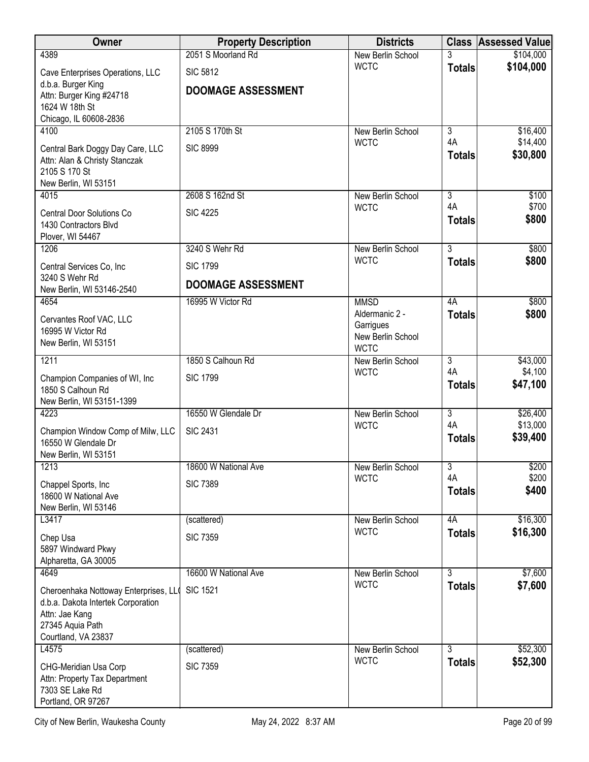| Owner                                                     | <b>Property Description</b> | <b>Districts</b>                 | <b>Class</b>         | <b>Assessed Value</b> |
|-----------------------------------------------------------|-----------------------------|----------------------------------|----------------------|-----------------------|
| 4389                                                      | 2051 S Moorland Rd          | New Berlin School                |                      | \$104,000             |
| Cave Enterprises Operations, LLC                          | <b>SIC 5812</b>             | <b>WCTC</b>                      | <b>Totals</b>        | \$104,000             |
| d.b.a. Burger King                                        | <b>DOOMAGE ASSESSMENT</b>   |                                  |                      |                       |
| Attn: Burger King #24718<br>1624 W 18th St                |                             |                                  |                      |                       |
| Chicago, IL 60608-2836                                    |                             |                                  |                      |                       |
| 4100                                                      | 2105 S 170th St             | New Berlin School                | $\overline{3}$       | \$16,400              |
| Central Bark Doggy Day Care, LLC                          | <b>SIC 8999</b>             | <b>WCTC</b>                      | 4A                   | \$14,400              |
| Attn: Alan & Christy Stanczak                             |                             |                                  | <b>Totals</b>        | \$30,800              |
| 2105 S 170 St                                             |                             |                                  |                      |                       |
| New Berlin, WI 53151<br>4015                              | 2608 S 162nd St             | New Berlin School                | $\overline{3}$       | \$100                 |
|                                                           |                             | <b>WCTC</b>                      | 4A                   | \$700                 |
| <b>Central Door Solutions Co</b><br>1430 Contractors Blvd | <b>SIC 4225</b>             |                                  | <b>Totals</b>        | \$800                 |
| Plover, WI 54467                                          |                             |                                  |                      |                       |
| 1206                                                      | 3240 S Wehr Rd              | New Berlin School                | $\overline{3}$       | \$800                 |
| Central Services Co, Inc                                  | <b>SIC 1799</b>             | <b>WCTC</b>                      | <b>Totals</b>        | \$800                 |
| 3240 S Wehr Rd                                            | <b>DOOMAGE ASSESSMENT</b>   |                                  |                      |                       |
| New Berlin, WI 53146-2540                                 |                             |                                  |                      |                       |
| 4654                                                      | 16995 W Victor Rd           | <b>MMSD</b><br>Aldermanic 2 -    | 4A                   | \$800                 |
| Cervantes Roof VAC, LLC                                   |                             | Garrigues                        | <b>Totals</b>        | \$800                 |
| 16995 W Victor Rd                                         |                             | New Berlin School                |                      |                       |
| New Berlin, WI 53151                                      |                             | <b>WCTC</b>                      |                      |                       |
| 1211                                                      | 1850 S Calhoun Rd           | New Berlin School<br><b>WCTC</b> | $\overline{3}$<br>4A | \$43,000<br>\$4,100   |
| Champion Companies of WI, Inc                             | <b>SIC 1799</b>             |                                  | <b>Totals</b>        | \$47,100              |
| 1850 S Calhoun Rd<br>New Berlin, WI 53151-1399            |                             |                                  |                      |                       |
| 4223                                                      | 16550 W Glendale Dr         | New Berlin School                | $\overline{3}$       | \$26,400              |
|                                                           | <b>SIC 2431</b>             | <b>WCTC</b>                      | 4A                   | \$13,000              |
| Champion Window Comp of Milw, LLC<br>16550 W Glendale Dr  |                             |                                  | <b>Totals</b>        | \$39,400              |
| New Berlin, WI 53151                                      |                             |                                  |                      |                       |
| 1213                                                      | 18600 W National Ave        | New Berlin School                | $\overline{3}$       | \$200                 |
| Chappel Sports, Inc.                                      | <b>SIC 7389</b>             | <b>WCTC</b>                      | 4A                   | \$200<br>\$400        |
| 18600 W National Ave                                      |                             |                                  | <b>Totals</b>        |                       |
| New Berlin, WI 53146                                      |                             |                                  | 4A                   |                       |
| L3417                                                     | (scattered)                 | New Berlin School<br><b>WCTC</b> | <b>Totals</b>        | \$16,300<br>\$16,300  |
| Chep Usa                                                  | <b>SIC 7359</b>             |                                  |                      |                       |
| 5897 Windward Pkwy<br>Alpharetta, GA 30005                |                             |                                  |                      |                       |
| 4649                                                      | 16600 W National Ave        | New Berlin School                | 3                    | \$7,600               |
| Cheroenhaka Nottoway Enterprises, LLO                     | <b>SIC 1521</b>             | <b>WCTC</b>                      | <b>Totals</b>        | \$7,600               |
| d.b.a. Dakota Intertek Corporation                        |                             |                                  |                      |                       |
| Attn: Jae Kang                                            |                             |                                  |                      |                       |
| 27345 Aquia Path                                          |                             |                                  |                      |                       |
| Courtland, VA 23837<br>L4575                              | (scattered)                 | New Berlin School                | 3                    | \$52,300              |
|                                                           |                             | <b>WCTC</b>                      | <b>Totals</b>        | \$52,300              |
| CHG-Meridian Usa Corp<br>Attn: Property Tax Department    | <b>SIC 7359</b>             |                                  |                      |                       |
| 7303 SE Lake Rd                                           |                             |                                  |                      |                       |
| Portland, OR 97267                                        |                             |                                  |                      |                       |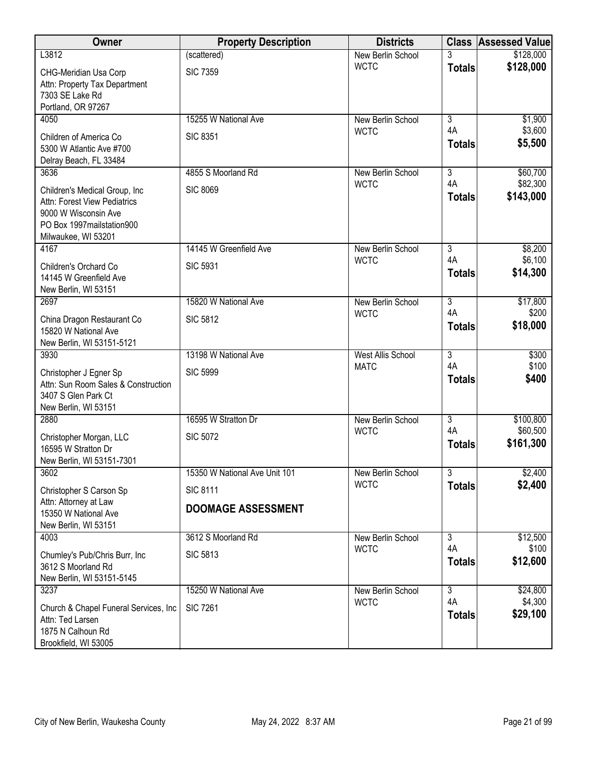| Owner                                                                                                                                       | <b>Property Description</b>   | <b>Districts</b>         |                      | <b>Class Assessed Value</b> |
|---------------------------------------------------------------------------------------------------------------------------------------------|-------------------------------|--------------------------|----------------------|-----------------------------|
| L3812                                                                                                                                       | (scattered)                   | New Berlin School        |                      | \$128,000                   |
| CHG-Meridian Usa Corp<br>Attn: Property Tax Department<br>7303 SE Lake Rd<br>Portland, OR 97267                                             | <b>SIC 7359</b>               | <b>WCTC</b>              | <b>Totals</b>        | \$128,000                   |
| 4050                                                                                                                                        | 15255 W National Ave          | New Berlin School        | $\overline{3}$       | \$1,900                     |
| Children of America Co<br>5300 W Atlantic Ave #700<br>Delray Beach, FL 33484                                                                | <b>SIC 8351</b>               | <b>WCTC</b>              | 4A<br><b>Totals</b>  | \$3,600<br>\$5,500          |
| 3636                                                                                                                                        | 4855 S Moorland Rd            | New Berlin School        | $\overline{3}$       | \$60,700                    |
| Children's Medical Group, Inc<br>Attn: Forest View Pediatrics<br>9000 W Wisconsin Ave<br>PO Box 1997 mailstation 900<br>Milwaukee, WI 53201 | <b>SIC 8069</b>               | <b>WCTC</b>              | 4A<br><b>Totals</b>  | \$82,300<br>\$143,000       |
| 4167                                                                                                                                        | 14145 W Greenfield Ave        | New Berlin School        | $\overline{3}$       | \$8,200                     |
| Children's Orchard Co<br>14145 W Greenfield Ave<br>New Berlin, WI 53151                                                                     | <b>SIC 5931</b>               | <b>WCTC</b>              | 4A<br><b>Totals</b>  | \$6,100<br>\$14,300         |
| 2697                                                                                                                                        | 15820 W National Ave          | New Berlin School        | $\overline{3}$       | \$17,800                    |
| China Dragon Restaurant Co<br>15820 W National Ave<br>New Berlin, WI 53151-5121                                                             | <b>SIC 5812</b>               | <b>WCTC</b>              | 4A<br><b>Totals</b>  | \$200<br>\$18,000           |
| 3930                                                                                                                                        | 13198 W National Ave          | <b>West Allis School</b> | $\overline{3}$       | \$300                       |
| Christopher J Egner Sp<br>Attn: Sun Room Sales & Construction<br>3407 S Glen Park Ct<br>New Berlin, WI 53151                                | <b>SIC 5999</b>               | <b>MATC</b>              | 4A<br><b>Totals</b>  | \$100<br>\$400              |
| 2880                                                                                                                                        | 16595 W Stratton Dr           | New Berlin School        | $\overline{3}$       | \$100,800                   |
| Christopher Morgan, LLC<br>16595 W Stratton Dr<br>New Berlin, WI 53151-7301                                                                 | <b>SIC 5072</b>               | <b>WCTC</b>              | 4A<br><b>Totals</b>  | \$60,500<br>\$161,300       |
| 3602                                                                                                                                        | 15350 W National Ave Unit 101 | New Berlin School        | $\overline{3}$       | \$2,400                     |
| Christopher S Carson Sp                                                                                                                     | <b>SIC 8111</b>               | <b>WCTC</b>              | <b>Totals</b>        | \$2,400                     |
| Attn: Attorney at Law<br>15350 W National Ave<br>New Berlin, WI 53151                                                                       | <b>DOOMAGE ASSESSMENT</b>     |                          |                      |                             |
| 4003                                                                                                                                        | 3612 S Moorland Rd            | New Berlin School        | $\overline{3}$       | \$12,500                    |
| Chumley's Pub/Chris Burr, Inc.<br>3612 S Moorland Rd<br>New Berlin, WI 53151-5145                                                           | <b>SIC 5813</b>               | <b>WCTC</b>              | 4A<br><b>Totals</b>  | \$100<br>\$12,600           |
| 3237                                                                                                                                        | 15250 W National Ave          | New Berlin School        | $\overline{3}$<br>4A | \$24,800                    |
| Church & Chapel Funeral Services, Inc.<br>Attn: Ted Larsen<br>1875 N Calhoun Rd<br>Brookfield, WI 53005                                     | <b>SIC 7261</b>               | <b>WCTC</b>              | <b>Totals</b>        | \$4,300<br>\$29,100         |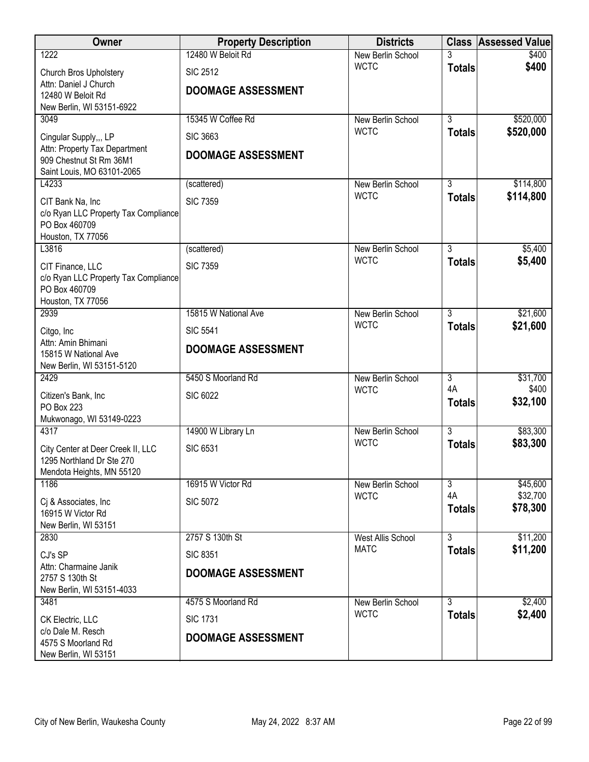| Owner                                                    | <b>Property Description</b> | <b>Districts</b>                 |                                 | <b>Class Assessed Value</b> |
|----------------------------------------------------------|-----------------------------|----------------------------------|---------------------------------|-----------------------------|
| 1222                                                     | 12480 W Beloit Rd           | New Berlin School                |                                 | \$400                       |
| Church Bros Upholstery                                   | <b>SIC 2512</b>             | <b>WCTC</b>                      | <b>Totals</b>                   | \$400                       |
| Attn: Daniel J Church<br>12480 W Beloit Rd               | <b>DOOMAGE ASSESSMENT</b>   |                                  |                                 |                             |
| New Berlin, WI 53151-6922                                |                             |                                  |                                 |                             |
| 3049                                                     | 15345 W Coffee Rd           | New Berlin School                | $\overline{3}$                  | \$520,000                   |
| Cingular Supply,,, LP                                    | <b>SIC 3663</b>             | <b>WCTC</b>                      | <b>Totals</b>                   | \$520,000                   |
| Attn: Property Tax Department                            | <b>DOOMAGE ASSESSMENT</b>   |                                  |                                 |                             |
| 909 Chestnut St Rm 36M1<br>Saint Louis, MO 63101-2065    |                             |                                  |                                 |                             |
| L4233                                                    | (scattered)                 | New Berlin School                | 3                               | \$114,800                   |
| CIT Bank Na, Inc                                         | <b>SIC 7359</b>             | <b>WCTC</b>                      | <b>Totals</b>                   | \$114,800                   |
| c/o Ryan LLC Property Tax Compliance                     |                             |                                  |                                 |                             |
| PO Box 460709                                            |                             |                                  |                                 |                             |
| Houston, TX 77056<br>L3816                               | (scattered)                 | New Berlin School                | $\overline{3}$                  | \$5,400                     |
|                                                          | <b>SIC 7359</b>             | <b>WCTC</b>                      | <b>Totals</b>                   | \$5,400                     |
| CIT Finance, LLC<br>c/o Ryan LLC Property Tax Compliance |                             |                                  |                                 |                             |
| PO Box 460709                                            |                             |                                  |                                 |                             |
| Houston, TX 77056                                        |                             |                                  |                                 |                             |
| 2939                                                     | 15815 W National Ave        | New Berlin School<br><b>WCTC</b> | $\overline{3}$<br><b>Totals</b> | \$21,600<br>\$21,600        |
| Citgo, Inc<br>Attn: Amin Bhimani                         | <b>SIC 5541</b>             |                                  |                                 |                             |
| 15815 W National Ave                                     | <b>DOOMAGE ASSESSMENT</b>   |                                  |                                 |                             |
| New Berlin, WI 53151-5120                                |                             |                                  |                                 |                             |
| 2429                                                     | 5450 S Moorland Rd          | New Berlin School<br><b>WCTC</b> | $\overline{3}$<br>4A            | \$31,700<br>\$400           |
| Citizen's Bank, Inc                                      | <b>SIC 6022</b>             |                                  | <b>Totals</b>                   | \$32,100                    |
| PO Box 223<br>Mukwonago, WI 53149-0223                   |                             |                                  |                                 |                             |
| 4317                                                     | 14900 W Library Ln          | New Berlin School                | $\overline{3}$                  | \$83,300                    |
| City Center at Deer Creek II, LLC                        | <b>SIC 6531</b>             | <b>WCTC</b>                      | <b>Totals</b>                   | \$83,300                    |
| 1295 Northland Dr Ste 270                                |                             |                                  |                                 |                             |
| Mendota Heights, MN 55120                                |                             |                                  |                                 |                             |
| 1186                                                     | 16915 W Victor Rd           | New Berlin School<br><b>WCTC</b> | $\overline{3}$<br>4A            | \$45,600<br>\$32,700        |
| Cj & Associates, Inc.<br>16915 W Victor Rd               | <b>SIC 5072</b>             |                                  | <b>Totals</b>                   | \$78,300                    |
| New Berlin, WI 53151                                     |                             |                                  |                                 |                             |
| 2830                                                     | 2757 S 130th St             | West Allis School                | $\overline{3}$                  | \$11,200                    |
| CJ's SP                                                  | <b>SIC 8351</b>             | <b>MATC</b>                      | <b>Totals</b>                   | \$11,200                    |
| Attn: Charmaine Janik                                    | <b>DOOMAGE ASSESSMENT</b>   |                                  |                                 |                             |
| 2757 S 130th St<br>New Berlin, WI 53151-4033             |                             |                                  |                                 |                             |
| 3481                                                     | 4575 S Moorland Rd          | New Berlin School                | $\overline{3}$                  | \$2,400                     |
| CK Electric, LLC                                         | <b>SIC 1731</b>             | <b>WCTC</b>                      | <b>Totals</b>                   | \$2,400                     |
| c/o Dale M. Resch                                        | <b>DOOMAGE ASSESSMENT</b>   |                                  |                                 |                             |
| 4575 S Moorland Rd                                       |                             |                                  |                                 |                             |
| New Berlin, WI 53151                                     |                             |                                  |                                 |                             |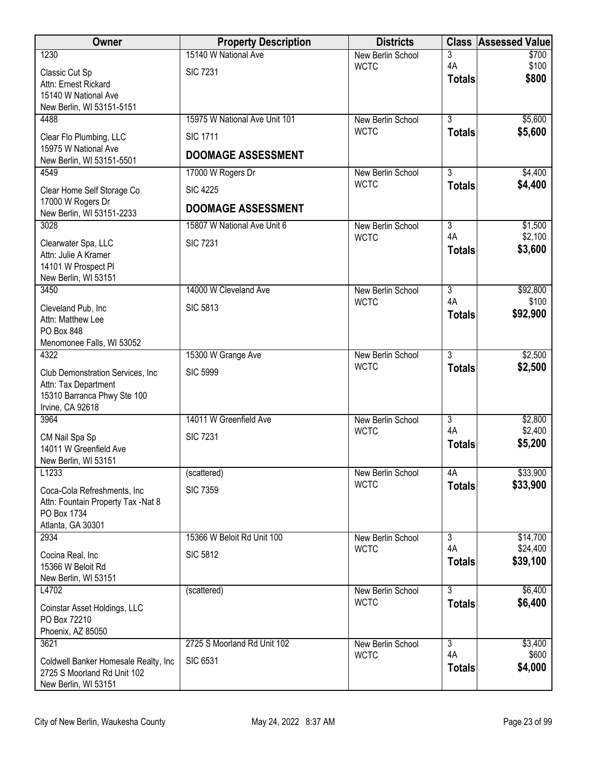|                                                           | <b>Property Description</b>   | <b>Districts</b>                 | <b>Class</b>                    | <b>Assessed Value</b> |
|-----------------------------------------------------------|-------------------------------|----------------------------------|---------------------------------|-----------------------|
| 1230                                                      | 15140 W National Ave          | New Berlin School                | 3                               | \$700                 |
| Classic Cut Sp                                            | <b>SIC 7231</b>               | <b>WCTC</b>                      | 4A<br><b>Totals</b>             | \$100<br>\$800        |
| Attn: Ernest Rickard<br>15140 W National Ave              |                               |                                  |                                 |                       |
| New Berlin, WI 53151-5151                                 |                               |                                  |                                 |                       |
| 4488                                                      | 15975 W National Ave Unit 101 | New Berlin School                | $\overline{3}$                  | \$5,600               |
| Clear Flo Plumbing, LLC                                   | <b>SIC 1711</b>               | <b>WCTC</b>                      | <b>Totals</b>                   | \$5,600               |
| 15975 W National Ave<br>New Berlin, WI 53151-5501         | <b>DOOMAGE ASSESSMENT</b>     |                                  |                                 |                       |
| 4549                                                      | 17000 W Rogers Dr             | New Berlin School                | $\overline{3}$                  | \$4,400               |
| Clear Home Self Storage Co                                | <b>SIC 4225</b>               | <b>WCTC</b>                      | <b>Totals</b>                   | \$4,400               |
| 17000 W Rogers Dr                                         | <b>DOOMAGE ASSESSMENT</b>     |                                  |                                 |                       |
| New Berlin, WI 53151-2233<br>3028                         | 15807 W National Ave Unit 6   | New Berlin School                | $\overline{3}$                  | \$1,500               |
|                                                           |                               | <b>WCTC</b>                      | 4A                              | \$2,100               |
| Clearwater Spa, LLC<br>Attn: Julie A Kramer               | <b>SIC 7231</b>               |                                  | <b>Totals</b>                   | \$3,600               |
| 14101 W Prospect Pl                                       |                               |                                  |                                 |                       |
| New Berlin, WI 53151                                      |                               |                                  |                                 |                       |
| 3450                                                      | 14000 W Cleveland Ave         | New Berlin School<br><b>WCTC</b> | $\overline{3}$<br>4A            | \$92,800<br>\$100     |
| Cleveland Pub, Inc<br>Attn: Matthew Lee                   | <b>SIC 5813</b>               |                                  | <b>Totals</b>                   | \$92,900              |
| PO Box 848                                                |                               |                                  |                                 |                       |
| Menomonee Falls, WI 53052                                 |                               |                                  |                                 |                       |
| 4322                                                      | 15300 W Grange Ave            | New Berlin School<br><b>WCTC</b> | $\overline{3}$<br><b>Totals</b> | \$2,500<br>\$2,500    |
| Club Demonstration Services, Inc.<br>Attn: Tax Department | <b>SIC 5999</b>               |                                  |                                 |                       |
| 15310 Barranca Phwy Ste 100                               |                               |                                  |                                 |                       |
| Irvine, CA 92618                                          |                               |                                  |                                 |                       |
| 3964                                                      | 14011 W Greenfield Ave        | New Berlin School<br><b>WCTC</b> | 3<br>4A                         | \$2,800<br>\$2,400    |
| CM Nail Spa Sp                                            | <b>SIC 7231</b>               |                                  | <b>Totals</b>                   | \$5,200               |
| 14011 W Greenfield Ave<br>New Berlin, WI 53151            |                               |                                  |                                 |                       |
| L1233                                                     | (scattered)                   | New Berlin School                | 4A                              | \$33,900              |
| Coca-Cola Refreshments, Inc.                              | <b>SIC 7359</b>               | <b>WCTC</b>                      | <b>Totals</b>                   | \$33,900              |
| Attn: Fountain Property Tax -Nat 8                        |                               |                                  |                                 |                       |
| PO Box 1734<br>Atlanta, GA 30301                          |                               |                                  |                                 |                       |
| 2934                                                      | 15366 W Beloit Rd Unit 100    | New Berlin School                | $\overline{3}$                  | \$14,700              |
| Cocina Real, Inc                                          | <b>SIC 5812</b>               | <b>WCTC</b>                      | 4A                              | \$24,400              |
| 15366 W Beloit Rd                                         |                               |                                  | <b>Totals</b>                   | \$39,100              |
| New Berlin, WI 53151<br>L4702                             | (scattered)                   | New Berlin School                | 3                               | \$6,400               |
|                                                           |                               | <b>WCTC</b>                      | <b>Totals</b>                   | \$6,400               |
| Coinstar Asset Holdings, LLC<br>PO Box 72210              |                               |                                  |                                 |                       |
| Phoenix, AZ 85050                                         |                               |                                  |                                 |                       |
| 3621                                                      | 2725 S Moorland Rd Unit 102   | New Berlin School<br><b>WCTC</b> | $\overline{3}$<br>4A            | \$3,400<br>\$600      |
| Coldwell Banker Homesale Realty, Inc.                     | <b>SIC 6531</b>               |                                  | <b>Totals</b>                   | \$4,000               |
| 2725 S Moorland Rd Unit 102<br>New Berlin, WI 53151       |                               |                                  |                                 |                       |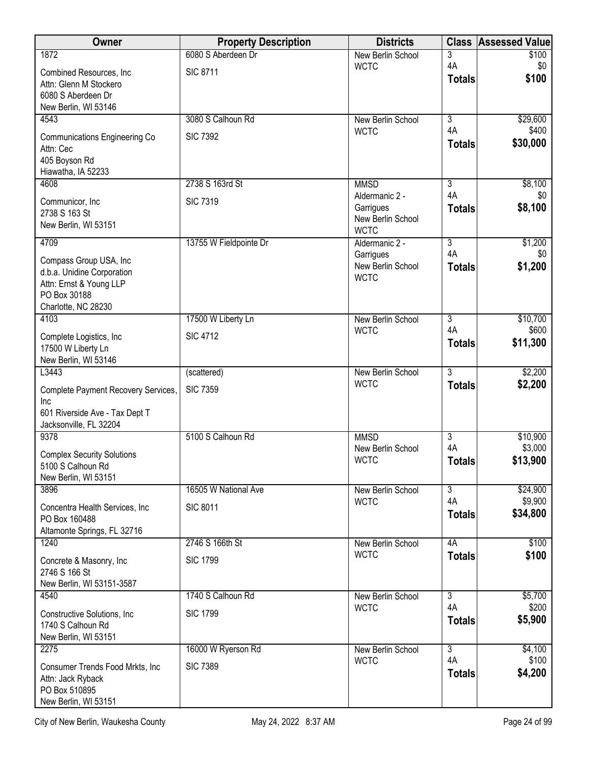| Owner                                                  | <b>Property Description</b> | <b>Districts</b>                 | <b>Class</b>        | <b>Assessed Value</b> |
|--------------------------------------------------------|-----------------------------|----------------------------------|---------------------|-----------------------|
| 1872                                                   | 6080 S Aberdeen Dr          | <b>New Berlin School</b>         | 3<br>4A             | \$100                 |
| Combined Resources, Inc.                               | <b>SIC 8711</b>             | <b>WCTC</b>                      | <b>Totals</b>       | \$0<br>\$100          |
| Attn: Glenn M Stockero<br>6080 S Aberdeen Dr           |                             |                                  |                     |                       |
| New Berlin, WI 53146                                   |                             |                                  |                     |                       |
| 4543                                                   | 3080 S Calhoun Rd           | <b>New Berlin School</b>         | $\overline{3}$      | \$29,600              |
| <b>Communications Engineering Co</b>                   | <b>SIC 7392</b>             | <b>WCTC</b>                      | 4A                  | \$400                 |
| Attn: Cec                                              |                             |                                  | <b>Totals</b>       | \$30,000              |
| 405 Boyson Rd<br>Hiawatha, IA 52233                    |                             |                                  |                     |                       |
| 4608                                                   | 2738 S 163rd St             | <b>MMSD</b>                      | $\overline{3}$      | \$8,100               |
| Communicor, Inc.                                       | <b>SIC 7319</b>             | Aldermanic 2 -                   | 4A                  | \$0                   |
| 2738 S 163 St                                          |                             | Garrigues<br>New Berlin School   | <b>Totals</b>       | \$8,100               |
| New Berlin, WI 53151                                   |                             | <b>WCTC</b>                      |                     |                       |
| 4709                                                   | 13755 W Fieldpointe Dr      | Aldermanic 2 -                   | $\overline{3}$      | \$1,200               |
| Compass Group USA, Inc                                 |                             | Garrigues                        | 4A                  | \$0                   |
| d.b.a. Unidine Corporation                             |                             | New Berlin School<br><b>WCTC</b> | <b>Totals</b>       | \$1,200               |
| Attn: Ernst & Young LLP<br>PO Box 30188                |                             |                                  |                     |                       |
| Charlotte, NC 28230                                    |                             |                                  |                     |                       |
| 4103                                                   | 17500 W Liberty Ln          | <b>New Berlin School</b>         | $\overline{3}$      | \$10,700              |
| Complete Logistics, Inc.                               | <b>SIC 4712</b>             | <b>WCTC</b>                      | 4A<br><b>Totals</b> | \$600<br>\$11,300     |
| 17500 W Liberty Ln                                     |                             |                                  |                     |                       |
| New Berlin, WI 53146<br>L3443                          | (scattered)                 | New Berlin School                | $\overline{3}$      | \$2,200               |
| Complete Payment Recovery Services,                    | <b>SIC 7359</b>             | <b>WCTC</b>                      | <b>Totals</b>       | \$2,200               |
| Inc                                                    |                             |                                  |                     |                       |
| 601 Riverside Ave - Tax Dept T                         |                             |                                  |                     |                       |
| Jacksonville, FL 32204                                 |                             |                                  |                     |                       |
| 9378                                                   | 5100 S Calhoun Rd           | <b>MMSD</b><br>New Berlin School | 3<br>4A             | \$10,900<br>\$3,000   |
| <b>Complex Security Solutions</b><br>5100 S Calhoun Rd |                             | <b>WCTC</b>                      | <b>Totals</b>       | \$13,900              |
| New Berlin, WI 53151                                   |                             |                                  |                     |                       |
| 3896                                                   | 16505 W National Ave        | <b>New Berlin School</b>         | $\overline{3}$      | \$24,900              |
| Concentra Health Services, Inc                         | <b>SIC 8011</b>             | <b>WCTC</b>                      | 4A                  | \$9,900<br>\$34,800   |
| PO Box 160488                                          |                             |                                  | <b>Totals</b>       |                       |
| Altamonte Springs, FL 32716<br>1240                    | 2746 S 166th St             | New Berlin School                | 4A                  | \$100                 |
|                                                        | <b>SIC 1799</b>             | <b>WCTC</b>                      | <b>Totals</b>       | \$100                 |
| Concrete & Masonry, Inc.<br>2746 S 166 St              |                             |                                  |                     |                       |
| New Berlin, WI 53151-3587                              |                             |                                  |                     |                       |
| 4540                                                   | 1740 S Calhoun Rd           | New Berlin School                | $\overline{3}$      | \$5,700               |
| Constructive Solutions, Inc.                           | <b>SIC 1799</b>             | <b>WCTC</b>                      | 4A<br><b>Totals</b> | \$200<br>\$5,900      |
| 1740 S Calhoun Rd<br>New Berlin, WI 53151              |                             |                                  |                     |                       |
| 2275                                                   | 16000 W Ryerson Rd          | New Berlin School                | $\overline{3}$      | \$4,100               |
| Consumer Trends Food Mrkts, Inc.                       | <b>SIC 7389</b>             | <b>WCTC</b>                      | 4A                  | \$100                 |
| Attn: Jack Ryback                                      |                             |                                  | <b>Totals</b>       | \$4,200               |
| PO Box 510895                                          |                             |                                  |                     |                       |
| New Berlin, WI 53151                                   |                             |                                  |                     |                       |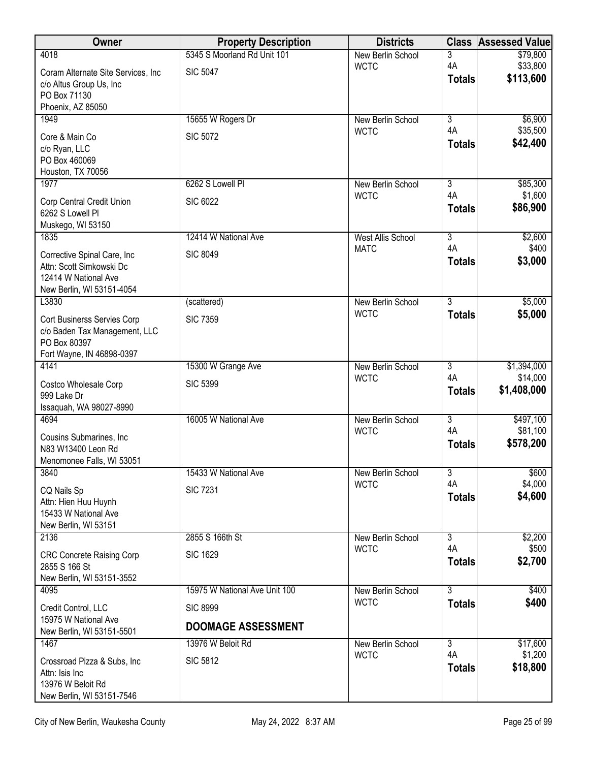| Owner                                            | <b>Property Description</b>   | <b>Districts</b>                 | <b>Class</b>         | <b>Assessed Value</b> |
|--------------------------------------------------|-------------------------------|----------------------------------|----------------------|-----------------------|
| 4018                                             | 5345 S Moorland Rd Unit 101   | New Berlin School                | 3                    | \$79,800              |
| Coram Alternate Site Services, Inc.              | <b>SIC 5047</b>               | <b>WCTC</b>                      | 4A<br><b>Totals</b>  | \$33,800<br>\$113,600 |
| c/o Altus Group Us, Inc<br>PO Box 71130          |                               |                                  |                      |                       |
| Phoenix, AZ 85050                                |                               |                                  |                      |                       |
| 1949                                             | 15655 W Rogers Dr             | New Berlin School                | $\overline{3}$       | \$6,900               |
| Core & Main Co                                   | <b>SIC 5072</b>               | <b>WCTC</b>                      | 4A                   | \$35,500              |
| c/o Ryan, LLC                                    |                               |                                  | <b>Totals</b>        | \$42,400              |
| PO Box 460069<br>Houston, TX 70056               |                               |                                  |                      |                       |
| 1977                                             | 6262 S Lowell PI              | New Berlin School                | 3                    | \$85,300              |
| Corp Central Credit Union                        | <b>SIC 6022</b>               | <b>WCTC</b>                      | 4A                   | \$1,600               |
| 6262 S Lowell Pl                                 |                               |                                  | <b>Totals</b>        | \$86,900              |
| Muskego, WI 53150                                |                               |                                  |                      |                       |
| 1835                                             | 12414 W National Ave          | <b>West Allis School</b>         | $\overline{3}$       | \$2,600               |
| Corrective Spinal Care, Inc                      | <b>SIC 8049</b>               | <b>MATC</b>                      | 4A<br><b>Totals</b>  | \$400<br>\$3,000      |
| Attn: Scott Simkowski Dc<br>12414 W National Ave |                               |                                  |                      |                       |
| New Berlin, WI 53151-4054                        |                               |                                  |                      |                       |
| L3830                                            | (scattered)                   | New Berlin School                | $\overline{3}$       | \$5,000               |
| Cort Businerss Servies Corp                      | <b>SIC 7359</b>               | <b>WCTC</b>                      | <b>Totals</b>        | \$5,000               |
| c/o Baden Tax Management, LLC                    |                               |                                  |                      |                       |
| PO Box 80397                                     |                               |                                  |                      |                       |
| Fort Wayne, IN 46898-0397<br>4141                | 15300 W Grange Ave            | New Berlin School                | 3                    | \$1,394,000           |
|                                                  |                               | <b>WCTC</b>                      | 4A                   | \$14,000              |
| Costco Wholesale Corp<br>999 Lake Dr             | <b>SIC 5399</b>               |                                  | <b>Totals</b>        | \$1,408,000           |
| Issaquah, WA 98027-8990                          |                               |                                  |                      |                       |
| 4694                                             | 16005 W National Ave          | New Berlin School                | $\overline{3}$       | \$497,100             |
| Cousins Submarines, Inc.                         |                               | <b>WCTC</b>                      | 4A                   | \$81,100              |
| N83 W13400 Leon Rd                               |                               |                                  | <b>Totals</b>        | \$578,200             |
| Menomonee Falls, WI 53051<br>3840                | 15433 W National Ave          | New Berlin School                | $\overline{3}$       | \$600                 |
|                                                  |                               | <b>WCTC</b>                      | 4A                   | \$4,000               |
| CQ Nails Sp<br>Attn: Hien Huu Huynh              | <b>SIC 7231</b>               |                                  | <b>Totals</b>        | \$4,600               |
| 15433 W National Ave                             |                               |                                  |                      |                       |
| New Berlin, WI 53151                             |                               |                                  |                      |                       |
| 2136                                             | 2855 S 166th St               | New Berlin School<br><b>WCTC</b> | $\overline{3}$<br>4A | \$2,200<br>\$500      |
| <b>CRC Concrete Raising Corp</b>                 | <b>SIC 1629</b>               |                                  | <b>Totals</b>        | \$2,700               |
| 2855 S 166 St<br>New Berlin, WI 53151-3552       |                               |                                  |                      |                       |
| 4095                                             | 15975 W National Ave Unit 100 | New Berlin School                | $\overline{3}$       | \$400                 |
| Credit Control, LLC                              | <b>SIC 8999</b>               | <b>WCTC</b>                      | <b>Totals</b>        | \$400                 |
| 15975 W National Ave                             |                               |                                  |                      |                       |
| New Berlin, WI 53151-5501                        | <b>DOOMAGE ASSESSMENT</b>     |                                  |                      |                       |
| 1467                                             | 13976 W Beloit Rd             | New Berlin School<br><b>WCTC</b> | $\overline{3}$<br>4A | \$17,600<br>\$1,200   |
| Crossroad Pizza & Subs, Inc                      | <b>SIC 5812</b>               |                                  | <b>Totals</b>        | \$18,800              |
| Attn: Isis Inc<br>13976 W Beloit Rd              |                               |                                  |                      |                       |
| New Berlin, WI 53151-7546                        |                               |                                  |                      |                       |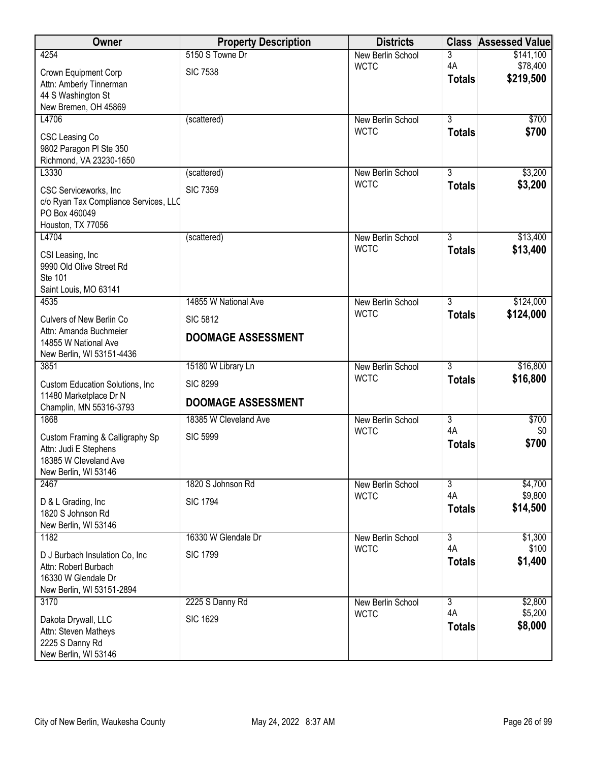| Owner                                                   | <b>Property Description</b> | <b>Districts</b>                 |                           | <b>Class Assessed Value</b> |
|---------------------------------------------------------|-----------------------------|----------------------------------|---------------------------|-----------------------------|
| 4254                                                    | 5150 S Towne Dr             | New Berlin School                | 3                         | \$141,100                   |
| Crown Equipment Corp                                    | <b>SIC 7538</b>             | <b>WCTC</b>                      | 4A                        | \$78,400                    |
| Attn: Amberly Tinnerman                                 |                             |                                  | <b>Totals</b>             | \$219,500                   |
| 44 S Washington St                                      |                             |                                  |                           |                             |
| New Bremen, OH 45869                                    |                             |                                  |                           |                             |
| L4706                                                   | (scattered)                 | New Berlin School                | $\overline{3}$            | \$700                       |
| CSC Leasing Co                                          |                             | <b>WCTC</b>                      | <b>Totals</b>             | \$700                       |
| 9802 Paragon PI Ste 350                                 |                             |                                  |                           |                             |
| Richmond, VA 23230-1650                                 |                             |                                  |                           |                             |
| L3330                                                   | (scattered)                 | New Berlin School                | $\overline{3}$            | \$3,200                     |
| CSC Serviceworks, Inc                                   | <b>SIC 7359</b>             | <b>WCTC</b>                      | <b>Totals</b>             | \$3,200                     |
| c/o Ryan Tax Compliance Services, LLQ                   |                             |                                  |                           |                             |
| PO Box 460049                                           |                             |                                  |                           |                             |
| Houston, TX 77056                                       |                             |                                  |                           |                             |
| L4704                                                   | (scattered)                 | New Berlin School<br><b>WCTC</b> | $\overline{3}$            | \$13,400                    |
| CSI Leasing, Inc.                                       |                             |                                  | <b>Totals</b>             | \$13,400                    |
| 9990 Old Olive Street Rd                                |                             |                                  |                           |                             |
| Ste 101                                                 |                             |                                  |                           |                             |
| Saint Louis, MO 63141<br>4535                           | 14855 W National Ave        |                                  | $\overline{3}$            | \$124,000                   |
|                                                         |                             | New Berlin School<br><b>WCTC</b> | <b>Totals</b>             | \$124,000                   |
| Culvers of New Berlin Co                                | <b>SIC 5812</b>             |                                  |                           |                             |
| Attn: Amanda Buchmeier                                  | <b>DOOMAGE ASSESSMENT</b>   |                                  |                           |                             |
| 14855 W National Ave                                    |                             |                                  |                           |                             |
| New Berlin, WI 53151-4436<br>3851                       | 15180 W Library Ln          | New Berlin School                | $\overline{3}$            | \$16,800                    |
|                                                         |                             | <b>WCTC</b>                      | <b>Totals</b>             | \$16,800                    |
| Custom Education Solutions, Inc.                        | <b>SIC 8299</b>             |                                  |                           |                             |
| 11480 Marketplace Dr N<br>Champlin, MN 55316-3793       | <b>DOOMAGE ASSESSMENT</b>   |                                  |                           |                             |
| 1868                                                    | 18385 W Cleveland Ave       | New Berlin School                | $\overline{\overline{3}}$ | \$700                       |
|                                                         |                             | <b>WCTC</b>                      | 4A                        | \$0                         |
| Custom Framing & Calligraphy Sp                         | <b>SIC 5999</b>             |                                  | <b>Totals</b>             | \$700                       |
| Attn: Judi E Stephens<br>18385 W Cleveland Ave          |                             |                                  |                           |                             |
| New Berlin, WI 53146                                    |                             |                                  |                           |                             |
| 2467                                                    | 1820 S Johnson Rd           | New Berlin School                | 3                         | \$4,700                     |
|                                                         |                             | <b>WCTC</b>                      | 4A                        | \$9,800                     |
| D & L Grading, Inc.<br>1820 S Johnson Rd                | <b>SIC 1794</b>             |                                  | <b>Totals</b>             | \$14,500                    |
| New Berlin, WI 53146                                    |                             |                                  |                           |                             |
| 1182                                                    | 16330 W Glendale Dr         | New Berlin School                | $\overline{3}$            | \$1,300                     |
|                                                         |                             | <b>WCTC</b>                      | 4A                        | \$100                       |
| D J Burbach Insulation Co, Inc.<br>Attn: Robert Burbach | <b>SIC 1799</b>             |                                  | <b>Totals</b>             | \$1,400                     |
| 16330 W Glendale Dr                                     |                             |                                  |                           |                             |
| New Berlin, WI 53151-2894                               |                             |                                  |                           |                             |
| 3170                                                    | 2225 S Danny Rd             | New Berlin School                | $\overline{3}$            | \$2,800                     |
|                                                         | <b>SIC 1629</b>             | <b>WCTC</b>                      | 4A                        | \$5,200                     |
| Dakota Drywall, LLC<br>Attn: Steven Matheys             |                             |                                  | <b>Totals</b>             | \$8,000                     |
| 2225 S Danny Rd                                         |                             |                                  |                           |                             |
| New Berlin, WI 53146                                    |                             |                                  |                           |                             |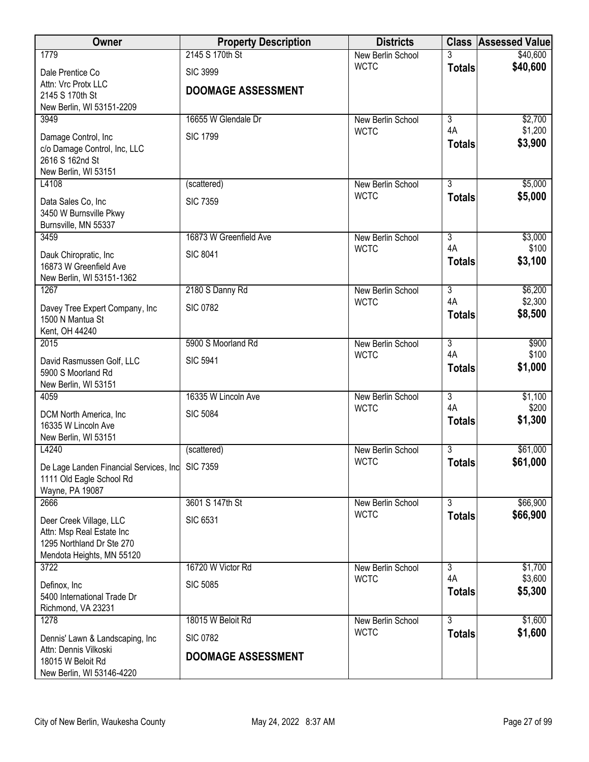| Owner                                                    | <b>Property Description</b> | <b>Districts</b>                 |                      | <b>Class Assessed Value</b> |
|----------------------------------------------------------|-----------------------------|----------------------------------|----------------------|-----------------------------|
| 1779                                                     | 2145 S 170th St             | New Berlin School                | 3                    | \$40,600                    |
| Dale Prentice Co                                         | <b>SIC 3999</b>             | <b>WCTC</b>                      | <b>Totals</b>        | \$40,600                    |
| Attn: Vrc Protx LLC                                      | <b>DOOMAGE ASSESSMENT</b>   |                                  |                      |                             |
| 2145 S 170th St<br>New Berlin, WI 53151-2209             |                             |                                  |                      |                             |
| 3949                                                     | 16655 W Glendale Dr         | New Berlin School                | $\overline{3}$       | \$2,700                     |
| Damage Control, Inc                                      | <b>SIC 1799</b>             | <b>WCTC</b>                      | 4A                   | \$1,200                     |
| c/o Damage Control, Inc, LLC                             |                             |                                  | <b>Totals</b>        | \$3,900                     |
| 2616 S 162nd St                                          |                             |                                  |                      |                             |
| New Berlin, WI 53151                                     |                             |                                  |                      |                             |
| L4108                                                    | (scattered)                 | New Berlin School<br><b>WCTC</b> | $\overline{3}$       | \$5,000                     |
| Data Sales Co, Inc                                       | <b>SIC 7359</b>             |                                  | <b>Totals</b>        | \$5,000                     |
| 3450 W Burnsville Pkwy<br>Burnsville, MN 55337           |                             |                                  |                      |                             |
| 3459                                                     | 16873 W Greenfield Ave      | New Berlin School                | $\overline{3}$       | \$3,000                     |
|                                                          | <b>SIC 8041</b>             | <b>WCTC</b>                      | 4A                   | \$100                       |
| Dauk Chiropratic, Inc<br>16873 W Greenfield Ave          |                             |                                  | <b>Totals</b>        | \$3,100                     |
| New Berlin, WI 53151-1362                                |                             |                                  |                      |                             |
| 1267                                                     | 2180 S Danny Rd             | New Berlin School                | $\overline{3}$       | \$6,200                     |
| Davey Tree Expert Company, Inc                           | <b>SIC 0782</b>             | <b>WCTC</b>                      | 4A                   | \$2,300                     |
| 1500 N Mantua St                                         |                             |                                  | <b>Totals</b>        | \$8,500                     |
| Kent, OH 44240                                           |                             |                                  |                      |                             |
| 2015                                                     | 5900 S Moorland Rd          | New Berlin School<br><b>WCTC</b> | $\overline{3}$<br>4A | \$900<br>\$100              |
| David Rasmussen Golf, LLC                                | <b>SIC 5941</b>             |                                  | <b>Totals</b>        | \$1,000                     |
| 5900 S Moorland Rd<br>New Berlin, WI 53151               |                             |                                  |                      |                             |
| 4059                                                     | 16335 W Lincoln Ave         | New Berlin School                | $\overline{3}$       | \$1,100                     |
| DCM North America, Inc                                   | <b>SIC 5084</b>             | <b>WCTC</b>                      | 4A                   | \$200                       |
| 16335 W Lincoln Ave                                      |                             |                                  | <b>Totals</b>        | \$1,300                     |
| New Berlin, WI 53151                                     |                             |                                  |                      |                             |
| L4240                                                    | (scattered)                 | New Berlin School                | 3                    | \$61,000                    |
| De Lage Landen Financial Services, Inc SIC 7359          |                             | <b>WCTC</b>                      | <b>Totals</b>        | \$61,000                    |
| 1111 Old Eagle School Rd                                 |                             |                                  |                      |                             |
| Wayne, PA 19087<br>2666                                  | 3601 S 147th St             | New Berlin School                | $\overline{3}$       | \$66,900                    |
|                                                          |                             | <b>WCTC</b>                      | <b>Totals</b>        | \$66,900                    |
| Deer Creek Village, LLC<br>Attn: Msp Real Estate Inc     | <b>SIC 6531</b>             |                                  |                      |                             |
| 1295 Northland Dr Ste 270                                |                             |                                  |                      |                             |
| Mendota Heights, MN 55120                                |                             |                                  |                      |                             |
| 3722                                                     | 16720 W Victor Rd           | New Berlin School                | 3                    | \$1,700                     |
| Definox, Inc                                             | <b>SIC 5085</b>             | <b>WCTC</b>                      | 4A<br><b>Totals</b>  | \$3,600<br>\$5,300          |
| 5400 International Trade Dr                              |                             |                                  |                      |                             |
| Richmond, VA 23231<br>1278                               | 18015 W Beloit Rd           | New Berlin School                | $\overline{3}$       | \$1,600                     |
|                                                          |                             | <b>WCTC</b>                      | <b>Totals</b>        | \$1,600                     |
| Dennis' Lawn & Landscaping, Inc<br>Attn: Dennis Vilkoski | <b>SIC 0782</b>             |                                  |                      |                             |
| 18015 W Beloit Rd                                        | <b>DOOMAGE ASSESSMENT</b>   |                                  |                      |                             |
| New Berlin, WI 53146-4220                                |                             |                                  |                      |                             |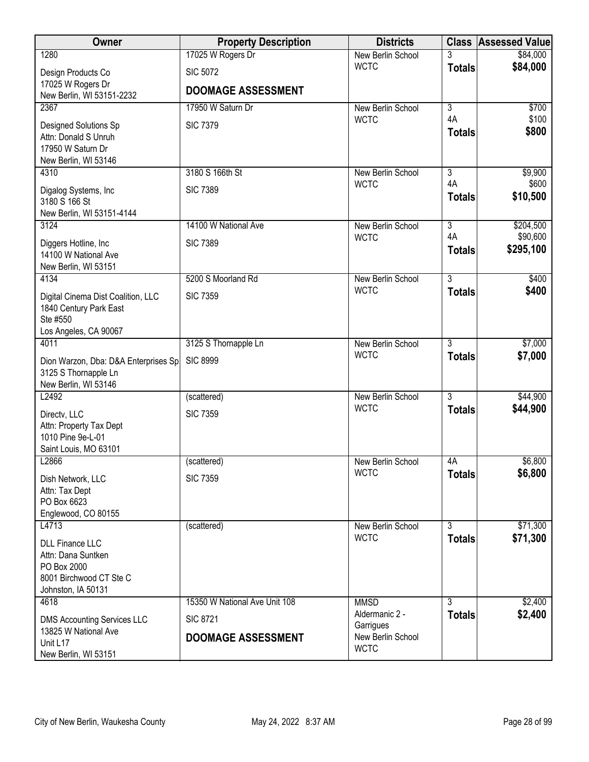| Owner                                                                                                        | <b>Property Description</b>   | <b>Districts</b>                 | <b>Class</b>        | <b>Assessed Value</b> |
|--------------------------------------------------------------------------------------------------------------|-------------------------------|----------------------------------|---------------------|-----------------------|
| 1280                                                                                                         | 17025 W Rogers Dr             | New Berlin School                |                     | \$84,000              |
| Design Products Co                                                                                           | <b>SIC 5072</b>               | <b>WCTC</b>                      | <b>Totals</b>       | \$84,000              |
| 17025 W Rogers Dr                                                                                            | <b>DOOMAGE ASSESSMENT</b>     |                                  |                     |                       |
| New Berlin, WI 53151-2232<br>2367                                                                            | 17950 W Saturn Dr             | New Berlin School                | $\overline{3}$      | \$700                 |
| Designed Solutions Sp<br>Attn: Donald S Unruh<br>17950 W Saturn Dr<br>New Berlin, WI 53146                   | <b>SIC 7379</b>               | <b>WCTC</b>                      | 4A<br><b>Totals</b> | \$100<br>\$800        |
| 4310                                                                                                         | 3180 S 166th St               | New Berlin School                | 3                   | \$9,900               |
| Digalog Systems, Inc.<br>3180 S 166 St<br>New Berlin, WI 53151-4144                                          | <b>SIC 7389</b>               | <b>WCTC</b>                      | 4A<br><b>Totals</b> | \$600<br>\$10,500     |
| 3124                                                                                                         | 14100 W National Ave          | New Berlin School                | $\overline{3}$      | \$204,500             |
| Diggers Hotline, Inc.<br>14100 W National Ave<br>New Berlin, WI 53151                                        | <b>SIC 7389</b>               | <b>WCTC</b>                      | 4A<br><b>Totals</b> | \$90,600<br>\$295,100 |
| 4134                                                                                                         | 5200 S Moorland Rd            | New Berlin School                | $\overline{3}$      | \$400                 |
| Digital Cinema Dist Coalition, LLC<br>1840 Century Park East<br>Ste #550<br>Los Angeles, CA 90067            | <b>SIC 7359</b>               | <b>WCTC</b>                      | <b>Totals</b>       | \$400                 |
| 4011                                                                                                         | 3125 S Thornapple Ln          | New Berlin School                | $\overline{3}$      | \$7,000               |
| Dion Warzon, Dba: D&A Enterprises Sp<br>3125 S Thornapple Ln<br>New Berlin, WI 53146                         | <b>SIC 8999</b>               | <b>WCTC</b>                      | <b>Totals</b>       | \$7,000               |
| L2492                                                                                                        | (scattered)                   | <b>New Berlin School</b>         | $\overline{3}$      | \$44,900              |
| Directv, LLC<br>Attn: Property Tax Dept<br>1010 Pine 9e-L-01<br>Saint Louis, MO 63101                        | <b>SIC 7359</b>               | <b>WCTC</b>                      | <b>Totals</b>       | \$44,900              |
| L2866                                                                                                        | (scattered)                   | New Berlin School                | 4A                  | \$6,800               |
| Dish Network, LLC<br>Attn: Tax Dept<br>PO Box 6623<br>Englewood, CO 80155                                    | <b>SIC 7359</b>               | <b>WCTC</b>                      | <b>Totals</b>       | \$6,800               |
| L4713                                                                                                        | (scattered)                   | New Berlin School                | 3                   | \$71,300              |
| <b>DLL Finance LLC</b><br>Attn: Dana Suntken<br>PO Box 2000<br>8001 Birchwood CT Ste C<br>Johnston, IA 50131 |                               | <b>WCTC</b>                      | <b>Totals</b>       | \$71,300              |
| 4618                                                                                                         | 15350 W National Ave Unit 108 | <b>MMSD</b>                      | 3                   | \$2,400               |
| <b>DMS Accounting Services LLC</b>                                                                           | <b>SIC 8721</b>               | Aldermanic 2 -<br>Garrigues      | <b>Totals</b>       | \$2,400               |
| 13825 W National Ave<br>Unit L17<br>New Berlin, WI 53151                                                     | <b>DOOMAGE ASSESSMENT</b>     | New Berlin School<br><b>WCTC</b> |                     |                       |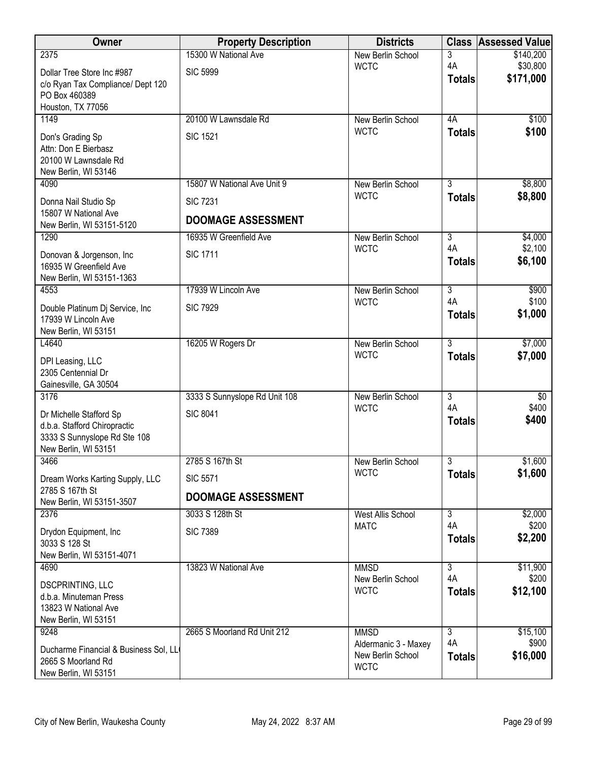| Owner                                                   | <b>Property Description</b>   | <b>Districts</b>                    |                      | <b>Class Assessed Value</b> |
|---------------------------------------------------------|-------------------------------|-------------------------------------|----------------------|-----------------------------|
| 2375                                                    | 15300 W National Ave          | New Berlin School                   | 3                    | \$140,200                   |
| Dollar Tree Store Inc #987                              | <b>SIC 5999</b>               | <b>WCTC</b>                         | 4A                   | \$30,800<br>\$171,000       |
| c/o Ryan Tax Compliance/ Dept 120                       |                               |                                     | <b>Totals</b>        |                             |
| PO Box 460389<br>Houston, TX 77056                      |                               |                                     |                      |                             |
| 1149                                                    | 20100 W Lawnsdale Rd          | New Berlin School                   | 4A                   | \$100                       |
| Don's Grading Sp                                        | <b>SIC 1521</b>               | <b>WCTC</b>                         | <b>Totals</b>        | \$100                       |
| Attn: Don E Bierbasz                                    |                               |                                     |                      |                             |
| 20100 W Lawnsdale Rd                                    |                               |                                     |                      |                             |
| New Berlin, WI 53146<br>4090                            | 15807 W National Ave Unit 9   | New Berlin School                   | $\overline{3}$       | \$8,800                     |
|                                                         |                               | <b>WCTC</b>                         | <b>Totals</b>        | \$8,800                     |
| Donna Nail Studio Sp<br>15807 W National Ave            | <b>SIC 7231</b>               |                                     |                      |                             |
| New Berlin, WI 53151-5120                               | <b>DOOMAGE ASSESSMENT</b>     |                                     |                      |                             |
| 1290                                                    | 16935 W Greenfield Ave        | New Berlin School                   | $\overline{3}$       | \$4,000                     |
| Donovan & Jorgenson, Inc.                               | <b>SIC 1711</b>               | <b>WCTC</b>                         | 4A<br><b>Totals</b>  | \$2,100<br>\$6,100          |
| 16935 W Greenfield Ave                                  |                               |                                     |                      |                             |
| New Berlin, WI 53151-1363<br>4553                       | 17939 W Lincoln Ave           | New Berlin School                   | $\overline{3}$       | \$900                       |
|                                                         |                               | <b>WCTC</b>                         | 4A                   | \$100                       |
| Double Platinum Dj Service, Inc<br>17939 W Lincoln Ave  | <b>SIC 7929</b>               |                                     | <b>Totals</b>        | \$1,000                     |
| New Berlin, WI 53151                                    |                               |                                     |                      |                             |
| L4640                                                   | 16205 W Rogers Dr             | New Berlin School                   | $\overline{3}$       | \$7,000                     |
| DPI Leasing, LLC                                        |                               | <b>WCTC</b>                         | <b>Totals</b>        | \$7,000                     |
| 2305 Centennial Dr                                      |                               |                                     |                      |                             |
| Gainesville, GA 30504<br>3176                           | 3333 S Sunnyslope Rd Unit 108 | New Berlin School                   | $\overline{3}$       | $\sqrt[6]{}$                |
|                                                         |                               | <b>WCTC</b>                         | 4A                   | \$400                       |
| Dr Michelle Stafford Sp<br>d.b.a. Stafford Chiropractic | <b>SIC 8041</b>               |                                     | <b>Totals</b>        | \$400                       |
| 3333 S Sunnyslope Rd Ste 108                            |                               |                                     |                      |                             |
| New Berlin, WI 53151                                    |                               |                                     |                      |                             |
| 3466                                                    | 2785 S 167th St               | New Berlin School<br><b>WCTC</b>    | 3<br><b>Totals</b>   | \$1,600<br>\$1,600          |
| Dream Works Karting Supply, LLC<br>2785 S 167th St      | <b>SIC 5571</b>               |                                     |                      |                             |
| New Berlin, WI 53151-3507                               | <b>DOOMAGE ASSESSMENT</b>     |                                     |                      |                             |
| 2376                                                    | 3033 S 128th St               | <b>West Allis School</b>            | $\overline{3}$       | \$2,000                     |
| Drydon Equipment, Inc                                   | <b>SIC 7389</b>               | <b>MATC</b>                         | 4A<br><b>Totals</b>  | \$200<br>\$2,200            |
| 3033 S 128 St                                           |                               |                                     |                      |                             |
| New Berlin, WI 53151-4071<br>4690                       | 13823 W National Ave          | <b>MMSD</b>                         | 3                    | \$11,900                    |
|                                                         |                               | New Berlin School                   | 4A                   | \$200                       |
| <b>DSCPRINTING, LLC</b><br>d.b.a. Minuteman Press       |                               | <b>WCTC</b>                         | <b>Totals</b>        | \$12,100                    |
| 13823 W National Ave                                    |                               |                                     |                      |                             |
| New Berlin, WI 53151                                    |                               |                                     |                      |                             |
| 9248                                                    | 2665 S Moorland Rd Unit 212   | <b>MMSD</b><br>Aldermanic 3 - Maxey | $\overline{3}$<br>4A | \$15,100<br>\$900           |
| Ducharme Financial & Business Sol, LL                   |                               | New Berlin School                   | <b>Totals</b>        | \$16,000                    |
| 2665 S Moorland Rd<br>New Berlin, WI 53151              |                               | <b>WCTC</b>                         |                      |                             |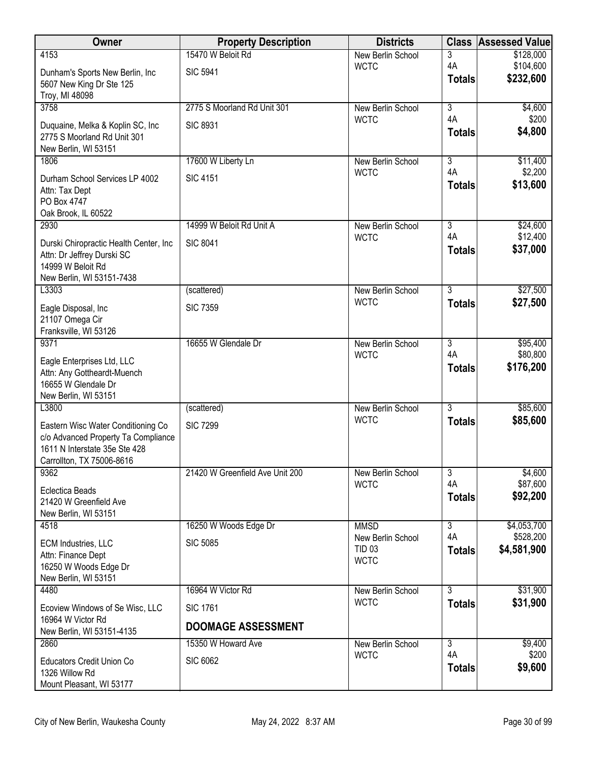| Owner                                                                                                                                   | <b>Property Description</b>     | <b>Districts</b>                                  | <b>Class</b>        | <b>Assessed Value</b>    |
|-----------------------------------------------------------------------------------------------------------------------------------------|---------------------------------|---------------------------------------------------|---------------------|--------------------------|
| 4153                                                                                                                                    | 15470 W Beloit Rd               | <b>New Berlin School</b>                          | 3                   | \$128,000                |
| Dunham's Sports New Berlin, Inc<br>5607 New King Dr Ste 125<br>Troy, MI 48098                                                           | <b>SIC 5941</b>                 | <b>WCTC</b>                                       | 4A<br><b>Totals</b> | \$104,600<br>\$232,600   |
| 3758                                                                                                                                    | 2775 S Moorland Rd Unit 301     | <b>New Berlin School</b>                          | $\overline{3}$      | \$4,600                  |
| Duquaine, Melka & Koplin SC, Inc<br>2775 S Moorland Rd Unit 301<br>New Berlin, WI 53151                                                 | <b>SIC 8931</b>                 | <b>WCTC</b>                                       | 4A<br><b>Totals</b> | \$200<br>\$4,800         |
| 1806                                                                                                                                    | 17600 W Liberty Ln              | New Berlin School                                 | $\overline{3}$      | \$11,400                 |
| Durham School Services LP 4002<br>Attn: Tax Dept<br>PO Box 4747<br>Oak Brook, IL 60522                                                  | <b>SIC 4151</b>                 | <b>WCTC</b>                                       | 4A<br><b>Totals</b> | \$2,200<br>\$13,600      |
| 2930                                                                                                                                    | 14999 W Beloit Rd Unit A        | New Berlin School                                 | $\overline{3}$      | \$24,600                 |
| Durski Chiropractic Health Center, Inc<br>Attn: Dr Jeffrey Durski SC<br>14999 W Beloit Rd<br>New Berlin, WI 53151-7438                  | <b>SIC 8041</b>                 | <b>WCTC</b>                                       | 4A<br><b>Totals</b> | \$12,400<br>\$37,000     |
| L3303                                                                                                                                   | (scattered)                     | New Berlin School                                 | $\overline{3}$      | \$27,500                 |
| Eagle Disposal, Inc<br>21107 Omega Cir<br>Franksville, WI 53126                                                                         | <b>SIC 7359</b>                 | <b>WCTC</b>                                       | <b>Totals</b>       | \$27,500                 |
| 9371                                                                                                                                    | 16655 W Glendale Dr             | New Berlin School                                 | $\overline{3}$      | \$95,400                 |
| Eagle Enterprises Ltd, LLC<br>Attn: Any Gottheardt-Muench<br>16655 W Glendale Dr<br>New Berlin, WI 53151                                |                                 | <b>WCTC</b>                                       | 4A<br><b>Totals</b> | \$80,800<br>\$176,200    |
| L3800                                                                                                                                   | (scattered)                     | New Berlin School                                 | $\overline{3}$      | \$85,600                 |
| Eastern Wisc Water Conditioning Co<br>c/o Advanced Property Ta Compliance<br>1611 N Interstate 35e Ste 428<br>Carrollton, TX 75006-8616 | <b>SIC 7299</b>                 | <b>WCTC</b>                                       | <b>Totals</b>       | \$85,600                 |
| 9362                                                                                                                                    | 21420 W Greenfield Ave Unit 200 | New Berlin School                                 | $\overline{3}$      | \$4,600                  |
| <b>Eclectica Beads</b><br>21420 W Greenfield Ave<br>New Berlin, WI 53151                                                                |                                 | <b>WCTC</b>                                       | 4A<br><b>Totals</b> | \$87,600<br>\$92,200     |
| 4518                                                                                                                                    | 16250 W Woods Edge Dr           | <b>MMSD</b>                                       | $\overline{3}$      | \$4,053,700              |
| ECM Industries, LLC<br>Attn: Finance Dept<br>16250 W Woods Edge Dr<br>New Berlin, WI 53151                                              | <b>SIC 5085</b>                 | New Berlin School<br><b>TID 03</b><br><b>WCTC</b> | 4A<br><b>Totals</b> | \$528,200<br>\$4,581,900 |
| 4480                                                                                                                                    | 16964 W Victor Rd               | New Berlin School                                 | $\overline{3}$      | \$31,900                 |
| Ecoview Windows of Se Wisc, LLC<br>16964 W Victor Rd                                                                                    | <b>SIC 1761</b>                 | <b>WCTC</b>                                       | <b>Totals</b>       | \$31,900                 |
| New Berlin, WI 53151-4135                                                                                                               | <b>DOOMAGE ASSESSMENT</b>       |                                                   |                     |                          |
| 2860                                                                                                                                    | 15350 W Howard Ave              | New Berlin School                                 | $\overline{3}$      | \$9,400                  |
| Educators Credit Union Co<br>1326 Willow Rd<br>Mount Pleasant, WI 53177                                                                 | <b>SIC 6062</b>                 | <b>WCTC</b>                                       | 4A<br><b>Totals</b> | \$200<br>\$9,600         |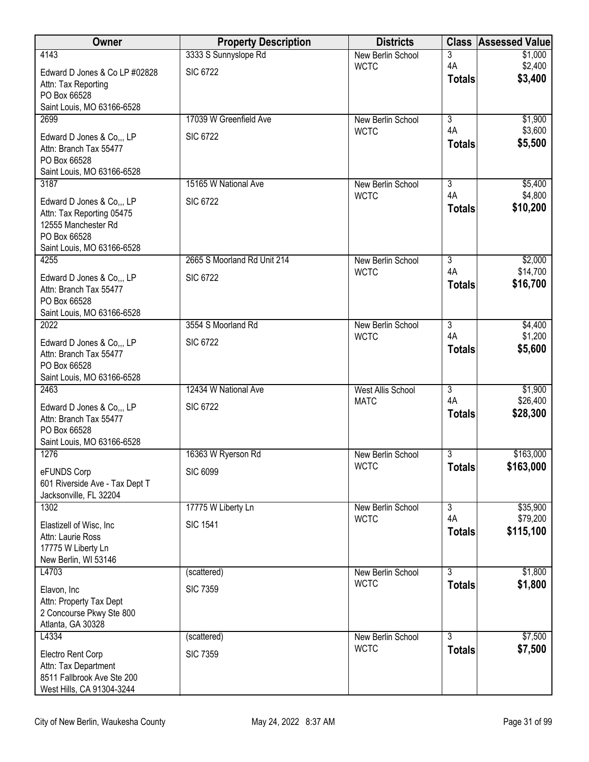| Owner                                               | <b>Property Description</b> | <b>Districts</b>                 |                      | <b>Class Assessed Value</b> |
|-----------------------------------------------------|-----------------------------|----------------------------------|----------------------|-----------------------------|
| 4143                                                | 3333 S Sunnyslope Rd        | New Berlin School                | 3<br>4A              | \$1,000                     |
| Edward D Jones & Co LP #02828                       | <b>SIC 6722</b>             | <b>WCTC</b>                      | <b>Totals</b>        | \$2,400<br>\$3,400          |
| Attn: Tax Reporting<br>PO Box 66528                 |                             |                                  |                      |                             |
| Saint Louis, MO 63166-6528                          |                             |                                  |                      |                             |
| 2699                                                | 17039 W Greenfield Ave      | New Berlin School                | $\overline{3}$       | \$1,900                     |
| Edward D Jones & Co,,, LP                           | <b>SIC 6722</b>             | <b>WCTC</b>                      | 4A                   | \$3,600                     |
| Attn: Branch Tax 55477                              |                             |                                  | <b>Totals</b>        | \$5,500                     |
| PO Box 66528<br>Saint Louis, MO 63166-6528          |                             |                                  |                      |                             |
| 3187                                                | 15165 W National Ave        | New Berlin School                | $\overline{3}$       | \$5,400                     |
| Edward D Jones & Co.,, LP                           | <b>SIC 6722</b>             | <b>WCTC</b>                      | 4A                   | \$4,800                     |
| Attn: Tax Reporting 05475                           |                             |                                  | <b>Totals</b>        | \$10,200                    |
| 12555 Manchester Rd                                 |                             |                                  |                      |                             |
| PO Box 66528<br>Saint Louis, MO 63166-6528          |                             |                                  |                      |                             |
| 4255                                                | 2665 S Moorland Rd Unit 214 | New Berlin School                | $\overline{3}$       | \$2,000                     |
| Edward D Jones & Co,,, LP                           | <b>SIC 6722</b>             | <b>WCTC</b>                      | 4A                   | \$14,700                    |
| Attn: Branch Tax 55477                              |                             |                                  | <b>Totals</b>        | \$16,700                    |
| PO Box 66528<br>Saint Louis, MO 63166-6528          |                             |                                  |                      |                             |
| 2022                                                | 3554 S Moorland Rd          | New Berlin School                | $\overline{3}$       | \$4,400                     |
| Edward D Jones & Co,,, LP                           | <b>SIC 6722</b>             | <b>WCTC</b>                      | 4A                   | \$1,200                     |
| Attn: Branch Tax 55477                              |                             |                                  | <b>Totals</b>        | \$5,600                     |
| PO Box 66528                                        |                             |                                  |                      |                             |
| Saint Louis, MO 63166-6528<br>2463                  | 12434 W National Ave        | West Allis School                | $\overline{3}$       | \$1,900                     |
| Edward D Jones & Co,,, LP                           | <b>SIC 6722</b>             | <b>MATC</b>                      | 4A                   | \$26,400                    |
| Attn: Branch Tax 55477                              |                             |                                  | <b>Totals</b>        | \$28,300                    |
| PO Box 66528                                        |                             |                                  |                      |                             |
| Saint Louis, MO 63166-6528<br>1276                  | 16363 W Ryerson Rd          | <b>New Berlin School</b>         | 3                    | \$163,000                   |
|                                                     | <b>SIC 6099</b>             | <b>WCTC</b>                      | <b>Totals</b>        | \$163,000                   |
| eFUNDS Corp<br>601 Riverside Ave - Tax Dept T       |                             |                                  |                      |                             |
| Jacksonville, FL 32204                              |                             |                                  |                      |                             |
| 1302                                                | 17775 W Liberty Ln          | New Berlin School<br><b>WCTC</b> | $\overline{3}$<br>4A | \$35,900<br>\$79,200        |
| Elastizell of Wisc, Inc.                            | <b>SIC 1541</b>             |                                  | <b>Totals</b>        | \$115,100                   |
| Attn: Laurie Ross<br>17775 W Liberty Ln             |                             |                                  |                      |                             |
| New Berlin, WI 53146                                |                             |                                  |                      |                             |
| L4703                                               | (scattered)                 | New Berlin School                | $\overline{3}$       | \$1,800                     |
| Elavon, Inc                                         | <b>SIC 7359</b>             | <b>WCTC</b>                      | <b>Totals</b>        | \$1,800                     |
| Attn: Property Tax Dept<br>2 Concourse Pkwy Ste 800 |                             |                                  |                      |                             |
| Atlanta, GA 30328                                   |                             |                                  |                      |                             |
| L4334                                               | (scattered)                 | New Berlin School                | $\overline{3}$       | \$7,500                     |
| Electro Rent Corp                                   | <b>SIC 7359</b>             | <b>WCTC</b>                      | <b>Totals</b>        | \$7,500                     |
| Attn: Tax Department<br>8511 Fallbrook Ave Ste 200  |                             |                                  |                      |                             |
| West Hills, CA 91304-3244                           |                             |                                  |                      |                             |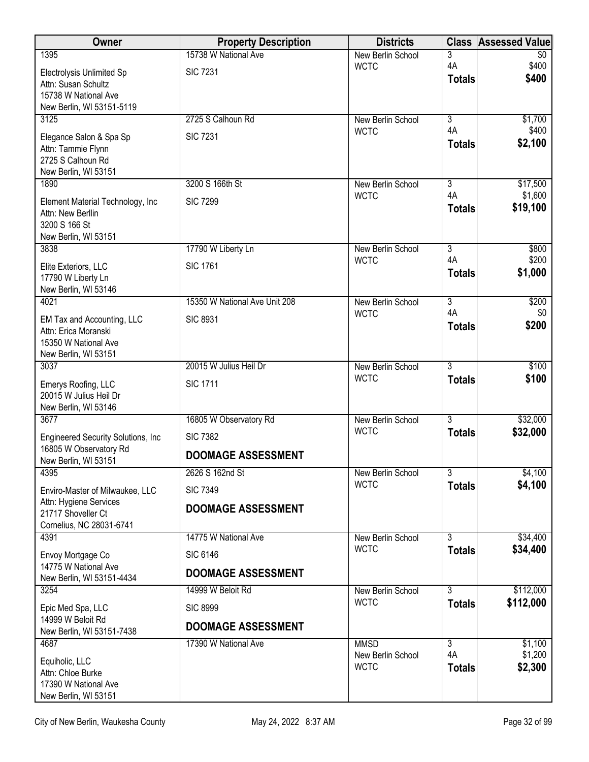| Owner                                                     | <b>Property Description</b>   | <b>Districts</b>                 | <b>Class</b>         | <b>Assessed Value</b>    |
|-----------------------------------------------------------|-------------------------------|----------------------------------|----------------------|--------------------------|
| 1395                                                      | 15738 W National Ave          | New Berlin School                | 3<br>4A              | $\overline{30}$<br>\$400 |
| Electrolysis Unlimited Sp                                 | <b>SIC 7231</b>               | <b>WCTC</b>                      | <b>Totals</b>        | \$400                    |
| Attn: Susan Schultz<br>15738 W National Ave               |                               |                                  |                      |                          |
| New Berlin, WI 53151-5119                                 |                               |                                  |                      |                          |
| 3125                                                      | 2725 S Calhoun Rd             | New Berlin School                | $\overline{3}$<br>4A | \$1,700                  |
| Elegance Salon & Spa Sp                                   | <b>SIC 7231</b>               | <b>WCTC</b>                      | <b>Totals</b>        | \$400<br>\$2,100         |
| Attn: Tammie Flynn<br>2725 S Calhoun Rd                   |                               |                                  |                      |                          |
| New Berlin, WI 53151                                      |                               |                                  |                      |                          |
| 1890                                                      | 3200 S 166th St               | New Berlin School                | 3                    | \$17,500                 |
| Element Material Technology, Inc                          | <b>SIC 7299</b>               | <b>WCTC</b>                      | 4A<br><b>Totals</b>  | \$1,600<br>\$19,100      |
| Attn: New Berllin<br>3200 S 166 St                        |                               |                                  |                      |                          |
| New Berlin, WI 53151                                      |                               |                                  |                      |                          |
| 3838                                                      | 17790 W Liberty Ln            | New Berlin School                | $\overline{3}$<br>4A | \$800<br>\$200           |
| Elite Exteriors, LLC                                      | <b>SIC 1761</b>               | <b>WCTC</b>                      | <b>Totals</b>        | \$1,000                  |
| 17790 W Liberty Ln<br>New Berlin, WI 53146                |                               |                                  |                      |                          |
| 4021                                                      | 15350 W National Ave Unit 208 | New Berlin School                | $\overline{3}$       | \$200                    |
| EM Tax and Accounting, LLC                                | <b>SIC 8931</b>               | <b>WCTC</b>                      | 4A                   | \$0                      |
| Attn: Erica Moranski                                      |                               |                                  | <b>Totals</b>        | \$200                    |
| 15350 W National Ave<br>New Berlin, WI 53151              |                               |                                  |                      |                          |
| 3037                                                      | 20015 W Julius Heil Dr        | New Berlin School                | $\overline{3}$       | \$100                    |
| Emerys Roofing, LLC                                       | <b>SIC 1711</b>               | <b>WCTC</b>                      | <b>Totals</b>        | \$100                    |
| 20015 W Julius Heil Dr                                    |                               |                                  |                      |                          |
| New Berlin, WI 53146<br>3677                              | 16805 W Observatory Rd        | New Berlin School                | $\overline{3}$       | \$32,000                 |
| Engineered Security Solutions, Inc                        | <b>SIC 7382</b>               | <b>WCTC</b>                      | <b>Totals</b>        | \$32,000                 |
| 16805 W Observatory Rd                                    | <b>DOOMAGE ASSESSMENT</b>     |                                  |                      |                          |
| New Berlin, WI 53151<br>4395                              | 2626 S 162nd St               | New Berlin School                | $\overline{3}$       | \$4,100                  |
|                                                           |                               | <b>WCTC</b>                      | <b>Totals</b>        | \$4,100                  |
| Enviro-Master of Milwaukee, LLC<br>Attn: Hygiene Services | <b>SIC 7349</b>               |                                  |                      |                          |
| 21717 Shoveller Ct                                        | <b>DOOMAGE ASSESSMENT</b>     |                                  |                      |                          |
| Cornelius, NC 28031-6741<br>4391                          | 14775 W National Ave          | New Berlin School                | $\overline{3}$       | \$34,400                 |
| Envoy Mortgage Co                                         | <b>SIC 6146</b>               | <b>WCTC</b>                      | <b>Totals</b>        | \$34,400                 |
| 14775 W National Ave                                      | <b>DOOMAGE ASSESSMENT</b>     |                                  |                      |                          |
| New Berlin, WI 53151-4434<br>3254                         | 14999 W Beloit Rd             | New Berlin School                | $\overline{3}$       | \$112,000                |
| Epic Med Spa, LLC                                         | <b>SIC 8999</b>               | <b>WCTC</b>                      | <b>Totals</b>        | \$112,000                |
| 14999 W Beloit Rd                                         |                               |                                  |                      |                          |
| New Berlin, WI 53151-7438                                 | <b>DOOMAGE ASSESSMENT</b>     |                                  |                      |                          |
| 4687                                                      | 17390 W National Ave          | <b>MMSD</b><br>New Berlin School | $\overline{3}$<br>4A | \$1,100<br>\$1,200       |
| Equiholic, LLC<br>Attn: Chloe Burke                       |                               | <b>WCTC</b>                      | <b>Totals</b>        | \$2,300                  |
| 17390 W National Ave                                      |                               |                                  |                      |                          |
| New Berlin, WI 53151                                      |                               |                                  |                      |                          |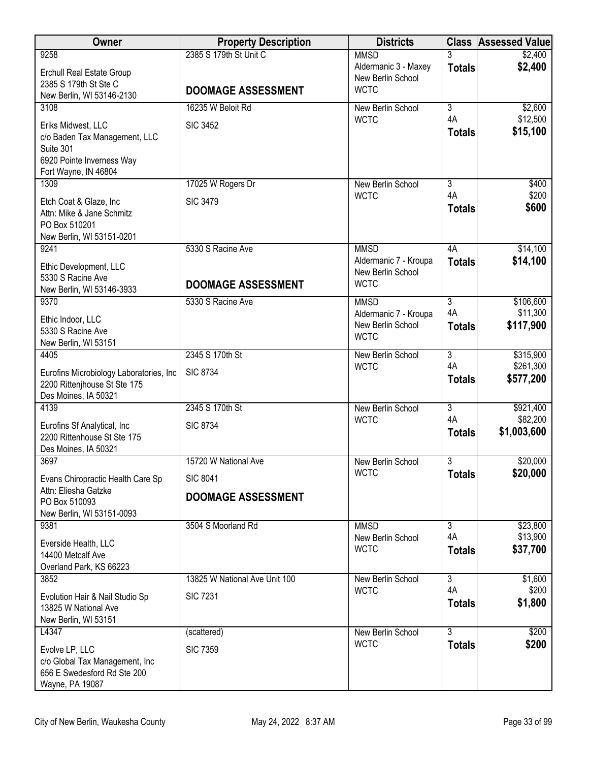| <b>Owner</b>                                        | <b>Property Description</b>   | <b>Districts</b>                           | <b>Class</b>         | <b>Assessed Value</b>  |
|-----------------------------------------------------|-------------------------------|--------------------------------------------|----------------------|------------------------|
| 9258                                                | 2385 S 179th St Unit C        | <b>MMSD</b>                                |                      | \$2,400                |
| <b>Erchull Real Estate Group</b>                    |                               | Aldermanic 3 - Maxey<br>New Berlin School  | <b>Totals</b>        | \$2,400                |
| 2385 S 179th St Ste C                               | <b>DOOMAGE ASSESSMENT</b>     | <b>WCTC</b>                                |                      |                        |
| New Berlin, WI 53146-2130                           |                               |                                            |                      |                        |
| 3108                                                | 16235 W Beloit Rd             | New Berlin School<br><b>WCTC</b>           | $\overline{3}$<br>4A | \$2,600<br>\$12,500    |
| Eriks Midwest, LLC                                  | <b>SIC 3452</b>               |                                            | <b>Totals</b>        | \$15,100               |
| c/o Baden Tax Management, LLC<br>Suite 301          |                               |                                            |                      |                        |
| 6920 Pointe Inverness Way                           |                               |                                            |                      |                        |
| Fort Wayne, IN 46804                                |                               |                                            |                      |                        |
| 1309                                                | 17025 W Rogers Dr             | New Berlin School                          | 3                    | \$400                  |
| Etch Coat & Glaze, Inc                              | <b>SIC 3479</b>               | <b>WCTC</b>                                | 4A                   | \$200                  |
| Attn: Mike & Jane Schmitz                           |                               |                                            | <b>Totals</b>        | \$600                  |
| PO Box 510201                                       |                               |                                            |                      |                        |
| New Berlin, WI 53151-0201                           |                               |                                            |                      |                        |
| 9241                                                | 5330 S Racine Ave             | <b>MMSD</b>                                | 4A                   | \$14,100               |
| Ethic Development, LLC                              |                               | Aldermanic 7 - Kroupa<br>New Berlin School | <b>Totals</b>        | \$14,100               |
| 5330 S Racine Ave                                   | <b>DOOMAGE ASSESSMENT</b>     | <b>WCTC</b>                                |                      |                        |
| New Berlin, WI 53146-3933                           |                               |                                            |                      |                        |
| 9370                                                | 5330 S Racine Ave             | <b>MMSD</b><br>Aldermanic 7 - Kroupa       | $\overline{3}$<br>4A | \$106,600<br>\$11,300  |
| Ethic Indoor, LLC                                   |                               | New Berlin School                          | <b>Totals</b>        | \$117,900              |
| 5330 S Racine Ave                                   |                               | <b>WCTC</b>                                |                      |                        |
| New Berlin, WI 53151                                |                               |                                            |                      |                        |
| 4405                                                | 2345 S 170th St               | New Berlin School<br><b>WCTC</b>           | $\overline{3}$<br>4A | \$315,900<br>\$261,300 |
| Eurofins Microbiology Laboratories, Inc.            | <b>SIC 8734</b>               |                                            | <b>Totals</b>        | \$577,200              |
| 2200 Rittenjhouse St Ste 175                        |                               |                                            |                      |                        |
| Des Moines, IA 50321<br>4139                        | 2345 S 170th St               | New Berlin School                          | $\overline{3}$       | \$921,400              |
|                                                     |                               | <b>WCTC</b>                                | 4A                   | \$82,200               |
| Eurofins Sf Analytical, Inc                         | <b>SIC 8734</b>               |                                            | <b>Totals</b>        | \$1,003,600            |
| 2200 Rittenhouse St Ste 175<br>Des Moines, IA 50321 |                               |                                            |                      |                        |
| 3697                                                | 15720 W National Ave          | New Berlin School                          | 3                    | \$20,000               |
| Evans Chiropractic Health Care Sp                   | <b>SIC 8041</b>               | <b>WCTC</b>                                | <b>Totals</b>        | \$20,000               |
| Attn: Eliesha Gatzke                                |                               |                                            |                      |                        |
| PO Box 510093                                       | <b>DOOMAGE ASSESSMENT</b>     |                                            |                      |                        |
| New Berlin, WI 53151-0093                           |                               |                                            |                      |                        |
| 9381                                                | 3504 S Moorland Rd            | <b>MMSD</b>                                | $\overline{3}$       | \$23,800               |
| Everside Health, LLC                                |                               | New Berlin School<br><b>WCTC</b>           | 4A                   | \$13,900<br>\$37,700   |
| 14400 Metcalf Ave                                   |                               |                                            | <b>Totals</b>        |                        |
| Overland Park, KS 66223                             |                               |                                            |                      |                        |
| 3852                                                | 13825 W National Ave Unit 100 | New Berlin School                          | $\overline{3}$<br>4A | \$1,600                |
| Evolution Hair & Nail Studio Sp                     | <b>SIC 7231</b>               | <b>WCTC</b>                                | <b>Totals</b>        | \$200<br>\$1,800       |
| 13825 W National Ave                                |                               |                                            |                      |                        |
| New Berlin, WI 53151                                |                               |                                            |                      |                        |
| L4347                                               | (scattered)                   | New Berlin School<br><b>WCTC</b>           | $\overline{3}$       | \$200                  |
| Evolve LP, LLC                                      | <b>SIC 7359</b>               |                                            | <b>Totals</b>        | \$200                  |
| c/o Global Tax Management, Inc                      |                               |                                            |                      |                        |
| 656 E Swedesford Rd Ste 200                         |                               |                                            |                      |                        |
| Wayne, PA 19087                                     |                               |                                            |                      |                        |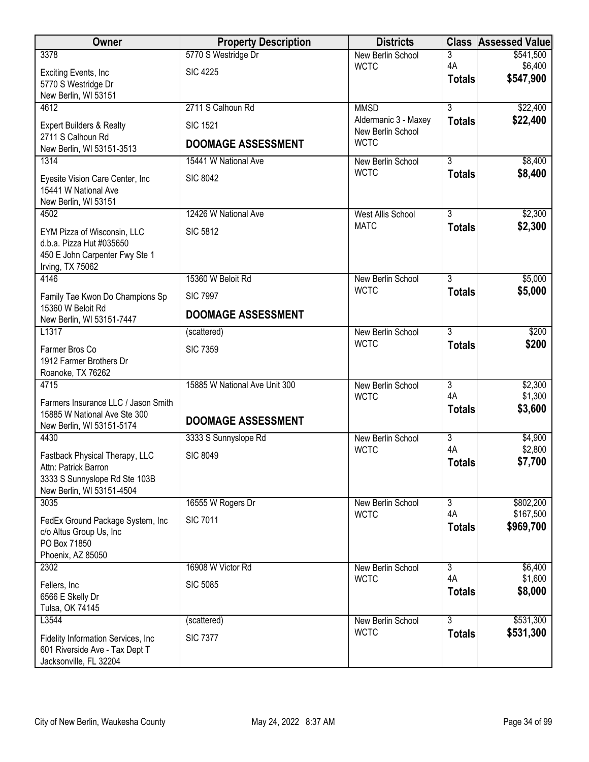| Owner                                                                 | <b>Property Description</b>   | <b>Districts</b>                 |                     | <b>Class Assessed Value</b> |
|-----------------------------------------------------------------------|-------------------------------|----------------------------------|---------------------|-----------------------------|
| 3378                                                                  | 5770 S Westridge Dr           | New Berlin School                | 3                   | \$541,500                   |
| Exciting Events, Inc.                                                 | <b>SIC 4225</b>               | <b>WCTC</b>                      | 4A<br><b>Totals</b> | \$6,400<br>\$547,900        |
| 5770 S Westridge Dr<br>New Berlin, WI 53151                           |                               |                                  |                     |                             |
| 4612                                                                  | 2711 S Calhoun Rd             | <b>MMSD</b>                      | $\overline{3}$      | \$22,400                    |
| Expert Builders & Realty                                              | <b>SIC 1521</b>               | Aldermanic 3 - Maxey             | <b>Totals</b>       | \$22,400                    |
| 2711 S Calhoun Rd                                                     |                               | New Berlin School                |                     |                             |
| New Berlin, WI 53151-3513                                             | <b>DOOMAGE ASSESSMENT</b>     | <b>WCTC</b>                      |                     |                             |
| 1314                                                                  | 15441 W National Ave          | New Berlin School<br><b>WCTC</b> | $\overline{3}$      | \$8,400                     |
| Eyesite Vision Care Center, Inc                                       | <b>SIC 8042</b>               |                                  | <b>Totals</b>       | \$8,400                     |
| 15441 W National Ave<br>New Berlin, WI 53151                          |                               |                                  |                     |                             |
| 4502                                                                  | 12426 W National Ave          | <b>West Allis School</b>         | $\overline{3}$      | \$2,300                     |
| EYM Pizza of Wisconsin, LLC                                           | <b>SIC 5812</b>               | <b>MATC</b>                      | <b>Totals</b>       | \$2,300                     |
| d.b.a. Pizza Hut #035650                                              |                               |                                  |                     |                             |
| 450 E John Carpenter Fwy Ste 1                                        |                               |                                  |                     |                             |
| Irving, TX 75062<br>4146                                              | 15360 W Beloit Rd             | New Berlin School                | $\overline{3}$      | \$5,000                     |
|                                                                       |                               | <b>WCTC</b>                      | <b>Totals</b>       | \$5,000                     |
| Family Tae Kwon Do Champions Sp<br>15360 W Beloit Rd                  | <b>SIC 7997</b>               |                                  |                     |                             |
| New Berlin, WI 53151-7447                                             | <b>DOOMAGE ASSESSMENT</b>     |                                  |                     |                             |
| L1317                                                                 | (scattered)                   | New Berlin School                | $\overline{3}$      | \$200                       |
| Farmer Bros Co                                                        | <b>SIC 7359</b>               | <b>WCTC</b>                      | <b>Totals</b>       | \$200                       |
| 1912 Farmer Brothers Dr<br>Roanoke, TX 76262                          |                               |                                  |                     |                             |
| 4715                                                                  | 15885 W National Ave Unit 300 | New Berlin School                | $\overline{3}$      | \$2,300                     |
| Farmers Insurance LLC / Jason Smith                                   |                               | <b>WCTC</b>                      | 4A                  | \$1,300                     |
| 15885 W National Ave Ste 300                                          |                               |                                  | <b>Totals</b>       | \$3,600                     |
| New Berlin, WI 53151-5174                                             | <b>DOOMAGE ASSESSMENT</b>     |                                  |                     |                             |
| 4430                                                                  | 3333 S Sunnyslope Rd          | New Berlin School<br><b>WCTC</b> | 3<br>4A             | \$4,900<br>\$2,800          |
| Fastback Physical Therapy, LLC                                        | <b>SIC 8049</b>               |                                  | <b>Totals</b>       | \$7,700                     |
| Attn: Patrick Barron<br>3333 S Sunnyslope Rd Ste 103B                 |                               |                                  |                     |                             |
| New Berlin, WI 53151-4504                                             |                               |                                  |                     |                             |
| 3035                                                                  | 16555 W Rogers Dr             | New Berlin School                | $\overline{3}$      | \$802,200                   |
| FedEx Ground Package System, Inc                                      | <b>SIC 7011</b>               | <b>WCTC</b>                      | 4A<br><b>Totals</b> | \$167,500<br>\$969,700      |
| c/o Altus Group Us, Inc                                               |                               |                                  |                     |                             |
| PO Box 71850<br>Phoenix, AZ 85050                                     |                               |                                  |                     |                             |
| 2302                                                                  | 16908 W Victor Rd             | New Berlin School                | $\overline{3}$      | \$6,400                     |
| Fellers, Inc.                                                         | <b>SIC 5085</b>               | <b>WCTC</b>                      | 4A                  | \$1,600                     |
| 6566 E Skelly Dr                                                      |                               |                                  | <b>Totals</b>       | \$8,000                     |
| Tulsa, OK 74145<br>L3544                                              |                               | New Berlin School                | $\overline{3}$      | \$531,300                   |
|                                                                       | (scattered)                   | <b>WCTC</b>                      | <b>Totals</b>       | \$531,300                   |
| Fidelity Information Services, Inc.<br>601 Riverside Ave - Tax Dept T | <b>SIC 7377</b>               |                                  |                     |                             |
| Jacksonville, FL 32204                                                |                               |                                  |                     |                             |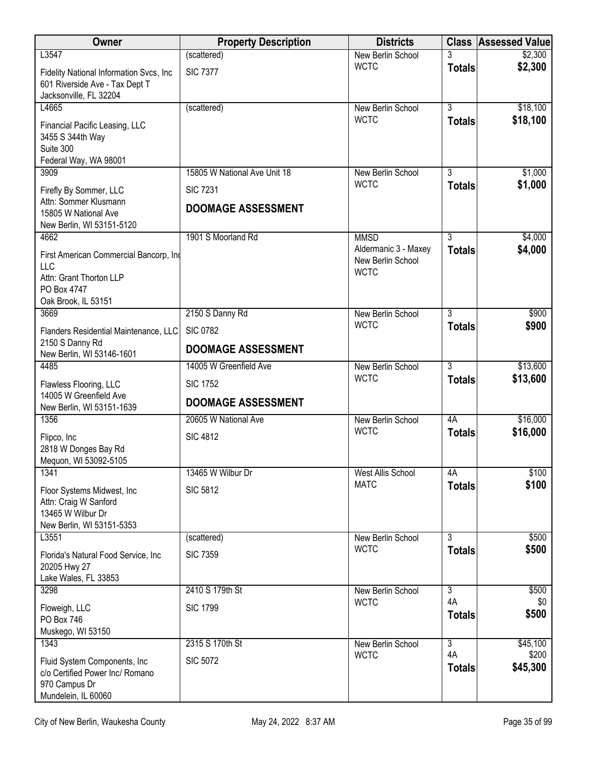| Owner                                                                                                                 | <b>Property Description</b>  | <b>Districts</b>                                         |                     | <b>Class Assessed Value</b> |
|-----------------------------------------------------------------------------------------------------------------------|------------------------------|----------------------------------------------------------|---------------------|-----------------------------|
| L3547                                                                                                                 | (scattered)                  | New Berlin School                                        |                     | \$2,300                     |
| Fidelity National Information Svcs, Inc<br>601 Riverside Ave - Tax Dept T<br>Jacksonville, FL 32204                   | <b>SIC 7377</b>              | <b>WCTC</b>                                              | <b>Totals</b>       | \$2,300                     |
| L4665                                                                                                                 | (scattered)                  | New Berlin School                                        | $\overline{3}$      | \$18,100                    |
| Financial Pacific Leasing, LLC<br>3455 S 344th Way<br>Suite 300<br>Federal Way, WA 98001                              |                              | <b>WCTC</b>                                              | <b>Totals</b>       | \$18,100                    |
| 3909                                                                                                                  | 15805 W National Ave Unit 18 | New Berlin School                                        | 3                   | \$1,000                     |
| Firefly By Sommer, LLC                                                                                                | <b>SIC 7231</b>              | <b>WCTC</b>                                              | <b>Totals</b>       | \$1,000                     |
| Attn: Sommer Klusmann<br>15805 W National Ave<br>New Berlin, WI 53151-5120                                            | <b>DOOMAGE ASSESSMENT</b>    |                                                          |                     |                             |
| 4662                                                                                                                  | 1901 S Moorland Rd           | <b>MMSD</b>                                              | $\overline{3}$      | \$4,000                     |
| First American Commercial Bancorp, Ind<br><b>LLC</b><br>Attn: Grant Thorton LLP<br>PO Box 4747<br>Oak Brook, IL 53151 |                              | Aldermanic 3 - Maxey<br>New Berlin School<br><b>WCTC</b> | <b>Totals</b>       | \$4,000                     |
| 3669                                                                                                                  | 2150 S Danny Rd              | New Berlin School                                        | $\overline{3}$      | \$900                       |
| Flanders Residential Maintenance, LLC<br>2150 S Danny Rd                                                              | <b>SIC 0782</b>              | <b>WCTC</b>                                              | <b>Totals</b>       | \$900                       |
| New Berlin, WI 53146-1601                                                                                             | <b>DOOMAGE ASSESSMENT</b>    |                                                          |                     |                             |
| 4485                                                                                                                  | 14005 W Greenfield Ave       | New Berlin School                                        | $\overline{3}$      | \$13,600                    |
| Flawless Flooring, LLC<br>14005 W Greenfield Ave                                                                      | <b>SIC 1752</b>              | <b>WCTC</b>                                              | <b>Totals</b>       | \$13,600                    |
| New Berlin, WI 53151-1639                                                                                             | <b>DOOMAGE ASSESSMENT</b>    |                                                          |                     |                             |
| 1356                                                                                                                  | 20605 W National Ave         | New Berlin School                                        | 4A                  | \$16,000                    |
| Flipco, Inc<br>2818 W Donges Bay Rd<br>Mequon, WI 53092-5105                                                          | <b>SIC 4812</b>              | <b>WCTC</b>                                              | <b>Totals</b>       | \$16,000                    |
| 1341                                                                                                                  | 13465 W Wilbur Dr            | <b>West Allis School</b>                                 | 4A                  | \$100                       |
| Floor Systems Midwest, Inc.<br>Attn: Craig W Sanford<br>13465 W Wilbur Dr<br>New Berlin, WI 53151-5353                | <b>SIC 5812</b>              | <b>MATC</b>                                              | <b>Totals</b>       | \$100                       |
| L3551                                                                                                                 | (scattered)                  | New Berlin School                                        | $\overline{3}$      | \$500                       |
| Florida's Natural Food Service, Inc<br>20205 Hwy 27                                                                   | <b>SIC 7359</b>              | <b>WCTC</b>                                              | <b>Totals</b>       | \$500                       |
| Lake Wales, FL 33853                                                                                                  | 2410 S 179th St              |                                                          | $\overline{3}$      |                             |
| 3298                                                                                                                  |                              | New Berlin School<br><b>WCTC</b>                         | 4A                  | \$500<br>\$0                |
| Floweigh, LLC<br>PO Box 746                                                                                           | <b>SIC 1799</b>              |                                                          | <b>Totals</b>       | \$500                       |
| Muskego, WI 53150<br>1343                                                                                             | 2315 S 170th St              | New Berlin School                                        | $\overline{3}$      | \$45,100                    |
| Fluid System Components, Inc.<br>c/o Certified Power Inc/ Romano<br>970 Campus Dr<br>Mundelein, IL 60060              | <b>SIC 5072</b>              | <b>WCTC</b>                                              | 4A<br><b>Totals</b> | \$200<br>\$45,300           |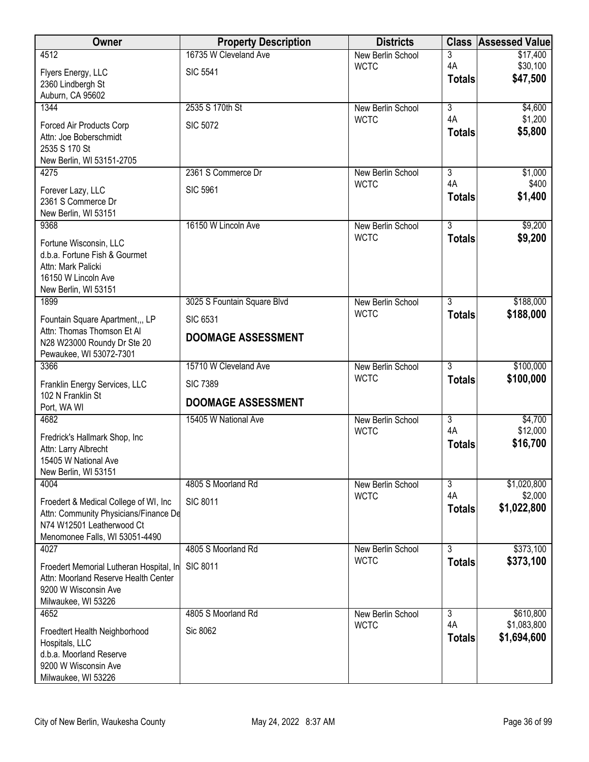| Owner                                              | <b>Property Description</b> | <b>Districts</b>                 |                     | <b>Class Assessed Value</b> |
|----------------------------------------------------|-----------------------------|----------------------------------|---------------------|-----------------------------|
| 4512                                               | 16735 W Cleveland Ave       | New Berlin School                | 3                   | \$17,400                    |
| Flyers Energy, LLC                                 | <b>SIC 5541</b>             | <b>WCTC</b>                      | 4A<br><b>Totals</b> | \$30,100<br>\$47,500        |
| 2360 Lindbergh St<br>Auburn, CA 95602              |                             |                                  |                     |                             |
| 1344                                               | 2535 S 170th St             | New Berlin School                | $\overline{3}$      | \$4,600                     |
| Forced Air Products Corp                           | <b>SIC 5072</b>             | <b>WCTC</b>                      | 4A                  | \$1,200                     |
| Attn: Joe Boberschmidt                             |                             |                                  | <b>Totals</b>       | \$5,800                     |
| 2535 S 170 St                                      |                             |                                  |                     |                             |
| New Berlin, WI 53151-2705<br>4275                  | 2361 S Commerce Dr          | New Berlin School                | 3                   | \$1,000                     |
|                                                    |                             | <b>WCTC</b>                      | 4A                  | \$400                       |
| Forever Lazy, LLC<br>2361 S Commerce Dr            | <b>SIC 5961</b>             |                                  | <b>Totals</b>       | \$1,400                     |
| New Berlin, WI 53151                               |                             |                                  |                     |                             |
| 9368                                               | 16150 W Lincoln Ave         | New Berlin School                | $\overline{3}$      | \$9,200                     |
| Fortune Wisconsin, LLC                             |                             | <b>WCTC</b>                      | <b>Totals</b>       | \$9,200                     |
| d.b.a. Fortune Fish & Gourmet                      |                             |                                  |                     |                             |
| Attn: Mark Palicki<br>16150 W Lincoln Ave          |                             |                                  |                     |                             |
| New Berlin, WI 53151                               |                             |                                  |                     |                             |
| 1899                                               | 3025 S Fountain Square Blvd | New Berlin School                | 3                   | \$188,000                   |
| Fountain Square Apartment,,, LP                    | <b>SIC 6531</b>             | <b>WCTC</b>                      | <b>Totals</b>       | \$188,000                   |
| Attn: Thomas Thomson Et Al                         | <b>DOOMAGE ASSESSMENT</b>   |                                  |                     |                             |
| N28 W23000 Roundy Dr Ste 20                        |                             |                                  |                     |                             |
| Pewaukee, WI 53072-7301<br>3366                    | 15710 W Cleveland Ave       | New Berlin School                | $\overline{3}$      | \$100,000                   |
|                                                    | <b>SIC 7389</b>             | <b>WCTC</b>                      | <b>Totals</b>       | \$100,000                   |
| Franklin Energy Services, LLC<br>102 N Franklin St |                             |                                  |                     |                             |
| Port, WA WI                                        | <b>DOOMAGE ASSESSMENT</b>   |                                  |                     |                             |
| 4682                                               | 15405 W National Ave        | New Berlin School                | $\overline{3}$      | \$4,700                     |
| Fredrick's Hallmark Shop, Inc                      |                             | <b>WCTC</b>                      | 4A<br><b>Totals</b> | \$12,000<br>\$16,700        |
| Attn: Larry Albrecht                               |                             |                                  |                     |                             |
| 15405 W National Ave<br>New Berlin, WI 53151       |                             |                                  |                     |                             |
| 4004                                               | 4805 S Moorland Rd          | New Berlin School                | 3                   | \$1,020,800                 |
| Froedert & Medical College of WI, Inc.             | <b>SIC 8011</b>             | <b>WCTC</b>                      | 4A                  | \$2,000                     |
| Attn: Community Physicians/Finance De              |                             |                                  | <b>Totals</b>       | \$1,022,800                 |
| N74 W12501 Leatherwood Ct                          |                             |                                  |                     |                             |
| Menomonee Falls, WI 53051-4490<br>4027             | 4805 S Moorland Rd          | New Berlin School                | $\overline{3}$      | \$373,100                   |
| Froedert Memorial Lutheran Hospital, In            | <b>SIC 8011</b>             | <b>WCTC</b>                      | <b>Totals</b>       | \$373,100                   |
| Attn: Moorland Reserve Health Center               |                             |                                  |                     |                             |
| 9200 W Wisconsin Ave                               |                             |                                  |                     |                             |
| Milwaukee, WI 53226                                |                             |                                  |                     |                             |
| 4652                                               | 4805 S Moorland Rd          | New Berlin School<br><b>WCTC</b> | 3<br>4A             | \$610,800<br>\$1,083,800    |
| Froedtert Health Neighborhood                      | Sic 8062                    |                                  | <b>Totals</b>       | \$1,694,600                 |
| Hospitals, LLC<br>d.b.a. Moorland Reserve          |                             |                                  |                     |                             |
| 9200 W Wisconsin Ave                               |                             |                                  |                     |                             |
| Milwaukee, WI 53226                                |                             |                                  |                     |                             |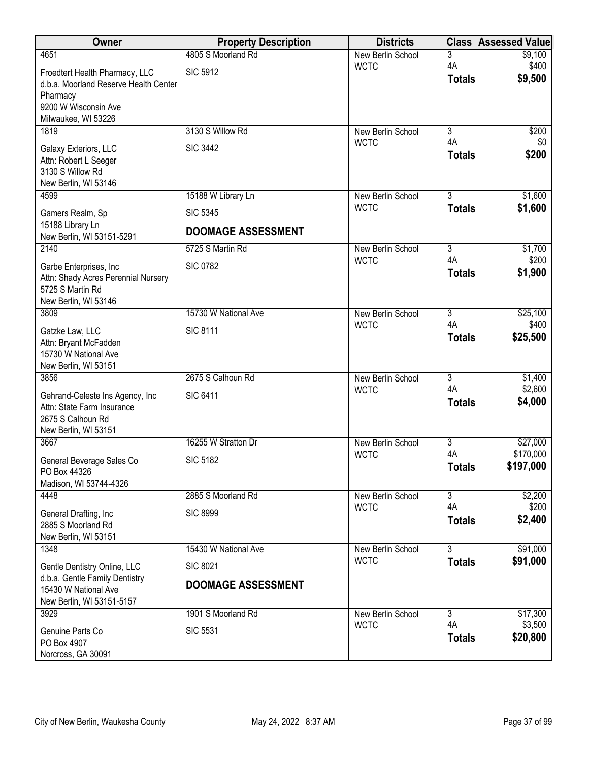| Owner                                                                                                               | <b>Property Description</b>                  | <b>Districts</b>         | <b>Class</b>        | <b>Assessed Value</b>  |
|---------------------------------------------------------------------------------------------------------------------|----------------------------------------------|--------------------------|---------------------|------------------------|
| 4651                                                                                                                | 4805 S Moorland Rd                           | New Berlin School        | 3                   | \$9,100                |
| Froedtert Health Pharmacy, LLC<br>d.b.a. Moorland Reserve Health Center<br>Pharmacy                                 | <b>SIC 5912</b>                              | <b>WCTC</b>              | 4A<br><b>Totals</b> | \$400<br>\$9,500       |
| 9200 W Wisconsin Ave<br>Milwaukee, WI 53226                                                                         |                                              |                          |                     |                        |
| 1819                                                                                                                | 3130 S Willow Rd                             | New Berlin School        | $\overline{3}$      | \$200                  |
| Galaxy Exteriors, LLC<br>Attn: Robert L Seeger<br>3130 S Willow Rd<br>New Berlin, WI 53146                          | <b>SIC 3442</b>                              | <b>WCTC</b>              | 4A<br><b>Totals</b> | \$0<br>\$200           |
| 4599                                                                                                                | 15188 W Library Ln                           | New Berlin School        | $\overline{3}$      | \$1,600                |
| Gamers Realm, Sp                                                                                                    | <b>SIC 5345</b>                              | <b>WCTC</b>              | <b>Totals</b>       | \$1,600                |
| 15188 Library Ln<br>New Berlin, WI 53151-5291                                                                       | <b>DOOMAGE ASSESSMENT</b>                    |                          |                     |                        |
| 2140                                                                                                                | 5725 S Martin Rd                             | New Berlin School        | $\overline{3}$      | \$1,700                |
| Garbe Enterprises, Inc.<br>Attn: Shady Acres Perennial Nursery<br>5725 S Martin Rd<br>New Berlin, WI 53146          | <b>SIC 0782</b>                              | <b>WCTC</b>              | 4A<br><b>Totals</b> | \$200<br>\$1,900       |
| 3809                                                                                                                | 15730 W National Ave                         | New Berlin School        | $\overline{3}$      | \$25,100               |
| Gatzke Law, LLC<br>Attn: Bryant McFadden<br>15730 W National Ave<br>New Berlin, WI 53151                            | <b>SIC 8111</b>                              | <b>WCTC</b>              | 4A<br><b>Totals</b> | \$400<br>\$25,500      |
| 3856                                                                                                                | 2675 S Calhoun Rd                            | New Berlin School        | $\overline{3}$      | \$1,400                |
| Gehrand-Celeste Ins Agency, Inc<br>Attn: State Farm Insurance<br>2675 S Calhoun Rd<br>New Berlin, WI 53151          | <b>SIC 6411</b>                              | <b>WCTC</b>              | 4A<br><b>Totals</b> | \$2,600<br>\$4,000     |
| 3667                                                                                                                | 16255 W Stratton Dr                          | <b>New Berlin School</b> | $\overline{3}$      | \$27,000               |
| General Beverage Sales Co<br>PO Box 44326<br>Madison, WI 53744-4326                                                 | <b>SIC 5182</b>                              | <b>WCTC</b>              | 4A<br><b>Totals</b> | \$170,000<br>\$197,000 |
| 4448                                                                                                                | 2885 S Moorland Rd                           | New Berlin School        | $\overline{3}$      | \$2,200                |
| General Drafting, Inc<br>2885 S Moorland Rd<br>New Berlin, WI 53151                                                 | <b>SIC 8999</b>                              | <b>WCTC</b>              | 4A<br><b>Totals</b> | \$200<br>\$2,400       |
| 1348                                                                                                                | 15430 W National Ave                         | New Berlin School        | $\overline{3}$      | \$91,000               |
| Gentle Dentistry Online, LLC<br>d.b.a. Gentle Family Dentistry<br>15430 W National Ave<br>New Berlin, WI 53151-5157 | <b>SIC 8021</b><br><b>DOOMAGE ASSESSMENT</b> | <b>WCTC</b>              | <b>Totals</b>       | \$91,000               |
| 3929                                                                                                                | 1901 S Moorland Rd                           | New Berlin School        | $\overline{3}$      | \$17,300               |
| Genuine Parts Co<br>PO Box 4907<br>Norcross, GA 30091                                                               | <b>SIC 5531</b>                              | <b>WCTC</b>              | 4A<br><b>Totals</b> | \$3,500<br>\$20,800    |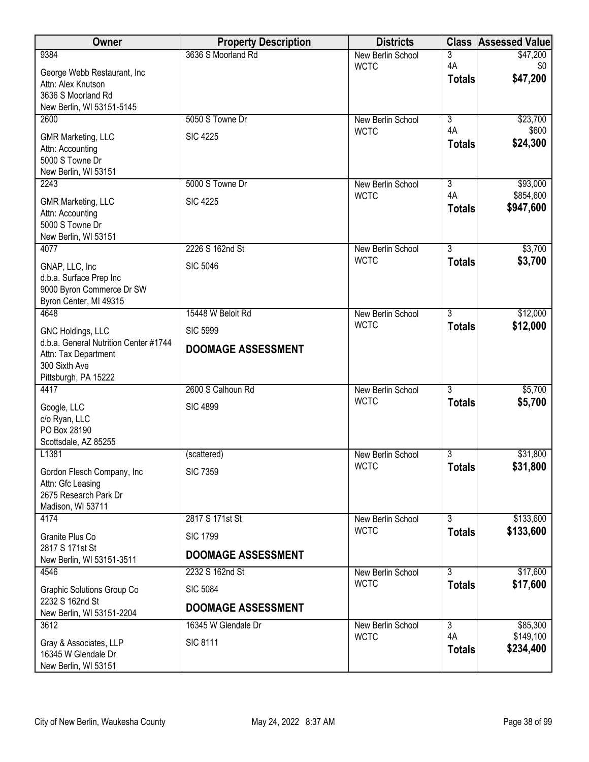| Owner                                        | <b>Property Description</b> | <b>Districts</b>  |                     | <b>Class Assessed Value</b> |
|----------------------------------------------|-----------------------------|-------------------|---------------------|-----------------------------|
| 9384                                         | 3636 S Moorland Rd          | New Berlin School | 3                   | \$47,200                    |
| George Webb Restaurant, Inc                  |                             | <b>WCTC</b>       | 4A<br><b>Totals</b> | \$0<br>\$47,200             |
| Attn: Alex Knutson<br>3636 S Moorland Rd     |                             |                   |                     |                             |
| New Berlin, WI 53151-5145                    |                             |                   |                     |                             |
| 2600                                         | 5050 S Towne Dr             | New Berlin School | $\overline{3}$      | \$23,700                    |
| <b>GMR Marketing, LLC</b>                    | <b>SIC 4225</b>             | <b>WCTC</b>       | 4A                  | \$600                       |
| Attn: Accounting                             |                             |                   | <b>Totals</b>       | \$24,300                    |
| 5000 S Towne Dr<br>New Berlin, WI 53151      |                             |                   |                     |                             |
| 2243                                         | 5000 S Towne Dr             | New Berlin School | $\overline{3}$      | \$93,000                    |
| <b>GMR Marketing, LLC</b>                    | <b>SIC 4225</b>             | <b>WCTC</b>       | 4A                  | \$854,600                   |
| Attn: Accounting                             |                             |                   | <b>Totals</b>       | \$947,600                   |
| 5000 S Towne Dr<br>New Berlin, WI 53151      |                             |                   |                     |                             |
| 4077                                         | 2226 S 162nd St             | New Berlin School | $\overline{3}$      | \$3,700                     |
| GNAP, LLC, Inc                               | <b>SIC 5046</b>             | <b>WCTC</b>       | <b>Totals</b>       | \$3,700                     |
| d.b.a. Surface Prep Inc                      |                             |                   |                     |                             |
| 9000 Byron Commerce Dr SW                    |                             |                   |                     |                             |
| Byron Center, MI 49315<br>4648               | 15448 W Beloit Rd           | New Berlin School | $\overline{3}$      | \$12,000                    |
| GNC Holdings, LLC                            | <b>SIC 5999</b>             | <b>WCTC</b>       | <b>Totals</b>       | \$12,000                    |
| d.b.a. General Nutrition Center #1744        |                             |                   |                     |                             |
| Attn: Tax Department                         | <b>DOOMAGE ASSESSMENT</b>   |                   |                     |                             |
| 300 Sixth Ave<br>Pittsburgh, PA 15222        |                             |                   |                     |                             |
| 4417                                         | 2600 S Calhoun Rd           | New Berlin School | $\overline{3}$      | \$5,700                     |
| Google, LLC                                  | <b>SIC 4899</b>             | <b>WCTC</b>       | <b>Totals</b>       | \$5,700                     |
| c/o Ryan, LLC                                |                             |                   |                     |                             |
| PO Box 28190<br>Scottsdale, AZ 85255         |                             |                   |                     |                             |
| L1381                                        | (scattered)                 | New Berlin School | $\overline{3}$      | \$31,800                    |
| Gordon Flesch Company, Inc                   | <b>SIC 7359</b>             | <b>WCTC</b>       | <b>Totals</b>       | \$31,800                    |
| Attn: Gfc Leasing                            |                             |                   |                     |                             |
| 2675 Research Park Dr<br>Madison, WI 53711   |                             |                   |                     |                             |
| 4174                                         | 2817 S 171st St             | New Berlin School | $\overline{3}$      | \$133,600                   |
| Granite Plus Co                              | <b>SIC 1799</b>             | <b>WCTC</b>       | <b>Totals</b>       | \$133,600                   |
| 2817 S 171st St<br>New Berlin, WI 53151-3511 | <b>DOOMAGE ASSESSMENT</b>   |                   |                     |                             |
| 4546                                         | 2232 S 162nd St             | New Berlin School | $\overline{3}$      | \$17,600                    |
| Graphic Solutions Group Co                   | <b>SIC 5084</b>             | <b>WCTC</b>       | <b>Totals</b>       | \$17,600                    |
| 2232 S 162nd St<br>New Berlin, WI 53151-2204 | <b>DOOMAGE ASSESSMENT</b>   |                   |                     |                             |
| 3612                                         | 16345 W Glendale Dr         | New Berlin School | $\overline{3}$      | \$85,300                    |
| Gray & Associates, LLP                       | <b>SIC 8111</b>             | <b>WCTC</b>       | 4A                  | \$149,100                   |
| 16345 W Glendale Dr                          |                             |                   | <b>Totals</b>       | \$234,400                   |
| New Berlin, WI 53151                         |                             |                   |                     |                             |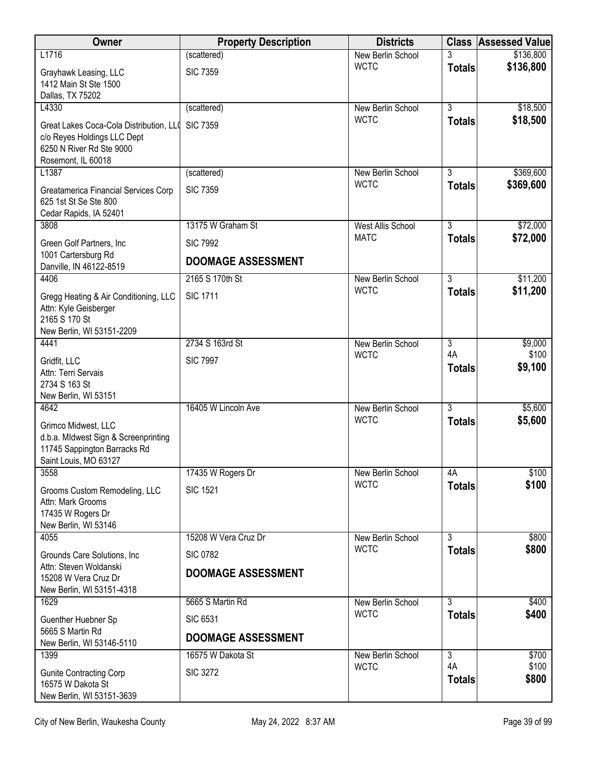| Owner                                                                                                                    | <b>Property Description</b> | <b>Districts</b>  | <b>Class</b>        | <b>Assessed Value</b> |
|--------------------------------------------------------------------------------------------------------------------------|-----------------------------|-------------------|---------------------|-----------------------|
| L1716                                                                                                                    | (scattered)                 | New Berlin School |                     | \$136,800             |
| Grayhawk Leasing, LLC<br>1412 Main St Ste 1500<br>Dallas, TX 75202                                                       | <b>SIC 7359</b>             | <b>WCTC</b>       | <b>Totals</b>       | \$136,800             |
| L4330                                                                                                                    | (scattered)                 | New Berlin School | $\overline{3}$      | \$18,500              |
| Great Lakes Coca-Cola Distribution, LLO<br>c/o Reyes Holdings LLC Dept<br>6250 N River Rd Ste 9000<br>Rosemont, IL 60018 | <b>SIC 7359</b>             | <b>WCTC</b>       | <b>Totals</b>       | \$18,500              |
| L1387                                                                                                                    | (scattered)                 | New Berlin School | 3                   | \$369,600             |
| Greatamerica Financial Services Corp<br>625 1st St Se Ste 800<br>Cedar Rapids, IA 52401                                  | <b>SIC 7359</b>             | <b>WCTC</b>       | <b>Totals</b>       | \$369,600             |
| 3808                                                                                                                     | 13175 W Graham St           | West Allis School | $\overline{3}$      | \$72,000              |
| Green Golf Partners, Inc                                                                                                 | <b>SIC 7992</b>             | <b>MATC</b>       | <b>Totals</b>       | \$72,000              |
| 1001 Cartersburg Rd<br>Danville, IN 46122-8519                                                                           | <b>DOOMAGE ASSESSMENT</b>   |                   |                     |                       |
| 4406                                                                                                                     | 2165 S 170th St             | New Berlin School | $\overline{3}$      | \$11,200              |
| Gregg Heating & Air Conditioning, LLC<br>Attn: Kyle Geisberger<br>2165 S 170 St<br>New Berlin, WI 53151-2209             | <b>SIC 1711</b>             | <b>WCTC</b>       | <b>Totals</b>       | \$11,200              |
| 4441                                                                                                                     | 2734 S 163rd St             | New Berlin School | $\overline{3}$      | \$9,000               |
| Gridfit, LLC                                                                                                             | <b>SIC 7997</b>             | <b>WCTC</b>       | 4A                  | \$100                 |
| Attn: Terri Servais<br>2734 S 163 St<br>New Berlin, WI 53151                                                             |                             |                   | <b>Totals</b>       | \$9,100               |
| 4642                                                                                                                     | 16405 W Lincoln Ave         | New Berlin School | $\overline{3}$      | \$5,600               |
| Grimco Midwest, LLC<br>d.b.a. MIdwest Sign & Screenprinting<br>11745 Sappington Barracks Rd<br>Saint Louis, MO 63127     |                             | <b>WCTC</b>       | <b>Totals</b>       | \$5,600               |
| 3558                                                                                                                     | 17435 W Rogers Dr           | New Berlin School | 4A                  | \$100                 |
| Grooms Custom Remodeling, LLC<br>Attn: Mark Grooms<br>17435 W Rogers Dr<br>New Berlin, WI 53146                          | <b>SIC 1521</b>             | <b>WCTC</b>       | <b>Totals</b>       | \$100                 |
| 4055                                                                                                                     | 15208 W Vera Cruz Dr        | New Berlin School | $\overline{3}$      | \$800                 |
| Grounds Care Solutions, Inc.                                                                                             | <b>SIC 0782</b>             | <b>WCTC</b>       | <b>Totals</b>       | \$800                 |
| Attn: Steven Woldanski<br>15208 W Vera Cruz Dr<br>New Berlin, WI 53151-4318                                              | <b>DOOMAGE ASSESSMENT</b>   |                   |                     |                       |
| 1629                                                                                                                     | 5665 S Martin Rd            | New Berlin School | 3                   | \$400                 |
| Guenther Huebner Sp                                                                                                      | <b>SIC 6531</b>             | <b>WCTC</b>       | <b>Totals</b>       | \$400                 |
| 5665 S Martin Rd<br>New Berlin, WI 53146-5110                                                                            | <b>DOOMAGE ASSESSMENT</b>   |                   |                     |                       |
| 1399                                                                                                                     | 16575 W Dakota St           | New Berlin School | $\overline{3}$      | \$700                 |
| <b>Gunite Contracting Corp</b><br>16575 W Dakota St<br>New Berlin, WI 53151-3639                                         | <b>SIC 3272</b>             | <b>WCTC</b>       | 4A<br><b>Totals</b> | \$100<br>\$800        |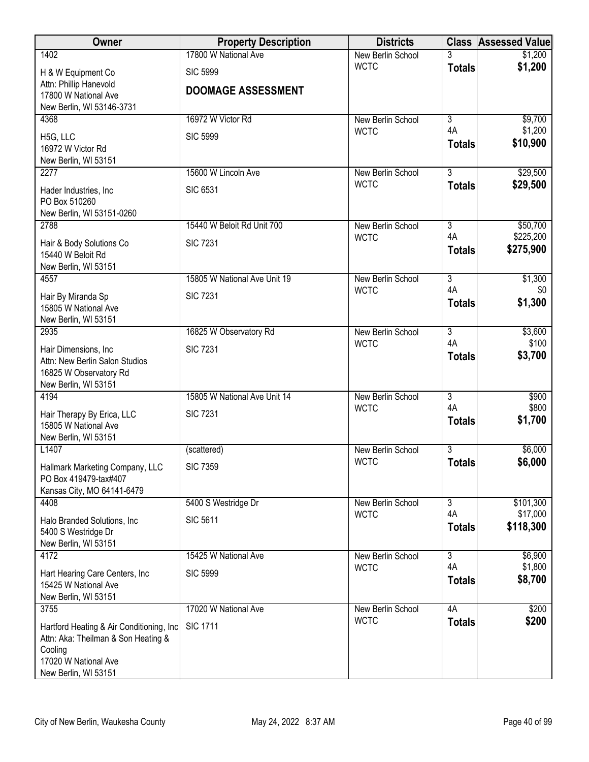| Owner                                                                            | <b>Property Description</b>  | <b>Districts</b>                 |                                 | <b>Class Assessed Value</b> |
|----------------------------------------------------------------------------------|------------------------------|----------------------------------|---------------------------------|-----------------------------|
| 1402                                                                             | 17800 W National Ave         | New Berlin School                | 3                               | \$1,200                     |
| H & W Equipment Co                                                               | <b>SIC 5999</b>              | <b>WCTC</b>                      | <b>Totals</b>                   | \$1,200                     |
| Attn: Phillip Hanevold<br>17800 W National Ave                                   | <b>DOOMAGE ASSESSMENT</b>    |                                  |                                 |                             |
| New Berlin, WI 53146-3731                                                        |                              |                                  |                                 |                             |
| 4368                                                                             | 16972 W Victor Rd            | New Berlin School                | $\overline{3}$                  | \$9,700                     |
| H5G, LLC                                                                         | <b>SIC 5999</b>              | <b>WCTC</b>                      | 4A                              | \$1,200                     |
| 16972 W Victor Rd                                                                |                              |                                  | <b>Totals</b>                   | \$10,900                    |
| New Berlin, WI 53151                                                             |                              |                                  |                                 |                             |
| 2277                                                                             | 15600 W Lincoln Ave          | New Berlin School<br><b>WCTC</b> | $\overline{3}$<br><b>Totals</b> | \$29,500<br>\$29,500        |
| Hader Industries, Inc.                                                           | <b>SIC 6531</b>              |                                  |                                 |                             |
| PO Box 510260<br>New Berlin, WI 53151-0260                                       |                              |                                  |                                 |                             |
| 2788                                                                             | 15440 W Beloit Rd Unit 700   | New Berlin School                | $\overline{3}$                  | \$50,700                    |
| Hair & Body Solutions Co                                                         | <b>SIC 7231</b>              | <b>WCTC</b>                      | 4A                              | \$225,200                   |
| 15440 W Beloit Rd                                                                |                              |                                  | <b>Totals</b>                   | \$275,900                   |
| New Berlin, WI 53151                                                             |                              |                                  |                                 |                             |
| 4557                                                                             | 15805 W National Ave Unit 19 | New Berlin School<br><b>WCTC</b> | $\overline{3}$<br>4A            | \$1,300<br>\$0              |
| Hair By Miranda Sp                                                               | <b>SIC 7231</b>              |                                  | <b>Totals</b>                   | \$1,300                     |
| 15805 W National Ave<br>New Berlin, WI 53151                                     |                              |                                  |                                 |                             |
| 2935                                                                             | 16825 W Observatory Rd       | New Berlin School                | $\overline{3}$                  | \$3,600                     |
| Hair Dimensions, Inc                                                             | <b>SIC 7231</b>              | <b>WCTC</b>                      | 4A                              | \$100                       |
| Attn: New Berlin Salon Studios                                                   |                              |                                  | <b>Totals</b>                   | \$3,700                     |
| 16825 W Observatory Rd                                                           |                              |                                  |                                 |                             |
| New Berlin, WI 53151<br>4194                                                     | 15805 W National Ave Unit 14 | <b>New Berlin School</b>         | $\overline{3}$                  | \$900                       |
|                                                                                  |                              | <b>WCTC</b>                      | 4A                              | \$800                       |
| Hair Therapy By Erica, LLC<br>15805 W National Ave                               | <b>SIC 7231</b>              |                                  | <b>Totals</b>                   | \$1,700                     |
| New Berlin, WI 53151                                                             |                              |                                  |                                 |                             |
| L1407                                                                            | (scattered)                  | New Berlin School                | 3                               | \$6,000                     |
| Hallmark Marketing Company, LLC                                                  | <b>SIC 7359</b>              | <b>WCTC</b>                      | <b>Totals</b>                   | \$6,000                     |
| PO Box 419479-tax#407                                                            |                              |                                  |                                 |                             |
| Kansas City, MO 64141-6479<br>4408                                               | 5400 S Westridge Dr          | New Berlin School                | 3                               | \$101,300                   |
|                                                                                  |                              | <b>WCTC</b>                      | 4A                              | \$17,000                    |
| Halo Branded Solutions, Inc.<br>5400 S Westridge Dr                              | <b>SIC 5611</b>              |                                  | <b>Totals</b>                   | \$118,300                   |
| New Berlin, WI 53151                                                             |                              |                                  |                                 |                             |
| 4172                                                                             | 15425 W National Ave         | New Berlin School                | $\overline{3}$                  | \$6,900                     |
| Hart Hearing Care Centers, Inc.                                                  | <b>SIC 5999</b>              | <b>WCTC</b>                      | 4A                              | \$1,800                     |
| 15425 W National Ave                                                             |                              |                                  | <b>Totals</b>                   | \$8,700                     |
| New Berlin, WI 53151<br>3755                                                     | 17020 W National Ave         | New Berlin School                | 4A                              | \$200                       |
|                                                                                  |                              | <b>WCTC</b>                      | <b>Totals</b>                   | \$200                       |
| Hartford Heating & Air Conditioning, Inc.<br>Attn: Aka: Theilman & Son Heating & | <b>SIC 1711</b>              |                                  |                                 |                             |
| Cooling                                                                          |                              |                                  |                                 |                             |
| 17020 W National Ave                                                             |                              |                                  |                                 |                             |
| New Berlin, WI 53151                                                             |                              |                                  |                                 |                             |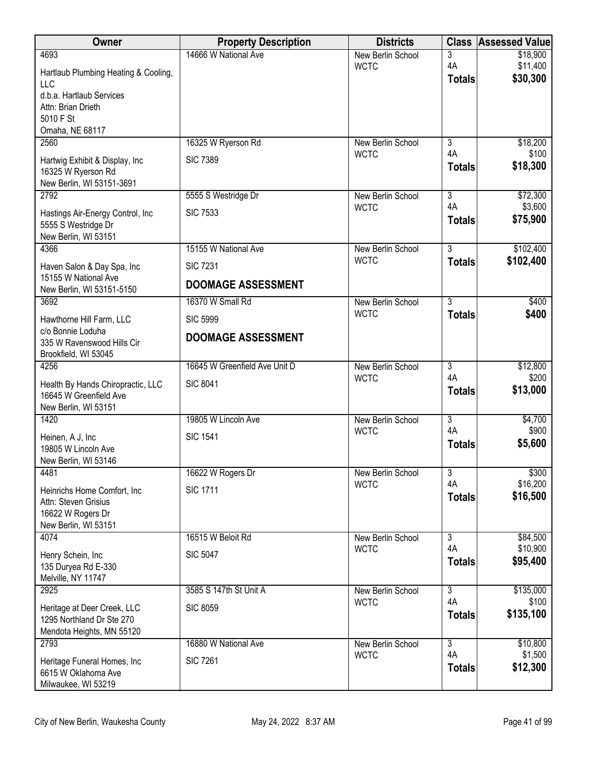| Owner                                                                               | <b>Property Description</b>   | <b>Districts</b>                 | <b>Class</b>                    | <b>Assessed Value</b>  |
|-------------------------------------------------------------------------------------|-------------------------------|----------------------------------|---------------------------------|------------------------|
| 4693                                                                                | 14666 W National Ave          | New Berlin School                | 3                               | \$18,900               |
| Hartlaub Plumbing Heating & Cooling,<br><b>LLC</b>                                  |                               | <b>WCTC</b>                      | 4A<br><b>Totals</b>             | \$11,400<br>\$30,300   |
| d.b.a. Hartlaub Services<br>Attn: Brian Drieth                                      |                               |                                  |                                 |                        |
| 5010 F St                                                                           |                               |                                  |                                 |                        |
| Omaha, NE 68117                                                                     |                               |                                  |                                 |                        |
| 2560                                                                                | 16325 W Ryerson Rd            | New Berlin School<br><b>WCTC</b> | 3<br>4A                         | \$18,200<br>\$100      |
| Hartwig Exhibit & Display, Inc.<br>16325 W Ryerson Rd                               | <b>SIC 7389</b>               |                                  | <b>Totals</b>                   | \$18,300               |
| New Berlin, WI 53151-3691                                                           |                               |                                  |                                 |                        |
| 2792                                                                                | 5555 S Westridge Dr           | New Berlin School<br><b>WCTC</b> | 3<br>4A                         | \$72,300<br>\$3,600    |
| Hastings Air-Energy Control, Inc<br>5555 S Westridge Dr                             | <b>SIC 7533</b>               |                                  | <b>Totals</b>                   | \$75,900               |
| New Berlin, WI 53151                                                                |                               |                                  |                                 |                        |
| 4366                                                                                | 15155 W National Ave          | New Berlin School<br><b>WCTC</b> | $\overline{3}$<br><b>Totals</b> | \$102,400<br>\$102,400 |
| Haven Salon & Day Spa, Inc<br>15155 W National Ave                                  | <b>SIC 7231</b>               |                                  |                                 |                        |
| New Berlin, WI 53151-5150                                                           | <b>DOOMAGE ASSESSMENT</b>     |                                  |                                 |                        |
| 3692                                                                                | 16370 W Small Rd              | New Berlin School                | 3                               | \$400                  |
| Hawthorne Hill Farm, LLC                                                            | <b>SIC 5999</b>               | <b>WCTC</b>                      | <b>Totals</b>                   | \$400                  |
| c/o Bonnie Loduha<br>335 W Ravenswood Hills Cir<br>Brookfield, WI 53045             | <b>DOOMAGE ASSESSMENT</b>     |                                  |                                 |                        |
| 4256                                                                                | 16645 W Greenfield Ave Unit D | New Berlin School                | $\overline{3}$                  | \$12,800               |
| Health By Hands Chiropractic, LLC<br>16645 W Greenfield Ave<br>New Berlin, WI 53151 | <b>SIC 8041</b>               | <b>WCTC</b>                      | 4A<br><b>Totals</b>             | \$200<br>\$13,000      |
| 1420                                                                                | 19805 W Lincoln Ave           | New Berlin School                | $\overline{3}$                  | \$4,700                |
| Heinen, A J, Inc.                                                                   | <b>SIC 1541</b>               | <b>WCTC</b>                      | 4A                              | \$900                  |
| 19805 W Lincoln Ave                                                                 |                               |                                  | <b>Totals</b>                   | \$5,600                |
| New Berlin, WI 53146                                                                |                               |                                  |                                 |                        |
| 4481                                                                                | 16622 W Rogers Dr             | New Berlin School<br><b>WCTC</b> | 3<br>4A                         | \$300<br>\$16,200      |
| Heinrichs Home Comfort, Inc.<br>Attn: Steven Grisius                                | <b>SIC 1711</b>               |                                  | <b>Totals</b>                   | \$16,500               |
| 16622 W Rogers Dr                                                                   |                               |                                  |                                 |                        |
| New Berlin, WI 53151                                                                |                               |                                  |                                 |                        |
| 4074                                                                                | 16515 W Beloit Rd             | New Berlin School                | $\overline{3}$<br>4A            | \$84,500<br>\$10,900   |
| Henry Schein, Inc                                                                   | <b>SIC 5047</b>               | <b>WCTC</b>                      | <b>Totals</b>                   | \$95,400               |
| 135 Duryea Rd E-330<br>Melville, NY 11747                                           |                               |                                  |                                 |                        |
| 2925                                                                                | 3585 S 147th St Unit A        | New Berlin School                | $\overline{3}$                  | \$135,000              |
| Heritage at Deer Creek, LLC                                                         | <b>SIC 8059</b>               | <b>WCTC</b>                      | 4A                              | \$100                  |
| 1295 Northland Dr Ste 270<br>Mendota Heights, MN 55120                              |                               |                                  | <b>Totals</b>                   | \$135,100              |
| 2793                                                                                | 16880 W National Ave          | New Berlin School                | $\overline{3}$                  | \$10,800               |
| Heritage Funeral Homes, Inc                                                         | <b>SIC 7261</b>               | <b>WCTC</b>                      | 4A                              | \$1,500                |
| 6615 W Oklahoma Ave<br>Milwaukee, WI 53219                                          |                               |                                  | <b>Totals</b>                   | \$12,300               |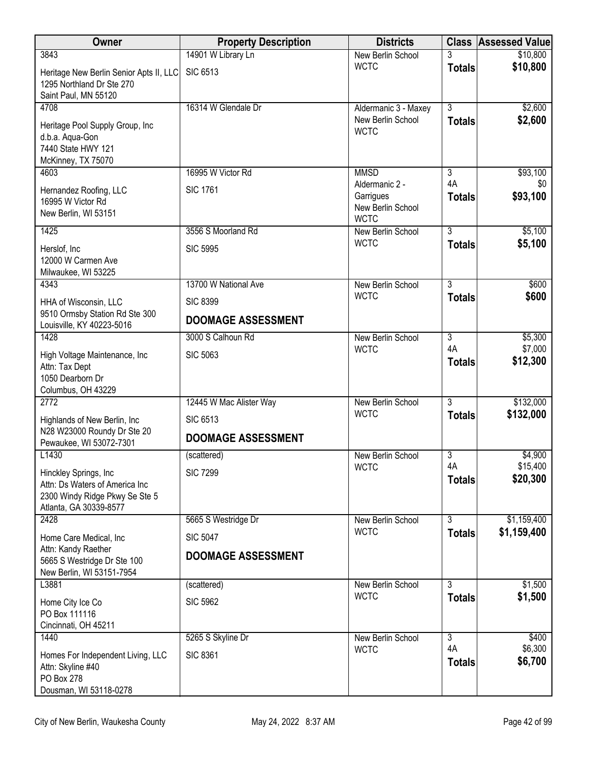| Owner                                                                                          | <b>Property Description</b> | <b>Districts</b>                                                |                      | <b>Class Assessed Value</b> |
|------------------------------------------------------------------------------------------------|-----------------------------|-----------------------------------------------------------------|----------------------|-----------------------------|
| 3843                                                                                           | 14901 W Library Ln          | New Berlin School                                               |                      | \$10,800                    |
| Heritage New Berlin Senior Apts II, LLC<br>1295 Northland Dr Ste 270<br>Saint Paul, MN 55120   | <b>SIC 6513</b>             | <b>WCTC</b>                                                     | <b>Totals</b>        | \$10,800                    |
| 4708                                                                                           | 16314 W Glendale Dr         | Aldermanic 3 - Maxey                                            | $\overline{3}$       | \$2,600                     |
| Heritage Pool Supply Group, Inc<br>d.b.a. Aqua-Gon<br>7440 State HWY 121<br>McKinney, TX 75070 |                             | New Berlin School<br><b>WCTC</b>                                | <b>Totals</b>        | \$2,600                     |
| 4603                                                                                           | 16995 W Victor Rd           | <b>MMSD</b>                                                     | $\overline{3}$       | \$93,100                    |
| Hernandez Roofing, LLC<br>16995 W Victor Rd<br>New Berlin, WI 53151                            | <b>SIC 1761</b>             | Aldermanic 2 -<br>Garrigues<br>New Berlin School<br><b>WCTC</b> | 4A<br><b>Totals</b>  | \$0<br>\$93,100             |
| 1425                                                                                           | 3556 S Moorland Rd          | New Berlin School                                               | $\overline{3}$       | \$5,100                     |
| Herslof, Inc.<br>12000 W Carmen Ave<br>Milwaukee, WI 53225                                     | <b>SIC 5995</b>             | <b>WCTC</b>                                                     | <b>Totals</b>        | \$5,100                     |
| 4343                                                                                           | 13700 W National Ave        | New Berlin School                                               | $\overline{3}$       | \$600                       |
| HHA of Wisconsin, LLC                                                                          | <b>SIC 8399</b>             | <b>WCTC</b>                                                     | <b>Totals</b>        | \$600                       |
| 9510 Ormsby Station Rd Ste 300<br>Louisville, KY 40223-5016                                    | <b>DOOMAGE ASSESSMENT</b>   |                                                                 |                      |                             |
| 1428                                                                                           | 3000 S Calhoun Rd           | New Berlin School<br><b>WCTC</b>                                | $\overline{3}$<br>4A | \$5,300<br>\$7,000          |
| High Voltage Maintenance, Inc.<br>Attn: Tax Dept<br>1050 Dearborn Dr<br>Columbus, OH 43229     | <b>SIC 5063</b>             |                                                                 | <b>Totals</b>        | \$12,300                    |
| 2772                                                                                           | 12445 W Mac Alister Way     | New Berlin School                                               | $\overline{3}$       | \$132,000                   |
| Highlands of New Berlin, Inc.                                                                  | <b>SIC 6513</b>             | <b>WCTC</b>                                                     | <b>Totals</b>        | \$132,000                   |
| N28 W23000 Roundy Dr Ste 20<br>Pewaukee, WI 53072-7301                                         | <b>DOOMAGE ASSESSMENT</b>   |                                                                 |                      |                             |
| L1430                                                                                          | (scattered)                 | New Berlin School                                               | $\overline{3}$       | \$4,900                     |
| Hinckley Springs, Inc                                                                          | <b>SIC 7299</b>             | <b>WCTC</b>                                                     | 4A                   | \$15,400                    |
| Attn: Ds Waters of America Inc<br>2300 Windy Ridge Pkwy Se Ste 5<br>Atlanta, GA 30339-8577     |                             |                                                                 | <b>Totals</b>        | \$20,300                    |
| 2428                                                                                           | 5665 S Westridge Dr         | New Berlin School                                               | $\overline{3}$       | \$1,159,400                 |
| Home Care Medical, Inc                                                                         | <b>SIC 5047</b>             | <b>WCTC</b>                                                     | <b>Totals</b>        | \$1,159,400                 |
| Attn: Kandy Raether<br>5665 S Westridge Dr Ste 100<br>New Berlin, WI 53151-7954                | <b>DOOMAGE ASSESSMENT</b>   |                                                                 |                      |                             |
| L3881                                                                                          | (scattered)                 | New Berlin School                                               | $\overline{3}$       | \$1,500                     |
| Home City Ice Co<br>PO Box 111116                                                              | <b>SIC 5962</b>             | <b>WCTC</b>                                                     | <b>Totals</b>        | \$1,500                     |
| Cincinnati, OH 45211                                                                           |                             |                                                                 |                      |                             |
| 1440                                                                                           | 5265 S Skyline Dr           | New Berlin School<br><b>WCTC</b>                                | $\overline{3}$<br>4A | \$400<br>\$6,300            |
| Homes For Independent Living, LLC<br>Attn: Skyline #40<br>PO Box 278<br>Dousman, WI 53118-0278 | <b>SIC 8361</b>             |                                                                 | <b>Totals</b>        | \$6,700                     |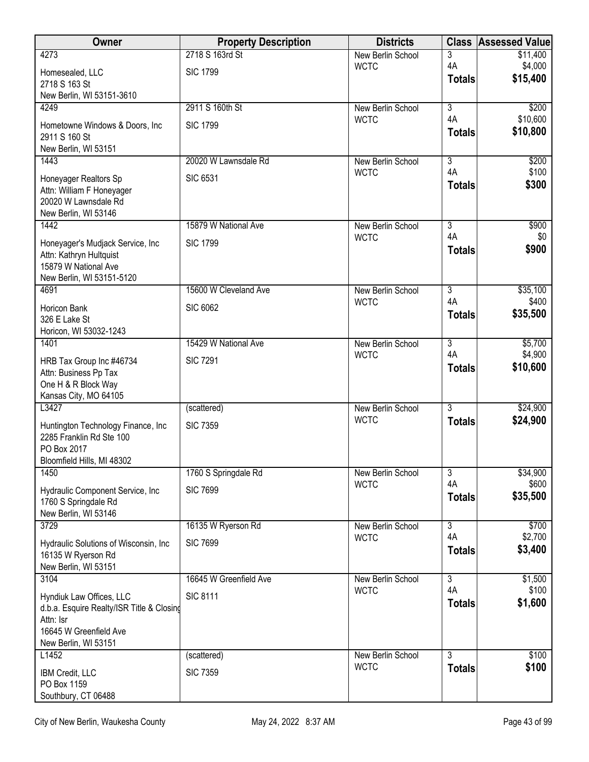| Owner                                                           | <b>Property Description</b> | <b>Districts</b>                 | <b>Class</b>         | <b>Assessed Value</b> |
|-----------------------------------------------------------------|-----------------------------|----------------------------------|----------------------|-----------------------|
| 4273                                                            | 2718 S 163rd St             | New Berlin School                | 3                    | \$11,400              |
| Homesealed, LLC                                                 | <b>SIC 1799</b>             | <b>WCTC</b>                      | 4A<br><b>Totals</b>  | \$4,000<br>\$15,400   |
| 2718 S 163 St                                                   |                             |                                  |                      |                       |
| New Berlin, WI 53151-3610<br>4249                               | 2911 S 160th St             | New Berlin School                | $\overline{3}$       | \$200                 |
|                                                                 |                             | <b>WCTC</b>                      | 4A                   | \$10,600              |
| Hometowne Windows & Doors, Inc.<br>2911 S 160 St                | <b>SIC 1799</b>             |                                  | <b>Totals</b>        | \$10,800              |
| New Berlin, WI 53151                                            |                             |                                  |                      |                       |
| 1443                                                            | 20020 W Lawnsdale Rd        | New Berlin School                | $\overline{3}$       | \$200                 |
| Honeyager Realtors Sp                                           | <b>SIC 6531</b>             | <b>WCTC</b>                      | 4A                   | \$100                 |
| Attn: William F Honeyager                                       |                             |                                  | <b>Totals</b>        | \$300                 |
| 20020 W Lawnsdale Rd                                            |                             |                                  |                      |                       |
| New Berlin, WI 53146                                            |                             |                                  |                      |                       |
| 1442                                                            | 15879 W National Ave        | New Berlin School                | $\overline{3}$<br>4A | \$900                 |
| Honeyager's Mudjack Service, Inc                                | <b>SIC 1799</b>             | <b>WCTC</b>                      | <b>Totals</b>        | \$0<br>\$900          |
| Attn: Kathryn Hultquist                                         |                             |                                  |                      |                       |
| 15879 W National Ave<br>New Berlin, WI 53151-5120               |                             |                                  |                      |                       |
| 4691                                                            | 15600 W Cleveland Ave       | New Berlin School                | $\overline{3}$       | \$35,100              |
| Horicon Bank                                                    | <b>SIC 6062</b>             | <b>WCTC</b>                      | 4A                   | \$400                 |
| 326 E Lake St                                                   |                             |                                  | <b>Totals</b>        | \$35,500              |
| Horicon, WI 53032-1243                                          |                             |                                  |                      |                       |
| 1401                                                            | 15429 W National Ave        | New Berlin School                | $\overline{3}$       | \$5,700               |
| HRB Tax Group Inc #46734                                        | <b>SIC 7291</b>             | <b>WCTC</b>                      | 4A                   | \$4,900               |
| Attn: Business Pp Tax                                           |                             |                                  | <b>Totals</b>        | \$10,600              |
| One H & R Block Way                                             |                             |                                  |                      |                       |
| Kansas City, MO 64105<br>L3427                                  | (scattered)                 | <b>New Berlin School</b>         | $\overline{3}$       | \$24,900              |
|                                                                 |                             | <b>WCTC</b>                      | <b>Totals</b>        | \$24,900              |
| Huntington Technology Finance, Inc.<br>2285 Franklin Rd Ste 100 | <b>SIC 7359</b>             |                                  |                      |                       |
| PO Box 2017                                                     |                             |                                  |                      |                       |
| Bloomfield Hills, MI 48302                                      |                             |                                  |                      |                       |
| 1450                                                            | 1760 S Springdale Rd        | New Berlin School                | $\overline{3}$       | \$34,900              |
| Hydraulic Component Service, Inc                                | <b>SIC 7699</b>             | <b>WCTC</b>                      | 4A                   | \$600                 |
| 1760 S Springdale Rd                                            |                             |                                  | <b>Totals</b>        | \$35,500              |
| New Berlin, WI 53146                                            |                             |                                  |                      |                       |
| 3729                                                            | 16135 W Ryerson Rd          | New Berlin School<br><b>WCTC</b> | $\overline{3}$<br>4A | \$700<br>\$2,700      |
| Hydraulic Solutions of Wisconsin, Inc.                          | <b>SIC 7699</b>             |                                  | <b>Totals</b>        | \$3,400               |
| 16135 W Ryerson Rd<br>New Berlin, WI 53151                      |                             |                                  |                      |                       |
| 3104                                                            | 16645 W Greenfield Ave      | New Berlin School                | $\overline{3}$       | \$1,500               |
| Hyndiuk Law Offices, LLC                                        | <b>SIC 8111</b>             | <b>WCTC</b>                      | 4A                   | \$100                 |
| d.b.a. Esquire Realty/ISR Title & Closing                       |                             |                                  | <b>Totals</b>        | \$1,600               |
| Attn: Isr                                                       |                             |                                  |                      |                       |
| 16645 W Greenfield Ave                                          |                             |                                  |                      |                       |
| New Berlin, WI 53151                                            |                             |                                  |                      |                       |
| L1452                                                           | (scattered)                 | New Berlin School<br><b>WCTC</b> | $\overline{3}$       | \$100<br>\$100        |
| IBM Credit, LLC                                                 | <b>SIC 7359</b>             |                                  | <b>Totals</b>        |                       |
| PO Box 1159<br>Southbury, CT 06488                              |                             |                                  |                      |                       |
|                                                                 |                             |                                  |                      |                       |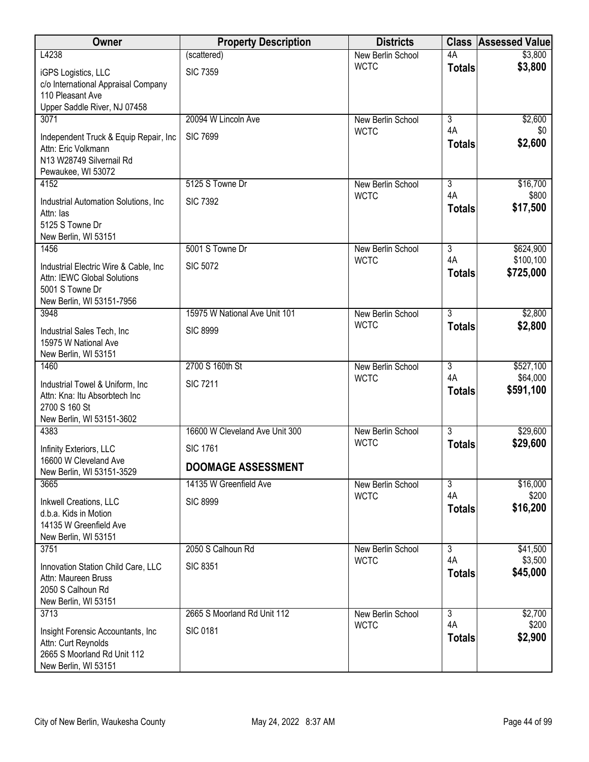| Owner                                                                                                                 | <b>Property Description</b>    | <b>Districts</b>         |                      | <b>Class Assessed Value</b> |
|-----------------------------------------------------------------------------------------------------------------------|--------------------------------|--------------------------|----------------------|-----------------------------|
| L4238                                                                                                                 | (scattered)                    | New Berlin School        | 4A                   | \$3,800                     |
| iGPS Logistics, LLC<br>c/o International Appraisal Company<br>110 Pleasant Ave<br>Upper Saddle River, NJ 07458        | <b>SIC 7359</b>                | <b>WCTC</b>              | <b>Totals</b>        | \$3,800                     |
| 3071                                                                                                                  | 20094 W Lincoln Ave            | New Berlin School        | $\overline{3}$       | \$2,600                     |
| Independent Truck & Equip Repair, Inc.<br>Attn: Eric Volkmann<br>N13 W28749 Silvernail Rd<br>Pewaukee, WI 53072       | <b>SIC 7699</b>                | <b>WCTC</b>              | 4A<br><b>Totals</b>  | \$0<br>\$2,600              |
| 4152                                                                                                                  | 5125 S Towne Dr                | New Berlin School        | $\overline{3}$       | \$16,700                    |
| Industrial Automation Solutions, Inc.<br>Attn: las<br>5125 S Towne Dr<br>New Berlin, WI 53151                         | <b>SIC 7392</b>                | <b>WCTC</b>              | 4A<br><b>Totals</b>  | \$800<br>\$17,500           |
| 1456                                                                                                                  | 5001 S Towne Dr                | New Berlin School        | $\overline{3}$       | \$624,900                   |
| Industrial Electric Wire & Cable, Inc.<br>Attn: IEWC Global Solutions<br>5001 S Towne Dr<br>New Berlin, WI 53151-7956 | <b>SIC 5072</b>                | <b>WCTC</b>              | 4A<br><b>Totals</b>  | \$100,100<br>\$725,000      |
| 3948                                                                                                                  | 15975 W National Ave Unit 101  | New Berlin School        | $\overline{3}$       | \$2,800                     |
| Industrial Sales Tech, Inc.<br>15975 W National Ave<br>New Berlin, WI 53151                                           | <b>SIC 8999</b>                | <b>WCTC</b>              | <b>Totals</b>        | \$2,800                     |
| 1460                                                                                                                  | 2700 S 160th St                | New Berlin School        | $\overline{3}$       | \$527,100                   |
| Industrial Towel & Uniform, Inc.<br>Attn: Kna: Itu Absorbtech Inc<br>2700 S 160 St<br>New Berlin, WI 53151-3602       | <b>SIC 7211</b>                | <b>WCTC</b>              | 4A<br><b>Totals</b>  | \$64,000<br>\$591,100       |
| 4383                                                                                                                  | 16600 W Cleveland Ave Unit 300 | <b>New Berlin School</b> | $\overline{3}$       | \$29,600                    |
| Infinity Exteriors, LLC                                                                                               | <b>SIC 1761</b>                | <b>WCTC</b>              | <b>Totals</b>        | \$29,600                    |
| 16600 W Cleveland Ave<br>New Berlin, WI 53151-3529                                                                    | <b>DOOMAGE ASSESSMENT</b>      |                          |                      |                             |
| 3665                                                                                                                  | 14135 W Greenfield Ave         | New Berlin School        | $\overline{3}$       | \$16,000                    |
| Inkwell Creations, LLC<br>d.b.a. Kids in Motion<br>14135 W Greenfield Ave<br>New Berlin, WI 53151                     | <b>SIC 8999</b>                | <b>WCTC</b>              | 4A<br><b>Totals</b>  | \$200<br>\$16,200           |
| 3751                                                                                                                  | 2050 S Calhoun Rd              | New Berlin School        | $\overline{3}$       | \$41,500                    |
| Innovation Station Child Care, LLC<br>Attn: Maureen Bruss<br>2050 S Calhoun Rd<br>New Berlin, WI 53151                | <b>SIC 8351</b>                | <b>WCTC</b>              | 4A<br><b>Totals</b>  | \$3,500<br>\$45,000         |
| 3713                                                                                                                  | 2665 S Moorland Rd Unit 112    | New Berlin School        | $\overline{3}$<br>4A | \$2,700<br>\$200            |
| Insight Forensic Accountants, Inc.<br>Attn: Curt Reynolds<br>2665 S Moorland Rd Unit 112<br>New Berlin, WI 53151      | <b>SIC 0181</b>                | <b>WCTC</b>              | <b>Totals</b>        | \$2,900                     |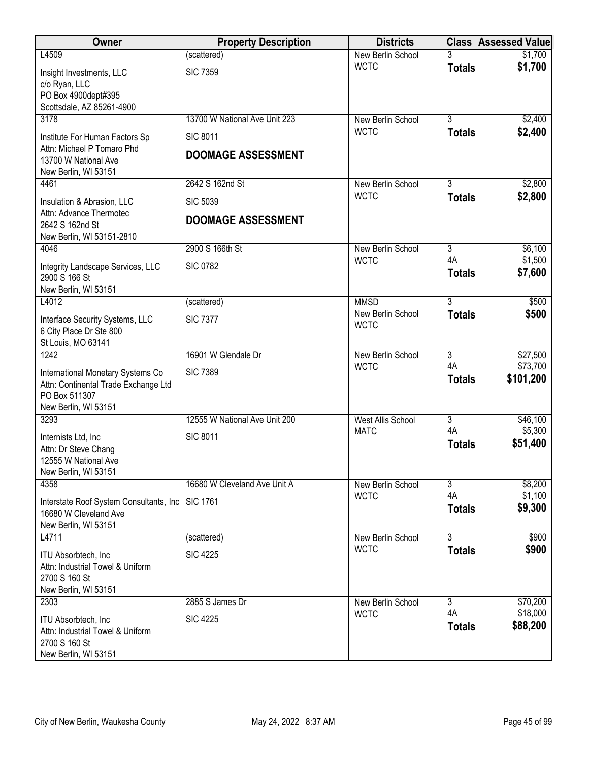| Owner                                                                     | <b>Property Description</b>   | <b>Districts</b>                 | <b>Class</b>                    | <b>Assessed Value</b> |
|---------------------------------------------------------------------------|-------------------------------|----------------------------------|---------------------------------|-----------------------|
| L4509                                                                     | (scattered)                   | New Berlin School                |                                 | \$1,700               |
| Insight Investments, LLC                                                  | <b>SIC 7359</b>               | <b>WCTC</b>                      | <b>Totals</b>                   | \$1,700               |
| c/o Ryan, LLC                                                             |                               |                                  |                                 |                       |
| PO Box 4900dept#395<br>Scottsdale, AZ 85261-4900                          |                               |                                  |                                 |                       |
| 3178                                                                      | 13700 W National Ave Unit 223 | New Berlin School                | $\overline{3}$                  | \$2,400               |
| Institute For Human Factors Sp                                            | <b>SIC 8011</b>               | <b>WCTC</b>                      | <b>Totals</b>                   | \$2,400               |
| Attn: Michael P Tomaro Phd                                                |                               |                                  |                                 |                       |
| 13700 W National Ave                                                      | <b>DOOMAGE ASSESSMENT</b>     |                                  |                                 |                       |
| New Berlin, WI 53151                                                      |                               |                                  |                                 |                       |
| 4461                                                                      | 2642 S 162nd St               | New Berlin School<br><b>WCTC</b> | $\overline{3}$<br><b>Totals</b> | \$2,800<br>\$2,800    |
| Insulation & Abrasion, LLC                                                | <b>SIC 5039</b>               |                                  |                                 |                       |
| Attn: Advance Thermotec<br>2642 S 162nd St                                | <b>DOOMAGE ASSESSMENT</b>     |                                  |                                 |                       |
| New Berlin, WI 53151-2810                                                 |                               |                                  |                                 |                       |
| 4046                                                                      | 2900 S 166th St               | New Berlin School                | 3                               | \$6,100               |
| Integrity Landscape Services, LLC                                         | <b>SIC 0782</b>               | <b>WCTC</b>                      | 4A                              | \$1,500               |
| 2900 S 166 St                                                             |                               |                                  | <b>Totals</b>                   | \$7,600               |
| New Berlin, WI 53151                                                      |                               |                                  |                                 |                       |
| L4012                                                                     | (scattered)                   | <b>MMSD</b><br>New Berlin School | $\overline{3}$                  | \$500<br>\$500        |
| Interface Security Systems, LLC                                           | <b>SIC 7377</b>               | <b>WCTC</b>                      | <b>Totals</b>                   |                       |
| 6 City Place Dr Ste 800<br>St Louis, MO 63141                             |                               |                                  |                                 |                       |
| 1242                                                                      | 16901 W Glendale Dr           | New Berlin School                | $\overline{3}$                  | \$27,500              |
|                                                                           | <b>SIC 7389</b>               | <b>WCTC</b>                      | 4A                              | \$73,700              |
| International Monetary Systems Co<br>Attn: Continental Trade Exchange Ltd |                               |                                  | <b>Totals</b>                   | \$101,200             |
| PO Box 511307                                                             |                               |                                  |                                 |                       |
| New Berlin, WI 53151                                                      |                               |                                  |                                 |                       |
| 3293                                                                      | 12555 W National Ave Unit 200 | <b>West Allis School</b>         | $\overline{3}$<br>4A            | \$46,100              |
| Internists Ltd, Inc                                                       | <b>SIC 8011</b>               | <b>MATC</b>                      | <b>Totals</b>                   | \$5,300<br>\$51,400   |
| Attn: Dr Steve Chang                                                      |                               |                                  |                                 |                       |
| 12555 W National Ave<br>New Berlin, WI 53151                              |                               |                                  |                                 |                       |
| 4358                                                                      | 16680 W Cleveland Ave Unit A  | New Berlin School                | 3                               | \$8,200               |
| Interstate Roof System Consultants, Inc                                   | <b>SIC 1761</b>               | <b>WCTC</b>                      | 4A                              | \$1,100               |
| 16680 W Cleveland Ave                                                     |                               |                                  | <b>Totals</b>                   | \$9,300               |
| New Berlin, WI 53151                                                      |                               |                                  |                                 |                       |
| L4711                                                                     | (scattered)                   | New Berlin School                | $\overline{3}$                  | \$900                 |
| ITU Absorbtech, Inc                                                       | <b>SIC 4225</b>               | <b>WCTC</b>                      | <b>Totals</b>                   | \$900                 |
| Attn: Industrial Towel & Uniform                                          |                               |                                  |                                 |                       |
| 2700 S 160 St<br>New Berlin, WI 53151                                     |                               |                                  |                                 |                       |
| 2303                                                                      | 2885 S James Dr               | New Berlin School                | $\overline{3}$                  | \$70,200              |
| <b>ITU Absorbtech, Inc.</b>                                               | <b>SIC 4225</b>               | <b>WCTC</b>                      | 4A                              | \$18,000              |
| Attn: Industrial Towel & Uniform                                          |                               |                                  | <b>Totals</b>                   | \$88,200              |
| 2700 S 160 St                                                             |                               |                                  |                                 |                       |
| New Berlin, WI 53151                                                      |                               |                                  |                                 |                       |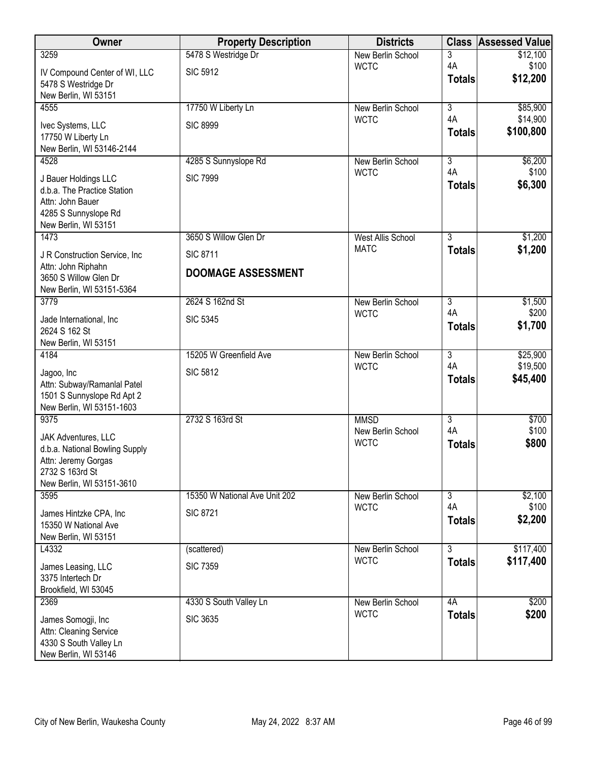| Owner                                                     | <b>Property Description</b>   | <b>Districts</b>                 | <b>Class</b>              | <b>Assessed Value</b> |
|-----------------------------------------------------------|-------------------------------|----------------------------------|---------------------------|-----------------------|
| 3259                                                      | 5478 S Westridge Dr           | New Berlin School                | 3                         | \$12,100              |
| IV Compound Center of WI, LLC                             | <b>SIC 5912</b>               | <b>WCTC</b>                      | 4A<br><b>Totals</b>       | \$100<br>\$12,200     |
| 5478 S Westridge Dr                                       |                               |                                  |                           |                       |
| New Berlin, WI 53151<br>4555                              | 17750 W Liberty Ln            | New Berlin School                | $\overline{3}$            | \$85,900              |
|                                                           |                               | <b>WCTC</b>                      | 4A                        | \$14,900              |
| Ivec Systems, LLC<br>17750 W Liberty Ln                   | <b>SIC 8999</b>               |                                  | <b>Totals</b>             | \$100,800             |
| New Berlin, WI 53146-2144                                 |                               |                                  |                           |                       |
| 4528                                                      | 4285 S Sunnyslope Rd          | New Berlin School                | $\overline{3}$            | \$6,200               |
| J Bauer Holdings LLC                                      | <b>SIC 7999</b>               | <b>WCTC</b>                      | 4A                        | \$100<br>\$6,300      |
| d.b.a. The Practice Station                               |                               |                                  | <b>Totals</b>             |                       |
| Attn: John Bauer<br>4285 S Sunnyslope Rd                  |                               |                                  |                           |                       |
| New Berlin, WI 53151                                      |                               |                                  |                           |                       |
| 1473                                                      | 3650 S Willow Glen Dr         | <b>West Allis School</b>         | 3                         | \$1,200               |
| J R Construction Service, Inc.                            | <b>SIC 8711</b>               | <b>MATC</b>                      | <b>Totals</b>             | \$1,200               |
| Attn: John Riphahn                                        | <b>DOOMAGE ASSESSMENT</b>     |                                  |                           |                       |
| 3650 S Willow Glen Dr<br>New Berlin, WI 53151-5364        |                               |                                  |                           |                       |
| 3779                                                      | 2624 S 162nd St               | New Berlin School                | 3                         | \$1,500               |
| Jade International, Inc                                   | <b>SIC 5345</b>               | <b>WCTC</b>                      | 4A                        | \$200                 |
| 2624 S 162 St                                             |                               |                                  | <b>Totals</b>             | \$1,700               |
| New Berlin, WI 53151                                      |                               |                                  |                           |                       |
| 4184                                                      | 15205 W Greenfield Ave        | New Berlin School<br><b>WCTC</b> | $\overline{3}$<br>4A      | \$25,900<br>\$19,500  |
| Jagoo, Inc                                                | <b>SIC 5812</b>               |                                  | <b>Totals</b>             | \$45,400              |
| Attn: Subway/Ramanlal Patel<br>1501 S Sunnyslope Rd Apt 2 |                               |                                  |                           |                       |
| New Berlin, WI 53151-1603                                 |                               |                                  |                           |                       |
| 9375                                                      | 2732 S 163rd St               | <b>MMSD</b>                      | $\overline{\overline{3}}$ | \$700                 |
| JAK Adventures, LLC                                       |                               | New Berlin School<br><b>WCTC</b> | 4A                        | \$100<br>\$800        |
| d.b.a. National Bowling Supply                            |                               |                                  | <b>Totals</b>             |                       |
| Attn: Jeremy Gorgas<br>2732 S 163rd St                    |                               |                                  |                           |                       |
| New Berlin, WI 53151-3610                                 |                               |                                  |                           |                       |
| 3595                                                      | 15350 W National Ave Unit 202 | New Berlin School                | $\overline{3}$            | \$2,100               |
| James Hintzke CPA, Inc.                                   | <b>SIC 8721</b>               | <b>WCTC</b>                      | 4A                        | \$100                 |
| 15350 W National Ave                                      |                               |                                  | <b>Totals</b>             | \$2,200               |
| New Berlin, WI 53151<br>L4332                             | (scattered)                   | New Berlin School                | $\overline{3}$            | \$117,400             |
|                                                           |                               | <b>WCTC</b>                      | <b>Totals</b>             | \$117,400             |
| James Leasing, LLC<br>3375 Intertech Dr                   | <b>SIC 7359</b>               |                                  |                           |                       |
| Brookfield, WI 53045                                      |                               |                                  |                           |                       |
| 2369                                                      | 4330 S South Valley Ln        | New Berlin School                | 4A                        | \$200                 |
| James Somogji, Inc                                        | <b>SIC 3635</b>               | <b>WCTC</b>                      | <b>Totals</b>             | \$200                 |
| Attn: Cleaning Service                                    |                               |                                  |                           |                       |
| 4330 S South Valley Ln                                    |                               |                                  |                           |                       |
| New Berlin, WI 53146                                      |                               |                                  |                           |                       |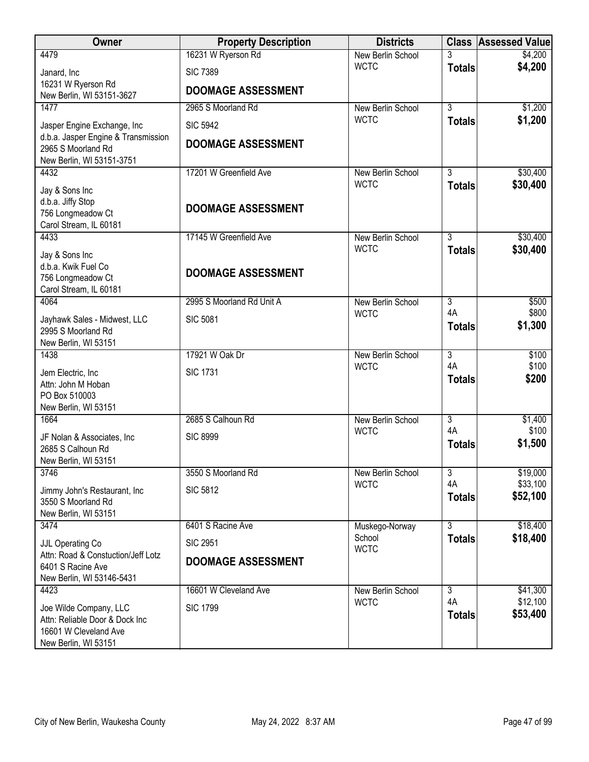| Owner                                                                                                     | <b>Property Description</b> | <b>Districts</b>                 |                                 | <b>Class Assessed Value</b> |
|-----------------------------------------------------------------------------------------------------------|-----------------------------|----------------------------------|---------------------------------|-----------------------------|
| 4479                                                                                                      | 16231 W Ryerson Rd          | New Berlin School                |                                 | \$4,200                     |
| Janard, Inc                                                                                               | <b>SIC 7389</b>             | <b>WCTC</b>                      | <b>Totals</b>                   | \$4,200                     |
| 16231 W Ryerson Rd<br>New Berlin, WI 53151-3627                                                           | <b>DOOMAGE ASSESSMENT</b>   |                                  |                                 |                             |
| 1477                                                                                                      | 2965 S Moorland Rd          | New Berlin School                | $\overline{3}$                  | \$1,200                     |
| Jasper Engine Exchange, Inc                                                                               | <b>SIC 5942</b>             | <b>WCTC</b>                      | <b>Totals</b>                   | \$1,200                     |
| d.b.a. Jasper Engine & Transmission<br>2965 S Moorland Rd<br>New Berlin, WI 53151-3751                    | <b>DOOMAGE ASSESSMENT</b>   |                                  |                                 |                             |
| 4432                                                                                                      | 17201 W Greenfield Ave      | New Berlin School                | $\overline{3}$                  | \$30,400                    |
| Jay & Sons Inc<br>d.b.a. Jiffy Stop<br>756 Longmeadow Ct                                                  | <b>DOOMAGE ASSESSMENT</b>   | <b>WCTC</b>                      | <b>Totals</b>                   | \$30,400                    |
| Carol Stream, IL 60181                                                                                    |                             |                                  |                                 |                             |
| 4433                                                                                                      | 17145 W Greenfield Ave      | New Berlin School<br><b>WCTC</b> | $\overline{3}$<br><b>Totals</b> | \$30,400<br>\$30,400        |
| Jay & Sons Inc<br>d.b.a. Kwik Fuel Co<br>756 Longmeadow Ct<br>Carol Stream, IL 60181                      | <b>DOOMAGE ASSESSMENT</b>   |                                  |                                 |                             |
| 4064                                                                                                      | 2995 S Moorland Rd Unit A   | New Berlin School                | $\overline{3}$                  | \$500                       |
| Jayhawk Sales - Midwest, LLC<br>2995 S Moorland Rd<br>New Berlin, WI 53151                                | <b>SIC 5081</b>             | <b>WCTC</b>                      | 4A<br><b>Totals</b>             | \$800<br>\$1,300            |
| 1438                                                                                                      | 17921 W Oak Dr              | New Berlin School                | $\overline{3}$                  | \$100                       |
| Jem Electric, Inc.<br>Attn: John M Hoban<br>PO Box 510003<br>New Berlin, WI 53151                         | <b>SIC 1731</b>             | <b>WCTC</b>                      | 4A<br><b>Totals</b>             | \$100<br>\$200              |
| 1664                                                                                                      | 2685 S Calhoun Rd           | <b>New Berlin School</b>         | $\overline{3}$                  | \$1,400                     |
| JF Nolan & Associates, Inc.<br>2685 S Calhoun Rd<br>New Berlin, WI 53151                                  | <b>SIC 8999</b>             | <b>WCTC</b>                      | 4A<br><b>Totals</b>             | \$100<br>\$1,500            |
| 3746                                                                                                      | 3550 S Moorland Rd          | New Berlin School                | 3                               | \$19,000                    |
| Jimmy John's Restaurant, Inc.<br>3550 S Moorland Rd<br>New Berlin, WI 53151                               | <b>SIC 5812</b>             | <b>WCTC</b>                      | 4A<br><b>Totals</b>             | \$33,100<br>\$52,100        |
| 3474                                                                                                      | 6401 S Racine Ave           | Muskego-Norway                   | 3                               | \$18,400                    |
| JJL Operating Co                                                                                          | <b>SIC 2951</b>             | School<br><b>WCTC</b>            | <b>Totals</b>                   | \$18,400                    |
| Attn: Road & Constuction/Jeff Lotz<br>6401 S Racine Ave<br>New Berlin, WI 53146-5431                      | <b>DOOMAGE ASSESSMENT</b>   |                                  |                                 |                             |
| 4423                                                                                                      | 16601 W Cleveland Ave       | New Berlin School                | $\overline{3}$<br>4A            | \$41,300<br>\$12,100        |
| Joe Wilde Company, LLC<br>Attn: Reliable Door & Dock Inc<br>16601 W Cleveland Ave<br>New Berlin, WI 53151 | <b>SIC 1799</b>             | <b>WCTC</b>                      | <b>Totals</b>                   | \$53,400                    |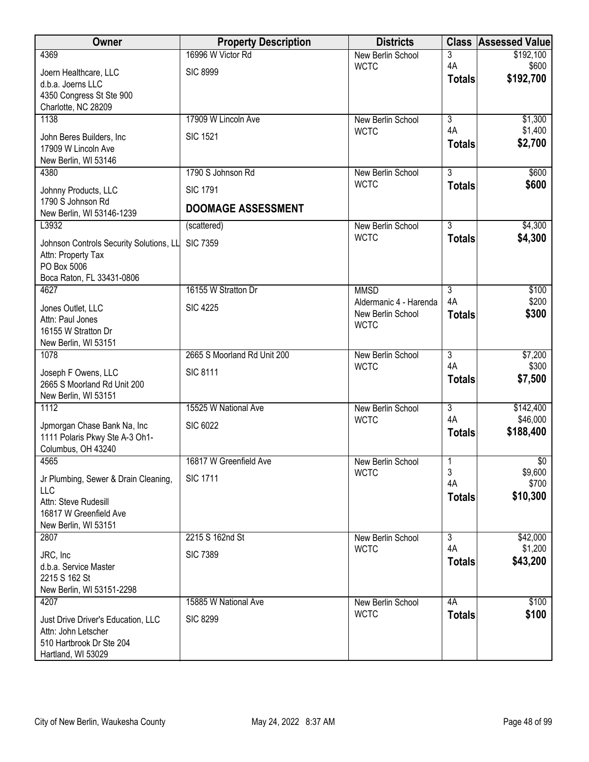| Owner                                                     | <b>Property Description</b> | <b>Districts</b>                 | <b>Class</b>              | <b>Assessed Value</b> |
|-----------------------------------------------------------|-----------------------------|----------------------------------|---------------------------|-----------------------|
| 4369                                                      | 16996 W Victor Rd           | New Berlin School                | 3                         | \$192,100             |
| Joern Healthcare, LLC                                     | <b>SIC 8999</b>             | <b>WCTC</b>                      | 4A                        | \$600<br>\$192,700    |
| d.b.a. Joerns LLC                                         |                             |                                  | <b>Totals</b>             |                       |
| 4350 Congress St Ste 900<br>Charlotte, NC 28209           |                             |                                  |                           |                       |
| 1138                                                      | 17909 W Lincoln Ave         | New Berlin School                | $\overline{3}$            | \$1,300               |
|                                                           | <b>SIC 1521</b>             | <b>WCTC</b>                      | 4A                        | \$1,400               |
| John Beres Builders, Inc<br>17909 W Lincoln Ave           |                             |                                  | <b>Totals</b>             | \$2,700               |
| New Berlin, WI 53146                                      |                             |                                  |                           |                       |
| 4380                                                      | 1790 S Johnson Rd           | New Berlin School                | $\overline{3}$            | \$600                 |
| Johnny Products, LLC                                      | <b>SIC 1791</b>             | <b>WCTC</b>                      | <b>Totals</b>             | \$600                 |
| 1790 S Johnson Rd                                         | <b>DOOMAGE ASSESSMENT</b>   |                                  |                           |                       |
| New Berlin, WI 53146-1239                                 |                             |                                  |                           |                       |
| L3932                                                     | (scattered)                 | New Berlin School<br><b>WCTC</b> | $\overline{3}$            | \$4,300<br>\$4,300    |
| Johnson Controls Security Solutions, LL                   | <b>SIC 7359</b>             |                                  | <b>Totals</b>             |                       |
| Attn: Property Tax<br>PO Box 5006                         |                             |                                  |                           |                       |
| Boca Raton, FL 33431-0806                                 |                             |                                  |                           |                       |
| 4627                                                      | 16155 W Stratton Dr         | <b>MMSD</b>                      | 3                         | \$100                 |
| Jones Outlet, LLC                                         | <b>SIC 4225</b>             | Aldermanic 4 - Harenda           | 4A                        | \$200                 |
| Attn: Paul Jones                                          |                             | New Berlin School<br><b>WCTC</b> | <b>Totals</b>             | \$300                 |
| 16155 W Stratton Dr                                       |                             |                                  |                           |                       |
| New Berlin, WI 53151<br>1078                              | 2665 S Moorland Rd Unit 200 |                                  | $\overline{3}$            | \$7,200               |
|                                                           |                             | New Berlin School<br><b>WCTC</b> | 4A                        | \$300                 |
| Joseph F Owens, LLC                                       | <b>SIC 8111</b>             |                                  | <b>Totals</b>             | \$7,500               |
| 2665 S Moorland Rd Unit 200<br>New Berlin, WI 53151       |                             |                                  |                           |                       |
| 1112                                                      | 15525 W National Ave        | New Berlin School                | $\overline{\overline{3}}$ | \$142,400             |
| Jpmorgan Chase Bank Na, Inc                               | <b>SIC 6022</b>             | <b>WCTC</b>                      | 4A                        | \$46,000              |
| 1111 Polaris Pkwy Ste A-3 Oh1-                            |                             |                                  | <b>Totals</b>             | \$188,400             |
| Columbus, OH 43240                                        |                             |                                  |                           |                       |
| 4565                                                      | 16817 W Greenfield Ave      | New Berlin School                | 1                         | \$0                   |
| Jr Plumbing, Sewer & Drain Cleaning,                      | <b>SIC 1711</b>             | <b>WCTC</b>                      | 3<br>4A                   | \$9,600<br>\$700      |
| LLC                                                       |                             |                                  | <b>Totals</b>             | \$10,300              |
| Attn: Steve Rudesill<br>16817 W Greenfield Ave            |                             |                                  |                           |                       |
| New Berlin, WI 53151                                      |                             |                                  |                           |                       |
| 2807                                                      | 2215 S 162nd St             | New Berlin School                | $\overline{3}$            | \$42,000              |
| JRC, Inc                                                  | <b>SIC 7389</b>             | <b>WCTC</b>                      | 4A                        | \$1,200               |
| d.b.a. Service Master                                     |                             |                                  | <b>Totals</b>             | \$43,200              |
| 2215 S 162 St                                             |                             |                                  |                           |                       |
| New Berlin, WI 53151-2298<br>4207                         | 15885 W National Ave        | New Berlin School                | 4A                        | \$100                 |
|                                                           |                             | <b>WCTC</b>                      | <b>Totals</b>             | \$100                 |
| Just Drive Driver's Education, LLC<br>Attn: John Letscher | <b>SIC 8299</b>             |                                  |                           |                       |
| 510 Hartbrook Dr Ste 204                                  |                             |                                  |                           |                       |
| Hartland, WI 53029                                        |                             |                                  |                           |                       |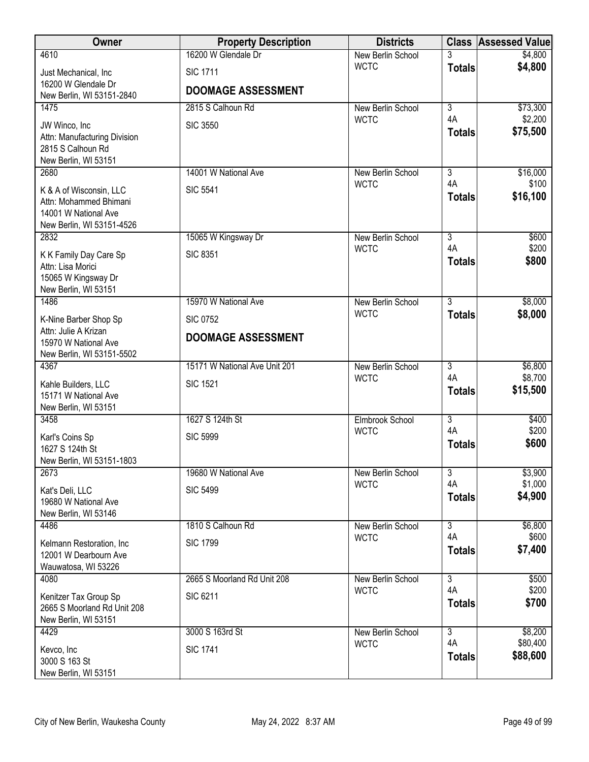| Owner                                                | <b>Property Description</b>   | <b>Districts</b>                 |                      | <b>Class Assessed Value</b> |
|------------------------------------------------------|-------------------------------|----------------------------------|----------------------|-----------------------------|
| 4610                                                 | 16200 W Glendale Dr           | New Berlin School                | 3                    | \$4,800                     |
| Just Mechanical, Inc                                 | <b>SIC 1711</b>               | <b>WCTC</b>                      | <b>Totals</b>        | \$4,800                     |
| 16200 W Glendale Dr<br>New Berlin, WI 53151-2840     | <b>DOOMAGE ASSESSMENT</b>     |                                  |                      |                             |
| 1475                                                 | 2815 S Calhoun Rd             | New Berlin School                | $\overline{3}$       | \$73,300                    |
| JW Winco, Inc                                        | <b>SIC 3550</b>               | <b>WCTC</b>                      | 4A                   | \$2,200                     |
| Attn: Manufacturing Division                         |                               |                                  | <b>Totals</b>        | \$75,500                    |
| 2815 S Calhoun Rd                                    |                               |                                  |                      |                             |
| New Berlin, WI 53151<br>2680                         | 14001 W National Ave          | New Berlin School                | $\overline{3}$       | \$16,000                    |
| K & A of Wisconsin, LLC                              | <b>SIC 5541</b>               | <b>WCTC</b>                      | 4A                   | \$100                       |
| Attn: Mohammed Bhimani                               |                               |                                  | <b>Totals</b>        | \$16,100                    |
| 14001 W National Ave                                 |                               |                                  |                      |                             |
| New Berlin, WI 53151-4526<br>2832                    | 15065 W Kingsway Dr           | New Berlin School                | $\overline{3}$       | \$600                       |
| K K Family Day Care Sp                               | <b>SIC 8351</b>               | <b>WCTC</b>                      | 4A                   | \$200                       |
| Attn: Lisa Morici                                    |                               |                                  | <b>Totals</b>        | \$800                       |
| 15065 W Kingsway Dr                                  |                               |                                  |                      |                             |
| New Berlin, WI 53151<br>1486                         | 15970 W National Ave          | New Berlin School                | $\overline{3}$       | \$8,000                     |
| K-Nine Barber Shop Sp                                | <b>SIC 0752</b>               | <b>WCTC</b>                      | <b>Totals</b>        | \$8,000                     |
| Attn: Julie A Krizan                                 |                               |                                  |                      |                             |
| 15970 W National Ave                                 | <b>DOOMAGE ASSESSMENT</b>     |                                  |                      |                             |
| New Berlin, WI 53151-5502<br>4367                    | 15171 W National Ave Unit 201 | New Berlin School                | 3                    | \$6,800                     |
| Kahle Builders, LLC                                  | <b>SIC 1521</b>               | <b>WCTC</b>                      | 4A                   | \$8,700                     |
| 15171 W National Ave                                 |                               |                                  | <b>Totals</b>        | \$15,500                    |
| New Berlin, WI 53151                                 |                               |                                  |                      |                             |
| 3458                                                 | 1627 S 124th St               | Elmbrook School<br><b>WCTC</b>   | $\overline{3}$<br>4A | \$400<br>\$200              |
| Karl's Coins Sp<br>1627 S 124th St                   | <b>SIC 5999</b>               |                                  | <b>Totals</b>        | \$600                       |
| New Berlin, WI 53151-1803                            |                               |                                  |                      |                             |
| 2673                                                 | 19680 W National Ave          | New Berlin School                | 3                    | \$3,900                     |
| Kat's Deli, LLC                                      | <b>SIC 5499</b>               | <b>WCTC</b>                      | 4A<br><b>Totals</b>  | \$1,000<br>\$4,900          |
| 19680 W National Ave<br>New Berlin, WI 53146         |                               |                                  |                      |                             |
| 4486                                                 | 1810 S Calhoun Rd             | New Berlin School                | 3                    | \$6,800                     |
| Kelmann Restoration, Inc                             | <b>SIC 1799</b>               | <b>WCTC</b>                      | 4A                   | \$600                       |
| 12001 W Dearbourn Ave                                |                               |                                  | <b>Totals</b>        | \$7,400                     |
| Wauwatosa, WI 53226                                  |                               |                                  | $\overline{3}$       |                             |
| 4080                                                 | 2665 S Moorland Rd Unit 208   | New Berlin School<br><b>WCTC</b> | 4A                   | \$500<br>\$200              |
| Kenitzer Tax Group Sp<br>2665 S Moorland Rd Unit 208 | <b>SIC 6211</b>               |                                  | <b>Totals</b>        | \$700                       |
| New Berlin, WI 53151                                 |                               |                                  |                      |                             |
| 4429                                                 | 3000 S 163rd St               | New Berlin School                | $\overline{3}$       | \$8,200                     |
| Kevco, Inc                                           | <b>SIC 1741</b>               | <b>WCTC</b>                      | 4A<br><b>Totals</b>  | \$80,400<br>\$88,600        |
| 3000 S 163 St<br>New Berlin, WI 53151                |                               |                                  |                      |                             |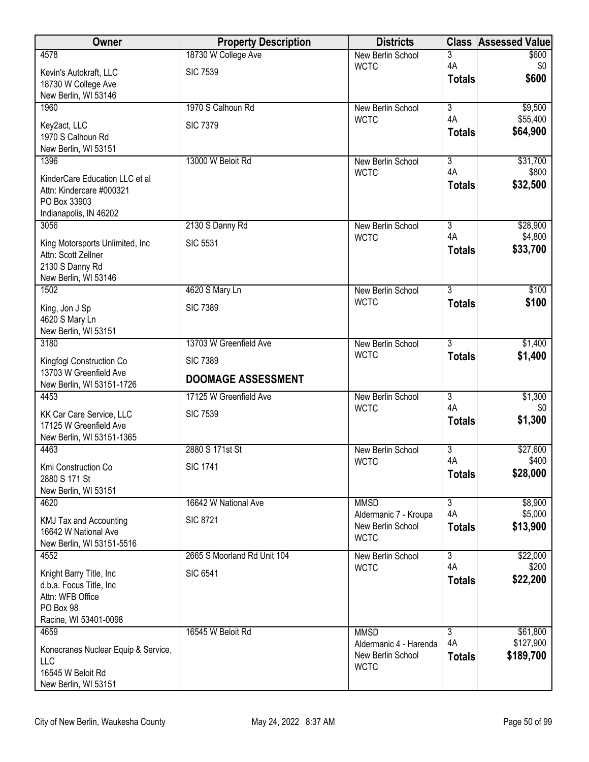| Owner                                               | <b>Property Description</b> | <b>Districts</b>                           |                     | <b>Class Assessed Value</b> |
|-----------------------------------------------------|-----------------------------|--------------------------------------------|---------------------|-----------------------------|
| 4578                                                | 18730 W College Ave         | <b>New Berlin School</b>                   | 3                   | \$600                       |
| Kevin's Autokraft, LLC                              | <b>SIC 7539</b>             | <b>WCTC</b>                                | 4A<br><b>Totals</b> | \$0<br>\$600                |
| 18730 W College Ave<br>New Berlin, WI 53146         |                             |                                            |                     |                             |
| 1960                                                | 1970 S Calhoun Rd           | <b>New Berlin School</b>                   | $\overline{3}$      | \$9,500                     |
|                                                     | <b>SIC 7379</b>             | <b>WCTC</b>                                | 4A                  | \$55,400                    |
| Key2act, LLC<br>1970 S Calhoun Rd                   |                             |                                            | <b>Totals</b>       | \$64,900                    |
| New Berlin, WI 53151                                |                             |                                            |                     |                             |
| 1396                                                | 13000 W Beloit Rd           | <b>New Berlin School</b>                   | $\overline{3}$      | \$31,700                    |
| KinderCare Education LLC et al                      |                             | <b>WCTC</b>                                | 4A                  | \$800<br>\$32,500           |
| Attn: Kindercare #000321                            |                             |                                            | <b>Totals</b>       |                             |
| PO Box 33903<br>Indianapolis, IN 46202              |                             |                                            |                     |                             |
| 3056                                                | 2130 S Danny Rd             | New Berlin School                          | $\overline{3}$      | \$28,900                    |
| King Motorsports Unlimited, Inc.                    | <b>SIC 5531</b>             | <b>WCTC</b>                                | 4A                  | \$4,800                     |
| Attn: Scott Zellner                                 |                             |                                            | <b>Totals</b>       | \$33,700                    |
| 2130 S Danny Rd                                     |                             |                                            |                     |                             |
| New Berlin, WI 53146                                |                             |                                            |                     |                             |
| 1502                                                | 4620 S Mary Ln              | <b>New Berlin School</b><br><b>WCTC</b>    | 3<br><b>Totals</b>  | \$100<br>\$100              |
| King, Jon J Sp                                      | <b>SIC 7389</b>             |                                            |                     |                             |
| 4620 S Mary Ln<br>New Berlin, WI 53151              |                             |                                            |                     |                             |
| 3180                                                | 13703 W Greenfield Ave      | <b>New Berlin School</b>                   | $\overline{3}$      | \$1,400                     |
| Kingfogl Construction Co                            | <b>SIC 7389</b>             | <b>WCTC</b>                                | <b>Totals</b>       | \$1,400                     |
| 13703 W Greenfield Ave                              |                             |                                            |                     |                             |
| New Berlin, WI 53151-1726                           | <b>DOOMAGE ASSESSMENT</b>   |                                            |                     |                             |
| 4453                                                | 17125 W Greenfield Ave      | <b>New Berlin School</b><br><b>WCTC</b>    | 3<br>4A             | \$1,300<br>\$0              |
| KK Car Care Service, LLC                            | <b>SIC 7539</b>             |                                            | <b>Totals</b>       | \$1,300                     |
| 17125 W Greenfield Ave<br>New Berlin, WI 53151-1365 |                             |                                            |                     |                             |
| 4463                                                | 2880 S 171st St             | <b>New Berlin School</b>                   | 3                   | \$27,600                    |
| Kmi Construction Co                                 | <b>SIC 1741</b>             | <b>WCTC</b>                                | 4A                  | \$400                       |
| 2880 S 171 St                                       |                             |                                            | <b>Totals</b>       | \$28,000                    |
| New Berlin, WI 53151                                |                             |                                            |                     |                             |
| 4620                                                | 16642 W National Ave        | <b>MMSD</b>                                | $\overline{3}$      | \$8,900                     |
| <b>KMJ Tax and Accounting</b>                       | <b>SIC 8721</b>             | Aldermanic 7 - Kroupa<br>New Berlin School | 4A<br><b>Totals</b> | \$5,000<br>\$13,900         |
| 16642 W National Ave                                |                             | <b>WCTC</b>                                |                     |                             |
| New Berlin, WI 53151-5516<br>4552                   | 2665 S Moorland Rd Unit 104 | New Berlin School                          | 3                   | \$22,000                    |
|                                                     | <b>SIC 6541</b>             | <b>WCTC</b>                                | 4A                  | \$200                       |
| Knight Barry Title, Inc<br>d.b.a. Focus Title, Inc  |                             |                                            | <b>Totals</b>       | \$22,200                    |
| Attn: WFB Office                                    |                             |                                            |                     |                             |
| PO Box 98                                           |                             |                                            |                     |                             |
| Racine, WI 53401-0098<br>4659                       | 16545 W Beloit Rd           | <b>MMSD</b>                                | $\overline{3}$      | \$61,800                    |
|                                                     |                             | Aldermanic 4 - Harenda                     | 4A                  | \$127,900                   |
| Konecranes Nuclear Equip & Service,<br>LLC          |                             | New Berlin School                          | <b>Totals</b>       | \$189,700                   |
| 16545 W Beloit Rd                                   |                             | <b>WCTC</b>                                |                     |                             |
| New Berlin, WI 53151                                |                             |                                            |                     |                             |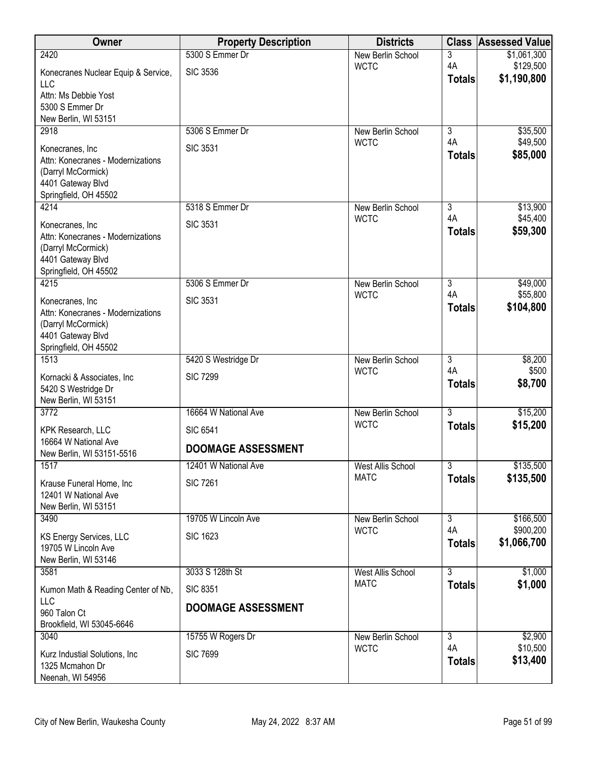| Owner                                             | <b>Property Description</b> | <b>Districts</b>                 | <b>Class</b>                    | <b>Assessed Value</b>    |
|---------------------------------------------------|-----------------------------|----------------------------------|---------------------------------|--------------------------|
| 2420                                              | 5300 S Emmer Dr             | New Berlin School                | 3                               | \$1,061,300              |
| Konecranes Nuclear Equip & Service,               | <b>SIC 3536</b>             | <b>WCTC</b>                      | 4A<br><b>Totals</b>             | \$129,500<br>\$1,190,800 |
| <b>LLC</b>                                        |                             |                                  |                                 |                          |
| Attn: Ms Debbie Yost<br>5300 S Emmer Dr           |                             |                                  |                                 |                          |
| New Berlin, WI 53151                              |                             |                                  |                                 |                          |
| 2918                                              | 5306 S Emmer Dr             | New Berlin School                | 3                               | \$35,500                 |
| Konecranes, Inc                                   | <b>SIC 3531</b>             | <b>WCTC</b>                      | 4A                              | \$49,500                 |
| Attn: Konecranes - Modernizations                 |                             |                                  | <b>Totals</b>                   | \$85,000                 |
| (Darryl McCormick)                                |                             |                                  |                                 |                          |
| 4401 Gateway Blvd<br>Springfield, OH 45502        |                             |                                  |                                 |                          |
| 4214                                              | 5318 S Emmer Dr             | New Berlin School                | 3                               | \$13,900                 |
| Konecranes, Inc                                   | <b>SIC 3531</b>             | <b>WCTC</b>                      | 4A                              | \$45,400                 |
| Attn: Konecranes - Modernizations                 |                             |                                  | <b>Totals</b>                   | \$59,300                 |
| (Darryl McCormick)                                |                             |                                  |                                 |                          |
| 4401 Gateway Blvd<br>Springfield, OH 45502        |                             |                                  |                                 |                          |
| 4215                                              | 5306 S Emmer Dr             | New Berlin School                | $\overline{3}$                  | \$49,000                 |
| Konecranes, Inc                                   | <b>SIC 3531</b>             | <b>WCTC</b>                      | 4A                              | \$55,800                 |
| Attn: Konecranes - Modernizations                 |                             |                                  | <b>Totals</b>                   | \$104,800                |
| (Darryl McCormick)                                |                             |                                  |                                 |                          |
| 4401 Gateway Blvd                                 |                             |                                  |                                 |                          |
| Springfield, OH 45502<br>1513                     | 5420 S Westridge Dr         | New Berlin School                | $\overline{3}$                  | \$8,200                  |
|                                                   | <b>SIC 7299</b>             | <b>WCTC</b>                      | 4A                              | \$500                    |
| Kornacki & Associates, Inc<br>5420 S Westridge Dr |                             |                                  | <b>Totals</b>                   | \$8,700                  |
| New Berlin, WI 53151                              |                             |                                  |                                 |                          |
| 3772                                              | 16664 W National Ave        | New Berlin School                | $\overline{3}$                  | \$15,200                 |
| KPK Research, LLC                                 | <b>SIC 6541</b>             | <b>WCTC</b>                      | <b>Totals</b>                   | \$15,200                 |
| 16664 W National Ave                              | <b>DOOMAGE ASSESSMENT</b>   |                                  |                                 |                          |
| New Berlin, WI 53151-5516<br>1517                 | 12401 W National Ave        | <b>West Allis School</b>         | $\overline{\overline{3}}$       | \$135,500                |
|                                                   |                             | <b>MATC</b>                      | <b>Totals</b>                   | \$135,500                |
| Krause Funeral Home, Inc<br>12401 W National Ave  | <b>SIC 7261</b>             |                                  |                                 |                          |
| New Berlin, WI 53151                              |                             |                                  |                                 |                          |
| 3490                                              | 19705 W Lincoln Ave         | New Berlin School                | $\overline{3}$                  | \$166,500                |
| KS Energy Services, LLC                           | <b>SIC 1623</b>             | <b>WCTC</b>                      | 4A                              | \$900,200                |
| 19705 W Lincoln Ave                               |                             |                                  | <b>Totals</b>                   | \$1,066,700              |
| New Berlin, WI 53146                              |                             |                                  |                                 |                          |
| 3581                                              | 3033 S 128th St             | West Allis School<br><b>MATC</b> | $\overline{3}$<br><b>Totals</b> | \$1,000<br>\$1,000       |
| Kumon Math & Reading Center of Nb,<br>LLC         | <b>SIC 8351</b>             |                                  |                                 |                          |
| 960 Talon Ct                                      | <b>DOOMAGE ASSESSMENT</b>   |                                  |                                 |                          |
| Brookfield, WI 53045-6646                         |                             |                                  |                                 |                          |
| 3040                                              | 15755 W Rogers Dr           | New Berlin School                | $\overline{3}$                  | \$2,900                  |
| Kurz Industial Solutions, Inc.                    | <b>SIC 7699</b>             | <b>WCTC</b>                      | 4A                              | \$10,500<br>\$13,400     |
| 1325 Mcmahon Dr                                   |                             |                                  | <b>Totals</b>                   |                          |
| Neenah, WI 54956                                  |                             |                                  |                                 |                          |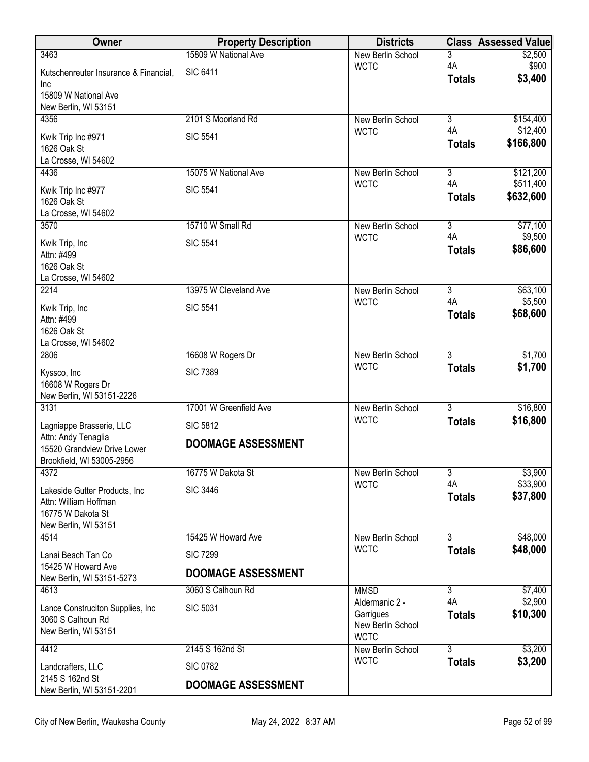| Owner                                                    | <b>Property Description</b> | <b>Districts</b>                 | <b>Class</b>         | <b>Assessed Value</b> |
|----------------------------------------------------------|-----------------------------|----------------------------------|----------------------|-----------------------|
| 3463                                                     | 15809 W National Ave        | New Berlin School                | 3                    | \$2,500               |
| Kutschenreuter Insurance & Financial,                    | <b>SIC 6411</b>             | <b>WCTC</b>                      | 4A<br><b>Totals</b>  | \$900<br>\$3,400      |
| Inc<br>15809 W National Ave                              |                             |                                  |                      |                       |
| New Berlin, WI 53151                                     |                             |                                  |                      |                       |
| 4356                                                     | 2101 S Moorland Rd          | New Berlin School                | $\overline{3}$       | \$154,400             |
| Kwik Trip Inc #971                                       | <b>SIC 5541</b>             | <b>WCTC</b>                      | 4A                   | \$12,400              |
| 1626 Oak St                                              |                             |                                  | <b>Totals</b>        | \$166,800             |
| La Crosse, WI 54602<br>4436                              | 15075 W National Ave        | New Berlin School                | 3                    | \$121,200             |
|                                                          |                             | <b>WCTC</b>                      | 4A                   | \$511,400             |
| Kwik Trip Inc #977<br>1626 Oak St                        | <b>SIC 5541</b>             |                                  | <b>Totals</b>        | \$632,600             |
| La Crosse, WI 54602                                      |                             |                                  |                      |                       |
| 3570                                                     | 15710 W Small Rd            | New Berlin School                | $\overline{3}$       | \$77,100              |
| Kwik Trip, Inc                                           | <b>SIC 5541</b>             | <b>WCTC</b>                      | 4A                   | \$9,500               |
| Attn: #499                                               |                             |                                  | <b>Totals</b>        | \$86,600              |
| 1626 Oak St<br>La Crosse, WI 54602                       |                             |                                  |                      |                       |
| 2214                                                     | 13975 W Cleveland Ave       | New Berlin School                | $\overline{3}$       | \$63,100              |
| Kwik Trip, Inc                                           | <b>SIC 5541</b>             | <b>WCTC</b>                      | 4A                   | \$5,500               |
| Attn: #499                                               |                             |                                  | <b>Totals</b>        | \$68,600              |
| 1626 Oak St                                              |                             |                                  |                      |                       |
| La Crosse, WI 54602<br>2806                              | 16608 W Rogers Dr           | New Berlin School                | $\overline{3}$       | \$1,700               |
|                                                          |                             | <b>WCTC</b>                      | <b>Totals</b>        | \$1,700               |
| Kyssco, Inc<br>16608 W Rogers Dr                         | <b>SIC 7389</b>             |                                  |                      |                       |
| New Berlin, WI 53151-2226                                |                             |                                  |                      |                       |
| 3131                                                     | 17001 W Greenfield Ave      | New Berlin School                | $\overline{3}$       | \$16,800              |
| Lagniappe Brasserie, LLC                                 | <b>SIC 5812</b>             | <b>WCTC</b>                      | <b>Totals</b>        | \$16,800              |
| Attn: Andy Tenaglia                                      | <b>DOOMAGE ASSESSMENT</b>   |                                  |                      |                       |
| 15520 Grandview Drive Lower<br>Brookfield, WI 53005-2956 |                             |                                  |                      |                       |
| 4372                                                     | 16775 W Dakota St           | New Berlin School                | 3                    | \$3,900               |
| Lakeside Gutter Products, Inc.                           | <b>SIC 3446</b>             | <b>WCTC</b>                      | 4A                   | \$33,900              |
| Attn: William Hoffman                                    |                             |                                  | <b>Totals</b>        | \$37,800              |
| 16775 W Dakota St<br>New Berlin, WI 53151                |                             |                                  |                      |                       |
| 4514                                                     | 15425 W Howard Ave          | New Berlin School                | $\overline{3}$       | \$48,000              |
| Lanai Beach Tan Co                                       | <b>SIC 7299</b>             | <b>WCTC</b>                      | <b>Totals</b>        | \$48,000              |
| 15425 W Howard Ave                                       |                             |                                  |                      |                       |
| New Berlin, WI 53151-5273                                | <b>DOOMAGE ASSESSMENT</b>   |                                  |                      |                       |
| 4613                                                     | 3060 S Calhoun Rd           | <b>MMSD</b><br>Aldermanic 2 -    | $\overline{3}$<br>4A | \$7,400<br>\$2,900    |
| Lance Construciton Supplies, Inc.                        | <b>SIC 5031</b>             | Garrigues                        | <b>Totals</b>        | \$10,300              |
| 3060 S Calhoun Rd<br>New Berlin, WI 53151                |                             | New Berlin School                |                      |                       |
|                                                          |                             | <b>WCTC</b>                      | $\overline{3}$       |                       |
| 4412                                                     | 2145 S 162nd St             | New Berlin School<br><b>WCTC</b> | <b>Totals</b>        | \$3,200<br>\$3,200    |
| Landcrafters, LLC<br>2145 S 162nd St                     | <b>SIC 0782</b>             |                                  |                      |                       |
| New Berlin, WI 53151-2201                                | <b>DOOMAGE ASSESSMENT</b>   |                                  |                      |                       |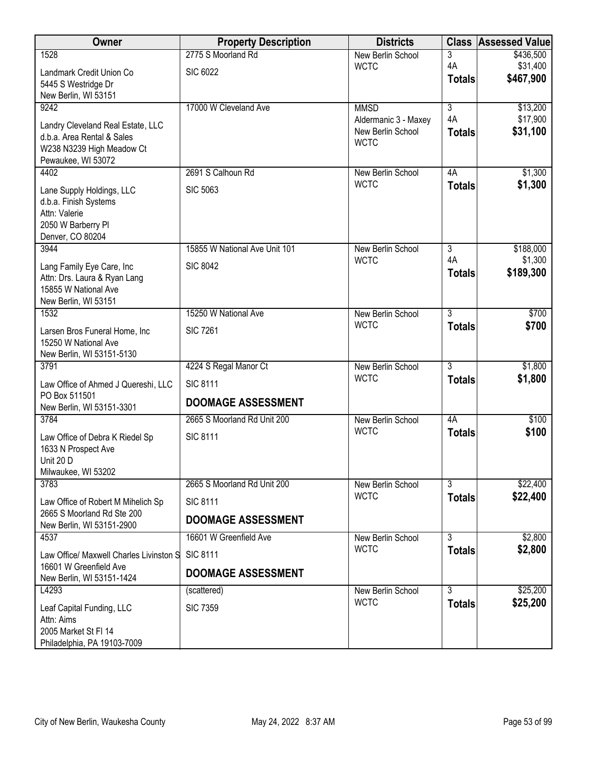| Owner                                                                                                                                                                                                                                   | <b>Property Description</b>                                                                                              | <b>Districts</b>                                                     |                                      | <b>Class Assessed Value</b>                |
|-----------------------------------------------------------------------------------------------------------------------------------------------------------------------------------------------------------------------------------------|--------------------------------------------------------------------------------------------------------------------------|----------------------------------------------------------------------|--------------------------------------|--------------------------------------------|
| 1528                                                                                                                                                                                                                                    | 2775 S Moorland Rd                                                                                                       | New Berlin School                                                    | 3                                    | \$436,500                                  |
| Landmark Credit Union Co                                                                                                                                                                                                                | <b>SIC 6022</b>                                                                                                          | <b>WCTC</b>                                                          | 4A<br><b>Totals</b>                  | \$31,400<br>\$467,900                      |
| 5445 S Westridge Dr                                                                                                                                                                                                                     |                                                                                                                          |                                                                      |                                      |                                            |
| New Berlin, WI 53151<br>9242                                                                                                                                                                                                            | 17000 W Cleveland Ave                                                                                                    | <b>MMSD</b>                                                          | $\overline{3}$                       | \$13,200                                   |
|                                                                                                                                                                                                                                         |                                                                                                                          | Aldermanic 3 - Maxey                                                 | 4A                                   | \$17,900                                   |
| Landry Cleveland Real Estate, LLC<br>d.b.a. Area Rental & Sales                                                                                                                                                                         |                                                                                                                          | New Berlin School                                                    | <b>Totals</b>                        | \$31,100                                   |
| W238 N3239 High Meadow Ct                                                                                                                                                                                                               |                                                                                                                          | <b>WCTC</b>                                                          |                                      |                                            |
| Pewaukee, WI 53072                                                                                                                                                                                                                      |                                                                                                                          |                                                                      |                                      |                                            |
| 4402                                                                                                                                                                                                                                    | 2691 S Calhoun Rd                                                                                                        | New Berlin School<br><b>WCTC</b>                                     | 4A<br><b>Totals</b>                  | \$1,300<br>\$1,300                         |
| Lane Supply Holdings, LLC                                                                                                                                                                                                               | <b>SIC 5063</b>                                                                                                          |                                                                      |                                      |                                            |
| d.b.a. Finish Systems<br>Attn: Valerie                                                                                                                                                                                                  |                                                                                                                          |                                                                      |                                      |                                            |
| 2050 W Barberry Pl                                                                                                                                                                                                                      |                                                                                                                          |                                                                      |                                      |                                            |
| Denver, CO 80204                                                                                                                                                                                                                        |                                                                                                                          |                                                                      |                                      |                                            |
| 3944                                                                                                                                                                                                                                    | 15855 W National Ave Unit 101                                                                                            | New Berlin School                                                    | $\overline{3}$<br>4A                 | \$188,000<br>\$1,300                       |
| Lang Family Eye Care, Inc                                                                                                                                                                                                               | <b>SIC 8042</b>                                                                                                          | <b>WCTC</b>                                                          | <b>Totals</b>                        | \$189,300                                  |
| Attn: Drs. Laura & Ryan Lang<br>15855 W National Ave                                                                                                                                                                                    |                                                                                                                          |                                                                      |                                      |                                            |
| New Berlin, WI 53151                                                                                                                                                                                                                    |                                                                                                                          |                                                                      |                                      |                                            |
| 1532                                                                                                                                                                                                                                    | 15250 W National Ave                                                                                                     | New Berlin School                                                    | $\overline{3}$                       | \$700                                      |
| Larsen Bros Funeral Home, Inc                                                                                                                                                                                                           | <b>SIC 7261</b>                                                                                                          | <b>WCTC</b>                                                          | <b>Totals</b>                        | \$700                                      |
| 15250 W National Ave                                                                                                                                                                                                                    |                                                                                                                          |                                                                      |                                      |                                            |
| New Berlin, WI 53151-5130                                                                                                                                                                                                               |                                                                                                                          |                                                                      |                                      |                                            |
| 3791                                                                                                                                                                                                                                    | 4224 S Regal Manor Ct                                                                                                    | New Berlin School<br><b>WCTC</b>                                     | $\overline{3}$<br><b>Totals</b>      | \$1,800<br>\$1,800                         |
| Law Office of Ahmed J Quereshi, LLC<br>PO Box 511501                                                                                                                                                                                    | <b>SIC 8111</b>                                                                                                          |                                                                      |                                      |                                            |
| New Berlin, WI 53151-3301                                                                                                                                                                                                               | <b>DOOMAGE ASSESSMENT</b>                                                                                                |                                                                      |                                      |                                            |
| 3784                                                                                                                                                                                                                                    | 2665 S Moorland Rd Unit 200                                                                                              | New Berlin School                                                    | 4A                                   | \$100                                      |
|                                                                                                                                                                                                                                         |                                                                                                                          | <b>WCTC</b>                                                          | <b>Totals</b>                        | \$100                                      |
| 1633 N Prospect Ave                                                                                                                                                                                                                     |                                                                                                                          |                                                                      |                                      |                                            |
|                                                                                                                                                                                                                                         |                                                                                                                          |                                                                      |                                      |                                            |
|                                                                                                                                                                                                                                         |                                                                                                                          |                                                                      |                                      |                                            |
|                                                                                                                                                                                                                                         |                                                                                                                          | <b>WCTC</b>                                                          | <b>Totals</b>                        | \$22,400                                   |
| 2665 S Moorland Rd Ste 200                                                                                                                                                                                                              |                                                                                                                          |                                                                      |                                      |                                            |
| New Berlin, WI 53151-2900                                                                                                                                                                                                               |                                                                                                                          |                                                                      |                                      |                                            |
|                                                                                                                                                                                                                                         |                                                                                                                          |                                                                      |                                      |                                            |
| Law Office/ Maxwell Charles Livinston S                                                                                                                                                                                                 | <b>SIC 8111</b>                                                                                                          |                                                                      |                                      |                                            |
|                                                                                                                                                                                                                                         | <b>DOOMAGE ASSESSMENT</b>                                                                                                |                                                                      |                                      |                                            |
| L4293                                                                                                                                                                                                                                   | (scattered)                                                                                                              | New Berlin School                                                    | 3                                    | \$25,200                                   |
| Leaf Capital Funding, LLC                                                                                                                                                                                                               | <b>SIC 7359</b>                                                                                                          |                                                                      | <b>Totals</b>                        |                                            |
| Attn: Aims                                                                                                                                                                                                                              |                                                                                                                          |                                                                      |                                      |                                            |
|                                                                                                                                                                                                                                         |                                                                                                                          |                                                                      |                                      |                                            |
| Law Office of Debra K Riedel Sp<br>Unit 20 D<br>Milwaukee, WI 53202<br>3783<br>Law Office of Robert M Mihelich Sp<br>4537<br>16601 W Greenfield Ave<br>New Berlin, WI 53151-1424<br>2005 Market St FI 14<br>Philadelphia, PA 19103-7009 | <b>SIC 8111</b><br>2665 S Moorland Rd Unit 200<br><b>SIC 8111</b><br><b>DOOMAGE ASSESSMENT</b><br>16601 W Greenfield Ave | New Berlin School<br>New Berlin School<br><b>WCTC</b><br><b>WCTC</b> | $\overline{3}$<br>3<br><b>Totals</b> | \$22,400<br>\$2,800<br>\$2,800<br>\$25,200 |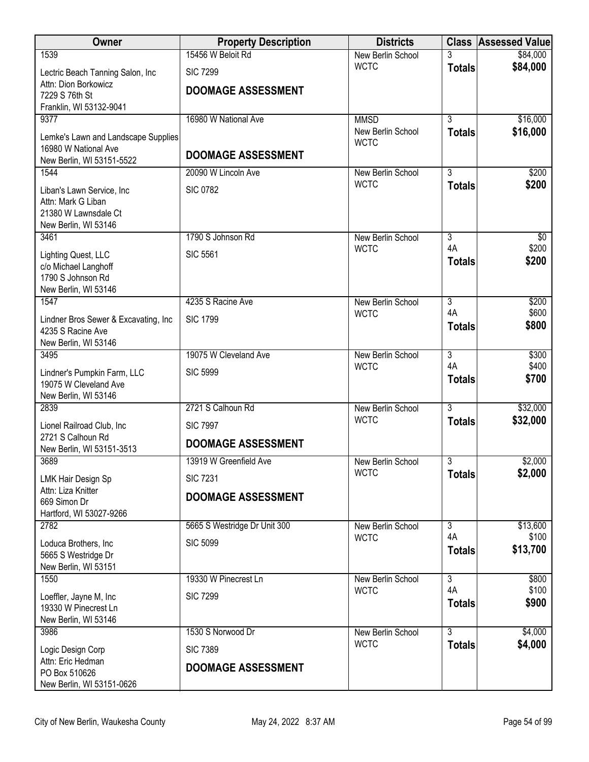| <b>Owner</b>                                   | <b>Property Description</b>  | <b>Districts</b>                 |                      | <b>Class Assessed Value</b> |
|------------------------------------------------|------------------------------|----------------------------------|----------------------|-----------------------------|
| 1539                                           | 15456 W Beloit Rd            | New Berlin School                |                      | \$84,000                    |
| Lectric Beach Tanning Salon, Inc               | <b>SIC 7299</b>              | <b>WCTC</b>                      | <b>Totals</b>        | \$84,000                    |
| Attn: Dion Borkowicz                           | <b>DOOMAGE ASSESSMENT</b>    |                                  |                      |                             |
| 7229 S 76th St<br>Franklin, WI 53132-9041      |                              |                                  |                      |                             |
| 9377                                           | 16980 W National Ave         | <b>MMSD</b>                      | $\overline{3}$       | \$16,000                    |
| Lemke's Lawn and Landscape Supplies            |                              | New Berlin School                | <b>Totals</b>        | \$16,000                    |
| 16980 W National Ave                           | <b>DOOMAGE ASSESSMENT</b>    | <b>WCTC</b>                      |                      |                             |
| New Berlin, WI 53151-5522                      |                              |                                  |                      |                             |
| 1544                                           | 20090 W Lincoln Ave          | New Berlin School<br><b>WCTC</b> | $\overline{3}$       | \$200<br>\$200              |
| Liban's Lawn Service, Inc                      | <b>SIC 0782</b>              |                                  | <b>Totals</b>        |                             |
| Attn: Mark G Liban<br>21380 W Lawnsdale Ct     |                              |                                  |                      |                             |
| New Berlin, WI 53146                           |                              |                                  |                      |                             |
| 3461                                           | 1790 S Johnson Rd            | New Berlin School                | $\overline{3}$       | \$0                         |
| Lighting Quest, LLC                            | <b>SIC 5561</b>              | <b>WCTC</b>                      | 4A                   | \$200                       |
| c/o Michael Langhoff                           |                              |                                  | <b>Totals</b>        | \$200                       |
| 1790 S Johnson Rd<br>New Berlin, WI 53146      |                              |                                  |                      |                             |
| 1547                                           | 4235 S Racine Ave            | New Berlin School                | $\overline{3}$       | \$200                       |
| Lindner Bros Sewer & Excavating, Inc           | <b>SIC 1799</b>              | <b>WCTC</b>                      | 4A                   | \$600                       |
| 4235 S Racine Ave                              |                              |                                  | <b>Totals</b>        | \$800                       |
| New Berlin, WI 53146                           |                              |                                  |                      |                             |
| 3495                                           | 19075 W Cleveland Ave        | New Berlin School                | $\overline{3}$       | \$300                       |
| Lindner's Pumpkin Farm, LLC                    | <b>SIC 5999</b>              | <b>WCTC</b>                      | 4A<br><b>Totals</b>  | \$400<br>\$700              |
| 19075 W Cleveland Ave                          |                              |                                  |                      |                             |
| New Berlin, WI 53146<br>2839                   | 2721 S Calhoun Rd            | New Berlin School                | $\overline{3}$       | \$32,000                    |
| Lionel Railroad Club, Inc                      | <b>SIC 7997</b>              | <b>WCTC</b>                      | <b>Totals</b>        | \$32,000                    |
| 2721 S Calhoun Rd                              |                              |                                  |                      |                             |
| New Berlin, WI 53151-3513                      | <b>DOOMAGE ASSESSMENT</b>    |                                  |                      |                             |
| 3689                                           | 13919 W Greenfield Ave       | New Berlin School                | 3                    | \$2,000                     |
| LMK Hair Design Sp                             | <b>SIC 7231</b>              | <b>WCTC</b>                      | <b>Totals</b>        | \$2,000                     |
| Attn: Liza Knitter<br>669 Simon Dr             | <b>DOOMAGE ASSESSMENT</b>    |                                  |                      |                             |
| Hartford, WI 53027-9266                        |                              |                                  |                      |                             |
| 2782                                           | 5665 S Westridge Dr Unit 300 | New Berlin School                | $\overline{3}$       | \$13,600                    |
| Loduca Brothers, Inc                           | <b>SIC 5099</b>              | <b>WCTC</b>                      | 4A                   | \$100                       |
| 5665 S Westridge Dr                            |                              |                                  | <b>Totals</b>        | \$13,700                    |
| New Berlin, WI 53151                           |                              |                                  |                      |                             |
| 1550                                           | 19330 W Pinecrest Ln         | New Berlin School<br><b>WCTC</b> | $\overline{3}$<br>4A | \$800<br>\$100              |
| Loeffler, Jayne M, Inc<br>19330 W Pinecrest Ln | <b>SIC 7299</b>              |                                  | <b>Totals</b>        | \$900                       |
| New Berlin, WI 53146                           |                              |                                  |                      |                             |
| 3986                                           | 1530 S Norwood Dr            | New Berlin School                | $\overline{3}$       | \$4,000                     |
| Logic Design Corp                              | <b>SIC 7389</b>              | <b>WCTC</b>                      | <b>Totals</b>        | \$4,000                     |
| Attn: Eric Hedman                              | <b>DOOMAGE ASSESSMENT</b>    |                                  |                      |                             |
| PO Box 510626                                  |                              |                                  |                      |                             |
| New Berlin, WI 53151-0626                      |                              |                                  |                      |                             |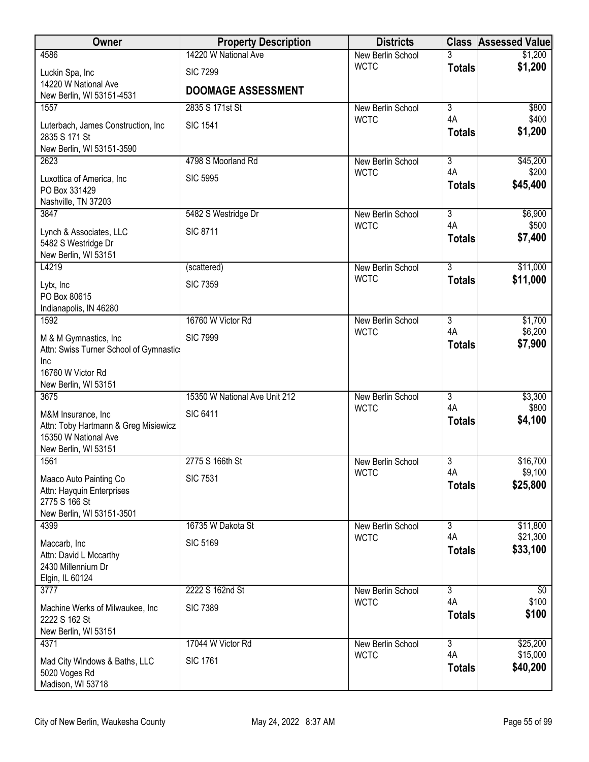| Owner                                                            | <b>Property Description</b>   | <b>Districts</b>                 |                      | <b>Class Assessed Value</b> |
|------------------------------------------------------------------|-------------------------------|----------------------------------|----------------------|-----------------------------|
| 4586                                                             | 14220 W National Ave          | New Berlin School                |                      | \$1,200                     |
| Luckin Spa, Inc                                                  | <b>SIC 7299</b>               | <b>WCTC</b>                      | <b>Totals</b>        | \$1,200                     |
| 14220 W National Ave                                             | <b>DOOMAGE ASSESSMENT</b>     |                                  |                      |                             |
| New Berlin, WI 53151-4531<br>1557                                | 2835 S 171st St               | New Berlin School                | $\overline{3}$       | \$800                       |
|                                                                  | <b>SIC 1541</b>               | <b>WCTC</b>                      | 4A                   | \$400                       |
| Luterbach, James Construction, Inc<br>2835 S 171 St              |                               |                                  | <b>Totals</b>        | \$1,200                     |
| New Berlin, WI 53151-3590                                        |                               |                                  |                      |                             |
| 2623                                                             | 4798 S Moorland Rd            | New Berlin School                | 3                    | \$45,200                    |
| Luxottica of America, Inc                                        | <b>SIC 5995</b>               | <b>WCTC</b>                      | 4A                   | \$200<br>\$45,400           |
| PO Box 331429                                                    |                               |                                  | <b>Totals</b>        |                             |
| Nashville, TN 37203<br>3847                                      | 5482 S Westridge Dr           | New Berlin School                | $\overline{3}$       | \$6,900                     |
|                                                                  |                               | <b>WCTC</b>                      | 4A                   | \$500                       |
| Lynch & Associates, LLC<br>5482 S Westridge Dr                   | <b>SIC 8711</b>               |                                  | <b>Totals</b>        | \$7,400                     |
| New Berlin, WI 53151                                             |                               |                                  |                      |                             |
| L4219                                                            | (scattered)                   | New Berlin School                | $\overline{3}$       | \$11,000                    |
| Lytx, Inc                                                        | <b>SIC 7359</b>               | <b>WCTC</b>                      | <b>Totals</b>        | \$11,000                    |
| PO Box 80615                                                     |                               |                                  |                      |                             |
| Indianapolis, IN 46280<br>1592                                   | 16760 W Victor Rd             | New Berlin School                | $\overline{3}$       | \$1,700                     |
|                                                                  |                               | <b>WCTC</b>                      | 4A                   | \$6,200                     |
| M & M Gymnastics, Inc.<br>Attn: Swiss Turner School of Gymnastic | <b>SIC 7999</b>               |                                  | <b>Totals</b>        | \$7,900                     |
| Inc                                                              |                               |                                  |                      |                             |
| 16760 W Victor Rd                                                |                               |                                  |                      |                             |
| New Berlin, WI 53151                                             |                               |                                  |                      |                             |
| 3675                                                             | 15350 W National Ave Unit 212 | New Berlin School<br><b>WCTC</b> | $\overline{3}$<br>4A | \$3,300<br>\$800            |
| M&M Insurance, Inc                                               | <b>SIC 6411</b>               |                                  | <b>Totals</b>        | \$4,100                     |
| Attn: Toby Hartmann & Greg Misiewicz<br>15350 W National Ave     |                               |                                  |                      |                             |
| New Berlin, WI 53151                                             |                               |                                  |                      |                             |
| 1561                                                             | 2775 S 166th St               | New Berlin School                | $\overline{3}$       | \$16,700                    |
| Maaco Auto Painting Co                                           | <b>SIC 7531</b>               | <b>WCTC</b>                      | 4A                   | \$9,100<br>\$25,800         |
| Attn: Hayquin Enterprises                                        |                               |                                  | <b>Totals</b>        |                             |
| 2775 S 166 St<br>New Berlin, WI 53151-3501                       |                               |                                  |                      |                             |
| 4399                                                             | 16735 W Dakota St             | New Berlin School                | $\overline{3}$       | \$11,800                    |
| Maccarb, Inc                                                     | <b>SIC 5169</b>               | <b>WCTC</b>                      | 4A                   | \$21,300                    |
| Attn: David L Mccarthy                                           |                               |                                  | <b>Totals</b>        | \$33,100                    |
| 2430 Millennium Dr                                               |                               |                                  |                      |                             |
| Elgin, IL 60124<br>3777                                          | 2222 S 162nd St               |                                  | $\overline{3}$       | $\overline{50}$             |
|                                                                  |                               | New Berlin School<br><b>WCTC</b> | 4A                   | \$100                       |
| Machine Werks of Milwaukee, Inc<br>2222 S 162 St                 | <b>SIC 7389</b>               |                                  | <b>Totals</b>        | \$100                       |
| New Berlin, WI 53151                                             |                               |                                  |                      |                             |
| 4371                                                             | 17044 W Victor Rd             | New Berlin School                | $\overline{3}$       | \$25,200                    |
| Mad City Windows & Baths, LLC                                    | <b>SIC 1761</b>               | <b>WCTC</b>                      | 4A                   | \$15,000                    |
| 5020 Voges Rd                                                    |                               |                                  | <b>Totals</b>        | \$40,200                    |
| Madison, WI 53718                                                |                               |                                  |                      |                             |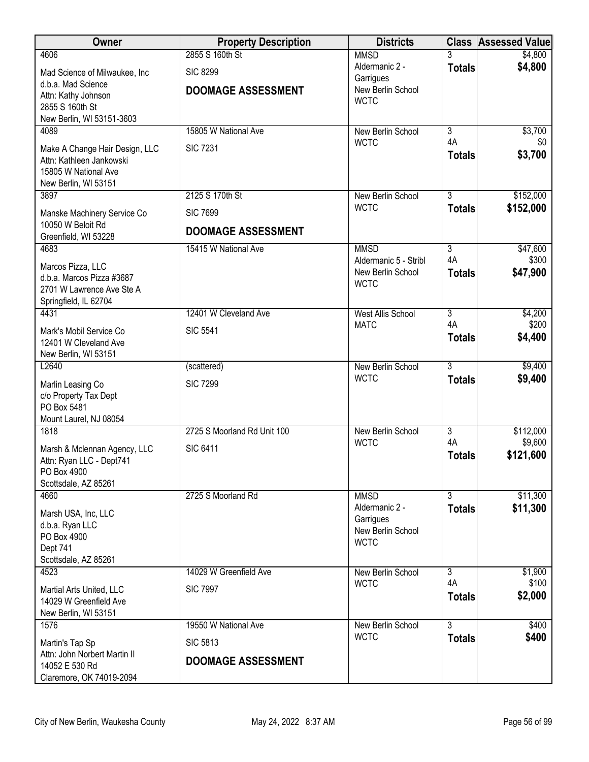| Owner                                         | <b>Property Description</b> | <b>Districts</b>                        | <b>Class</b>                    | <b>Assessed Value</b>  |
|-----------------------------------------------|-----------------------------|-----------------------------------------|---------------------------------|------------------------|
| 4606                                          | 2855 S 160th St             | <b>MMSD</b>                             |                                 | \$4,800                |
| Mad Science of Milwaukee, Inc                 | <b>SIC 8299</b>             | Aldermanic 2 -<br>Garrigues             | <b>Totals</b>                   | \$4,800                |
| d.b.a. Mad Science                            | <b>DOOMAGE ASSESSMENT</b>   | New Berlin School                       |                                 |                        |
| Attn: Kathy Johnson<br>2855 S 160th St        |                             | <b>WCTC</b>                             |                                 |                        |
| New Berlin, WI 53151-3603                     |                             |                                         |                                 |                        |
| 4089                                          | 15805 W National Ave        | New Berlin School                       | $\overline{3}$                  | \$3,700                |
| Make A Change Hair Design, LLC                | <b>SIC 7231</b>             | <b>WCTC</b>                             | 4A                              | \$0                    |
| Attn: Kathleen Jankowski                      |                             |                                         | <b>Totals</b>                   | \$3,700                |
| 15805 W National Ave                          |                             |                                         |                                 |                        |
| New Berlin, WI 53151<br>3897                  | 2125 S 170th St             |                                         | $\overline{3}$                  |                        |
|                                               |                             | New Berlin School<br><b>WCTC</b>        | <b>Totals</b>                   | \$152,000<br>\$152,000 |
| Manske Machinery Service Co                   | <b>SIC 7699</b>             |                                         |                                 |                        |
| 10050 W Beloit Rd<br>Greenfield, WI 53228     | <b>DOOMAGE ASSESSMENT</b>   |                                         |                                 |                        |
| 4683                                          | 15415 W National Ave        | <b>MMSD</b>                             | $\overline{3}$                  | \$47,600               |
| Marcos Pizza, LLC                             |                             | Aldermanic 5 - Stribl                   | 4A                              | \$300                  |
| d.b.a. Marcos Pizza #3687                     |                             | New Berlin School                       | <b>Totals</b>                   | \$47,900               |
| 2701 W Lawrence Ave Ste A                     |                             | <b>WCTC</b>                             |                                 |                        |
| Springfield, IL 62704                         |                             |                                         |                                 |                        |
| 4431                                          | 12401 W Cleveland Ave       | <b>West Allis School</b><br><b>MATC</b> | $\overline{3}$<br>4A            | \$4,200<br>\$200       |
| Mark's Mobil Service Co                       | <b>SIC 5541</b>             |                                         | <b>Totals</b>                   | \$4,400                |
| 12401 W Cleveland Ave<br>New Berlin, WI 53151 |                             |                                         |                                 |                        |
| L2640                                         | (scattered)                 | New Berlin School                       | $\overline{3}$                  | \$9,400                |
| Marlin Leasing Co                             | <b>SIC 7299</b>             | <b>WCTC</b>                             | <b>Totals</b>                   | \$9,400                |
| c/o Property Tax Dept                         |                             |                                         |                                 |                        |
| PO Box 5481                                   |                             |                                         |                                 |                        |
| Mount Laurel, NJ 08054                        |                             |                                         |                                 |                        |
| 1818                                          | 2725 S Moorland Rd Unit 100 | New Berlin School<br><b>WCTC</b>        | $\overline{\overline{3}}$<br>4A | \$112,000<br>\$9,600   |
| Marsh & Mclennan Agency, LLC                  | <b>SIC 6411</b>             |                                         | <b>Totals</b>                   | \$121,600              |
| Attn: Ryan LLC - Dept741<br>PO Box 4900       |                             |                                         |                                 |                        |
| Scottsdale, AZ 85261                          |                             |                                         |                                 |                        |
| 4660                                          | 2725 S Moorland Rd          | <b>MMSD</b>                             | $\overline{3}$                  | \$11,300               |
| Marsh USA, Inc, LLC                           |                             | Aldermanic 2 -                          | <b>Totals</b>                   | \$11,300               |
| d.b.a. Ryan LLC                               |                             | Garrigues<br>New Berlin School          |                                 |                        |
| PO Box 4900                                   |                             | <b>WCTC</b>                             |                                 |                        |
| Dept 741<br>Scottsdale, AZ 85261              |                             |                                         |                                 |                        |
| 4523                                          | 14029 W Greenfield Ave      | New Berlin School                       | $\overline{3}$                  | \$1,900                |
| Martial Arts United, LLC                      | <b>SIC 7997</b>             | <b>WCTC</b>                             | 4A                              | \$100                  |
| 14029 W Greenfield Ave                        |                             |                                         | <b>Totals</b>                   | \$2,000                |
| New Berlin, WI 53151                          |                             |                                         |                                 |                        |
| 1576                                          | 19550 W National Ave        | New Berlin School                       | $\overline{3}$                  | \$400                  |
| Martin's Tap Sp                               | <b>SIC 5813</b>             | <b>WCTC</b>                             | <b>Totals</b>                   | \$400                  |
| Attn: John Norbert Martin II                  | <b>DOOMAGE ASSESSMENT</b>   |                                         |                                 |                        |
| 14052 E 530 Rd<br>Claremore, OK 74019-2094    |                             |                                         |                                 |                        |
|                                               |                             |                                         |                                 |                        |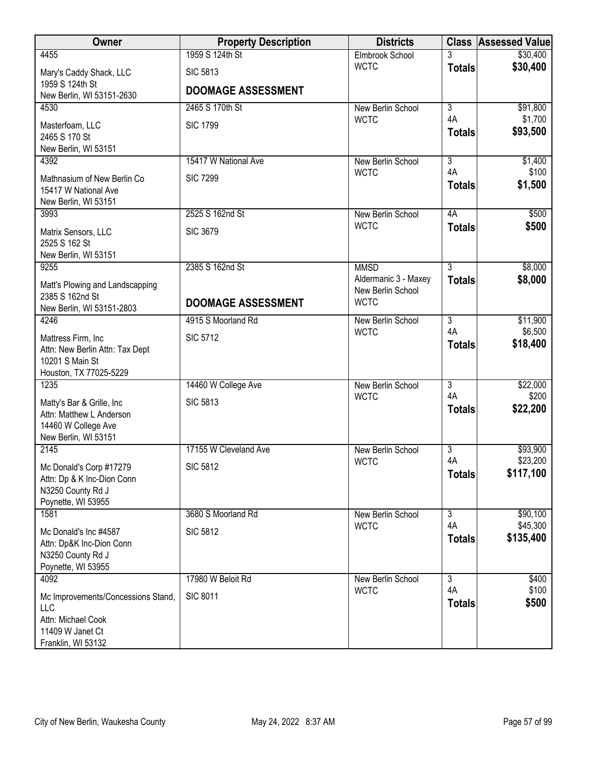| Owner                                                                                                            | <b>Property Description</b> | <b>Districts</b>                                         |                     | <b>Class Assessed Value</b> |
|------------------------------------------------------------------------------------------------------------------|-----------------------------|----------------------------------------------------------|---------------------|-----------------------------|
| 4455                                                                                                             | 1959 S 124th St             | Elmbrook School                                          | 3                   | \$30,400                    |
| Mary's Caddy Shack, LLC                                                                                          | <b>SIC 5813</b>             | <b>WCTC</b>                                              | <b>Totals</b>       | \$30,400                    |
| 1959 S 124th St<br>New Berlin, WI 53151-2630                                                                     | <b>DOOMAGE ASSESSMENT</b>   |                                                          |                     |                             |
| 4530                                                                                                             | 2465 S 170th St             | New Berlin School                                        | $\overline{3}$      | \$91,800                    |
| Masterfoam, LLC<br>2465 S 170 St<br>New Berlin, WI 53151                                                         | <b>SIC 1799</b>             | <b>WCTC</b>                                              | 4A<br><b>Totals</b> | \$1,700<br>\$93,500         |
| 4392                                                                                                             | 15417 W National Ave        | New Berlin School                                        | $\overline{3}$      | \$1,400                     |
| Mathnasium of New Berlin Co<br>15417 W National Ave<br>New Berlin, WI 53151                                      | <b>SIC 7299</b>             | <b>WCTC</b>                                              | 4A<br><b>Totals</b> | \$100<br>\$1,500            |
| 3993                                                                                                             | 2525 S 162nd St             | New Berlin School                                        | 4A                  | \$500                       |
| Matrix Sensors, LLC<br>2525 S 162 St<br>New Berlin, WI 53151                                                     | <b>SIC 3679</b>             | <b>WCTC</b>                                              | <b>Totals</b>       | \$500                       |
| 9255                                                                                                             | 2385 S 162nd St             | <b>MMSD</b>                                              | $\overline{3}$      | \$8,000                     |
| Matt's Plowing and Landscapping<br>2385 S 162nd St<br>New Berlin, WI 53151-2803                                  | <b>DOOMAGE ASSESSMENT</b>   | Aldermanic 3 - Maxey<br>New Berlin School<br><b>WCTC</b> | <b>Totals</b>       | \$8,000                     |
| 4246                                                                                                             | 4915 S Moorland Rd          | <b>New Berlin School</b>                                 | $\overline{3}$      | \$11,900                    |
| Mattress Firm, Inc.<br>Attn: New Berlin Attn: Tax Dept<br>10201 S Main St<br>Houston, TX 77025-5229              | <b>SIC 5712</b>             | <b>WCTC</b>                                              | 4A<br><b>Totals</b> | \$6,500<br>\$18,400         |
| 1235                                                                                                             | 14460 W College Ave         | New Berlin School                                        | $\overline{3}$      | \$22,000                    |
| Matty's Bar & Grille, Inc<br>Attn: Matthew L Anderson<br>14460 W College Ave<br>New Berlin, WI 53151             | <b>SIC 5813</b>             | <b>WCTC</b>                                              | 4A<br><b>Totals</b> | \$200<br>\$22,200           |
| 2145                                                                                                             | 17155 W Cleveland Ave       | New Berlin School                                        | $\overline{3}$      | \$93,900                    |
| Mc Donald's Corp #17279<br>Attn: Dp & K Inc-Dion Conn<br>N3250 County Rd J<br>Poynette, WI 53955                 | <b>SIC 5812</b>             | <b>WCTC</b>                                              | 4A<br><b>Totals</b> | \$23,200<br>\$117,100       |
| 1581                                                                                                             | 3680 S Moorland Rd          | New Berlin School                                        | $\overline{3}$      | \$90,100                    |
| Mc Donald's Inc #4587<br>Attn: Dp&K Inc-Dion Conn<br>N3250 County Rd J<br>Poynette, WI 53955                     | <b>SIC 5812</b>             | <b>WCTC</b>                                              | 4A<br><b>Totals</b> | \$45,300<br>\$135,400       |
| 4092                                                                                                             | 17980 W Beloit Rd           | New Berlin School                                        | $\overline{3}$      | \$400                       |
| Mc Improvements/Concessions Stand,<br><b>LLC</b><br>Attn: Michael Cook<br>11409 W Janet Ct<br>Franklin, WI 53132 | <b>SIC 8011</b>             | <b>WCTC</b>                                              | 4A<br><b>Totals</b> | \$100<br>\$500              |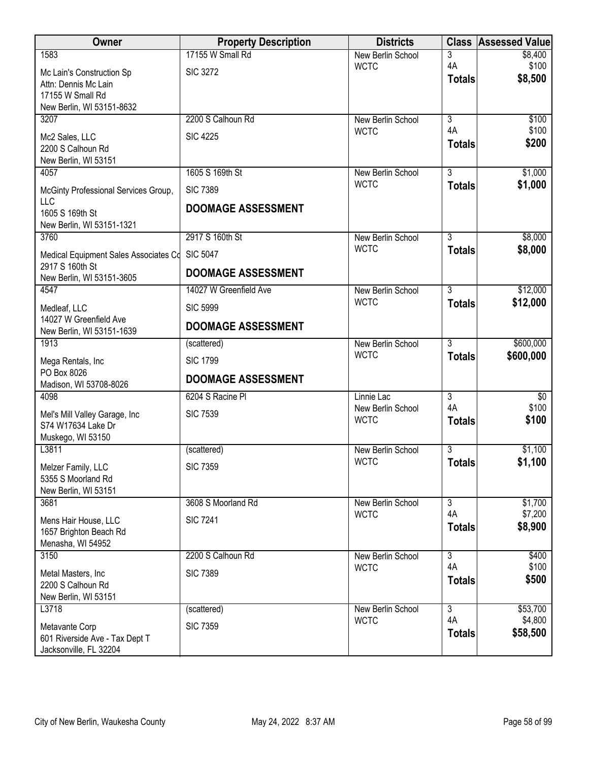| Owner                                                    | <b>Property Description</b> | <b>Districts</b>                 |                      | <b>Class Assessed Value</b> |
|----------------------------------------------------------|-----------------------------|----------------------------------|----------------------|-----------------------------|
| 1583                                                     | 17155 W Small Rd            | New Berlin School                | 3                    | \$8,400                     |
| Mc Lain's Construction Sp                                | <b>SIC 3272</b>             | <b>WCTC</b>                      | 4A<br><b>Totals</b>  | \$100<br>\$8,500            |
| Attn: Dennis Mc Lain<br>17155 W Small Rd                 |                             |                                  |                      |                             |
| New Berlin, WI 53151-8632                                |                             |                                  |                      |                             |
| 3207                                                     | 2200 S Calhoun Rd           | New Berlin School                | $\overline{3}$       | \$100                       |
| Mc2 Sales, LLC                                           | <b>SIC 4225</b>             | <b>WCTC</b>                      | 4A                   | \$100                       |
| 2200 S Calhoun Rd                                        |                             |                                  | <b>Totals</b>        | \$200                       |
| New Berlin, WI 53151<br>4057                             | 1605 S 169th St             | New Berlin School                | $\overline{3}$       | \$1,000                     |
|                                                          |                             | <b>WCTC</b>                      | <b>Totals</b>        | \$1,000                     |
| McGinty Professional Services Group,<br>LLC              | <b>SIC 7389</b>             |                                  |                      |                             |
| 1605 S 169th St                                          | <b>DOOMAGE ASSESSMENT</b>   |                                  |                      |                             |
| New Berlin, WI 53151-1321                                |                             |                                  |                      |                             |
| 3760                                                     | 2917 S 160th St             | New Berlin School<br><b>WCTC</b> | $\overline{3}$       | \$8,000                     |
| Medical Equipment Sales Associates Cd<br>2917 S 160th St | <b>SIC 5047</b>             |                                  | <b>Totals</b>        | \$8,000                     |
| New Berlin, WI 53151-3605                                | <b>DOOMAGE ASSESSMENT</b>   |                                  |                      |                             |
| 4547                                                     | 14027 W Greenfield Ave      | New Berlin School                | $\overline{3}$       | \$12,000                    |
| Medleaf, LLC                                             | <b>SIC 5999</b>             | <b>WCTC</b>                      | <b>Totals</b>        | \$12,000                    |
| 14027 W Greenfield Ave<br>New Berlin, WI 53151-1639      | <b>DOOMAGE ASSESSMENT</b>   |                                  |                      |                             |
| 1913                                                     | (scattered)                 | New Berlin School                | $\overline{3}$       | \$600,000                   |
| Mega Rentals, Inc                                        | <b>SIC 1799</b>             | <b>WCTC</b>                      | <b>Totals</b>        | \$600,000                   |
| PO Box 8026                                              | <b>DOOMAGE ASSESSMENT</b>   |                                  |                      |                             |
| Madison, WI 53708-8026<br>4098                           | 6204 S Racine PI            | Linnie Lac                       | $\overline{3}$       | $\sqrt[6]{}$                |
| Mel's Mill Valley Garage, Inc                            | <b>SIC 7539</b>             | New Berlin School                | 4A                   | \$100                       |
| S74 W17634 Lake Dr                                       |                             | <b>WCTC</b>                      | <b>Totals</b>        | \$100                       |
| Muskego, WI 53150                                        |                             |                                  |                      |                             |
| L3811                                                    | (scattered)                 | New Berlin School<br><b>WCTC</b> | $\overline{3}$       | \$1,100                     |
| Melzer Family, LLC                                       | <b>SIC 7359</b>             |                                  | <b>Totals</b>        | \$1,100                     |
| 5355 S Moorland Rd<br>New Berlin, WI 53151               |                             |                                  |                      |                             |
| 3681                                                     | 3608 S Moorland Rd          | New Berlin School                | $\overline{3}$       | \$1,700                     |
| Mens Hair House, LLC                                     | <b>SIC 7241</b>             | <b>WCTC</b>                      | 4A                   | \$7,200                     |
| 1657 Brighton Beach Rd                                   |                             |                                  | <b>Totals</b>        | \$8,900                     |
| Menasha, WI 54952                                        |                             |                                  |                      |                             |
| 3150                                                     | 2200 S Calhoun Rd           | New Berlin School<br><b>WCTC</b> | $\overline{3}$<br>4A | \$400<br>\$100              |
| Metal Masters, Inc.<br>2200 S Calhoun Rd                 | <b>SIC 7389</b>             |                                  | <b>Totals</b>        | \$500                       |
| New Berlin, WI 53151                                     |                             |                                  |                      |                             |
| L3718                                                    | (scattered)                 | New Berlin School                | $\overline{3}$       | \$53,700                    |
| Metavante Corp                                           | <b>SIC 7359</b>             | <b>WCTC</b>                      | 4A                   | \$4,800                     |
| 601 Riverside Ave - Tax Dept T                           |                             |                                  | <b>Totals</b>        | \$58,500                    |
| Jacksonville, FL 32204                                   |                             |                                  |                      |                             |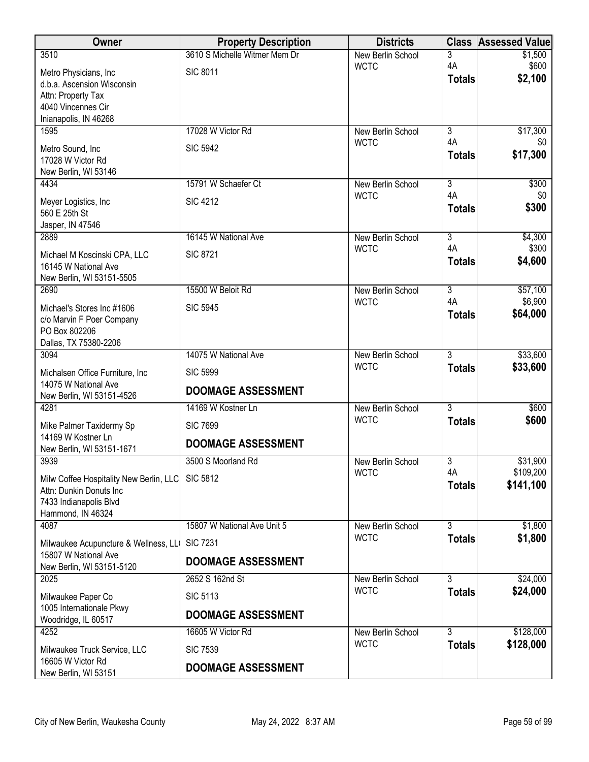| Owner                                             | <b>Property Description</b>   | <b>Districts</b>                 | <b>Class</b>         | <b>Assessed Value</b> |
|---------------------------------------------------|-------------------------------|----------------------------------|----------------------|-----------------------|
| 3510                                              | 3610 S Michelle Witmer Mem Dr | <b>New Berlin School</b>         | 3                    | \$1,500               |
| Metro Physicians, Inc                             | <b>SIC 8011</b>               | <b>WCTC</b>                      | 4A<br><b>Totals</b>  | \$600<br>\$2,100      |
| d.b.a. Ascension Wisconsin                        |                               |                                  |                      |                       |
| Attn: Property Tax<br>4040 Vincennes Cir          |                               |                                  |                      |                       |
| Inianapolis, IN 46268                             |                               |                                  |                      |                       |
| 1595                                              | 17028 W Victor Rd             | New Berlin School                | $\overline{3}$<br>4A | \$17,300              |
| Metro Sound, Inc                                  | <b>SIC 5942</b>               | <b>WCTC</b>                      | <b>Totals</b>        | \$0<br>\$17,300       |
| 17028 W Victor Rd<br>New Berlin, WI 53146         |                               |                                  |                      |                       |
| 4434                                              | 15791 W Schaefer Ct           | New Berlin School                | 3                    | \$300                 |
| Meyer Logistics, Inc                              | <b>SIC 4212</b>               | <b>WCTC</b>                      | 4A                   | \$0                   |
| 560 E 25th St                                     |                               |                                  | <b>Totals</b>        | \$300                 |
| Jasper, IN 47546                                  |                               |                                  |                      |                       |
| 2889                                              | 16145 W National Ave          | New Berlin School<br><b>WCTC</b> | $\overline{3}$<br>4A | \$4,300<br>\$300      |
| Michael M Koscinski CPA, LLC                      | <b>SIC 8721</b>               |                                  | <b>Totals</b>        | \$4,600               |
| 16145 W National Ave<br>New Berlin, WI 53151-5505 |                               |                                  |                      |                       |
| 2690                                              | 15500 W Beloit Rd             | New Berlin School                | $\overline{3}$       | \$57,100              |
| Michael's Stores Inc #1606                        | <b>SIC 5945</b>               | <b>WCTC</b>                      | 4A                   | \$6,900               |
| c/o Marvin F Poer Company                         |                               |                                  | <b>Totals</b>        | \$64,000              |
| PO Box 802206                                     |                               |                                  |                      |                       |
| Dallas, TX 75380-2206<br>3094                     | 14075 W National Ave          | New Berlin School                | $\overline{3}$       | \$33,600              |
| Michalsen Office Furniture, Inc                   | <b>SIC 5999</b>               | <b>WCTC</b>                      | <b>Totals</b>        | \$33,600              |
| 14075 W National Ave                              |                               |                                  |                      |                       |
| New Berlin, WI 53151-4526                         | <b>DOOMAGE ASSESSMENT</b>     |                                  |                      |                       |
| 4281                                              | 14169 W Kostner Ln            | New Berlin School<br><b>WCTC</b> | $\overline{3}$       | \$600<br>\$600        |
| Mike Palmer Taxidermy Sp                          | <b>SIC 7699</b>               |                                  | <b>Totals</b>        |                       |
| 14169 W Kostner Ln<br>New Berlin, WI 53151-1671   | <b>DOOMAGE ASSESSMENT</b>     |                                  |                      |                       |
| 3939                                              | 3500 S Moorland Rd            | New Berlin School                | 3                    | \$31,900              |
| Milw Coffee Hospitality New Berlin, LLC           | <b>SIC 5812</b>               | <b>WCTC</b>                      | 4A                   | \$109,200             |
| Attn: Dunkin Donuts Inc                           |                               |                                  | <b>Totals</b>        | \$141,100             |
| 7433 Indianapolis Blvd<br>Hammond, IN 46324       |                               |                                  |                      |                       |
| 4087                                              | 15807 W National Ave Unit 5   | New Berlin School                | $\overline{3}$       | \$1,800               |
| Milwaukee Acupuncture & Wellness, LL              | <b>SIC 7231</b>               | <b>WCTC</b>                      | <b>Totals</b>        | \$1,800               |
| 15807 W National Ave                              | <b>DOOMAGE ASSESSMENT</b>     |                                  |                      |                       |
| New Berlin, WI 53151-5120                         |                               |                                  |                      |                       |
| 2025                                              | 2652 S 162nd St               | New Berlin School<br><b>WCTC</b> | 3<br><b>Totals</b>   | \$24,000<br>\$24,000  |
| Milwaukee Paper Co<br>1005 Internationale Pkwy    | <b>SIC 5113</b>               |                                  |                      |                       |
| Woodridge, IL 60517                               | <b>DOOMAGE ASSESSMENT</b>     |                                  |                      |                       |
| 4252                                              | 16605 W Victor Rd             | New Berlin School                | $\overline{3}$       | \$128,000             |
| Milwaukee Truck Service, LLC                      | <b>SIC 7539</b>               | <b>WCTC</b>                      | <b>Totals</b>        | \$128,000             |
| 16605 W Victor Rd<br>New Berlin, WI 53151         | <b>DOOMAGE ASSESSMENT</b>     |                                  |                      |                       |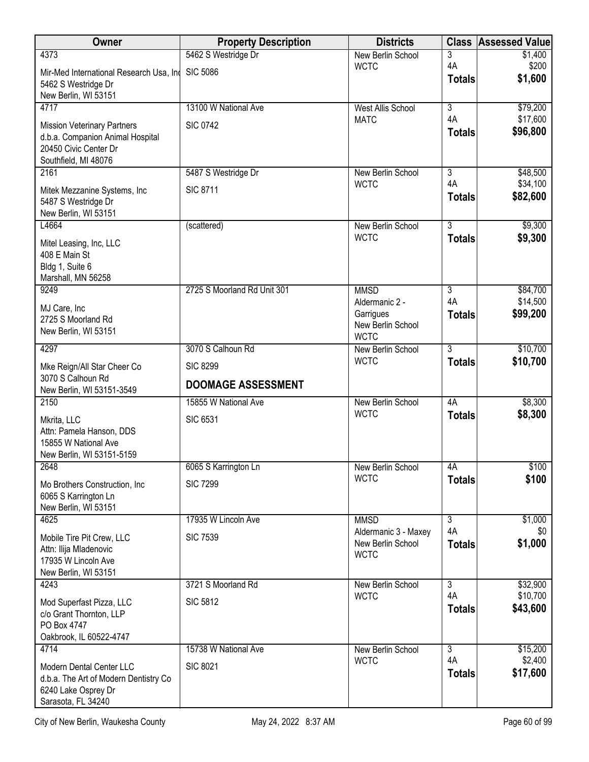| Owner                                                                                                                   | <b>Property Description</b>                  | <b>Districts</b>                                                | <b>Class</b>        | <b>Assessed Value</b> |
|-------------------------------------------------------------------------------------------------------------------------|----------------------------------------------|-----------------------------------------------------------------|---------------------|-----------------------|
| 4373                                                                                                                    | 5462 S Westridge Dr                          | New Berlin School                                               | 3                   | \$1,400               |
| Mir-Med International Research Usa, Ind<br>5462 S Westridge Dr<br>New Berlin, WI 53151                                  | <b>SIC 5086</b>                              | <b>WCTC</b>                                                     | 4A<br><b>Totals</b> | \$200<br>\$1,600      |
| 4717                                                                                                                    | 13100 W National Ave                         | <b>West Allis School</b>                                        | $\overline{3}$      | \$79,200              |
| <b>Mission Veterinary Partners</b><br>d.b.a. Companion Animal Hospital<br>20450 Civic Center Dr<br>Southfield, MI 48076 | <b>SIC 0742</b>                              | <b>MATC</b>                                                     | 4A<br><b>Totals</b> | \$17,600<br>\$96,800  |
| 2161                                                                                                                    | 5487 S Westridge Dr                          | New Berlin School                                               | 3                   | \$48,500              |
| Mitek Mezzanine Systems, Inc<br>5487 S Westridge Dr<br>New Berlin, WI 53151                                             | <b>SIC 8711</b>                              | <b>WCTC</b>                                                     | 4A<br><b>Totals</b> | \$34,100<br>\$82,600  |
| L4664                                                                                                                   | (scattered)                                  | New Berlin School                                               | $\overline{3}$      | \$9,300               |
| Mitel Leasing, Inc, LLC<br>408 E Main St<br>Bldg 1, Suite 6<br>Marshall, MN 56258                                       |                                              | <b>WCTC</b>                                                     | <b>Totals</b>       | \$9,300               |
| 9249                                                                                                                    | 2725 S Moorland Rd Unit 301                  | <b>MMSD</b>                                                     | $\overline{3}$      | \$84,700              |
| MJ Care, Inc<br>2725 S Moorland Rd<br>New Berlin, WI 53151                                                              |                                              | Aldermanic 2 -<br>Garrigues<br>New Berlin School<br><b>WCTC</b> | 4A<br><b>Totals</b> | \$14,500<br>\$99,200  |
| 4297                                                                                                                    | 3070 S Calhoun Rd                            | New Berlin School                                               | $\overline{3}$      | \$10,700              |
| Mke Reign/All Star Cheer Co<br>3070 S Calhoun Rd<br>New Berlin, WI 53151-3549                                           | <b>SIC 8299</b><br><b>DOOMAGE ASSESSMENT</b> | <b>WCTC</b>                                                     | <b>Totals</b>       | \$10,700              |
| 2150                                                                                                                    | 15855 W National Ave                         | New Berlin School                                               | 4A                  | \$8,300               |
| Mkrita, LLC<br>Attn: Pamela Hanson, DDS<br>15855 W National Ave<br>New Berlin, WI 53151-5159                            | <b>SIC 6531</b>                              | <b>WCTC</b>                                                     | <b>Totals</b>       | \$8,300               |
| 2648                                                                                                                    | 6065 S Karrington Ln                         | New Berlin School                                               | 4A                  | \$100                 |
| Mo Brothers Construction, Inc.<br>6065 S Karrington Ln<br>New Berlin, WI 53151                                          | <b>SIC 7299</b>                              | <b>WCTC</b>                                                     | <b>Totals</b>       | \$100                 |
| 4625                                                                                                                    | 17935 W Lincoln Ave                          | <b>MMSD</b>                                                     | $\overline{3}$      | \$1,000               |
| Mobile Tire Pit Crew, LLC<br>Attn: Ilija Mladenovic<br>17935 W Lincoln Ave<br>New Berlin, WI 53151                      | <b>SIC 7539</b>                              | Aldermanic 3 - Maxey<br>New Berlin School<br><b>WCTC</b>        | 4A<br><b>Totals</b> | \$0<br>\$1,000        |
| 4243                                                                                                                    | 3721 S Moorland Rd                           | New Berlin School                                               | 3                   | \$32,900              |
| Mod Superfast Pizza, LLC<br>c/o Grant Thornton, LLP<br>PO Box 4747<br>Oakbrook, IL 60522-4747                           | <b>SIC 5812</b>                              | <b>WCTC</b>                                                     | 4A<br><b>Totals</b> | \$10,700<br>\$43,600  |
| 4714                                                                                                                    | 15738 W National Ave                         | New Berlin School                                               | $\overline{3}$      | \$15,200              |
| Modern Dental Center LLC<br>d.b.a. The Art of Modern Dentistry Co<br>6240 Lake Osprey Dr<br>Sarasota, FL 34240          | <b>SIC 8021</b>                              | <b>WCTC</b>                                                     | 4A<br><b>Totals</b> | \$2,400<br>\$17,600   |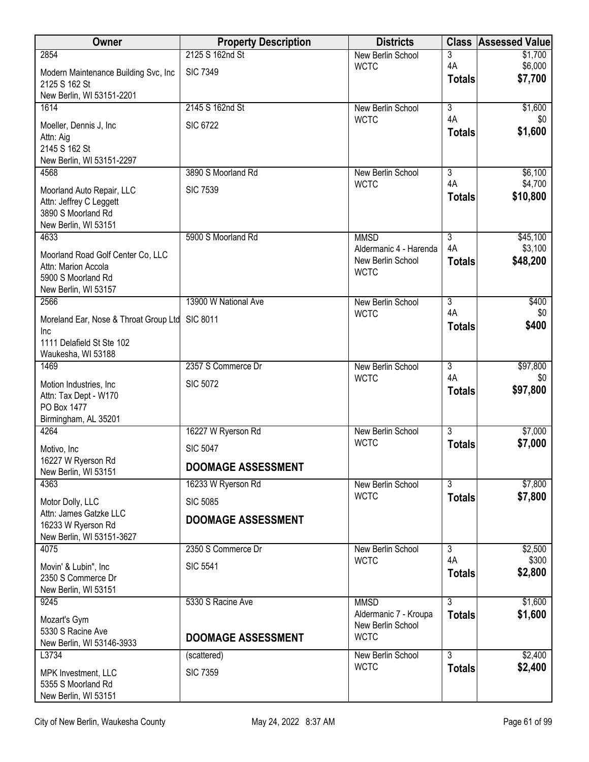| Owner                                      | <b>Property Description</b> | <b>Districts</b>                      | <b>Class</b>              | <b>Assessed Value</b> |
|--------------------------------------------|-----------------------------|---------------------------------------|---------------------------|-----------------------|
| 2854                                       | 2125 S 162nd St             | New Berlin School                     | 3                         | \$1,700               |
| Modern Maintenance Building Svc, Inc       | <b>SIC 7349</b>             | <b>WCTC</b>                           | 4A                        | \$6,000<br>\$7,700    |
| 2125 S 162 St                              |                             |                                       | <b>Totals</b>             |                       |
| New Berlin, WI 53151-2201<br>1614          | 2145 S 162nd St             | New Berlin School                     | $\overline{3}$            | \$1,600               |
|                                            |                             | <b>WCTC</b>                           | 4A                        | \$0                   |
| Moeller, Dennis J, Inc                     | <b>SIC 6722</b>             |                                       | <b>Totals</b>             | \$1,600               |
| Attn: Aig<br>2145 S 162 St                 |                             |                                       |                           |                       |
| New Berlin, WI 53151-2297                  |                             |                                       |                           |                       |
| 4568                                       | 3890 S Moorland Rd          | New Berlin School                     | 3                         | \$6,100               |
| Moorland Auto Repair, LLC                  | <b>SIC 7539</b>             | <b>WCTC</b>                           | 4A                        | \$4,700               |
| Attn: Jeffrey C Leggett                    |                             |                                       | <b>Totals</b>             | \$10,800              |
| 3890 S Moorland Rd                         |                             |                                       |                           |                       |
| New Berlin, WI 53151                       |                             |                                       |                           |                       |
| 4633                                       | 5900 S Moorland Rd          | <b>MMSD</b><br>Aldermanic 4 - Harenda | $\overline{3}$<br>4A      | \$45,100<br>\$3,100   |
| Moorland Road Golf Center Co, LLC          |                             | New Berlin School                     | <b>Totals</b>             | \$48,200              |
| Attn: Marion Accola<br>5900 S Moorland Rd  |                             | <b>WCTC</b>                           |                           |                       |
| New Berlin, WI 53157                       |                             |                                       |                           |                       |
| 2566                                       | 13900 W National Ave        | New Berlin School                     | $\overline{3}$            | \$400                 |
| Moreland Ear, Nose & Throat Group Ltd      | <b>SIC 8011</b>             | <b>WCTC</b>                           | 4A                        | \$0                   |
| Inc                                        |                             |                                       | <b>Totals</b>             | \$400                 |
| 1111 Delafield St Ste 102                  |                             |                                       |                           |                       |
| Waukesha, WI 53188                         |                             |                                       |                           |                       |
| 1469                                       | 2357 S Commerce Dr          | New Berlin School<br><b>WCTC</b>      | $\overline{3}$<br>4A      | \$97,800<br>\$0       |
| Motion Industries, Inc.                    | <b>SIC 5072</b>             |                                       | <b>Totals</b>             | \$97,800              |
| Attn: Tax Dept - W170                      |                             |                                       |                           |                       |
| PO Box 1477<br>Birmingham, AL 35201        |                             |                                       |                           |                       |
| 4264                                       | 16227 W Ryerson Rd          | New Berlin School                     | $\overline{3}$            | \$7,000               |
| Motivo, Inc                                | <b>SIC 5047</b>             | <b>WCTC</b>                           | <b>Totals</b>             | \$7,000               |
| 16227 W Ryerson Rd                         |                             |                                       |                           |                       |
| New Berlin, WI 53151                       | <b>DOOMAGE ASSESSMENT</b>   |                                       |                           |                       |
| 4363                                       | 16233 W Ryerson Rd          | New Berlin School                     | $\overline{\overline{3}}$ | \$7,800               |
| Motor Dolly, LLC                           | <b>SIC 5085</b>             | <b>WCTC</b>                           | <b>Totals</b>             | \$7,800               |
| Attn: James Gatzke LLC                     | <b>DOOMAGE ASSESSMENT</b>   |                                       |                           |                       |
| 16233 W Ryerson Rd                         |                             |                                       |                           |                       |
| New Berlin, WI 53151-3627<br>4075          | 2350 S Commerce Dr          | New Berlin School                     | $\overline{3}$            | \$2,500               |
|                                            |                             | <b>WCTC</b>                           | 4A                        | \$300                 |
| Movin' & Lubin", Inc<br>2350 S Commerce Dr | <b>SIC 5541</b>             |                                       | <b>Totals</b>             | \$2,800               |
| New Berlin, WI 53151                       |                             |                                       |                           |                       |
| 9245                                       | 5330 S Racine Ave           | <b>MMSD</b>                           | $\overline{3}$            | \$1,600               |
| Mozart's Gym                               |                             | Aldermanic 7 - Kroupa                 | <b>Totals</b>             | \$1,600               |
| 5330 S Racine Ave                          |                             | New Berlin School<br><b>WCTC</b>      |                           |                       |
| New Berlin, WI 53146-3933                  | <b>DOOMAGE ASSESSMENT</b>   |                                       |                           |                       |
| L3734                                      | (scattered)                 | New Berlin School                     | $\overline{3}$            | \$2,400               |
| MPK Investment, LLC                        | <b>SIC 7359</b>             | <b>WCTC</b>                           | <b>Totals</b>             | \$2,400               |
| 5355 S Moorland Rd                         |                             |                                       |                           |                       |
| New Berlin, WI 53151                       |                             |                                       |                           |                       |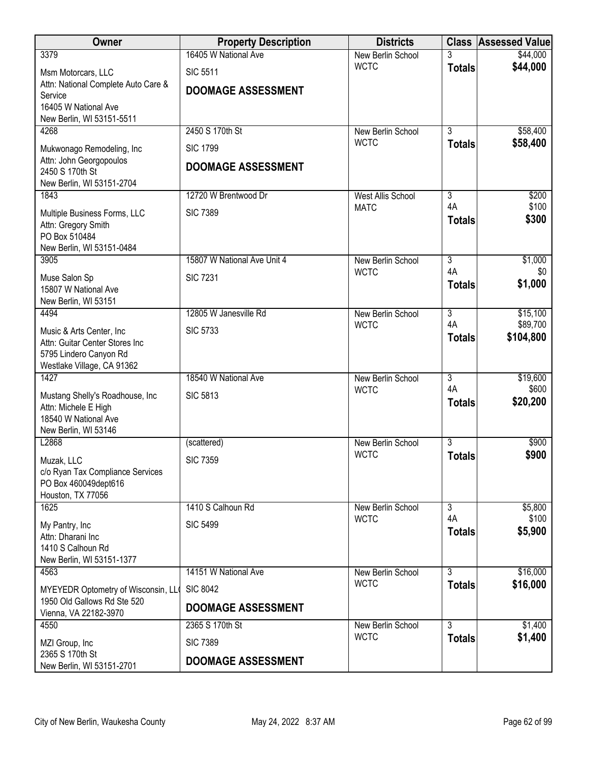| Owner                                                       | <b>Property Description</b> | <b>Districts</b>                        |                      | <b>Class Assessed Value</b> |
|-------------------------------------------------------------|-----------------------------|-----------------------------------------|----------------------|-----------------------------|
| 3379                                                        | 16405 W National Ave        | New Berlin School                       |                      | \$44,000                    |
| Msm Motorcars, LLC                                          | <b>SIC 5511</b>             | <b>WCTC</b>                             | <b>Totals</b>        | \$44,000                    |
| Attn: National Complete Auto Care &<br>Service              | <b>DOOMAGE ASSESSMENT</b>   |                                         |                      |                             |
| 16405 W National Ave                                        |                             |                                         |                      |                             |
| New Berlin, WI 53151-5511                                   |                             |                                         |                      |                             |
| 4268                                                        | 2450 S 170th St             | New Berlin School<br><b>WCTC</b>        | $\overline{3}$       | \$58,400                    |
| Mukwonago Remodeling, Inc                                   | <b>SIC 1799</b>             |                                         | <b>Totals</b>        | \$58,400                    |
| Attn: John Georgopoulos<br>2450 S 170th St                  | <b>DOOMAGE ASSESSMENT</b>   |                                         |                      |                             |
| New Berlin, WI 53151-2704                                   |                             |                                         |                      |                             |
| 1843                                                        | 12720 W Brentwood Dr        | <b>West Allis School</b>                | $\overline{3}$       | \$200                       |
| Multiple Business Forms, LLC                                | <b>SIC 7389</b>             | <b>MATC</b>                             | 4A<br><b>Totals</b>  | \$100<br>\$300              |
| Attn: Gregory Smith<br>PO Box 510484                        |                             |                                         |                      |                             |
| New Berlin, WI 53151-0484                                   |                             |                                         |                      |                             |
| 3905                                                        | 15807 W National Ave Unit 4 | New Berlin School                       | $\overline{3}$       | \$1,000                     |
| Muse Salon Sp                                               | <b>SIC 7231</b>             | <b>WCTC</b>                             | 4A                   | \$0                         |
| 15807 W National Ave                                        |                             |                                         | <b>Totals</b>        | \$1,000                     |
| New Berlin, WI 53151<br>4494                                | 12805 W Janesville Rd       | New Berlin School                       | $\overline{3}$       | \$15,100                    |
|                                                             |                             | <b>WCTC</b>                             | 4A                   | \$89,700                    |
| Music & Arts Center, Inc.<br>Attn: Guitar Center Stores Inc | <b>SIC 5733</b>             |                                         | <b>Totals</b>        | \$104,800                   |
| 5795 Lindero Canyon Rd                                      |                             |                                         |                      |                             |
| Westlake Village, CA 91362                                  |                             |                                         |                      |                             |
| 1427                                                        | 18540 W National Ave        | New Berlin School<br><b>WCTC</b>        | $\overline{3}$<br>4A | \$19,600<br>\$600           |
| Mustang Shelly's Roadhouse, Inc<br>Attn: Michele E High     | <b>SIC 5813</b>             |                                         | <b>Totals</b>        | \$20,200                    |
| 18540 W National Ave                                        |                             |                                         |                      |                             |
| New Berlin, WI 53146                                        |                             |                                         |                      |                             |
| L2868                                                       | (scattered)                 | <b>New Berlin School</b><br><b>WCTC</b> | $\overline{3}$       | \$900                       |
| Muzak, LLC                                                  | <b>SIC 7359</b>             |                                         | <b>Totals</b>        | \$900                       |
| c/o Ryan Tax Compliance Services<br>PO Box 460049dept616    |                             |                                         |                      |                             |
| Houston, TX 77056                                           |                             |                                         |                      |                             |
| 1625                                                        | 1410 S Calhoun Rd           | New Berlin School                       | $\overline{3}$       | \$5,800                     |
| My Pantry, Inc                                              | <b>SIC 5499</b>             | <b>WCTC</b>                             | 4A<br><b>Totals</b>  | \$100<br>\$5,900            |
| Attn: Dharani Inc<br>1410 S Calhoun Rd                      |                             |                                         |                      |                             |
| New Berlin, WI 53151-1377                                   |                             |                                         |                      |                             |
| 4563                                                        | 14151 W National Ave        | New Berlin School                       | $\overline{3}$       | \$16,000                    |
| MYEYEDR Optometry of Wisconsin, LL                          | <b>SIC 8042</b>             | <b>WCTC</b>                             | <b>Totals</b>        | \$16,000                    |
| 1950 Old Gallows Rd Ste 520                                 | <b>DOOMAGE ASSESSMENT</b>   |                                         |                      |                             |
| Vienna, VA 22182-3970<br>4550                               | 2365 S 170th St             | New Berlin School                       | 3                    | \$1,400                     |
| MZI Group, Inc                                              | <b>SIC 7389</b>             | <b>WCTC</b>                             | <b>Totals</b>        | \$1,400                     |
| 2365 S 170th St                                             |                             |                                         |                      |                             |
| New Berlin, WI 53151-2701                                   | <b>DOOMAGE ASSESSMENT</b>   |                                         |                      |                             |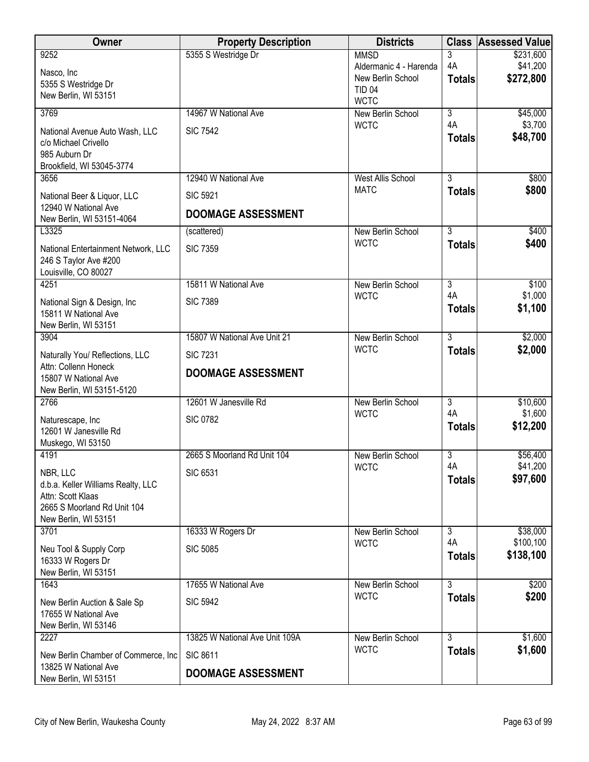| Owner                                                   | <b>Property Description</b>    | <b>Districts</b>                            |                      | <b>Class Assessed Value</b> |
|---------------------------------------------------------|--------------------------------|---------------------------------------------|----------------------|-----------------------------|
| 9252                                                    | 5355 S Westridge Dr            | <b>MMSD</b>                                 | 3                    | \$231,600                   |
| Nasco, Inc                                              |                                | Aldermanic 4 - Harenda<br>New Berlin School | 4A<br><b>Totals</b>  | \$41,200<br>\$272,800       |
| 5355 S Westridge Dr                                     |                                | <b>TID 04</b>                               |                      |                             |
| New Berlin, WI 53151                                    |                                | <b>WCTC</b>                                 |                      |                             |
| 3769                                                    | 14967 W National Ave           | New Berlin School                           | $\overline{3}$<br>4A | \$45,000                    |
| National Avenue Auto Wash, LLC                          | <b>SIC 7542</b>                | <b>WCTC</b>                                 | <b>Totals</b>        | \$3,700<br>\$48,700         |
| c/o Michael Crivello<br>985 Auburn Dr                   |                                |                                             |                      |                             |
| Brookfield, WI 53045-3774                               |                                |                                             |                      |                             |
| 3656                                                    | 12940 W National Ave           | <b>West Allis School</b>                    | $\overline{3}$       | \$800                       |
| National Beer & Liquor, LLC                             | <b>SIC 5921</b>                | <b>MATC</b>                                 | <b>Totals</b>        | \$800                       |
| 12940 W National Ave<br>New Berlin, WI 53151-4064       | <b>DOOMAGE ASSESSMENT</b>      |                                             |                      |                             |
| L3325                                                   | (scattered)                    | New Berlin School                           | $\overline{3}$       | \$400                       |
| National Entertainment Network, LLC                     | <b>SIC 7359</b>                | <b>WCTC</b>                                 | <b>Totals</b>        | \$400                       |
| 246 S Taylor Ave #200                                   |                                |                                             |                      |                             |
| Louisville, CO 80027                                    |                                |                                             |                      |                             |
| 4251                                                    | 15811 W National Ave           | New Berlin School<br><b>WCTC</b>            | $\overline{3}$<br>4A | \$100<br>\$1,000            |
| National Sign & Design, Inc                             | <b>SIC 7389</b>                |                                             | <b>Totals</b>        | \$1,100                     |
| 15811 W National Ave<br>New Berlin, WI 53151            |                                |                                             |                      |                             |
| 3904                                                    | 15807 W National Ave Unit 21   | New Berlin School                           | $\overline{3}$       | \$2,000                     |
| Naturally You/ Reflections, LLC                         | <b>SIC 7231</b>                | <b>WCTC</b>                                 | <b>Totals</b>        | \$2,000                     |
| Attn: Collenn Honeck                                    | <b>DOOMAGE ASSESSMENT</b>      |                                             |                      |                             |
| 15807 W National Ave                                    |                                |                                             |                      |                             |
| New Berlin, WI 53151-5120<br>2766                       | 12601 W Janesville Rd          | New Berlin School                           | $\overline{3}$       | \$10,600                    |
|                                                         | <b>SIC 0782</b>                | <b>WCTC</b>                                 | 4A                   | \$1,600                     |
| Naturescape, Inc<br>12601 W Janesville Rd               |                                |                                             | <b>Totals</b>        | \$12,200                    |
| Muskego, WI 53150                                       |                                |                                             |                      |                             |
| 4191                                                    | 2665 S Moorland Rd Unit 104    | New Berlin School                           | $\overline{3}$       | \$56,400                    |
| NBR, LLC                                                | <b>SIC 6531</b>                | <b>WCTC</b>                                 | 4A<br><b>Totals</b>  | \$41,200<br>\$97,600        |
| d.b.a. Keller Williams Realty, LLC<br>Attn: Scott Klaas |                                |                                             |                      |                             |
| 2665 S Moorland Rd Unit 104                             |                                |                                             |                      |                             |
| New Berlin, WI 53151                                    |                                |                                             |                      |                             |
| 3701                                                    | 16333 W Rogers Dr              | New Berlin School                           | $\overline{3}$<br>4A | \$38,000                    |
| Neu Tool & Supply Corp                                  | <b>SIC 5085</b>                | <b>WCTC</b>                                 | <b>Totals</b>        | \$100,100<br>\$138,100      |
| 16333 W Rogers Dr                                       |                                |                                             |                      |                             |
| New Berlin, WI 53151<br>1643                            | 17655 W National Ave           | New Berlin School                           | 3                    | \$200                       |
| New Berlin Auction & Sale Sp                            | <b>SIC 5942</b>                | <b>WCTC</b>                                 | <b>Totals</b>        | \$200                       |
| 17655 W National Ave                                    |                                |                                             |                      |                             |
| New Berlin, WI 53146                                    |                                |                                             |                      |                             |
| 2227                                                    | 13825 W National Ave Unit 109A | New Berlin School                           | 3                    | \$1,600                     |
| New Berlin Chamber of Commerce, Inc.                    | <b>SIC 8611</b>                | <b>WCTC</b>                                 | <b>Totals</b>        | \$1,600                     |
| 13825 W National Ave<br>New Berlin, WI 53151            | <b>DOOMAGE ASSESSMENT</b>      |                                             |                      |                             |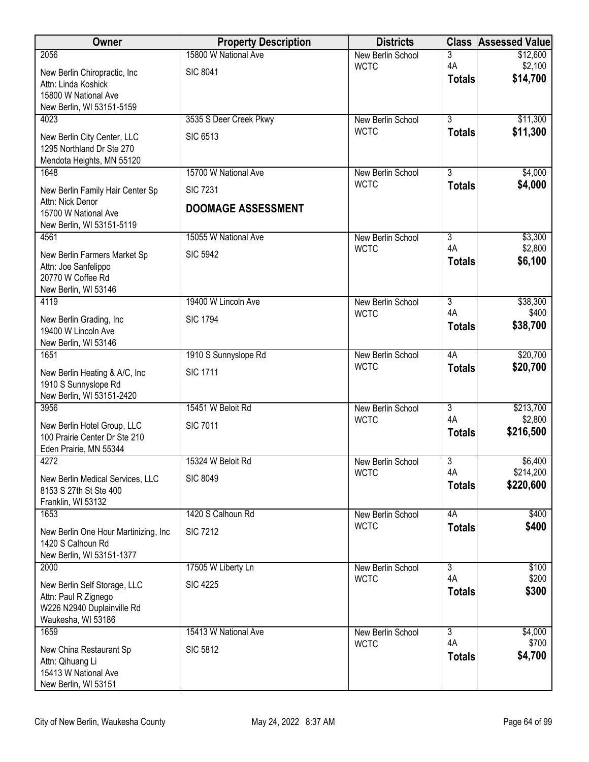| Owner                                                | <b>Property Description</b> | <b>Districts</b>                 |                                 | <b>Class Assessed Value</b> |
|------------------------------------------------------|-----------------------------|----------------------------------|---------------------------------|-----------------------------|
| 2056                                                 | 15800 W National Ave        | New Berlin School                | 3                               | \$12,600                    |
| New Berlin Chiropractic, Inc.                        | <b>SIC 8041</b>             | <b>WCTC</b>                      | 4A<br><b>Totals</b>             | \$2,100<br>\$14,700         |
| Attn: Linda Koshick                                  |                             |                                  |                                 |                             |
| 15800 W National Ave<br>New Berlin, WI 53151-5159    |                             |                                  |                                 |                             |
| 4023                                                 | 3535 S Deer Creek Pkwy      | New Berlin School                | $\overline{3}$                  | \$11,300                    |
| New Berlin City Center, LLC                          | <b>SIC 6513</b>             | <b>WCTC</b>                      | <b>Totals</b>                   | \$11,300                    |
| 1295 Northland Dr Ste 270                            |                             |                                  |                                 |                             |
| Mendota Heights, MN 55120                            |                             |                                  |                                 |                             |
| 1648                                                 | 15700 W National Ave        | New Berlin School<br><b>WCTC</b> | $\overline{3}$<br><b>Totals</b> | \$4,000<br>\$4,000          |
| New Berlin Family Hair Center Sp                     | <b>SIC 7231</b>             |                                  |                                 |                             |
| Attn: Nick Denor<br>15700 W National Ave             | <b>DOOMAGE ASSESSMENT</b>   |                                  |                                 |                             |
| New Berlin, WI 53151-5119                            |                             |                                  |                                 |                             |
| 4561                                                 | 15055 W National Ave        | New Berlin School                | $\overline{3}$                  | \$3,300                     |
| New Berlin Farmers Market Sp                         | <b>SIC 5942</b>             | <b>WCTC</b>                      | 4A<br><b>Totals</b>             | \$2,800<br>\$6,100          |
| Attn: Joe Sanfelippo                                 |                             |                                  |                                 |                             |
| 20770 W Coffee Rd<br>New Berlin, WI 53146            |                             |                                  |                                 |                             |
| 4119                                                 | 19400 W Lincoln Ave         | New Berlin School                | $\overline{3}$                  | \$38,300                    |
| New Berlin Grading, Inc                              | <b>SIC 1794</b>             | <b>WCTC</b>                      | 4A                              | \$400                       |
| 19400 W Lincoln Ave                                  |                             |                                  | <b>Totals</b>                   | \$38,700                    |
| New Berlin, WI 53146                                 |                             |                                  |                                 |                             |
| 1651                                                 | 1910 S Sunnyslope Rd        | New Berlin School<br><b>WCTC</b> | 4A                              | \$20,700<br>\$20,700        |
| New Berlin Heating & A/C, Inc                        | <b>SIC 1711</b>             |                                  | <b>Totals</b>                   |                             |
| 1910 S Sunnyslope Rd<br>New Berlin, WI 53151-2420    |                             |                                  |                                 |                             |
| 3956                                                 | 15451 W Beloit Rd           | New Berlin School                | $\overline{3}$                  | \$213,700                   |
| New Berlin Hotel Group, LLC                          | <b>SIC 7011</b>             | <b>WCTC</b>                      | 4A                              | \$2,800                     |
| 100 Prairie Center Dr Ste 210                        |                             |                                  | <b>Totals</b>                   | \$216,500                   |
| Eden Prairie, MN 55344                               |                             |                                  |                                 |                             |
| 4272                                                 | 15324 W Beloit Rd           | New Berlin School<br><b>WCTC</b> | 3<br>4A                         | \$6,400<br>\$214,200        |
| New Berlin Medical Services, LLC                     | <b>SIC 8049</b>             |                                  | <b>Totals</b>                   | \$220,600                   |
| 8153 S 27th St Ste 400<br>Franklin, WI 53132         |                             |                                  |                                 |                             |
| 1653                                                 | 1420 S Calhoun Rd           | New Berlin School                | 4A                              | \$400                       |
| New Berlin One Hour Martinizing, Inc.                | <b>SIC 7212</b>             | <b>WCTC</b>                      | <b>Totals</b>                   | \$400                       |
| 1420 S Calhoun Rd                                    |                             |                                  |                                 |                             |
| New Berlin, WI 53151-1377                            |                             |                                  | $\overline{3}$                  |                             |
| 2000                                                 | 17505 W Liberty Ln          | New Berlin School<br><b>WCTC</b> | 4A                              | \$100<br>\$200              |
| New Berlin Self Storage, LLC<br>Attn: Paul R Zignego | <b>SIC 4225</b>             |                                  | <b>Totals</b>                   | \$300                       |
| W226 N2940 Duplainville Rd                           |                             |                                  |                                 |                             |
| Waukesha, WI 53186                                   |                             |                                  |                                 |                             |
| 1659                                                 | 15413 W National Ave        | New Berlin School                | $\overline{3}$<br>4A            | \$4,000                     |
| New China Restaurant Sp                              | <b>SIC 5812</b>             | <b>WCTC</b>                      | <b>Totals</b>                   | \$700<br>\$4,700            |
| Attn: Qihuang Li<br>15413 W National Ave             |                             |                                  |                                 |                             |
| New Berlin, WI 53151                                 |                             |                                  |                                 |                             |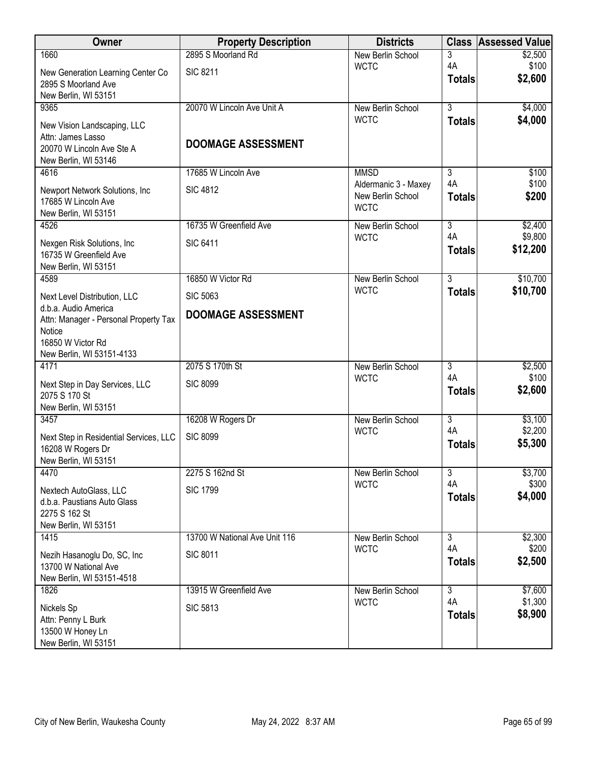| Owner                                                                                          | <b>Property Description</b>   | <b>Districts</b>                                         |                     | <b>Class Assessed Value</b> |
|------------------------------------------------------------------------------------------------|-------------------------------|----------------------------------------------------------|---------------------|-----------------------------|
| 1660                                                                                           | 2895 S Moorland Rd            | New Berlin School                                        | 3                   | \$2,500                     |
| New Generation Learning Center Co<br>2895 S Moorland Ave                                       | <b>SIC 8211</b>               | <b>WCTC</b>                                              | 4A<br><b>Totals</b> | \$100<br>\$2,600            |
| New Berlin, WI 53151                                                                           |                               |                                                          |                     |                             |
| 9365                                                                                           | 20070 W Lincoln Ave Unit A    | New Berlin School<br><b>WCTC</b>                         | $\overline{3}$      | \$4,000                     |
| New Vision Landscaping, LLC                                                                    |                               |                                                          | <b>Totals</b>       | \$4,000                     |
| Attn: James Lasso<br>20070 W Lincoln Ave Ste A<br>New Berlin, WI 53146                         | <b>DOOMAGE ASSESSMENT</b>     |                                                          |                     |                             |
| 4616                                                                                           | 17685 W Lincoln Ave           | <b>MMSD</b>                                              | 3                   | \$100                       |
| Newport Network Solutions, Inc<br>17685 W Lincoln Ave<br>New Berlin, WI 53151                  | <b>SIC 4812</b>               | Aldermanic 3 - Maxey<br>New Berlin School<br><b>WCTC</b> | 4A<br><b>Totals</b> | \$100<br>\$200              |
| 4526                                                                                           | 16735 W Greenfield Ave        | New Berlin School                                        | $\overline{3}$      | \$2,400                     |
| Nexgen Risk Solutions, Inc.<br>16735 W Greenfield Ave<br>New Berlin, WI 53151                  | <b>SIC 6411</b>               | <b>WCTC</b>                                              | 4A<br><b>Totals</b> | \$9,800<br>\$12,200         |
| 4589                                                                                           | 16850 W Victor Rd             | New Berlin School                                        | $\overline{3}$      | \$10,700                    |
| Next Level Distribution, LLC                                                                   | <b>SIC 5063</b>               | <b>WCTC</b>                                              | <b>Totals</b>       | \$10,700                    |
| d.b.a. Audio America<br>Attn: Manager - Personal Property Tax                                  | <b>DOOMAGE ASSESSMENT</b>     |                                                          |                     |                             |
| Notice<br>16850 W Victor Rd<br>New Berlin, WI 53151-4133                                       |                               |                                                          |                     |                             |
| 4171                                                                                           | 2075 S 170th St               | New Berlin School                                        | $\overline{3}$      | \$2,500                     |
| Next Step in Day Services, LLC<br>2075 S 170 St<br>New Berlin, WI 53151                        | <b>SIC 8099</b>               | <b>WCTC</b>                                              | 4A<br><b>Totals</b> | \$100<br>\$2,600            |
| 3457                                                                                           | 16208 W Rogers Dr             | New Berlin School                                        | $\overline{3}$      | \$3,100                     |
| Next Step in Residential Services, LLC                                                         | <b>SIC 8099</b>               | <b>WCTC</b>                                              | 4A                  | \$2,200                     |
| 16208 W Rogers Dr<br>New Berlin, WI 53151                                                      |                               |                                                          | <b>Totals</b>       | \$5,300                     |
| 4470                                                                                           | 2275 S 162nd St               | New Berlin School                                        | 3                   | \$3,700                     |
| Nextech AutoGlass, LLC<br>d.b.a. Paustians Auto Glass<br>2275 S 162 St<br>New Berlin, WI 53151 | <b>SIC 1799</b>               | <b>WCTC</b>                                              | 4A<br><b>Totals</b> | \$300<br>\$4,000            |
| 1415                                                                                           | 13700 W National Ave Unit 116 | New Berlin School                                        | $\overline{3}$      | \$2,300                     |
| Nezih Hasanoglu Do, SC, Inc<br>13700 W National Ave<br>New Berlin, WI 53151-4518               | <b>SIC 8011</b>               | <b>WCTC</b>                                              | 4A<br><b>Totals</b> | \$200<br>\$2,500            |
| 1826                                                                                           | 13915 W Greenfield Ave        | New Berlin School                                        | $\overline{3}$      | \$7,600                     |
| Nickels Sp<br>Attn: Penny L Burk<br>13500 W Honey Ln<br>New Berlin, WI 53151                   | <b>SIC 5813</b>               | <b>WCTC</b>                                              | 4A<br><b>Totals</b> | \$1,300<br>\$8,900          |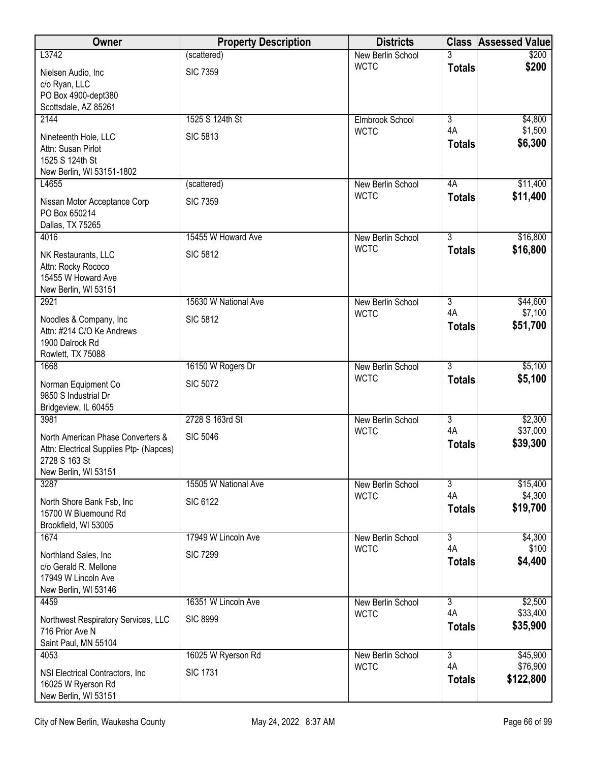| \$200<br>\$200       |
|----------------------|
|                      |
|                      |
|                      |
|                      |
| \$4,800              |
| \$1,500              |
| \$6,300              |
|                      |
| \$11,400             |
| \$11,400             |
|                      |
|                      |
| \$16,800<br>\$16,800 |
|                      |
|                      |
|                      |
| \$44,600             |
| \$7,100<br>\$51,700  |
|                      |
|                      |
| \$5,100              |
| \$5,100              |
|                      |
| \$2,300              |
| \$37,000             |
| \$39,300             |
|                      |
|                      |
| \$15,400<br>\$4,300  |
| \$19,700             |
|                      |
| \$4,300              |
| \$100                |
| \$4,400              |
|                      |
| \$2,500              |
| \$33,400             |
| \$35,900             |
|                      |
| \$45,900<br>\$76,900 |
| \$122,800            |
|                      |
|                      |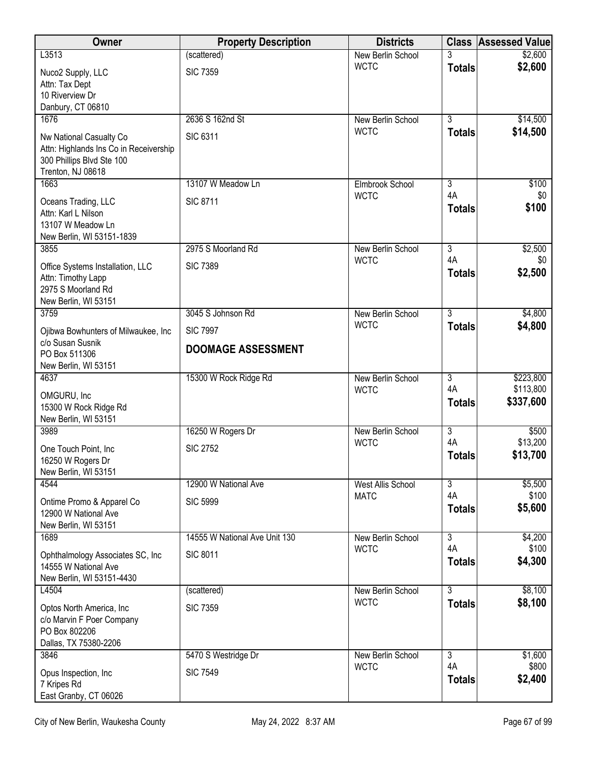| Owner                                                   | <b>Property Description</b>   | <b>Districts</b>                 | <b>Class</b>         | <b>Assessed Value</b>  |
|---------------------------------------------------------|-------------------------------|----------------------------------|----------------------|------------------------|
| L3513                                                   | (scattered)                   | New Berlin School                |                      | \$2,600                |
| Nuco2 Supply, LLC                                       | <b>SIC 7359</b>               | <b>WCTC</b>                      | <b>Totals</b>        | \$2,600                |
| Attn: Tax Dept<br>10 Riverview Dr                       |                               |                                  |                      |                        |
| Danbury, CT 06810                                       |                               |                                  |                      |                        |
| 1676                                                    | 2636 S 162nd St               | New Berlin School                | $\overline{3}$       | \$14,500               |
| Nw National Casualty Co                                 | <b>SIC 6311</b>               | <b>WCTC</b>                      | <b>Totals</b>        | \$14,500               |
| Attn: Highlands Ins Co in Receivership                  |                               |                                  |                      |                        |
| 300 Phillips Blvd Ste 100<br>Trenton, NJ 08618          |                               |                                  |                      |                        |
| 1663                                                    | 13107 W Meadow Ln             | Elmbrook School                  | 3                    | \$100                  |
| Oceans Trading, LLC                                     | <b>SIC 8711</b>               | <b>WCTC</b>                      | 4A                   | \$0                    |
| Attn: Karl L Nilson                                     |                               |                                  | <b>Totals</b>        | \$100                  |
| 13107 W Meadow Ln                                       |                               |                                  |                      |                        |
| New Berlin, WI 53151-1839<br>3855                       | 2975 S Moorland Rd            | New Berlin School                | $\overline{3}$       | \$2,500                |
|                                                         | <b>SIC 7389</b>               | <b>WCTC</b>                      | 4A                   | \$0                    |
| Office Systems Installation, LLC<br>Attn: Timothy Lapp  |                               |                                  | <b>Totals</b>        | \$2,500                |
| 2975 S Moorland Rd                                      |                               |                                  |                      |                        |
| New Berlin, WI 53151<br>3759                            | 3045 S Johnson Rd             |                                  | $\overline{3}$       | \$4,800                |
|                                                         |                               | New Berlin School<br><b>WCTC</b> | <b>Totals</b>        | \$4,800                |
| Ojibwa Bowhunters of Milwaukee, Inc<br>c/o Susan Susnik | <b>SIC 7997</b>               |                                  |                      |                        |
| PO Box 511306                                           | <b>DOOMAGE ASSESSMENT</b>     |                                  |                      |                        |
| New Berlin, WI 53151                                    |                               |                                  |                      |                        |
| 4637                                                    | 15300 W Rock Ridge Rd         | New Berlin School<br><b>WCTC</b> | $\overline{3}$<br>4A | \$223,800<br>\$113,800 |
| OMGURU, Inc                                             |                               |                                  | <b>Totals</b>        | \$337,600              |
| 15300 W Rock Ridge Rd<br>New Berlin, WI 53151           |                               |                                  |                      |                        |
| 3989                                                    | 16250 W Rogers Dr             | New Berlin School                | $\overline{3}$       | \$500                  |
| One Touch Point, Inc                                    | <b>SIC 2752</b>               | <b>WCTC</b>                      | 4A                   | \$13,200               |
| 16250 W Rogers Dr                                       |                               |                                  | <b>Totals</b>        | \$13,700               |
| New Berlin, WI 53151<br>4544                            | 12900 W National Ave          | <b>West Allis School</b>         | 3                    | \$5,500                |
|                                                         |                               | <b>MATC</b>                      | 4A                   | \$100                  |
| Ontime Promo & Apparel Co<br>12900 W National Ave       | <b>SIC 5999</b>               |                                  | <b>Totals</b>        | \$5,600                |
| New Berlin, WI 53151                                    |                               |                                  |                      |                        |
| 1689                                                    | 14555 W National Ave Unit 130 | New Berlin School                | $\overline{3}$       | \$4,200                |
| Ophthalmology Associates SC, Inc.                       | <b>SIC 8011</b>               | <b>WCTC</b>                      | 4A<br><b>Totals</b>  | \$100<br>\$4,300       |
| 14555 W National Ave                                    |                               |                                  |                      |                        |
| New Berlin, WI 53151-4430<br>L4504                      | (scattered)                   | New Berlin School                | $\overline{3}$       | \$8,100                |
| Optos North America, Inc.                               | <b>SIC 7359</b>               | <b>WCTC</b>                      | <b>Totals</b>        | \$8,100                |
| c/o Marvin F Poer Company                               |                               |                                  |                      |                        |
| PO Box 802206                                           |                               |                                  |                      |                        |
| Dallas, TX 75380-2206<br>3846                           | 5470 S Westridge Dr           | New Berlin School                | $\overline{3}$       | \$1,600                |
|                                                         |                               | <b>WCTC</b>                      | 4A                   | \$800                  |
| Opus Inspection, Inc<br>7 Kripes Rd                     | <b>SIC 7549</b>               |                                  | <b>Totals</b>        | \$2,400                |
| East Granby, CT 06026                                   |                               |                                  |                      |                        |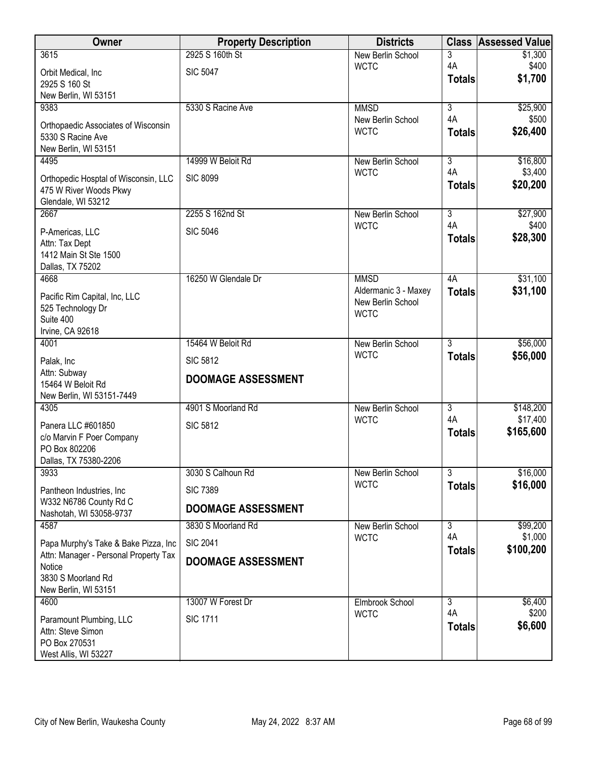| Owner                                                          | <b>Property Description</b> | <b>Districts</b>                 | <b>Class</b>   | <b>Assessed Value</b> |
|----------------------------------------------------------------|-----------------------------|----------------------------------|----------------|-----------------------|
| 3615                                                           | 2925 S 160th St             | New Berlin School                | 3              | \$1,300               |
| Orbit Medical, Inc                                             | <b>SIC 5047</b>             | <b>WCTC</b>                      | 4A             | \$400<br>\$1,700      |
| 2925 S 160 St                                                  |                             |                                  | <b>Totals</b>  |                       |
| New Berlin, WI 53151<br>9383                                   | 5330 S Racine Ave           |                                  | $\overline{3}$ |                       |
|                                                                |                             | <b>MMSD</b><br>New Berlin School | 4A             | \$25,900<br>\$500     |
| Orthopaedic Associates of Wisconsin                            |                             | <b>WCTC</b>                      | <b>Totals</b>  | \$26,400              |
| 5330 S Racine Ave<br>New Berlin, WI 53151                      |                             |                                  |                |                       |
| 4495                                                           | 14999 W Beloit Rd           | New Berlin School                | 3              | \$16,800              |
|                                                                | <b>SIC 8099</b>             | <b>WCTC</b>                      | 4A             | \$3,400               |
| Orthopedic Hosptal of Wisconsin, LLC<br>475 W River Woods Pkwy |                             |                                  | <b>Totals</b>  | \$20,200              |
| Glendale, WI 53212                                             |                             |                                  |                |                       |
| 2667                                                           | 2255 S 162nd St             | New Berlin School                | $\overline{3}$ | \$27,900              |
| P-Americas, LLC                                                | <b>SIC 5046</b>             | <b>WCTC</b>                      | 4A             | \$400                 |
| Attn: Tax Dept                                                 |                             |                                  | <b>Totals</b>  | \$28,300              |
| 1412 Main St Ste 1500                                          |                             |                                  |                |                       |
| Dallas, TX 75202<br>4668                                       | 16250 W Glendale Dr         | <b>MMSD</b>                      | 4A             | \$31,100              |
|                                                                |                             | Aldermanic 3 - Maxey             | <b>Totals</b>  | \$31,100              |
| Pacific Rim Capital, Inc, LLC                                  |                             | New Berlin School                |                |                       |
| 525 Technology Dr<br>Suite 400                                 |                             | <b>WCTC</b>                      |                |                       |
| Irvine, CA 92618                                               |                             |                                  |                |                       |
| 4001                                                           | 15464 W Beloit Rd           | New Berlin School                | $\overline{3}$ | \$56,000              |
| Palak, Inc                                                     | <b>SIC 5812</b>             | <b>WCTC</b>                      | <b>Totals</b>  | \$56,000              |
| Attn: Subway                                                   |                             |                                  |                |                       |
| 15464 W Beloit Rd                                              | <b>DOOMAGE ASSESSMENT</b>   |                                  |                |                       |
| New Berlin, WI 53151-7449<br>4305                              | 4901 S Moorland Rd          |                                  | $\overline{3}$ | \$148,200             |
|                                                                |                             | New Berlin School<br><b>WCTC</b> | 4A             | \$17,400              |
| Panera LLC #601850                                             | <b>SIC 5812</b>             |                                  | <b>Totals</b>  | \$165,600             |
| c/o Marvin F Poer Company<br>PO Box 802206                     |                             |                                  |                |                       |
| Dallas, TX 75380-2206                                          |                             |                                  |                |                       |
| 3933                                                           | 3030 S Calhoun Rd           | New Berlin School                | 3              | \$16,000              |
| Pantheon Industries, Inc.                                      | <b>SIC 7389</b>             | <b>WCTC</b>                      | <b>Totals</b>  | \$16,000              |
| W332 N6786 County Rd C<br>Nashotah, WI 53058-9737              | <b>DOOMAGE ASSESSMENT</b>   |                                  |                |                       |
| 4587                                                           | 3830 S Moorland Rd          | New Berlin School                | $\overline{3}$ | \$99,200              |
| Papa Murphy's Take & Bake Pizza, Inc                           | <b>SIC 2041</b>             | <b>WCTC</b>                      | 4A             | \$1,000               |
| Attn: Manager - Personal Property Tax                          |                             |                                  | <b>Totals</b>  | \$100,200             |
| Notice                                                         | <b>DOOMAGE ASSESSMENT</b>   |                                  |                |                       |
| 3830 S Moorland Rd                                             |                             |                                  |                |                       |
| New Berlin, WI 53151<br>4600                                   | 13007 W Forest Dr           | Elmbrook School                  | $\overline{3}$ | \$6,400               |
|                                                                |                             | <b>WCTC</b>                      | 4A             | \$200                 |
| Paramount Plumbing, LLC<br>Attn: Steve Simon                   | <b>SIC 1711</b>             |                                  | <b>Totals</b>  | \$6,600               |
| PO Box 270531                                                  |                             |                                  |                |                       |
| West Allis, WI 53227                                           |                             |                                  |                |                       |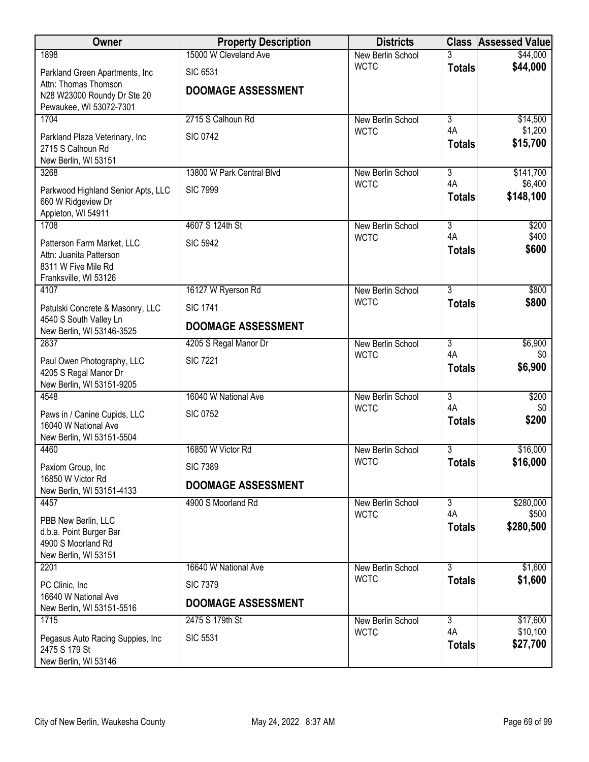| Owner                                                    | <b>Property Description</b> | <b>Districts</b>                 |                      | <b>Class Assessed Value</b> |
|----------------------------------------------------------|-----------------------------|----------------------------------|----------------------|-----------------------------|
| 1898                                                     | 15000 W Cleveland Ave       | New Berlin School                |                      | \$44,000                    |
| Parkland Green Apartments, Inc                           | <b>SIC 6531</b>             | <b>WCTC</b>                      | <b>Totals</b>        | \$44,000                    |
| Attn: Thomas Thomson<br>N28 W23000 Roundy Dr Ste 20      | <b>DOOMAGE ASSESSMENT</b>   |                                  |                      |                             |
| Pewaukee, WI 53072-7301                                  |                             |                                  |                      |                             |
| 1704                                                     | 2715 S Calhoun Rd           | New Berlin School                | $\overline{3}$       | \$14,500                    |
| Parkland Plaza Veterinary, Inc                           | <b>SIC 0742</b>             | <b>WCTC</b>                      | 4A<br><b>Totals</b>  | \$1,200<br>\$15,700         |
| 2715 S Calhoun Rd                                        |                             |                                  |                      |                             |
| New Berlin, WI 53151<br>3268                             | 13800 W Park Central Blvd   | New Berlin School                | 3                    | \$141,700                   |
|                                                          | <b>SIC 7999</b>             | <b>WCTC</b>                      | 4A                   | \$6,400                     |
| Parkwood Highland Senior Apts, LLC<br>660 W Ridgeview Dr |                             |                                  | <b>Totals</b>        | \$148,100                   |
| Appleton, WI 54911                                       |                             |                                  |                      |                             |
| 1708                                                     | 4607 S 124th St             | New Berlin School                | $\overline{3}$<br>4A | \$200<br>\$400              |
| Patterson Farm Market, LLC                               | <b>SIC 5942</b>             | <b>WCTC</b>                      | <b>Totals</b>        | \$600                       |
| Attn: Juanita Patterson<br>8311 W Five Mile Rd           |                             |                                  |                      |                             |
| Franksville, WI 53126                                    |                             |                                  |                      |                             |
| 4107                                                     | 16127 W Ryerson Rd          | New Berlin School                | $\overline{3}$       | \$800                       |
| Patulski Concrete & Masonry, LLC                         | <b>SIC 1741</b>             | <b>WCTC</b>                      | <b>Totals</b>        | \$800                       |
| 4540 S South Valley Ln                                   | <b>DOOMAGE ASSESSMENT</b>   |                                  |                      |                             |
| New Berlin, WI 53146-3525<br>2837                        | 4205 S Regal Manor Dr       | New Berlin School                | $\overline{3}$       | \$6,900                     |
| Paul Owen Photography, LLC                               | <b>SIC 7221</b>             | <b>WCTC</b>                      | 4A                   | \$0                         |
| 4205 S Regal Manor Dr                                    |                             |                                  | <b>Totals</b>        | \$6,900                     |
| New Berlin, WI 53151-9205                                |                             |                                  |                      |                             |
| 4548                                                     | 16040 W National Ave        | New Berlin School<br><b>WCTC</b> | $\overline{3}$<br>4A | \$200<br>\$0                |
| Paws in / Canine Cupids, LLC                             | <b>SIC 0752</b>             |                                  | <b>Totals</b>        | \$200                       |
| 16040 W National Ave<br>New Berlin, WI 53151-5504        |                             |                                  |                      |                             |
| 4460                                                     | 16850 W Victor Rd           | New Berlin School                | 3                    | \$16,000                    |
| Paxiom Group, Inc                                        | <b>SIC 7389</b>             | <b>WCTC</b>                      | <b>Totals</b>        | \$16,000                    |
| 16850 W Victor Rd<br>New Berlin, WI 53151-4133           | <b>DOOMAGE ASSESSMENT</b>   |                                  |                      |                             |
| 4457                                                     | 4900 S Moorland Rd          | New Berlin School                | $\overline{3}$       | \$280,000                   |
| PBB New Berlin, LLC                                      |                             | <b>WCTC</b>                      | 4A                   | \$500                       |
| d.b.a. Point Burger Bar                                  |                             |                                  | <b>Totals</b>        | \$280,500                   |
| 4900 S Moorland Rd                                       |                             |                                  |                      |                             |
| New Berlin, WI 53151<br>2201                             | 16640 W National Ave        | New Berlin School                | $\overline{3}$       | \$1,600                     |
| PC Clinic, Inc.                                          | <b>SIC 7379</b>             | <b>WCTC</b>                      | <b>Totals</b>        | \$1,600                     |
| 16640 W National Ave                                     |                             |                                  |                      |                             |
| New Berlin, WI 53151-5516                                | <b>DOOMAGE ASSESSMENT</b>   |                                  |                      |                             |
| 1715                                                     | 2475 S 179th St             | New Berlin School                | $\overline{3}$<br>4A | \$17,600<br>\$10,100        |
| Pegasus Auto Racing Suppies, Inc                         | <b>SIC 5531</b>             | <b>WCTC</b>                      | <b>Totals</b>        | \$27,700                    |
| 2475 S 179 St<br>New Berlin, WI 53146                    |                             |                                  |                      |                             |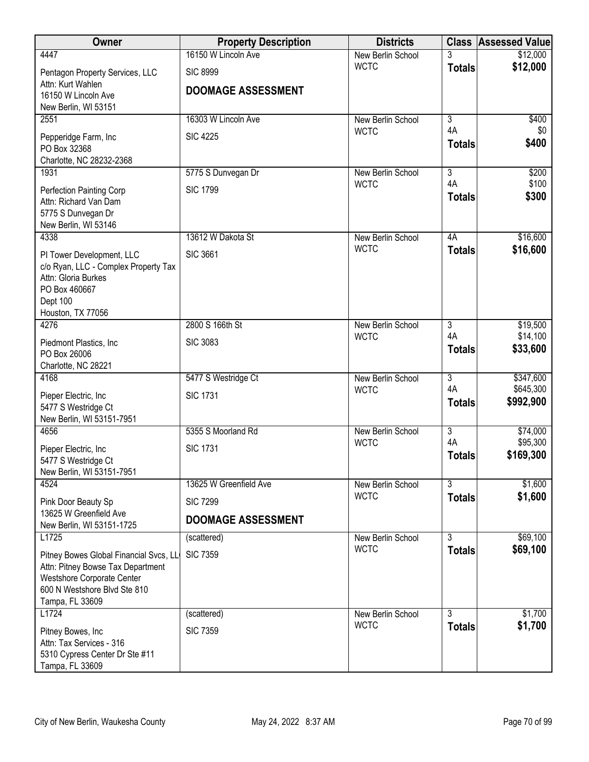| Owner                                                      | <b>Property Description</b> | <b>Districts</b>  |                     | <b>Class Assessed Value</b> |
|------------------------------------------------------------|-----------------------------|-------------------|---------------------|-----------------------------|
| 4447                                                       | 16150 W Lincoln Ave         | New Berlin School |                     | \$12,000                    |
| Pentagon Property Services, LLC                            | <b>SIC 8999</b>             | <b>WCTC</b>       | <b>Totals</b>       | \$12,000                    |
| Attn: Kurt Wahlen                                          | <b>DOOMAGE ASSESSMENT</b>   |                   |                     |                             |
| 16150 W Lincoln Ave<br>New Berlin, WI 53151                |                             |                   |                     |                             |
| 2551                                                       | 16303 W Lincoln Ave         | New Berlin School | $\overline{3}$      | \$400                       |
| Pepperidge Farm, Inc                                       | <b>SIC 4225</b>             | <b>WCTC</b>       | 4A                  | \$0                         |
| PO Box 32368                                               |                             |                   | <b>Totals</b>       | \$400                       |
| Charlotte, NC 28232-2368                                   |                             |                   |                     |                             |
| 1931                                                       | 5775 S Dunvegan Dr          | New Berlin School | $\overline{3}$      | \$200                       |
| Perfection Painting Corp                                   | <b>SIC 1799</b>             | <b>WCTC</b>       | 4A<br><b>Totals</b> | \$100<br>\$300              |
| Attn: Richard Van Dam                                      |                             |                   |                     |                             |
| 5775 S Dunvegan Dr<br>New Berlin, WI 53146                 |                             |                   |                     |                             |
| 4338                                                       | 13612 W Dakota St           | New Berlin School | 4A                  | \$16,600                    |
| PI Tower Development, LLC                                  | <b>SIC 3661</b>             | <b>WCTC</b>       | <b>Totals</b>       | \$16,600                    |
| c/o Ryan, LLC - Complex Property Tax                       |                             |                   |                     |                             |
| Attn: Gloria Burkes                                        |                             |                   |                     |                             |
| PO Box 460667<br>Dept 100                                  |                             |                   |                     |                             |
| Houston, TX 77056                                          |                             |                   |                     |                             |
| 4276                                                       | 2800 S 166th St             | New Berlin School | $\overline{3}$      | \$19,500                    |
| Piedmont Plastics, Inc.                                    | <b>SIC 3083</b>             | <b>WCTC</b>       | 4A<br><b>Totals</b> | \$14,100<br>\$33,600        |
| PO Box 26006                                               |                             |                   |                     |                             |
| Charlotte, NC 28221<br>4168                                | 5477 S Westridge Ct         | New Berlin School | $\overline{3}$      | \$347,600                   |
|                                                            |                             | <b>WCTC</b>       | 4A                  | \$645,300                   |
| Pieper Electric, Inc.<br>5477 S Westridge Ct               | <b>SIC 1731</b>             |                   | <b>Totals</b>       | \$992,900                   |
| New Berlin, WI 53151-7951                                  |                             |                   |                     |                             |
| 4656                                                       | 5355 S Moorland Rd          | New Berlin School | $\overline{3}$      | \$74,000                    |
| Pieper Electric, Inc.                                      | <b>SIC 1731</b>             | <b>WCTC</b>       | 4A                  | \$95,300<br>\$169,300       |
| 5477 S Westridge Ct                                        |                             |                   | <b>Totals</b>       |                             |
| New Berlin, WI 53151-7951<br>4524                          | 13625 W Greenfield Ave      | New Berlin School | $\overline{3}$      | \$1,600                     |
|                                                            |                             | <b>WCTC</b>       | <b>Totals</b>       | \$1,600                     |
| Pink Door Beauty Sp<br>13625 W Greenfield Ave              | <b>SIC 7299</b>             |                   |                     |                             |
| New Berlin, WI 53151-1725                                  | <b>DOOMAGE ASSESSMENT</b>   |                   |                     |                             |
| L1725                                                      | (scattered)                 | New Berlin School | $\overline{3}$      | \$69,100                    |
| Pitney Bowes Global Financial Svcs, LL                     | <b>SIC 7359</b>             | <b>WCTC</b>       | <b>Totals</b>       | \$69,100                    |
| Attn: Pitney Bowse Tax Department                          |                             |                   |                     |                             |
| Westshore Corporate Center<br>600 N Westshore Blvd Ste 810 |                             |                   |                     |                             |
| Tampa, FL 33609                                            |                             |                   |                     |                             |
| L1724                                                      | (scattered)                 | New Berlin School | 3                   | \$1,700                     |
| Pitney Bowes, Inc                                          | <b>SIC 7359</b>             | <b>WCTC</b>       | <b>Totals</b>       | \$1,700                     |
| Attn: Tax Services - 316                                   |                             |                   |                     |                             |
| 5310 Cypress Center Dr Ste #11                             |                             |                   |                     |                             |
| Tampa, FL 33609                                            |                             |                   |                     |                             |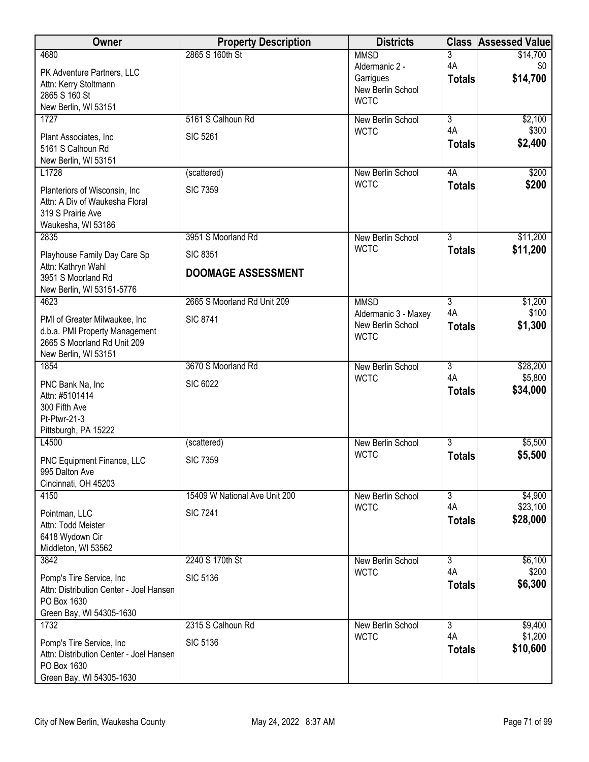| Owner                                                                                                          | <b>Property Description</b>   | <b>Districts</b>                                         |                     | <b>Class Assessed Value</b> |
|----------------------------------------------------------------------------------------------------------------|-------------------------------|----------------------------------------------------------|---------------------|-----------------------------|
| 4680                                                                                                           | 2865 S 160th St               | <b>MMSD</b><br>Aldermanic 2 -                            | 3<br>4A             | \$14,700<br>\$0             |
| PK Adventure Partners, LLC<br>Attn: Kerry Stoltmann<br>2865 S 160 St<br>New Berlin, WI 53151                   |                               | Garrigues<br>New Berlin School<br><b>WCTC</b>            | <b>Totals</b>       | \$14,700                    |
| 1727                                                                                                           | 5161 S Calhoun Rd             | New Berlin School                                        | $\overline{3}$      | \$2,100                     |
| Plant Associates, Inc.<br>5161 S Calhoun Rd<br>New Berlin, WI 53151                                            | <b>SIC 5261</b>               | <b>WCTC</b>                                              | 4A<br><b>Totals</b> | \$300<br>\$2,400            |
| L1728                                                                                                          | (scattered)                   | New Berlin School                                        | 4A                  | \$200                       |
| Planteriors of Wisconsin, Inc.<br>Attn: A Div of Waukesha Floral<br>319 S Prairie Ave<br>Waukesha, WI 53186    | <b>SIC 7359</b>               | <b>WCTC</b>                                              | <b>Totals</b>       | \$200                       |
| 2835                                                                                                           | 3951 S Moorland Rd            | New Berlin School                                        | $\overline{3}$      | \$11,200                    |
| Playhouse Family Day Care Sp                                                                                   | <b>SIC 8351</b>               | <b>WCTC</b>                                              | <b>Totals</b>       | \$11,200                    |
| Attn: Kathryn Wahl<br>3951 S Moorland Rd<br>New Berlin, WI 53151-5776                                          | <b>DOOMAGE ASSESSMENT</b>     |                                                          |                     |                             |
| 4623                                                                                                           | 2665 S Moorland Rd Unit 209   | <b>MMSD</b>                                              | $\overline{3}$      | \$1,200                     |
| PMI of Greater Milwaukee, Inc<br>d.b.a. PMI Property Management<br>2665 S Moorland Rd Unit 209                 | <b>SIC 8741</b>               | Aldermanic 3 - Maxey<br>New Berlin School<br><b>WCTC</b> | 4A<br><b>Totals</b> | \$100<br>\$1,300            |
| New Berlin, WI 53151<br>1854                                                                                   | 3670 S Moorland Rd            | New Berlin School                                        | $\overline{3}$      | \$28,200                    |
| PNC Bank Na, Inc<br>Attn: #5101414<br>300 Fifth Ave<br>Pt-Ptwr-21-3<br>Pittsburgh, PA 15222                    | <b>SIC 6022</b>               | <b>WCTC</b>                                              | 4A<br><b>Totals</b> | \$5,800<br>\$34,000         |
| L4500                                                                                                          | (scattered)                   | New Berlin School                                        | $\overline{3}$      | \$5,500                     |
| PNC Equipment Finance, LLC<br>995 Dalton Ave<br>Cincinnati, OH 45203                                           | <b>SIC 7359</b>               | <b>WCTC</b>                                              | <b>Totals</b>       | \$5,500                     |
| 4150                                                                                                           | 15409 W National Ave Unit 200 | New Berlin School                                        | $\overline{3}$      | \$4,900                     |
| Pointman, LLC<br>Attn: Todd Meister<br>6418 Wydown Cir<br>Middleton, WI 53562                                  | <b>SIC 7241</b>               | <b>WCTC</b>                                              | 4A<br><b>Totals</b> | \$23,100<br>\$28,000        |
| 3842                                                                                                           | 2240 S 170th St               | New Berlin School                                        | $\overline{3}$      | \$6,100                     |
| Pomp's Tire Service, Inc<br>Attn: Distribution Center - Joel Hansen<br>PO Box 1630<br>Green Bay, WI 54305-1630 | <b>SIC 5136</b>               | <b>WCTC</b>                                              | 4A<br><b>Totals</b> | \$200<br>\$6,300            |
| 1732                                                                                                           | 2315 S Calhoun Rd             | New Berlin School                                        | $\overline{3}$      | \$9,400                     |
| Pomp's Tire Service, Inc<br>Attn: Distribution Center - Joel Hansen<br>PO Box 1630<br>Green Bay, WI 54305-1630 | <b>SIC 5136</b>               | <b>WCTC</b>                                              | 4A<br><b>Totals</b> | \$1,200<br>\$10,600         |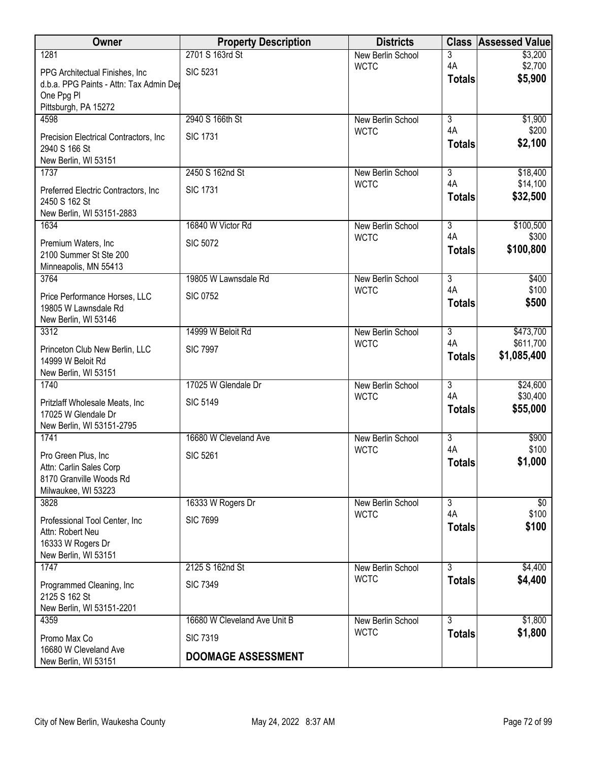| Owner                                               | <b>Property Description</b>  | <b>Districts</b>                 | <b>Class</b>                    | <b>Assessed Value</b> |
|-----------------------------------------------------|------------------------------|----------------------------------|---------------------------------|-----------------------|
| 1281                                                | 2701 S 163rd St              | New Berlin School                | 3                               | \$3,200               |
| PPG Architectual Finishes, Inc.                     | <b>SIC 5231</b>              | <b>WCTC</b>                      | 4A<br><b>Totals</b>             | \$2,700<br>\$5,900    |
| d.b.a. PPG Paints - Attn: Tax Admin Der             |                              |                                  |                                 |                       |
| One Ppg Pl<br>Pittsburgh, PA 15272                  |                              |                                  |                                 |                       |
| 4598                                                | 2940 S 166th St              | New Berlin School                | $\overline{3}$                  | \$1,900               |
| Precision Electrical Contractors, Inc.              | <b>SIC 1731</b>              | <b>WCTC</b>                      | 4A                              | \$200                 |
| 2940 S 166 St                                       |                              |                                  | <b>Totals</b>                   | \$2,100               |
| New Berlin, WI 53151                                |                              |                                  |                                 |                       |
| 1737                                                | 2450 S 162nd St              | New Berlin School<br><b>WCTC</b> | $\overline{\overline{3}}$<br>4A | \$18,400<br>\$14,100  |
| Preferred Electric Contractors, Inc                 | <b>SIC 1731</b>              |                                  | <b>Totals</b>                   | \$32,500              |
| 2450 S 162 St<br>New Berlin, WI 53151-2883          |                              |                                  |                                 |                       |
| 1634                                                | 16840 W Victor Rd            | New Berlin School                | $\overline{3}$                  | \$100,500             |
| Premium Waters, Inc.                                | <b>SIC 5072</b>              | <b>WCTC</b>                      | 4A                              | \$300                 |
| 2100 Summer St Ste 200                              |                              |                                  | <b>Totals</b>                   | \$100,800             |
| Minneapolis, MN 55413                               |                              |                                  |                                 |                       |
| 3764                                                | 19805 W Lawnsdale Rd         | New Berlin School                | $\overline{3}$                  | \$400                 |
| Price Performance Horses, LLC                       | <b>SIC 0752</b>              | <b>WCTC</b>                      | 4A<br><b>Totals</b>             | \$100<br>\$500        |
| 19805 W Lawnsdale Rd                                |                              |                                  |                                 |                       |
| New Berlin, WI 53146<br>3312                        | 14999 W Beloit Rd            | New Berlin School                | $\overline{3}$                  | \$473,700             |
|                                                     |                              | <b>WCTC</b>                      | 4A                              | \$611,700             |
| Princeton Club New Berlin, LLC<br>14999 W Beloit Rd | <b>SIC 7997</b>              |                                  | <b>Totals</b>                   | \$1,085,400           |
| New Berlin, WI 53151                                |                              |                                  |                                 |                       |
| 1740                                                | 17025 W Glendale Dr          | <b>New Berlin School</b>         | $\overline{3}$                  | \$24,600              |
| Pritzlaff Wholesale Meats, Inc.                     | <b>SIC 5149</b>              | <b>WCTC</b>                      | 4A                              | \$30,400              |
| 17025 W Glendale Dr                                 |                              |                                  | <b>Totals</b>                   | \$55,000              |
| New Berlin, WI 53151-2795                           |                              |                                  |                                 |                       |
| 1741                                                | 16680 W Cleveland Ave        | New Berlin School<br><b>WCTC</b> | 3<br>4A                         | \$900<br>\$100        |
| Pro Green Plus, Inc                                 | <b>SIC 5261</b>              |                                  | <b>Totals</b>                   | \$1,000               |
| Attn: Carlin Sales Corp<br>8170 Granville Woods Rd  |                              |                                  |                                 |                       |
| Milwaukee, WI 53223                                 |                              |                                  |                                 |                       |
| 3828                                                | 16333 W Rogers Dr            | New Berlin School                | $\overline{3}$                  | \$0                   |
| Professional Tool Center, Inc.                      | <b>SIC 7699</b>              | <b>WCTC</b>                      | 4A                              | \$100                 |
| Attn: Robert Neu                                    |                              |                                  | <b>Totals</b>                   | \$100                 |
| 16333 W Rogers Dr                                   |                              |                                  |                                 |                       |
| New Berlin, WI 53151<br>1747                        | 2125 S 162nd St              | New Berlin School                | $\overline{3}$                  | \$4,400               |
|                                                     | <b>SIC 7349</b>              | <b>WCTC</b>                      | <b>Totals</b>                   | \$4,400               |
| Programmed Cleaning, Inc<br>2125 S 162 St           |                              |                                  |                                 |                       |
| New Berlin, WI 53151-2201                           |                              |                                  |                                 |                       |
| 4359                                                | 16680 W Cleveland Ave Unit B | New Berlin School                | $\overline{3}$                  | \$1,800               |
| Promo Max Co                                        | <b>SIC 7319</b>              | <b>WCTC</b>                      | <b>Totals</b>                   | \$1,800               |
| 16680 W Cleveland Ave<br>New Berlin, WI 53151       | <b>DOOMAGE ASSESSMENT</b>    |                                  |                                 |                       |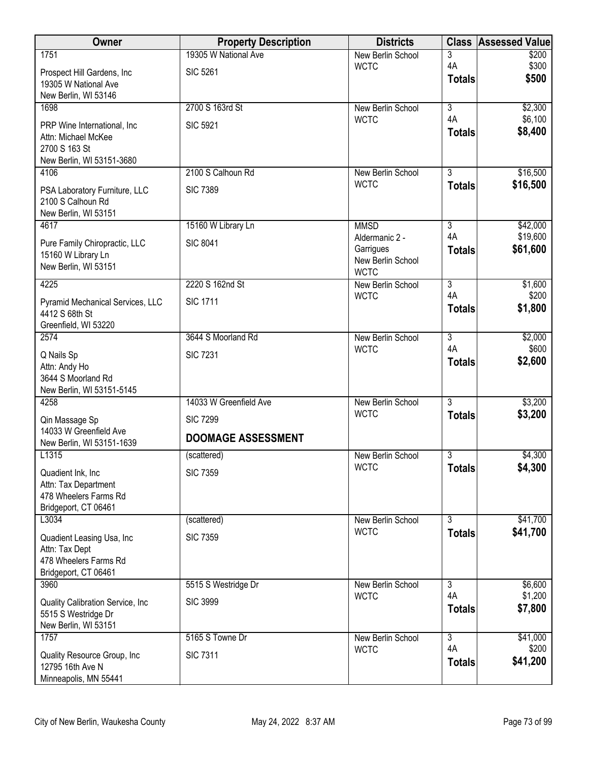| <b>Owner</b>                                        | <b>Property Description</b> | <b>Districts</b>                 | <b>Class</b>         | <b>Assessed Value</b> |
|-----------------------------------------------------|-----------------------------|----------------------------------|----------------------|-----------------------|
| 1751                                                | 19305 W National Ave        | New Berlin School                | 3                    | \$200                 |
| Prospect Hill Gardens, Inc                          | <b>SIC 5261</b>             | <b>WCTC</b>                      | 4A<br><b>Totals</b>  | \$300<br>\$500        |
| 19305 W National Ave                                |                             |                                  |                      |                       |
| New Berlin, WI 53146<br>1698                        | 2700 S 163rd St             | New Berlin School                | $\overline{3}$       | \$2,300               |
|                                                     |                             | <b>WCTC</b>                      | 4A                   | \$6,100               |
| PRP Wine International, Inc.<br>Attn: Michael McKee | <b>SIC 5921</b>             |                                  | <b>Totals</b>        | \$8,400               |
| 2700 S 163 St                                       |                             |                                  |                      |                       |
| New Berlin, WI 53151-3680                           |                             |                                  |                      |                       |
| 4106                                                | 2100 S Calhoun Rd           | New Berlin School<br><b>WCTC</b> | $\overline{3}$       | \$16,500              |
| PSA Laboratory Furniture, LLC                       | <b>SIC 7389</b>             |                                  | <b>Totals</b>        | \$16,500              |
| 2100 S Calhoun Rd<br>New Berlin, WI 53151           |                             |                                  |                      |                       |
| 4617                                                | 15160 W Library Ln          | <b>MMSD</b>                      | $\overline{3}$       | \$42,000              |
| Pure Family Chiropractic, LLC                       | <b>SIC 8041</b>             | Aldermanic 2 -                   | 4A                   | \$19,600              |
| 15160 W Library Ln                                  |                             | Garrigues                        | <b>Totals</b>        | \$61,600              |
| New Berlin, WI 53151                                |                             | New Berlin School<br><b>WCTC</b> |                      |                       |
| 4225                                                | 2220 S 162nd St             | New Berlin School                | $\overline{3}$       | \$1,600               |
| Pyramid Mechanical Services, LLC                    | <b>SIC 1711</b>             | <b>WCTC</b>                      | 4A                   | \$200                 |
| 4412 S 68th St                                      |                             |                                  | <b>Totals</b>        | \$1,800               |
| Greenfield, WI 53220                                |                             |                                  |                      |                       |
| 2574                                                | 3644 S Moorland Rd          | New Berlin School<br><b>WCTC</b> | $\overline{3}$<br>4A | \$2,000<br>\$600      |
| Q Nails Sp                                          | <b>SIC 7231</b>             |                                  | <b>Totals</b>        | \$2,600               |
| Attn: Andy Ho<br>3644 S Moorland Rd                 |                             |                                  |                      |                       |
| New Berlin, WI 53151-5145                           |                             |                                  |                      |                       |
| 4258                                                | 14033 W Greenfield Ave      | <b>New Berlin School</b>         | $\overline{3}$       | \$3,200               |
| Qin Massage Sp                                      | <b>SIC 7299</b>             | <b>WCTC</b>                      | <b>Totals</b>        | \$3,200               |
| 14033 W Greenfield Ave                              | <b>DOOMAGE ASSESSMENT</b>   |                                  |                      |                       |
| New Berlin, WI 53151-1639<br>L1315                  | (scattered)                 | New Berlin School                | $\overline{3}$       | \$4,300               |
|                                                     |                             | <b>WCTC</b>                      | <b>Totals</b>        | \$4,300               |
| Quadient Ink, Inc<br>Attn: Tax Department           | <b>SIC 7359</b>             |                                  |                      |                       |
| 478 Wheelers Farms Rd                               |                             |                                  |                      |                       |
| Bridgeport, CT 06461                                |                             |                                  |                      |                       |
| L3034                                               | (scattered)                 | New Berlin School                | $\overline{3}$       | \$41,700              |
| Quadient Leasing Usa, Inc                           | <b>SIC 7359</b>             | <b>WCTC</b>                      | <b>Totals</b>        | \$41,700              |
| Attn: Tax Dept<br>478 Wheelers Farms Rd             |                             |                                  |                      |                       |
| Bridgeport, CT 06461                                |                             |                                  |                      |                       |
| 3960                                                | 5515 S Westridge Dr         | New Berlin School                | 3                    | \$6,600               |
| Quality Calibration Service, Inc.                   | <b>SIC 3999</b>             | <b>WCTC</b>                      | 4A                   | \$1,200               |
| 5515 S Westridge Dr                                 |                             |                                  | <b>Totals</b>        | \$7,800               |
| New Berlin, WI 53151                                |                             |                                  |                      |                       |
| 1757                                                | 5165 S Towne Dr             | New Berlin School<br><b>WCTC</b> | $\overline{3}$<br>4A | \$41,000<br>\$200     |
| Quality Resource Group, Inc                         | <b>SIC 7311</b>             |                                  | <b>Totals</b>        | \$41,200              |
| 12795 16th Ave N<br>Minneapolis, MN 55441           |                             |                                  |                      |                       |
|                                                     |                             |                                  |                      |                       |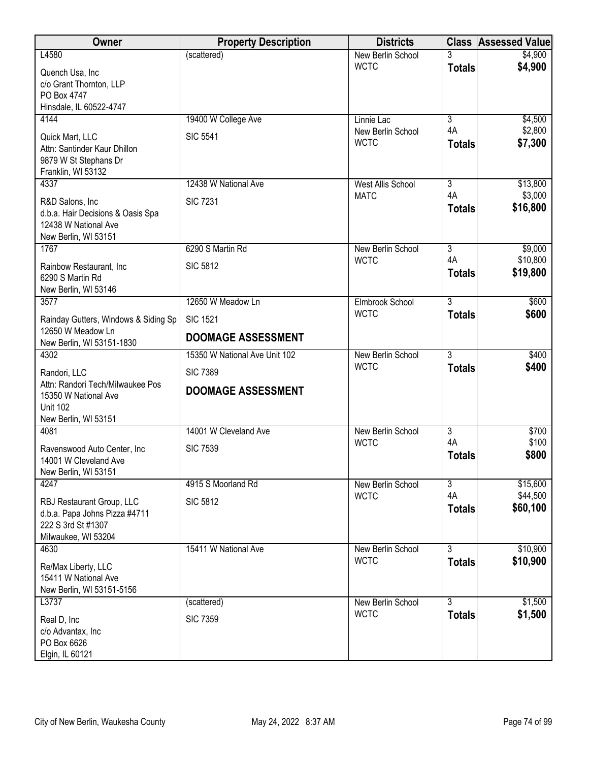| Owner                                                     | <b>Property Description</b>   | <b>Districts</b>                        | <b>Class</b>         | <b>Assessed Value</b> |
|-----------------------------------------------------------|-------------------------------|-----------------------------------------|----------------------|-----------------------|
| L4580                                                     | (scattered)                   | New Berlin School                       |                      | \$4,900               |
| Quench Usa, Inc.                                          |                               | <b>WCTC</b>                             | <b>Totals</b>        | \$4,900               |
| c/o Grant Thornton, LLP                                   |                               |                                         |                      |                       |
| PO Box 4747<br>Hinsdale, IL 60522-4747                    |                               |                                         |                      |                       |
| 4144                                                      | 19400 W College Ave           | Linnie Lac                              | $\overline{3}$       | \$4,500               |
| Quick Mart, LLC                                           | <b>SIC 5541</b>               | New Berlin School                       | 4A                   | \$2,800               |
| Attn: Santinder Kaur Dhillon                              |                               | <b>WCTC</b>                             | <b>Totals</b>        | \$7,300               |
| 9879 W St Stephans Dr                                     |                               |                                         |                      |                       |
| Franklin, WI 53132                                        |                               |                                         |                      |                       |
| 4337                                                      | 12438 W National Ave          | <b>West Allis School</b><br><b>MATC</b> | 3<br>4A              | \$13,800<br>\$3,000   |
| R&D Salons, Inc                                           | <b>SIC 7231</b>               |                                         | <b>Totals</b>        | \$16,800              |
| d.b.a. Hair Decisions & Oasis Spa<br>12438 W National Ave |                               |                                         |                      |                       |
| New Berlin, WI 53151                                      |                               |                                         |                      |                       |
| 1767                                                      | 6290 S Martin Rd              | New Berlin School                       | $\overline{3}$       | \$9,000               |
| Rainbow Restaurant, Inc.                                  | <b>SIC 5812</b>               | <b>WCTC</b>                             | 4A                   | \$10,800              |
| 6290 S Martin Rd                                          |                               |                                         | <b>Totals</b>        | \$19,800              |
| New Berlin, WI 53146                                      |                               |                                         |                      |                       |
| 3577                                                      | 12650 W Meadow Ln             | Elmbrook School                         | $\overline{3}$       | \$600                 |
| Rainday Gutters, Windows & Siding Sp                      | <b>SIC 1521</b>               | <b>WCTC</b>                             | <b>Totals</b>        | \$600                 |
| 12650 W Meadow Ln                                         | <b>DOOMAGE ASSESSMENT</b>     |                                         |                      |                       |
| New Berlin, WI 53151-1830<br>4302                         | 15350 W National Ave Unit 102 | New Berlin School                       | $\overline{3}$       | \$400                 |
|                                                           |                               | <b>WCTC</b>                             | <b>Totals</b>        | \$400                 |
| Randori, LLC<br>Attn: Randori Tech/Milwaukee Pos          | <b>SIC 7389</b>               |                                         |                      |                       |
| 15350 W National Ave                                      | <b>DOOMAGE ASSESSMENT</b>     |                                         |                      |                       |
| <b>Unit 102</b>                                           |                               |                                         |                      |                       |
| New Berlin, WI 53151                                      |                               |                                         |                      |                       |
| 4081                                                      | 14001 W Cleveland Ave         | New Berlin School<br><b>WCTC</b>        | $\overline{3}$<br>4A | \$700<br>\$100        |
| Ravenswood Auto Center, Inc.                              | <b>SIC 7539</b>               |                                         | <b>Totals</b>        | \$800                 |
| 14001 W Cleveland Ave<br>New Berlin, WI 53151             |                               |                                         |                      |                       |
| 4247                                                      | 4915 S Moorland Rd            | New Berlin School                       | $\overline{3}$       | \$15,600              |
| RBJ Restaurant Group, LLC                                 | <b>SIC 5812</b>               | <b>WCTC</b>                             | 4A                   | \$44,500              |
| d.b.a. Papa Johns Pizza #4711                             |                               |                                         | <b>Totals</b>        | \$60,100              |
| 222 S 3rd St #1307                                        |                               |                                         |                      |                       |
| Milwaukee, WI 53204                                       |                               |                                         |                      |                       |
| 4630                                                      | 15411 W National Ave          | New Berlin School                       | $\overline{3}$       | \$10,900              |
| Re/Max Liberty, LLC                                       |                               | <b>WCTC</b>                             | <b>Totals</b>        | \$10,900              |
| 15411 W National Ave<br>New Berlin, WI 53151-5156         |                               |                                         |                      |                       |
| L3737                                                     | (scattered)                   | New Berlin School                       | $\overline{3}$       | \$1,500               |
|                                                           | <b>SIC 7359</b>               | <b>WCTC</b>                             | <b>Totals</b>        | \$1,500               |
| Real D, Inc<br>c/o Advantax, Inc                          |                               |                                         |                      |                       |
| PO Box 6626                                               |                               |                                         |                      |                       |
| Elgin, IL 60121                                           |                               |                                         |                      |                       |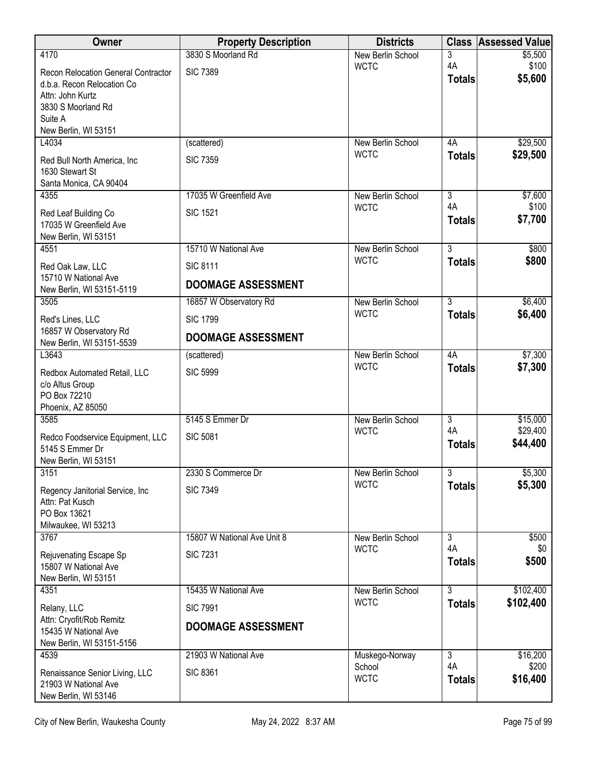| Owner                                                                                                                                          | <b>Property Description</b>                  | <b>Districts</b>                 |                     | <b>Class Assessed Value</b> |
|------------------------------------------------------------------------------------------------------------------------------------------------|----------------------------------------------|----------------------------------|---------------------|-----------------------------|
| 4170                                                                                                                                           | 3830 S Moorland Rd                           | New Berlin School                | 3                   | \$5,500                     |
| Recon Relocation General Contractor<br>d.b.a. Recon Relocation Co<br>Attn: John Kurtz<br>3830 S Moorland Rd<br>Suite A<br>New Berlin, WI 53151 | <b>SIC 7389</b>                              | <b>WCTC</b>                      | 4A<br><b>Totals</b> | \$100<br>\$5,600            |
| L4034                                                                                                                                          | (scattered)                                  | New Berlin School                | 4A                  | \$29,500                    |
| Red Bull North America, Inc.<br>1630 Stewart St<br>Santa Monica, CA 90404                                                                      | <b>SIC 7359</b>                              | <b>WCTC</b>                      | <b>Totals</b>       | \$29,500                    |
| 4355                                                                                                                                           | 17035 W Greenfield Ave                       | New Berlin School                | $\overline{3}$      | \$7,600                     |
| Red Leaf Building Co<br>17035 W Greenfield Ave<br>New Berlin, WI 53151                                                                         | <b>SIC 1521</b>                              | <b>WCTC</b>                      | 4A<br><b>Totals</b> | \$100<br>\$7,700            |
| 4551                                                                                                                                           | 15710 W National Ave                         | New Berlin School                | $\overline{3}$      | \$800                       |
| Red Oak Law, LLC                                                                                                                               | <b>SIC 8111</b>                              | <b>WCTC</b>                      | <b>Totals</b>       | \$800                       |
| 15710 W National Ave<br>New Berlin, WI 53151-5119                                                                                              | <b>DOOMAGE ASSESSMENT</b>                    |                                  |                     |                             |
| 3505                                                                                                                                           | 16857 W Observatory Rd                       | New Berlin School                | $\overline{3}$      | \$6,400                     |
| Red's Lines, LLC<br>16857 W Observatory Rd                                                                                                     | <b>SIC 1799</b><br><b>DOOMAGE ASSESSMENT</b> | <b>WCTC</b>                      | <b>Totals</b>       | \$6,400                     |
| New Berlin, WI 53151-5539<br>L3643                                                                                                             |                                              |                                  | 4A                  | \$7,300                     |
|                                                                                                                                                | (scattered)                                  | New Berlin School<br><b>WCTC</b> | <b>Totals</b>       | \$7,300                     |
| Redbox Automated Retail, LLC<br>c/o Altus Group<br>PO Box 72210<br>Phoenix, AZ 85050                                                           | <b>SIC 5999</b>                              |                                  |                     |                             |
| 3585                                                                                                                                           | 5145 S Emmer Dr                              | New Berlin School                | $\overline{3}$      | \$15,000                    |
| Redco Foodservice Equipment, LLC<br>5145 S Emmer Dr<br>New Berlin, WI 53151                                                                    | <b>SIC 5081</b>                              | <b>WCTC</b>                      | 4A<br><b>Totals</b> | \$29,400<br>\$44,400        |
| 3151                                                                                                                                           | 2330 S Commerce Dr                           | New Berlin School                | $\overline{3}$      | \$5,300                     |
| Regency Janitorial Service, Inc.<br>Attn: Pat Kusch<br>PO Box 13621<br>Milwaukee, WI 53213                                                     | <b>SIC 7349</b>                              | <b>WCTC</b>                      | <b>Totals</b>       | \$5,300                     |
| 3767                                                                                                                                           | 15807 W National Ave Unit 8                  | New Berlin School                | $\overline{3}$      | \$500                       |
| Rejuvenating Escape Sp<br>15807 W National Ave<br>New Berlin, WI 53151                                                                         | <b>SIC 7231</b>                              | <b>WCTC</b>                      | 4A<br><b>Totals</b> | \$0<br>\$500                |
| 4351                                                                                                                                           | 15435 W National Ave                         | New Berlin School                | $\overline{3}$      | \$102,400                   |
| Relany, LLC<br>Attn: Cryofit/Rob Remitz                                                                                                        | <b>SIC 7991</b>                              | <b>WCTC</b>                      | <b>Totals</b>       | \$102,400                   |
| 15435 W National Ave                                                                                                                           | <b>DOOMAGE ASSESSMENT</b>                    |                                  |                     |                             |
| New Berlin, WI 53151-5156<br>4539                                                                                                              | 21903 W National Ave                         | Muskego-Norway                   | $\overline{3}$      | \$16,200                    |
|                                                                                                                                                |                                              | School                           | 4A                  | \$200                       |
| Renaissance Senior Living, LLC<br>21903 W National Ave<br>New Berlin, WI 53146                                                                 | <b>SIC 8361</b>                              | <b>WCTC</b>                      | <b>Totals</b>       | \$16,400                    |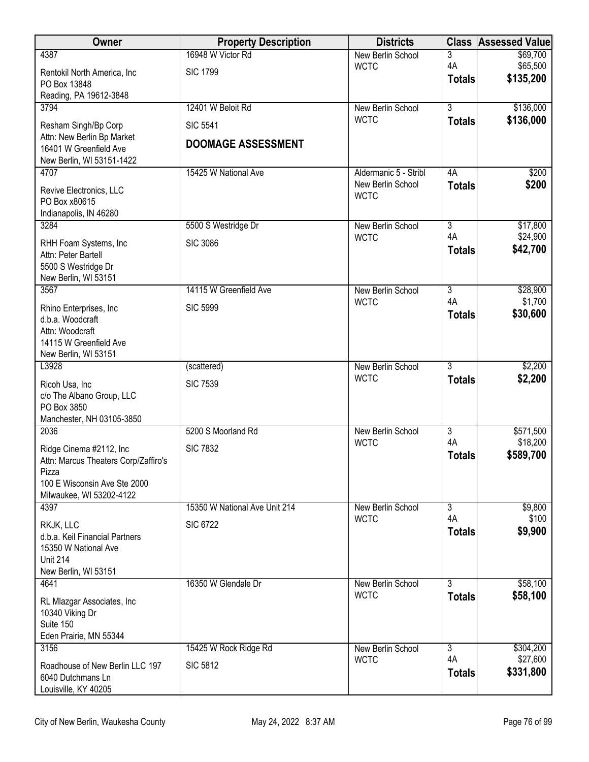| Owner                                                                                                                                | <b>Property Description</b>                  | <b>Districts</b>                 | <b>Class</b>        | <b>Assessed Value</b>  |
|--------------------------------------------------------------------------------------------------------------------------------------|----------------------------------------------|----------------------------------|---------------------|------------------------|
| 4387                                                                                                                                 | 16948 W Victor Rd                            | <b>New Berlin School</b>         | 3                   | \$69,700               |
| Rentokil North America, Inc<br>PO Box 13848                                                                                          | <b>SIC 1799</b>                              | <b>WCTC</b>                      | 4A<br><b>Totals</b> | \$65,500<br>\$135,200  |
| Reading, PA 19612-3848                                                                                                               |                                              |                                  |                     |                        |
| 3794                                                                                                                                 | 12401 W Beloit Rd                            | New Berlin School<br><b>WCTC</b> | $\overline{3}$      | \$136,000<br>\$136,000 |
| Resham Singh/Bp Corp<br>Attn: New Berlin Bp Market<br>16401 W Greenfield Ave                                                         | <b>SIC 5541</b><br><b>DOOMAGE ASSESSMENT</b> |                                  | <b>Totals</b>       |                        |
| New Berlin, WI 53151-1422                                                                                                            |                                              |                                  |                     |                        |
| 4707                                                                                                                                 | 15425 W National Ave                         | Aldermanic 5 - Stribl            | 4A                  | \$200                  |
| Revive Electronics, LLC<br>PO Box x80615<br>Indianapolis, IN 46280                                                                   |                                              | New Berlin School<br><b>WCTC</b> | <b>Totals</b>       | \$200                  |
| 3284                                                                                                                                 | 5500 S Westridge Dr                          | New Berlin School                | $\overline{3}$      | \$17,800               |
| RHH Foam Systems, Inc.<br>Attn: Peter Bartell<br>5500 S Westridge Dr                                                                 | <b>SIC 3086</b>                              | <b>WCTC</b>                      | 4A<br><b>Totals</b> | \$24,900<br>\$42,700   |
| New Berlin, WI 53151<br>3567                                                                                                         | 14115 W Greenfield Ave                       | New Berlin School                | $\overline{3}$      | \$28,900               |
| Rhino Enterprises, Inc<br>d.b.a. Woodcraft<br>Attn: Woodcraft<br>14115 W Greenfield Ave<br>New Berlin, WI 53151                      | <b>SIC 5999</b>                              | <b>WCTC</b>                      | 4A<br><b>Totals</b> | \$1,700<br>\$30,600    |
| L3928                                                                                                                                | (scattered)                                  | New Berlin School                | $\overline{3}$      | \$2,200                |
| Ricoh Usa, Inc<br>c/o The Albano Group, LLC<br>PO Box 3850<br>Manchester, NH 03105-3850                                              | <b>SIC 7539</b>                              | <b>WCTC</b>                      | <b>Totals</b>       | \$2,200                |
| 2036                                                                                                                                 | 5200 S Moorland Rd                           | New Berlin School                | $\overline{3}$      | \$571,500              |
| Ridge Cinema #2112, Inc<br>Attn: Marcus Theaters Corp/Zaffiro's<br>Pizza<br>100 E Wisconsin Ave Ste 2000<br>Milwaukee, WI 53202-4122 | <b>SIC 7832</b>                              | <b>WCTC</b>                      | 4A<br><b>Totals</b> | \$18,200<br>\$589,700  |
| 4397                                                                                                                                 | 15350 W National Ave Unit 214                | New Berlin School                | $\overline{3}$      | \$9,800                |
| RKJK, LLC<br>d.b.a. Keil Financial Partners<br>15350 W National Ave<br><b>Unit 214</b><br>New Berlin, WI 53151                       | <b>SIC 6722</b>                              | <b>WCTC</b>                      | 4A<br><b>Totals</b> | \$100<br>\$9,900       |
| 4641                                                                                                                                 | 16350 W Glendale Dr                          | New Berlin School                | $\overline{3}$      | \$58,100               |
| RL Mlazgar Associates, Inc.<br>10340 Viking Dr<br>Suite 150<br>Eden Prairie, MN 55344                                                |                                              | <b>WCTC</b>                      | <b>Totals</b>       | \$58,100               |
| 3156                                                                                                                                 | 15425 W Rock Ridge Rd                        | New Berlin School                | 3                   | \$304,200              |
| Roadhouse of New Berlin LLC 197<br>6040 Dutchmans Ln<br>Louisville, KY 40205                                                         | <b>SIC 5812</b>                              | <b>WCTC</b>                      | 4A<br><b>Totals</b> | \$27,600<br>\$331,800  |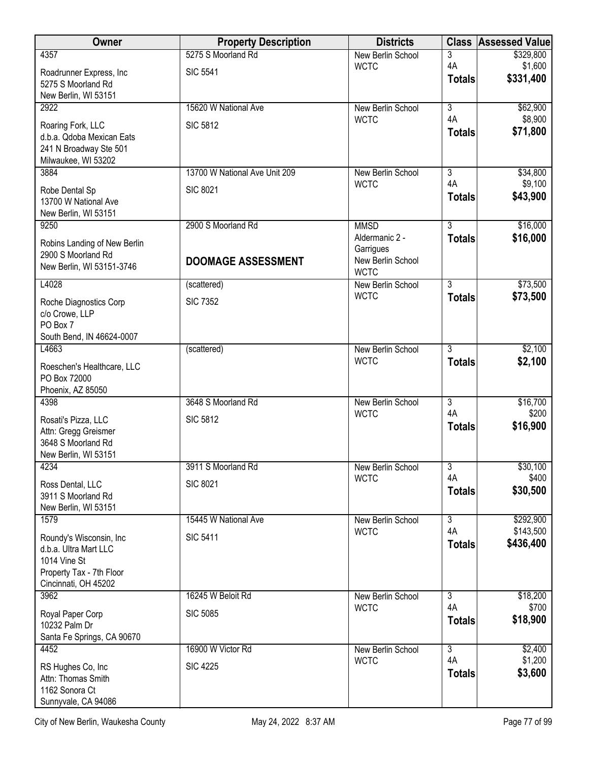| Owner                                          | <b>Property Description</b>   | <b>Districts</b>                 | <b>Class</b>         | <b>Assessed Value</b>  |
|------------------------------------------------|-------------------------------|----------------------------------|----------------------|------------------------|
| 4357                                           | 5275 S Moorland Rd            | <b>New Berlin School</b>         | 3                    | \$329,800              |
| Roadrunner Express, Inc                        | <b>SIC 5541</b>               | <b>WCTC</b>                      | 4A<br><b>Totals</b>  | \$1,600<br>\$331,400   |
| 5275 S Moorland Rd                             |                               |                                  |                      |                        |
| New Berlin, WI 53151<br>2922                   | 15620 W National Ave          | New Berlin School                | $\overline{3}$       | \$62,900               |
|                                                |                               | <b>WCTC</b>                      | 4A                   | \$8,900                |
| Roaring Fork, LLC<br>d.b.a. Qdoba Mexican Eats | <b>SIC 5812</b>               |                                  | <b>Totals</b>        | \$71,800               |
| 241 N Broadway Ste 501                         |                               |                                  |                      |                        |
| Milwaukee, WI 53202                            |                               |                                  |                      |                        |
| 3884                                           | 13700 W National Ave Unit 209 | New Berlin School<br><b>WCTC</b> | 3<br>4A              | \$34,800<br>\$9,100    |
| Robe Dental Sp                                 | <b>SIC 8021</b>               |                                  | <b>Totals</b>        | \$43,900               |
| 13700 W National Ave<br>New Berlin, WI 53151   |                               |                                  |                      |                        |
| 9250                                           | 2900 S Moorland Rd            | <b>MMSD</b>                      | $\overline{3}$       | \$16,000               |
| Robins Landing of New Berlin                   |                               | Aldermanic 2 -                   | <b>Totals</b>        | \$16,000               |
| 2900 S Moorland Rd                             |                               | Garrigues<br>New Berlin School   |                      |                        |
| New Berlin, WI 53151-3746                      | <b>DOOMAGE ASSESSMENT</b>     | <b>WCTC</b>                      |                      |                        |
| L4028                                          | (scattered)                   | New Berlin School                | 3                    | \$73,500               |
| Roche Diagnostics Corp                         | <b>SIC 7352</b>               | <b>WCTC</b>                      | <b>Totals</b>        | \$73,500               |
| c/o Crowe, LLP                                 |                               |                                  |                      |                        |
| PO Box 7                                       |                               |                                  |                      |                        |
| South Bend, IN 46624-0007<br>L4663             | (scattered)                   | New Berlin School                | $\overline{3}$       | \$2,100                |
|                                                |                               | <b>WCTC</b>                      | <b>Totals</b>        | \$2,100                |
| Roeschen's Healthcare, LLC<br>PO Box 72000     |                               |                                  |                      |                        |
| Phoenix, AZ 85050                              |                               |                                  |                      |                        |
| 4398                                           | 3648 S Moorland Rd            | New Berlin School                | $\overline{3}$       | \$16,700               |
| Rosati's Pizza, LLC                            | <b>SIC 5812</b>               | <b>WCTC</b>                      | 4A<br><b>Totals</b>  | \$200<br>\$16,900      |
| Attn: Gregg Greismer                           |                               |                                  |                      |                        |
| 3648 S Moorland Rd<br>New Berlin, WI 53151     |                               |                                  |                      |                        |
| 4234                                           | 3911 S Moorland Rd            | New Berlin School                | $\overline{3}$       | \$30,100               |
| Ross Dental, LLC                               | <b>SIC 8021</b>               | <b>WCTC</b>                      | 4A                   | \$400                  |
| 3911 S Moorland Rd                             |                               |                                  | <b>Totals</b>        | \$30,500               |
| New Berlin, WI 53151                           |                               |                                  |                      |                        |
| 1579                                           | 15445 W National Ave          | New Berlin School<br><b>WCTC</b> | $\overline{3}$<br>4A | \$292,900<br>\$143,500 |
| Roundy's Wisconsin, Inc                        | <b>SIC 5411</b>               |                                  | <b>Totals</b>        | \$436,400              |
| d.b.a. Ultra Mart LLC<br>1014 Vine St          |                               |                                  |                      |                        |
| Property Tax - 7th Floor                       |                               |                                  |                      |                        |
| Cincinnati, OH 45202                           |                               |                                  |                      |                        |
| 3962                                           | 16245 W Beloit Rd             | New Berlin School<br><b>WCTC</b> | 3<br>4A              | \$18,200<br>\$700      |
| Royal Paper Corp                               | <b>SIC 5085</b>               |                                  | <b>Totals</b>        | \$18,900               |
| 10232 Palm Dr<br>Santa Fe Springs, CA 90670    |                               |                                  |                      |                        |
| 4452                                           | 16900 W Victor Rd             | New Berlin School                | $\overline{3}$       | \$2,400                |
| RS Hughes Co, Inc                              | <b>SIC 4225</b>               | <b>WCTC</b>                      | 4A                   | \$1,200                |
| Attn: Thomas Smith                             |                               |                                  | <b>Totals</b>        | \$3,600                |
| 1162 Sonora Ct                                 |                               |                                  |                      |                        |
| Sunnyvale, CA 94086                            |                               |                                  |                      |                        |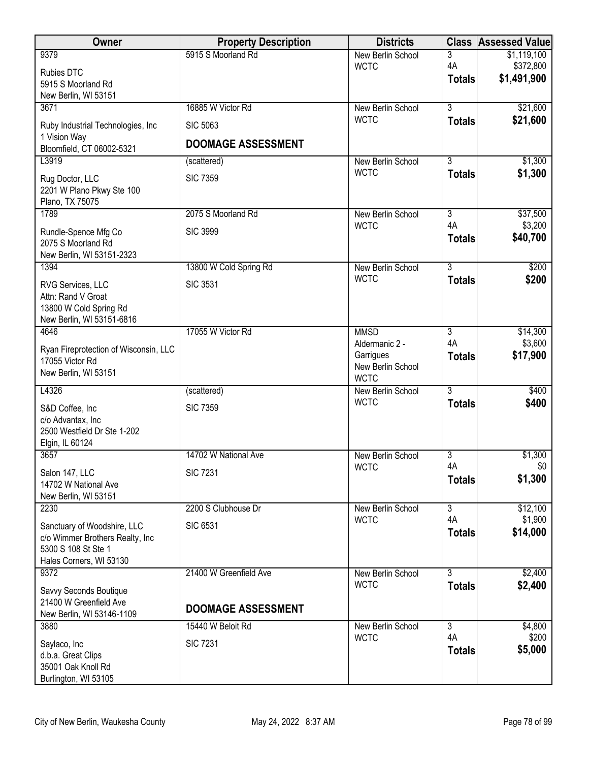| <b>Owner</b>                                             | <b>Property Description</b> | <b>Districts</b>                 | <b>Class</b>         | <b>Assessed Value</b>    |
|----------------------------------------------------------|-----------------------------|----------------------------------|----------------------|--------------------------|
| 9379                                                     | 5915 S Moorland Rd          | New Berlin School                | 3                    | \$1,119,100              |
| Rubies DTC                                               |                             | <b>WCTC</b>                      | 4A<br><b>Totals</b>  | \$372,800<br>\$1,491,900 |
| 5915 S Moorland Rd                                       |                             |                                  |                      |                          |
| New Berlin, WI 53151<br>3671                             | 16885 W Victor Rd           | New Berlin School                | $\overline{3}$       | \$21,600                 |
|                                                          | <b>SIC 5063</b>             | <b>WCTC</b>                      | <b>Totals</b>        | \$21,600                 |
| Ruby Industrial Technologies, Inc.<br>1 Vision Way       |                             |                                  |                      |                          |
| Bloomfield, CT 06002-5321                                | <b>DOOMAGE ASSESSMENT</b>   |                                  |                      |                          |
| L3919                                                    | (scattered)                 | New Berlin School                | $\overline{3}$       | \$1,300                  |
| Rug Doctor, LLC                                          | <b>SIC 7359</b>             | <b>WCTC</b>                      | <b>Totals</b>        | \$1,300                  |
| 2201 W Plano Pkwy Ste 100                                |                             |                                  |                      |                          |
| Plano, TX 75075<br>1789                                  | 2075 S Moorland Rd          |                                  | $\overline{3}$       |                          |
|                                                          |                             | New Berlin School<br><b>WCTC</b> | 4A                   | \$37,500<br>\$3,200      |
| Rundle-Spence Mfg Co<br>2075 S Moorland Rd               | <b>SIC 3999</b>             |                                  | <b>Totals</b>        | \$40,700                 |
| New Berlin, WI 53151-2323                                |                             |                                  |                      |                          |
| 1394                                                     | 13800 W Cold Spring Rd      | New Berlin School                | $\overline{3}$       | \$200                    |
| RVG Services, LLC                                        | <b>SIC 3531</b>             | <b>WCTC</b>                      | <b>Totals</b>        | \$200                    |
| Attn: Rand V Groat                                       |                             |                                  |                      |                          |
| 13800 W Cold Spring Rd                                   |                             |                                  |                      |                          |
| New Berlin, WI 53151-6816                                | 17055 W Victor Rd           |                                  | $\overline{3}$       |                          |
| 4646                                                     |                             | <b>MMSD</b><br>Aldermanic 2 -    | 4A                   | \$14,300<br>\$3,600      |
| Ryan Fireprotection of Wisconsin, LLC<br>17055 Victor Rd |                             | Garrigues                        | <b>Totals</b>        | \$17,900                 |
| New Berlin, WI 53151                                     |                             | New Berlin School                |                      |                          |
|                                                          |                             | <b>WCTC</b>                      | $\overline{3}$       |                          |
| L4326                                                    | (scattered)                 | New Berlin School<br><b>WCTC</b> | <b>Totals</b>        | \$400<br>\$400           |
| S&D Coffee, Inc                                          | <b>SIC 7359</b>             |                                  |                      |                          |
| c/o Advantax, Inc<br>2500 Westfield Dr Ste 1-202         |                             |                                  |                      |                          |
| Elgin, IL 60124                                          |                             |                                  |                      |                          |
| 3657                                                     | 14702 W National Ave        | New Berlin School                | $\overline{3}$       | \$1,300                  |
| Salon 147, LLC                                           | <b>SIC 7231</b>             | <b>WCTC</b>                      | 4A                   | \$0                      |
| 14702 W National Ave                                     |                             |                                  | <b>Totals</b>        | \$1,300                  |
| New Berlin, WI 53151                                     |                             |                                  |                      |                          |
| 2230                                                     | 2200 S Clubhouse Dr         | New Berlin School<br><b>WCTC</b> | $\overline{3}$<br>4A | \$12,100<br>\$1,900      |
| Sanctuary of Woodshire, LLC                              | <b>SIC 6531</b>             |                                  | <b>Totals</b>        | \$14,000                 |
| c/o Wimmer Brothers Realty, Inc<br>5300 S 108 St Ste 1   |                             |                                  |                      |                          |
| Hales Corners, WI 53130                                  |                             |                                  |                      |                          |
| 9372                                                     | 21400 W Greenfield Ave      | New Berlin School                | 3                    | \$2,400                  |
| Savvy Seconds Boutique                                   |                             | <b>WCTC</b>                      | <b>Totals</b>        | \$2,400                  |
| 21400 W Greenfield Ave                                   | <b>DOOMAGE ASSESSMENT</b>   |                                  |                      |                          |
| New Berlin, WI 53146-1109                                |                             |                                  |                      |                          |
| 3880                                                     | 15440 W Beloit Rd           | New Berlin School<br><b>WCTC</b> | $\overline{3}$<br>4A | \$4,800<br>\$200         |
| Saylaco, Inc                                             | <b>SIC 7231</b>             |                                  | <b>Totals</b>        | \$5,000                  |
| d.b.a. Great Clips<br>35001 Oak Knoll Rd                 |                             |                                  |                      |                          |
| Burlington, WI 53105                                     |                             |                                  |                      |                          |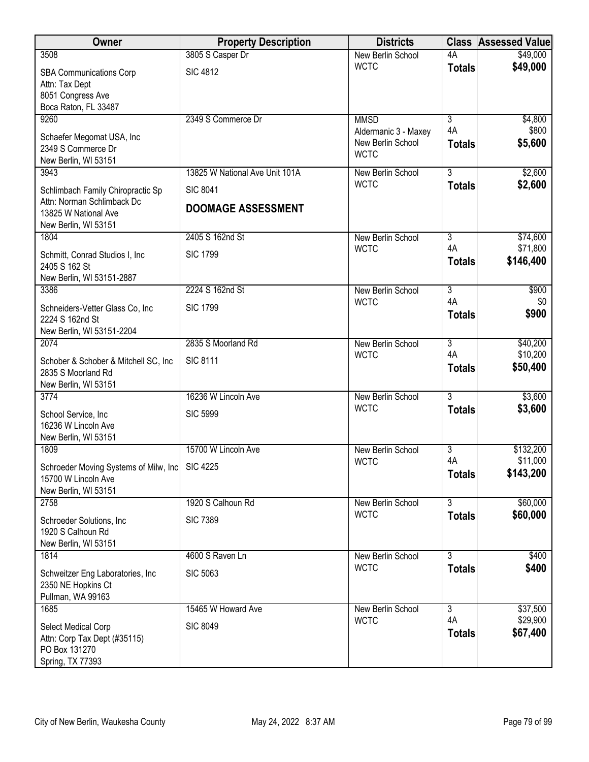| Owner                                           | <b>Property Description</b>    | <b>Districts</b>                        |                      | <b>Class Assessed Value</b> |
|-------------------------------------------------|--------------------------------|-----------------------------------------|----------------------|-----------------------------|
| 3508                                            | 3805 S Casper Dr               | <b>New Berlin School</b>                | 4A                   | \$49,000                    |
| <b>SBA Communications Corp</b>                  | <b>SIC 4812</b>                | <b>WCTC</b>                             | <b>Totals</b>        | \$49,000                    |
| Attn: Tax Dept                                  |                                |                                         |                      |                             |
| 8051 Congress Ave<br>Boca Raton, FL 33487       |                                |                                         |                      |                             |
| 9260                                            | 2349 S Commerce Dr             | <b>MMSD</b>                             | $\overline{3}$       | \$4,800                     |
|                                                 |                                | Aldermanic 3 - Maxey                    | 4A                   | \$800                       |
| Schaefer Megomat USA, Inc<br>2349 S Commerce Dr |                                | New Berlin School                       | <b>Totals</b>        | \$5,600                     |
| New Berlin, WI 53151                            |                                | <b>WCTC</b>                             |                      |                             |
| 3943                                            | 13825 W National Ave Unit 101A | <b>New Berlin School</b>                | $\overline{3}$       | \$2,600                     |
| Schlimbach Family Chiropractic Sp               | <b>SIC 8041</b>                | <b>WCTC</b>                             | <b>Totals</b>        | \$2,600                     |
| Attn: Norman Schlimback Dc                      |                                |                                         |                      |                             |
| 13825 W National Ave                            | <b>DOOMAGE ASSESSMENT</b>      |                                         |                      |                             |
| New Berlin, WI 53151                            |                                |                                         |                      |                             |
| 1804                                            | 2405 S 162nd St                | New Berlin School                       | $\overline{3}$<br>4A | \$74,600<br>\$71,800        |
| Schmitt, Conrad Studios I, Inc.                 | <b>SIC 1799</b>                | <b>WCTC</b>                             | <b>Totals</b>        | \$146,400                   |
| 2405 S 162 St                                   |                                |                                         |                      |                             |
| New Berlin, WI 53151-2887<br>3386               | 2224 S 162nd St                | <b>New Berlin School</b>                | $\overline{3}$       | \$900                       |
|                                                 |                                | <b>WCTC</b>                             | 4A                   | \$0                         |
| Schneiders-Vetter Glass Co, Inc.                | <b>SIC 1799</b>                |                                         | <b>Totals</b>        | \$900                       |
| 2224 S 162nd St<br>New Berlin, WI 53151-2204    |                                |                                         |                      |                             |
| 2074                                            | 2835 S Moorland Rd             | <b>New Berlin School</b>                | $\overline{3}$       | \$40,200                    |
| Schober & Schober & Mitchell SC, Inc.           | <b>SIC 8111</b>                | <b>WCTC</b>                             | 4A                   | \$10,200                    |
| 2835 S Moorland Rd                              |                                |                                         | <b>Totals</b>        | \$50,400                    |
| New Berlin, WI 53151                            |                                |                                         |                      |                             |
| 3774                                            | 16236 W Lincoln Ave            | New Berlin School                       | $\overline{3}$       | \$3,600                     |
| School Service, Inc                             | <b>SIC 5999</b>                | <b>WCTC</b>                             | <b>Totals</b>        | \$3,600                     |
| 16236 W Lincoln Ave                             |                                |                                         |                      |                             |
| New Berlin, WI 53151                            | 15700 W Lincoln Ave            |                                         |                      |                             |
| 1809                                            |                                | <b>New Berlin School</b><br><b>WCTC</b> | 3<br>4A              | \$132,200<br>\$11,000       |
| Schroeder Moving Systems of Milw, Inc           | <b>SIC 4225</b>                |                                         | <b>Totals</b>        | \$143,200                   |
| 15700 W Lincoln Ave<br>New Berlin, WI 53151     |                                |                                         |                      |                             |
| 2758                                            | 1920 S Calhoun Rd              | New Berlin School                       | 3                    | \$60,000                    |
| Schroeder Solutions, Inc.                       | <b>SIC 7389</b>                | <b>WCTC</b>                             | <b>Totals</b>        | \$60,000                    |
| 1920 S Calhoun Rd                               |                                |                                         |                      |                             |
| New Berlin, WI 53151                            |                                |                                         |                      |                             |
| 1814                                            | 4600 S Raven Ln                | New Berlin School                       | $\overline{3}$       | \$400                       |
| Schweitzer Eng Laboratories, Inc                | <b>SIC 5063</b>                | <b>WCTC</b>                             | <b>Totals</b>        | \$400                       |
| 2350 NE Hopkins Ct                              |                                |                                         |                      |                             |
| Pullman, WA 99163                               |                                |                                         |                      |                             |
| 1685                                            | 15465 W Howard Ave             | <b>New Berlin School</b><br><b>WCTC</b> | $\overline{3}$<br>4A | \$37,500<br>\$29,900        |
| Select Medical Corp                             | <b>SIC 8049</b>                |                                         | <b>Totals</b>        | \$67,400                    |
| Attn: Corp Tax Dept (#35115)<br>PO Box 131270   |                                |                                         |                      |                             |
| Spring, TX 77393                                |                                |                                         |                      |                             |
|                                                 |                                |                                         |                      |                             |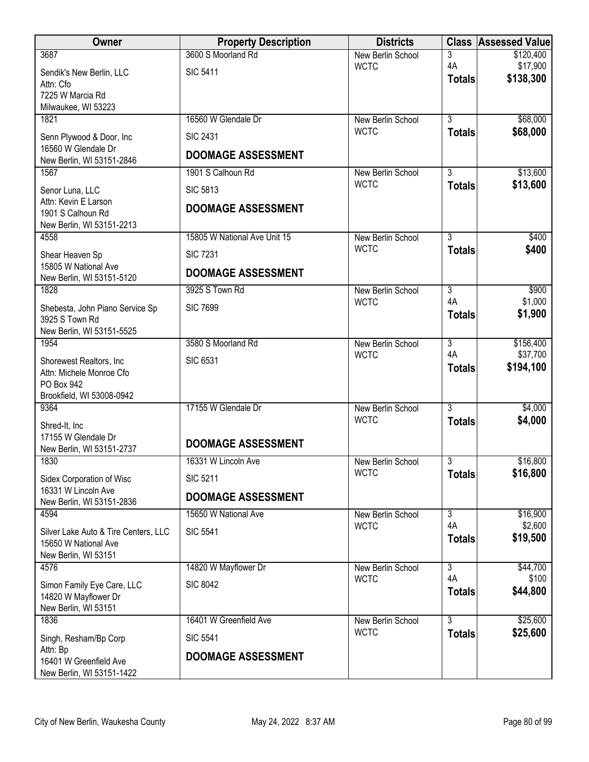| Owner                                              | <b>Property Description</b>  | <b>Districts</b>                 |                     | <b>Class Assessed Value</b> |
|----------------------------------------------------|------------------------------|----------------------------------|---------------------|-----------------------------|
| 3687                                               | 3600 S Moorland Rd           | New Berlin School                | 3                   | \$120,400                   |
| Sendik's New Berlin, LLC                           | <b>SIC 5411</b>              | <b>WCTC</b>                      | 4A<br><b>Totals</b> | \$17,900<br>\$138,300       |
| Attn: Cfo<br>7225 W Marcia Rd                      |                              |                                  |                     |                             |
| Milwaukee, WI 53223                                |                              |                                  |                     |                             |
| 1821                                               | 16560 W Glendale Dr          | New Berlin School                | $\overline{3}$      | \$68,000                    |
| Senn Plywood & Door, Inc                           | <b>SIC 2431</b>              | <b>WCTC</b>                      | <b>Totals</b>       | \$68,000                    |
| 16560 W Glendale Dr                                | <b>DOOMAGE ASSESSMENT</b>    |                                  |                     |                             |
| New Berlin, WI 53151-2846<br>1567                  | 1901 S Calhoun Rd            | New Berlin School                | $\overline{3}$      | \$13,600                    |
|                                                    |                              | <b>WCTC</b>                      | <b>Totals</b>       | \$13,600                    |
| Senor Luna, LLC<br>Attn: Kevin E Larson            | <b>SIC 5813</b>              |                                  |                     |                             |
| 1901 S Calhoun Rd                                  | <b>DOOMAGE ASSESSMENT</b>    |                                  |                     |                             |
| New Berlin, WI 53151-2213                          |                              |                                  |                     |                             |
| 4558                                               | 15805 W National Ave Unit 15 | New Berlin School<br><b>WCTC</b> | $\overline{3}$      | \$400<br>\$400              |
| Shear Heaven Sp                                    | <b>SIC 7231</b>              |                                  | <b>Totals</b>       |                             |
| 15805 W National Ave<br>New Berlin, WI 53151-5120  | <b>DOOMAGE ASSESSMENT</b>    |                                  |                     |                             |
| 1828                                               | 3925 S Town Rd               | New Berlin School                | $\overline{3}$      | \$900                       |
| Shebesta, John Piano Service Sp                    | <b>SIC 7699</b>              | <b>WCTC</b>                      | 4A<br><b>Totals</b> | \$1,000<br>\$1,900          |
| 3925 S Town Rd<br>New Berlin, WI 53151-5525        |                              |                                  |                     |                             |
| 1954                                               | 3580 S Moorland Rd           | New Berlin School                | $\overline{3}$      | \$156,400                   |
| Shorewest Realtors, Inc.                           | <b>SIC 6531</b>              | <b>WCTC</b>                      | 4A                  | \$37,700                    |
| Attn: Michele Monroe Cfo                           |                              |                                  | <b>Totals</b>       | \$194,100                   |
| PO Box 942                                         |                              |                                  |                     |                             |
| Brookfield, WI 53008-0942<br>9364                  | 17155 W Glendale Dr          | New Berlin School                | $\overline{3}$      | \$4,000                     |
|                                                    |                              | <b>WCTC</b>                      | <b>Totals</b>       | \$4,000                     |
| Shred-It, Inc<br>17155 W Glendale Dr               |                              |                                  |                     |                             |
| New Berlin, WI 53151-2737                          | <b>DOOMAGE ASSESSMENT</b>    |                                  |                     |                             |
| 1830                                               | 16331 W Lincoln Ave          | New Berlin School                | 3                   | \$16,800                    |
| Sidex Corporation of Wisc                          | <b>SIC 5211</b>              | <b>WCTC</b>                      | <b>Totals</b>       | \$16,800                    |
| 16331 W Lincoln Ave<br>New Berlin, WI 53151-2836   | <b>DOOMAGE ASSESSMENT</b>    |                                  |                     |                             |
| 4594                                               | 15650 W National Ave         | New Berlin School                | $\overline{3}$      | \$16,900                    |
| Silver Lake Auto & Tire Centers, LLC               | <b>SIC 5541</b>              | <b>WCTC</b>                      | 4A<br><b>Totals</b> | \$2,600<br>\$19,500         |
| 15650 W National Ave                               |                              |                                  |                     |                             |
| New Berlin, WI 53151<br>4576                       | 14820 W Mayflower Dr         | New Berlin School                | $\overline{3}$      | \$44,700                    |
|                                                    | <b>SIC 8042</b>              | <b>WCTC</b>                      | 4A                  | \$100                       |
| Simon Family Eye Care, LLC<br>14820 W Mayflower Dr |                              |                                  | <b>Totals</b>       | \$44,800                    |
| New Berlin, WI 53151                               |                              |                                  |                     |                             |
| 1836                                               | 16401 W Greenfield Ave       | New Berlin School                | $\overline{3}$      | \$25,600                    |
| Singh, Resham/Bp Corp                              | <b>SIC 5541</b>              | <b>WCTC</b>                      | <b>Totals</b>       | \$25,600                    |
| Attn: Bp<br>16401 W Greenfield Ave                 | <b>DOOMAGE ASSESSMENT</b>    |                                  |                     |                             |
| New Berlin, WI 53151-1422                          |                              |                                  |                     |                             |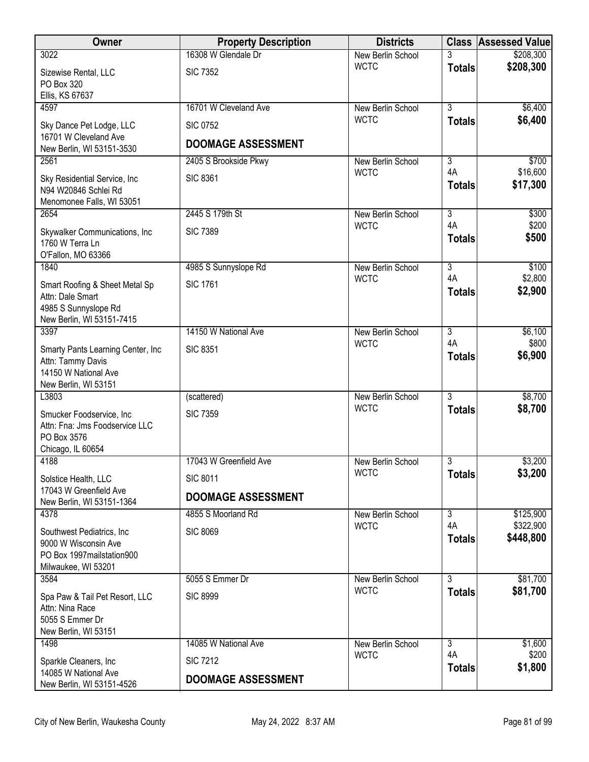| <b>Owner</b>                                                                      | <b>Property Description</b> | <b>Districts</b>  |                     | <b>Class Assessed Value</b> |
|-----------------------------------------------------------------------------------|-----------------------------|-------------------|---------------------|-----------------------------|
| 3022                                                                              | 16308 W Glendale Dr         | New Berlin School | 3                   | \$208,300                   |
| Sizewise Rental, LLC<br>PO Box 320                                                | <b>SIC 7352</b>             | <b>WCTC</b>       | <b>Totals</b>       | \$208,300                   |
| Ellis, KS 67637                                                                   |                             |                   |                     |                             |
| 4597                                                                              | 16701 W Cleveland Ave       | New Berlin School | $\overline{3}$      | \$6,400                     |
| Sky Dance Pet Lodge, LLC<br>16701 W Cleveland Ave                                 | <b>SIC 0752</b>             | <b>WCTC</b>       | <b>Totals</b>       | \$6,400                     |
| New Berlin, WI 53151-3530                                                         | <b>DOOMAGE ASSESSMENT</b>   |                   |                     |                             |
| 2561                                                                              | 2405 S Brookside Pkwy       | New Berlin School | $\overline{3}$      | \$700                       |
| Sky Residential Service, Inc<br>N94 W20846 Schlei Rd<br>Menomonee Falls, WI 53051 | <b>SIC 8361</b>             | <b>WCTC</b>       | 4A<br><b>Totals</b> | \$16,600<br>\$17,300        |
| 2654                                                                              | 2445 S 179th St             | New Berlin School | $\overline{3}$      | \$300                       |
|                                                                                   |                             | <b>WCTC</b>       | 4A                  | \$200                       |
| Skywalker Communications, Inc<br>1760 W Terra Ln<br>O'Fallon, MO 63366            | <b>SIC 7389</b>             |                   | <b>Totals</b>       | \$500                       |
| 1840                                                                              | 4985 S Sunnyslope Rd        | New Berlin School | $\overline{3}$      | \$100                       |
| Smart Roofing & Sheet Metal Sp                                                    | <b>SIC 1761</b>             | <b>WCTC</b>       | 4A                  | \$2,800                     |
| Attn: Dale Smart<br>4985 S Sunnyslope Rd                                          |                             |                   | <b>Totals</b>       | \$2,900                     |
| New Berlin, WI 53151-7415<br>3397                                                 | 14150 W National Ave        | New Berlin School | $\overline{3}$      | \$6,100                     |
|                                                                                   |                             | <b>WCTC</b>       | 4A                  | \$800                       |
| Smarty Pants Learning Center, Inc.<br>Attn: Tammy Davis                           | <b>SIC 8351</b>             |                   | <b>Totals</b>       | \$6,900                     |
| 14150 W National Ave                                                              |                             |                   |                     |                             |
| New Berlin, WI 53151                                                              |                             |                   |                     |                             |
| L3803                                                                             | (scattered)                 | New Berlin School | $\overline{3}$      | \$8,700                     |
| Smucker Foodservice, Inc                                                          | <b>SIC 7359</b>             | <b>WCTC</b>       | <b>Totals</b>       | \$8,700                     |
| Attn: Fna: Jms Foodservice LLC                                                    |                             |                   |                     |                             |
| PO Box 3576                                                                       |                             |                   |                     |                             |
| Chicago, IL 60654<br>4188                                                         | 17043 W Greenfield Ave      | New Berlin School | 3                   | \$3,200                     |
|                                                                                   |                             | <b>WCTC</b>       | <b>Totals</b>       | \$3,200                     |
| Solstice Health, LLC<br>17043 W Greenfield Ave                                    | <b>SIC 8011</b>             |                   |                     |                             |
| New Berlin, WI 53151-1364                                                         | <b>DOOMAGE ASSESSMENT</b>   |                   |                     |                             |
| 4378                                                                              | 4855 S Moorland Rd          | New Berlin School | $\overline{3}$      | \$125,900                   |
| Southwest Pediatrics, Inc.                                                        | <b>SIC 8069</b>             | <b>WCTC</b>       | 4A                  | \$322,900                   |
| 9000 W Wisconsin Ave                                                              |                             |                   | <b>Totals</b>       | \$448,800                   |
| PO Box 1997 mailstation 900                                                       |                             |                   |                     |                             |
| Milwaukee, WI 53201<br>3584                                                       | 5055 S Emmer Dr             | New Berlin School | $\overline{3}$      | \$81,700                    |
|                                                                                   |                             | <b>WCTC</b>       | <b>Totals</b>       | \$81,700                    |
| Spa Paw & Tail Pet Resort, LLC<br>Attn: Nina Race                                 | <b>SIC 8999</b>             |                   |                     |                             |
| 5055 S Emmer Dr                                                                   |                             |                   |                     |                             |
| New Berlin, WI 53151                                                              |                             |                   |                     |                             |
| 1498                                                                              | 14085 W National Ave        | New Berlin School | $\overline{3}$      | \$1,600                     |
| Sparkle Cleaners, Inc.                                                            | <b>SIC 7212</b>             | <b>WCTC</b>       | 4A                  | \$200                       |
| 14085 W National Ave                                                              | <b>DOOMAGE ASSESSMENT</b>   |                   | <b>Totals</b>       | \$1,800                     |
| New Berlin, WI 53151-4526                                                         |                             |                   |                     |                             |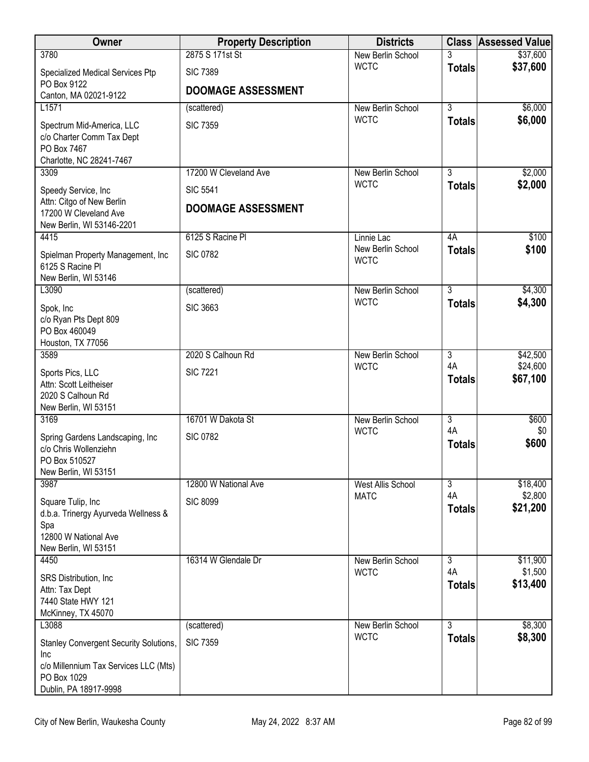| New Berlin School<br>\$37,600<br><b>WCTC</b><br><b>Totals</b><br><b>SIC 7389</b><br>Specialized Medical Services Ptp<br>PO Box 9122<br><b>DOOMAGE ASSESSMENT</b><br>Canton, MA 02021-9122<br>$\overline{3}$<br>\$6,000<br>L1571<br>New Berlin School<br>(scattered)<br>\$6,000<br><b>WCTC</b><br><b>Totals</b><br><b>SIC 7359</b><br>Spectrum Mid-America, LLC<br>c/o Charter Comm Tax Dept<br>PO Box 7467<br>Charlotte, NC 28241-7467<br>17200 W Cleveland Ave<br>3<br>\$2,000<br>3309<br>New Berlin School<br><b>WCTC</b><br>\$2,000<br><b>Totals</b><br><b>SIC 5541</b><br>Speedy Service, Inc<br>Attn: Citgo of New Berlin<br><b>DOOMAGE ASSESSMENT</b><br>17200 W Cleveland Ave<br>New Berlin, WI 53146-2201<br>6125 S Racine PI<br>4A<br>\$100<br>4415<br>Linnie Lac<br>\$100<br>New Berlin School<br><b>Totals</b><br><b>SIC 0782</b><br>Spielman Property Management, Inc<br><b>WCTC</b><br>6125 S Racine PI<br>New Berlin, WI 53146<br>$\overline{3}$<br>\$4,300<br>L3090<br>New Berlin School<br>(scattered)<br><b>WCTC</b><br>\$4,300<br><b>Totals</b><br><b>SIC 3663</b><br>Spok, Inc<br>c/o Ryan Pts Dept 809<br>PO Box 460049<br>Houston, TX 77056<br>3589<br>2020 S Calhoun Rd<br>$\overline{3}$<br>\$42,500<br>New Berlin School<br>4A<br>\$24,600<br><b>WCTC</b><br><b>SIC 7221</b><br>Sports Pics, LLC<br>\$67,100<br><b>Totals</b><br>Attn: Scott Leitheiser<br>2020 S Calhoun Rd<br>New Berlin, WI 53151<br>3169<br>16701 W Dakota St<br>$\overline{3}$<br>\$600<br>New Berlin School<br>4A<br><b>WCTC</b><br>\$0<br><b>SIC 0782</b><br>Spring Gardens Landscaping, Inc.<br>\$600<br><b>Totals</b><br>c/o Chris Wollenziehn<br>PO Box 510527<br>New Berlin, WI 53151<br>3987<br>12800 W National Ave<br><b>West Allis School</b><br>3<br>\$18,400<br>4A<br>\$2,800<br><b>MATC</b><br><b>SIC 8099</b><br>Square Tulip, Inc<br>\$21,200<br><b>Totals</b><br>d.b.a. Trinergy Ayurveda Wellness &<br>Spa<br>12800 W National Ave<br>New Berlin, WI 53151<br>16314 W Glendale Dr<br>3<br>\$11,900<br>4450<br>New Berlin School<br>4A<br>\$1,500<br><b>WCTC</b><br>SRS Distribution, Inc.<br>\$13,400<br><b>Totals</b><br>Attn: Tax Dept | Owner | <b>Property Description</b> | <b>Districts</b> | <b>Class Assessed Value</b> |
|--------------------------------------------------------------------------------------------------------------------------------------------------------------------------------------------------------------------------------------------------------------------------------------------------------------------------------------------------------------------------------------------------------------------------------------------------------------------------------------------------------------------------------------------------------------------------------------------------------------------------------------------------------------------------------------------------------------------------------------------------------------------------------------------------------------------------------------------------------------------------------------------------------------------------------------------------------------------------------------------------------------------------------------------------------------------------------------------------------------------------------------------------------------------------------------------------------------------------------------------------------------------------------------------------------------------------------------------------------------------------------------------------------------------------------------------------------------------------------------------------------------------------------------------------------------------------------------------------------------------------------------------------------------------------------------------------------------------------------------------------------------------------------------------------------------------------------------------------------------------------------------------------------------------------------------------------------------------------------------------------------------------------------------------------------------------------------------------------------------------------------------------------------|-------|-----------------------------|------------------|-----------------------------|
|                                                                                                                                                                                                                                                                                                                                                                                                                                                                                                                                                                                                                                                                                                                                                                                                                                                                                                                                                                                                                                                                                                                                                                                                                                                                                                                                                                                                                                                                                                                                                                                                                                                                                                                                                                                                                                                                                                                                                                                                                                                                                                                                                        | 3780  | 2875 S 171st St             |                  | \$37,600                    |
|                                                                                                                                                                                                                                                                                                                                                                                                                                                                                                                                                                                                                                                                                                                                                                                                                                                                                                                                                                                                                                                                                                                                                                                                                                                                                                                                                                                                                                                                                                                                                                                                                                                                                                                                                                                                                                                                                                                                                                                                                                                                                                                                                        |       |                             |                  |                             |
|                                                                                                                                                                                                                                                                                                                                                                                                                                                                                                                                                                                                                                                                                                                                                                                                                                                                                                                                                                                                                                                                                                                                                                                                                                                                                                                                                                                                                                                                                                                                                                                                                                                                                                                                                                                                                                                                                                                                                                                                                                                                                                                                                        |       |                             |                  |                             |
|                                                                                                                                                                                                                                                                                                                                                                                                                                                                                                                                                                                                                                                                                                                                                                                                                                                                                                                                                                                                                                                                                                                                                                                                                                                                                                                                                                                                                                                                                                                                                                                                                                                                                                                                                                                                                                                                                                                                                                                                                                                                                                                                                        |       |                             |                  |                             |
|                                                                                                                                                                                                                                                                                                                                                                                                                                                                                                                                                                                                                                                                                                                                                                                                                                                                                                                                                                                                                                                                                                                                                                                                                                                                                                                                                                                                                                                                                                                                                                                                                                                                                                                                                                                                                                                                                                                                                                                                                                                                                                                                                        |       |                             |                  |                             |
|                                                                                                                                                                                                                                                                                                                                                                                                                                                                                                                                                                                                                                                                                                                                                                                                                                                                                                                                                                                                                                                                                                                                                                                                                                                                                                                                                                                                                                                                                                                                                                                                                                                                                                                                                                                                                                                                                                                                                                                                                                                                                                                                                        |       |                             |                  |                             |
|                                                                                                                                                                                                                                                                                                                                                                                                                                                                                                                                                                                                                                                                                                                                                                                                                                                                                                                                                                                                                                                                                                                                                                                                                                                                                                                                                                                                                                                                                                                                                                                                                                                                                                                                                                                                                                                                                                                                                                                                                                                                                                                                                        |       |                             |                  |                             |
|                                                                                                                                                                                                                                                                                                                                                                                                                                                                                                                                                                                                                                                                                                                                                                                                                                                                                                                                                                                                                                                                                                                                                                                                                                                                                                                                                                                                                                                                                                                                                                                                                                                                                                                                                                                                                                                                                                                                                                                                                                                                                                                                                        |       |                             |                  |                             |
|                                                                                                                                                                                                                                                                                                                                                                                                                                                                                                                                                                                                                                                                                                                                                                                                                                                                                                                                                                                                                                                                                                                                                                                                                                                                                                                                                                                                                                                                                                                                                                                                                                                                                                                                                                                                                                                                                                                                                                                                                                                                                                                                                        |       |                             |                  |                             |
|                                                                                                                                                                                                                                                                                                                                                                                                                                                                                                                                                                                                                                                                                                                                                                                                                                                                                                                                                                                                                                                                                                                                                                                                                                                                                                                                                                                                                                                                                                                                                                                                                                                                                                                                                                                                                                                                                                                                                                                                                                                                                                                                                        |       |                             |                  |                             |
|                                                                                                                                                                                                                                                                                                                                                                                                                                                                                                                                                                                                                                                                                                                                                                                                                                                                                                                                                                                                                                                                                                                                                                                                                                                                                                                                                                                                                                                                                                                                                                                                                                                                                                                                                                                                                                                                                                                                                                                                                                                                                                                                                        |       |                             |                  |                             |
|                                                                                                                                                                                                                                                                                                                                                                                                                                                                                                                                                                                                                                                                                                                                                                                                                                                                                                                                                                                                                                                                                                                                                                                                                                                                                                                                                                                                                                                                                                                                                                                                                                                                                                                                                                                                                                                                                                                                                                                                                                                                                                                                                        |       |                             |                  |                             |
|                                                                                                                                                                                                                                                                                                                                                                                                                                                                                                                                                                                                                                                                                                                                                                                                                                                                                                                                                                                                                                                                                                                                                                                                                                                                                                                                                                                                                                                                                                                                                                                                                                                                                                                                                                                                                                                                                                                                                                                                                                                                                                                                                        |       |                             |                  |                             |
|                                                                                                                                                                                                                                                                                                                                                                                                                                                                                                                                                                                                                                                                                                                                                                                                                                                                                                                                                                                                                                                                                                                                                                                                                                                                                                                                                                                                                                                                                                                                                                                                                                                                                                                                                                                                                                                                                                                                                                                                                                                                                                                                                        |       |                             |                  |                             |
|                                                                                                                                                                                                                                                                                                                                                                                                                                                                                                                                                                                                                                                                                                                                                                                                                                                                                                                                                                                                                                                                                                                                                                                                                                                                                                                                                                                                                                                                                                                                                                                                                                                                                                                                                                                                                                                                                                                                                                                                                                                                                                                                                        |       |                             |                  |                             |
|                                                                                                                                                                                                                                                                                                                                                                                                                                                                                                                                                                                                                                                                                                                                                                                                                                                                                                                                                                                                                                                                                                                                                                                                                                                                                                                                                                                                                                                                                                                                                                                                                                                                                                                                                                                                                                                                                                                                                                                                                                                                                                                                                        |       |                             |                  |                             |
|                                                                                                                                                                                                                                                                                                                                                                                                                                                                                                                                                                                                                                                                                                                                                                                                                                                                                                                                                                                                                                                                                                                                                                                                                                                                                                                                                                                                                                                                                                                                                                                                                                                                                                                                                                                                                                                                                                                                                                                                                                                                                                                                                        |       |                             |                  |                             |
|                                                                                                                                                                                                                                                                                                                                                                                                                                                                                                                                                                                                                                                                                                                                                                                                                                                                                                                                                                                                                                                                                                                                                                                                                                                                                                                                                                                                                                                                                                                                                                                                                                                                                                                                                                                                                                                                                                                                                                                                                                                                                                                                                        |       |                             |                  |                             |
|                                                                                                                                                                                                                                                                                                                                                                                                                                                                                                                                                                                                                                                                                                                                                                                                                                                                                                                                                                                                                                                                                                                                                                                                                                                                                                                                                                                                                                                                                                                                                                                                                                                                                                                                                                                                                                                                                                                                                                                                                                                                                                                                                        |       |                             |                  |                             |
|                                                                                                                                                                                                                                                                                                                                                                                                                                                                                                                                                                                                                                                                                                                                                                                                                                                                                                                                                                                                                                                                                                                                                                                                                                                                                                                                                                                                                                                                                                                                                                                                                                                                                                                                                                                                                                                                                                                                                                                                                                                                                                                                                        |       |                             |                  |                             |
|                                                                                                                                                                                                                                                                                                                                                                                                                                                                                                                                                                                                                                                                                                                                                                                                                                                                                                                                                                                                                                                                                                                                                                                                                                                                                                                                                                                                                                                                                                                                                                                                                                                                                                                                                                                                                                                                                                                                                                                                                                                                                                                                                        |       |                             |                  |                             |
|                                                                                                                                                                                                                                                                                                                                                                                                                                                                                                                                                                                                                                                                                                                                                                                                                                                                                                                                                                                                                                                                                                                                                                                                                                                                                                                                                                                                                                                                                                                                                                                                                                                                                                                                                                                                                                                                                                                                                                                                                                                                                                                                                        |       |                             |                  |                             |
|                                                                                                                                                                                                                                                                                                                                                                                                                                                                                                                                                                                                                                                                                                                                                                                                                                                                                                                                                                                                                                                                                                                                                                                                                                                                                                                                                                                                                                                                                                                                                                                                                                                                                                                                                                                                                                                                                                                                                                                                                                                                                                                                                        |       |                             |                  |                             |
|                                                                                                                                                                                                                                                                                                                                                                                                                                                                                                                                                                                                                                                                                                                                                                                                                                                                                                                                                                                                                                                                                                                                                                                                                                                                                                                                                                                                                                                                                                                                                                                                                                                                                                                                                                                                                                                                                                                                                                                                                                                                                                                                                        |       |                             |                  |                             |
|                                                                                                                                                                                                                                                                                                                                                                                                                                                                                                                                                                                                                                                                                                                                                                                                                                                                                                                                                                                                                                                                                                                                                                                                                                                                                                                                                                                                                                                                                                                                                                                                                                                                                                                                                                                                                                                                                                                                                                                                                                                                                                                                                        |       |                             |                  |                             |
|                                                                                                                                                                                                                                                                                                                                                                                                                                                                                                                                                                                                                                                                                                                                                                                                                                                                                                                                                                                                                                                                                                                                                                                                                                                                                                                                                                                                                                                                                                                                                                                                                                                                                                                                                                                                                                                                                                                                                                                                                                                                                                                                                        |       |                             |                  |                             |
|                                                                                                                                                                                                                                                                                                                                                                                                                                                                                                                                                                                                                                                                                                                                                                                                                                                                                                                                                                                                                                                                                                                                                                                                                                                                                                                                                                                                                                                                                                                                                                                                                                                                                                                                                                                                                                                                                                                                                                                                                                                                                                                                                        |       |                             |                  |                             |
|                                                                                                                                                                                                                                                                                                                                                                                                                                                                                                                                                                                                                                                                                                                                                                                                                                                                                                                                                                                                                                                                                                                                                                                                                                                                                                                                                                                                                                                                                                                                                                                                                                                                                                                                                                                                                                                                                                                                                                                                                                                                                                                                                        |       |                             |                  |                             |
|                                                                                                                                                                                                                                                                                                                                                                                                                                                                                                                                                                                                                                                                                                                                                                                                                                                                                                                                                                                                                                                                                                                                                                                                                                                                                                                                                                                                                                                                                                                                                                                                                                                                                                                                                                                                                                                                                                                                                                                                                                                                                                                                                        |       |                             |                  |                             |
|                                                                                                                                                                                                                                                                                                                                                                                                                                                                                                                                                                                                                                                                                                                                                                                                                                                                                                                                                                                                                                                                                                                                                                                                                                                                                                                                                                                                                                                                                                                                                                                                                                                                                                                                                                                                                                                                                                                                                                                                                                                                                                                                                        |       |                             |                  |                             |
|                                                                                                                                                                                                                                                                                                                                                                                                                                                                                                                                                                                                                                                                                                                                                                                                                                                                                                                                                                                                                                                                                                                                                                                                                                                                                                                                                                                                                                                                                                                                                                                                                                                                                                                                                                                                                                                                                                                                                                                                                                                                                                                                                        |       |                             |                  |                             |
|                                                                                                                                                                                                                                                                                                                                                                                                                                                                                                                                                                                                                                                                                                                                                                                                                                                                                                                                                                                                                                                                                                                                                                                                                                                                                                                                                                                                                                                                                                                                                                                                                                                                                                                                                                                                                                                                                                                                                                                                                                                                                                                                                        |       |                             |                  |                             |
|                                                                                                                                                                                                                                                                                                                                                                                                                                                                                                                                                                                                                                                                                                                                                                                                                                                                                                                                                                                                                                                                                                                                                                                                                                                                                                                                                                                                                                                                                                                                                                                                                                                                                                                                                                                                                                                                                                                                                                                                                                                                                                                                                        |       |                             |                  |                             |
|                                                                                                                                                                                                                                                                                                                                                                                                                                                                                                                                                                                                                                                                                                                                                                                                                                                                                                                                                                                                                                                                                                                                                                                                                                                                                                                                                                                                                                                                                                                                                                                                                                                                                                                                                                                                                                                                                                                                                                                                                                                                                                                                                        |       |                             |                  |                             |
|                                                                                                                                                                                                                                                                                                                                                                                                                                                                                                                                                                                                                                                                                                                                                                                                                                                                                                                                                                                                                                                                                                                                                                                                                                                                                                                                                                                                                                                                                                                                                                                                                                                                                                                                                                                                                                                                                                                                                                                                                                                                                                                                                        |       |                             |                  |                             |
| 7440 State HWY 121                                                                                                                                                                                                                                                                                                                                                                                                                                                                                                                                                                                                                                                                                                                                                                                                                                                                                                                                                                                                                                                                                                                                                                                                                                                                                                                                                                                                                                                                                                                                                                                                                                                                                                                                                                                                                                                                                                                                                                                                                                                                                                                                     |       |                             |                  |                             |
| McKinney, TX 45070<br>3<br>\$8,300<br>L3088<br>(scattered)<br>New Berlin School                                                                                                                                                                                                                                                                                                                                                                                                                                                                                                                                                                                                                                                                                                                                                                                                                                                                                                                                                                                                                                                                                                                                                                                                                                                                                                                                                                                                                                                                                                                                                                                                                                                                                                                                                                                                                                                                                                                                                                                                                                                                        |       |                             |                  |                             |
| <b>WCTC</b><br>\$8,300<br><b>Totals</b><br><b>SIC 7359</b><br>Stanley Convergent Security Solutions,                                                                                                                                                                                                                                                                                                                                                                                                                                                                                                                                                                                                                                                                                                                                                                                                                                                                                                                                                                                                                                                                                                                                                                                                                                                                                                                                                                                                                                                                                                                                                                                                                                                                                                                                                                                                                                                                                                                                                                                                                                                   |       |                             |                  |                             |
| Inc                                                                                                                                                                                                                                                                                                                                                                                                                                                                                                                                                                                                                                                                                                                                                                                                                                                                                                                                                                                                                                                                                                                                                                                                                                                                                                                                                                                                                                                                                                                                                                                                                                                                                                                                                                                                                                                                                                                                                                                                                                                                                                                                                    |       |                             |                  |                             |
| c/o Millennium Tax Services LLC (Mts)                                                                                                                                                                                                                                                                                                                                                                                                                                                                                                                                                                                                                                                                                                                                                                                                                                                                                                                                                                                                                                                                                                                                                                                                                                                                                                                                                                                                                                                                                                                                                                                                                                                                                                                                                                                                                                                                                                                                                                                                                                                                                                                  |       |                             |                  |                             |
| PO Box 1029<br>Dublin, PA 18917-9998                                                                                                                                                                                                                                                                                                                                                                                                                                                                                                                                                                                                                                                                                                                                                                                                                                                                                                                                                                                                                                                                                                                                                                                                                                                                                                                                                                                                                                                                                                                                                                                                                                                                                                                                                                                                                                                                                                                                                                                                                                                                                                                   |       |                             |                  |                             |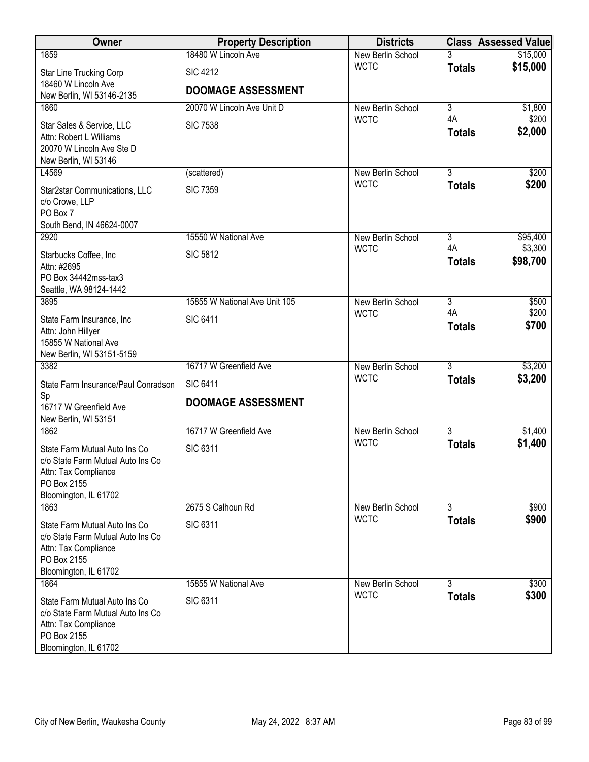| Owner                                                | <b>Property Description</b>   | <b>Districts</b>                 |                                 | <b>Class Assessed Value</b> |
|------------------------------------------------------|-------------------------------|----------------------------------|---------------------------------|-----------------------------|
| 1859                                                 | 18480 W Lincoln Ave           | New Berlin School                | 3                               | \$15,000                    |
| Star Line Trucking Corp                              | <b>SIC 4212</b>               | <b>WCTC</b>                      | <b>Totals</b>                   | \$15,000                    |
| 18460 W Lincoln Ave                                  | <b>DOOMAGE ASSESSMENT</b>     |                                  |                                 |                             |
| New Berlin, WI 53146-2135                            |                               |                                  |                                 |                             |
| 1860                                                 | 20070 W Lincoln Ave Unit D    | New Berlin School<br><b>WCTC</b> | $\overline{\overline{3}}$<br>4A | \$1,800<br>\$200            |
| Star Sales & Service, LLC                            | <b>SIC 7538</b>               |                                  | <b>Totals</b>                   | \$2,000                     |
| Attn: Robert L Williams<br>20070 W Lincoln Ave Ste D |                               |                                  |                                 |                             |
| New Berlin, WI 53146                                 |                               |                                  |                                 |                             |
| L4569                                                | (scattered)                   | New Berlin School                | $\overline{3}$                  | \$200                       |
| Star2star Communications, LLC                        | <b>SIC 7359</b>               | <b>WCTC</b>                      | <b>Totals</b>                   | \$200                       |
| c/o Crowe, LLP                                       |                               |                                  |                                 |                             |
| PO Box 7                                             |                               |                                  |                                 |                             |
| South Bend, IN 46624-0007                            |                               |                                  |                                 |                             |
| 2920                                                 | 15550 W National Ave          | New Berlin School<br><b>WCTC</b> | $\overline{3}$<br>4A            | \$95,400<br>\$3,300         |
| Starbucks Coffee, Inc                                | <b>SIC 5812</b>               |                                  | <b>Totals</b>                   | \$98,700                    |
| Attn: #2695<br>PO Box 34442mss-tax3                  |                               |                                  |                                 |                             |
| Seattle, WA 98124-1442                               |                               |                                  |                                 |                             |
| 3895                                                 | 15855 W National Ave Unit 105 | New Berlin School                | $\overline{3}$                  | \$500                       |
| State Farm Insurance, Inc                            | <b>SIC 6411</b>               | <b>WCTC</b>                      | 4A                              | \$200                       |
| Attn: John Hillyer                                   |                               |                                  | <b>Totals</b>                   | \$700                       |
| 15855 W National Ave                                 |                               |                                  |                                 |                             |
| New Berlin, WI 53151-5159<br>3382                    | 16717 W Greenfield Ave        | New Berlin School                | $\overline{3}$                  | \$3,200                     |
|                                                      |                               | <b>WCTC</b>                      | <b>Totals</b>                   | \$3,200                     |
| State Farm Insurance/Paul Conradson<br>Sp            | <b>SIC 6411</b>               |                                  |                                 |                             |
| 16717 W Greenfield Ave                               | <b>DOOMAGE ASSESSMENT</b>     |                                  |                                 |                             |
| New Berlin, WI 53151                                 |                               |                                  |                                 |                             |
| 1862                                                 | 16717 W Greenfield Ave        | New Berlin School                | $\overline{3}$                  | \$1,400                     |
| State Farm Mutual Auto Ins Co                        | <b>SIC 6311</b>               | <b>WCTC</b>                      | <b>Totals</b>                   | \$1,400                     |
| c/o State Farm Mutual Auto Ins Co                    |                               |                                  |                                 |                             |
| Attn: Tax Compliance<br>PO Box 2155                  |                               |                                  |                                 |                             |
| Bloomington, IL 61702                                |                               |                                  |                                 |                             |
| 1863                                                 | 2675 S Calhoun Rd             | New Berlin School                | $\overline{3}$                  | \$900                       |
| State Farm Mutual Auto Ins Co                        | <b>SIC 6311</b>               | <b>WCTC</b>                      | <b>Totals</b>                   | \$900                       |
| c/o State Farm Mutual Auto Ins Co                    |                               |                                  |                                 |                             |
| Attn: Tax Compliance                                 |                               |                                  |                                 |                             |
| PO Box 2155<br>Bloomington, IL 61702                 |                               |                                  |                                 |                             |
| 1864                                                 | 15855 W National Ave          | New Berlin School                | 3                               | \$300                       |
| State Farm Mutual Auto Ins Co                        | <b>SIC 6311</b>               | <b>WCTC</b>                      | <b>Totals</b>                   | \$300                       |
| c/o State Farm Mutual Auto Ins Co                    |                               |                                  |                                 |                             |
| Attn: Tax Compliance                                 |                               |                                  |                                 |                             |
| PO Box 2155                                          |                               |                                  |                                 |                             |
| Bloomington, IL 61702                                |                               |                                  |                                 |                             |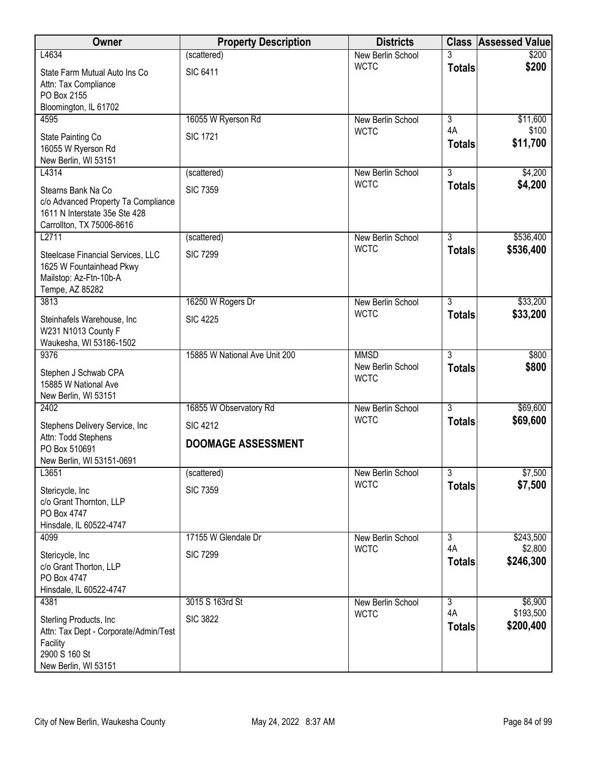| Owner                                                                                                                   | <b>Property Description</b>   | <b>Districts</b>                 |                     | <b>Class Assessed Value</b> |
|-------------------------------------------------------------------------------------------------------------------------|-------------------------------|----------------------------------|---------------------|-----------------------------|
| L4634                                                                                                                   | (scattered)                   | New Berlin School                |                     | \$200                       |
| State Farm Mutual Auto Ins Co<br>Attn: Tax Compliance<br>PO Box 2155<br>Bloomington, IL 61702                           | <b>SIC 6411</b>               | <b>WCTC</b>                      | <b>Totals</b>       | \$200                       |
| 4595                                                                                                                    | 16055 W Ryerson Rd            | New Berlin School                | $\overline{3}$      | \$11,600                    |
| State Painting Co<br>16055 W Ryerson Rd<br>New Berlin, WI 53151                                                         | <b>SIC 1721</b>               | <b>WCTC</b>                      | 4A<br><b>Totals</b> | \$100<br>\$11,700           |
| L4314                                                                                                                   | (scattered)                   | New Berlin School<br><b>WCTC</b> | $\overline{3}$      | \$4,200                     |
| Stearns Bank Na Co<br>c/o Advanced Property Ta Compliance<br>1611 N Interstate 35e Ste 428<br>Carrollton, TX 75006-8616 | <b>SIC 7359</b>               |                                  | <b>Totals</b>       | \$4,200                     |
| L2711                                                                                                                   | (scattered)                   | New Berlin School                | 3                   | \$536,400                   |
| Steelcase Financial Services, LLC<br>1625 W Fountainhead Pkwy<br>Mailstop: Az-Ftn-10b-A<br>Tempe, AZ 85282              | <b>SIC 7299</b>               | <b>WCTC</b>                      | <b>Totals</b>       | \$536,400                   |
| 3813                                                                                                                    | 16250 W Rogers Dr             | New Berlin School                | $\overline{3}$      | \$33,200                    |
| Steinhafels Warehouse, Inc.<br>W231 N1013 County F<br>Waukesha, WI 53186-1502                                           | <b>SIC 4225</b>               | <b>WCTC</b>                      | <b>Totals</b>       | \$33,200                    |
| 9376                                                                                                                    | 15885 W National Ave Unit 200 | <b>MMSD</b>                      | $\overline{3}$      | \$800                       |
| Stephen J Schwab CPA<br>15885 W National Ave<br>New Berlin, WI 53151                                                    |                               | New Berlin School<br><b>WCTC</b> | <b>Totals</b>       | \$800                       |
| 2402                                                                                                                    | 16855 W Observatory Rd        | New Berlin School                | $\overline{3}$      | \$69,600                    |
| Stephens Delivery Service, Inc                                                                                          | <b>SIC 4212</b>               | <b>WCTC</b>                      | <b>Totals</b>       | \$69,600                    |
| Attn: Todd Stephens                                                                                                     | <b>DOOMAGE ASSESSMENT</b>     |                                  |                     |                             |
| PO Box 510691<br>New Berlin, WI 53151-0691                                                                              |                               |                                  |                     |                             |
| L3651                                                                                                                   | (scattered)                   | New Berlin School                | $\overline{3}$      | \$7,500                     |
| Stericycle, Inc<br>c/o Grant Thornton, LLP<br>PO Box 4747                                                               | <b>SIC 7359</b>               | <b>WCTC</b>                      | <b>Totals</b>       | \$7,500                     |
| Hinsdale, IL 60522-4747<br>4099                                                                                         | 17155 W Glendale Dr           | New Berlin School                | $\overline{3}$      | \$243,500                   |
|                                                                                                                         | <b>SIC 7299</b>               | <b>WCTC</b>                      | 4A                  | \$2,800                     |
| Stericycle, Inc<br>c/o Grant Thorton, LLP<br>PO Box 4747<br>Hinsdale, IL 60522-4747                                     |                               |                                  | <b>Totals</b>       | \$246,300                   |
| 4381                                                                                                                    | 3015 S 163rd St               | New Berlin School                | $\overline{3}$      | \$6,900                     |
| Sterling Products, Inc.<br>Attn: Tax Dept - Corporate/Admin/Test<br>Facility<br>2900 S 160 St<br>New Berlin, WI 53151   | <b>SIC 3822</b>               | <b>WCTC</b>                      | 4A<br><b>Totals</b> | \$193,500<br>\$200,400      |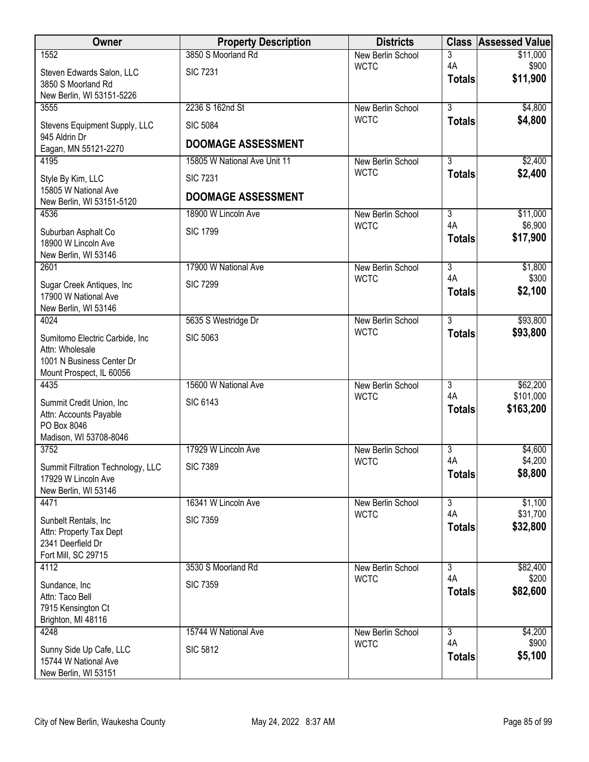| Owner                                              | <b>Property Description</b>  | <b>Districts</b>                 |                      | <b>Class Assessed Value</b> |
|----------------------------------------------------|------------------------------|----------------------------------|----------------------|-----------------------------|
| 1552                                               | 3850 S Moorland Rd           | New Berlin School                | 3                    | \$11,000                    |
| Steven Edwards Salon, LLC                          | <b>SIC 7231</b>              | <b>WCTC</b>                      | 4A<br><b>Totals</b>  | \$900<br>\$11,900           |
| 3850 S Moorland Rd                                 |                              |                                  |                      |                             |
| New Berlin, WI 53151-5226<br>3555                  | 2236 S 162nd St              | New Berlin School                | $\overline{3}$       | \$4,800                     |
| Stevens Equipment Supply, LLC                      | <b>SIC 5084</b>              | <b>WCTC</b>                      | <b>Totals</b>        | \$4,800                     |
| 945 Aldrin Dr                                      | <b>DOOMAGE ASSESSMENT</b>    |                                  |                      |                             |
| Eagan, MN 55121-2270<br>4195                       | 15805 W National Ave Unit 11 |                                  | $\overline{3}$       |                             |
|                                                    |                              | New Berlin School<br><b>WCTC</b> | <b>Totals</b>        | \$2,400<br>\$2,400          |
| Style By Kim, LLC<br>15805 W National Ave          | <b>SIC 7231</b>              |                                  |                      |                             |
| New Berlin, WI 53151-5120                          | <b>DOOMAGE ASSESSMENT</b>    |                                  |                      |                             |
| 4536                                               | 18900 W Lincoln Ave          | New Berlin School                | $\overline{3}$       | \$11,000                    |
| Suburban Asphalt Co                                | <b>SIC 1799</b>              | <b>WCTC</b>                      | 4A                   | \$6,900                     |
| 18900 W Lincoln Ave<br>New Berlin, WI 53146        |                              |                                  | <b>Totals</b>        | \$17,900                    |
| 2601                                               | 17900 W National Ave         | New Berlin School                | $\overline{3}$       | \$1,800                     |
| Sugar Creek Antiques, Inc                          | <b>SIC 7299</b>              | <b>WCTC</b>                      | 4A                   | \$300                       |
| 17900 W National Ave                               |                              |                                  | <b>Totals</b>        | \$2,100                     |
| New Berlin, WI 53146<br>4024                       | 5635 S Westridge Dr          |                                  | $\overline{3}$       | \$93,800                    |
|                                                    |                              | New Berlin School<br><b>WCTC</b> | <b>Totals</b>        | \$93,800                    |
| Sumitomo Electric Carbide, Inc.<br>Attn: Wholesale | <b>SIC 5063</b>              |                                  |                      |                             |
| 1001 N Business Center Dr                          |                              |                                  |                      |                             |
| Mount Prospect, IL 60056                           |                              |                                  |                      |                             |
| 4435                                               | 15600 W National Ave         | <b>New Berlin School</b>         | $\overline{3}$       | \$62,200                    |
| Summit Credit Union, Inc.                          | <b>SIC 6143</b>              | <b>WCTC</b>                      | 4A<br><b>Totals</b>  | \$101,000<br>\$163,200      |
| Attn: Accounts Payable                             |                              |                                  |                      |                             |
| PO Box 8046<br>Madison, WI 53708-8046              |                              |                                  |                      |                             |
| 3752                                               | 17929 W Lincoln Ave          | <b>New Berlin School</b>         | 3                    | \$4,600                     |
| Summit Filtration Technology, LLC                  | <b>SIC 7389</b>              | <b>WCTC</b>                      | 4A                   | \$4,200                     |
| 17929 W Lincoln Ave                                |                              |                                  | <b>Totals</b>        | \$8,800                     |
| New Berlin, WI 53146                               |                              |                                  |                      |                             |
| 4471                                               | 16341 W Lincoln Ave          | New Berlin School<br><b>WCTC</b> | $\overline{3}$<br>4A | \$1,100<br>\$31,700         |
| Sunbelt Rentals, Inc.                              | <b>SIC 7359</b>              |                                  | <b>Totals</b>        | \$32,800                    |
| Attn: Property Tax Dept<br>2341 Deerfield Dr       |                              |                                  |                      |                             |
| Fort Mill, SC 29715                                |                              |                                  |                      |                             |
| 4112                                               | 3530 S Moorland Rd           | New Berlin School                | $\overline{3}$       | \$82,400                    |
| Sundance, Inc.                                     | <b>SIC 7359</b>              | <b>WCTC</b>                      | 4A                   | \$200                       |
| Attn: Taco Bell                                    |                              |                                  | <b>Totals</b>        | \$82,600                    |
| 7915 Kensington Ct<br>Brighton, MI 48116           |                              |                                  |                      |                             |
| 4248                                               | 15744 W National Ave         | New Berlin School                | $\overline{3}$       | \$4,200                     |
| Sunny Side Up Cafe, LLC                            | <b>SIC 5812</b>              | <b>WCTC</b>                      | 4A                   | \$900                       |
| 15744 W National Ave                               |                              |                                  | <b>Totals</b>        | \$5,100                     |
| New Berlin, WI 53151                               |                              |                                  |                      |                             |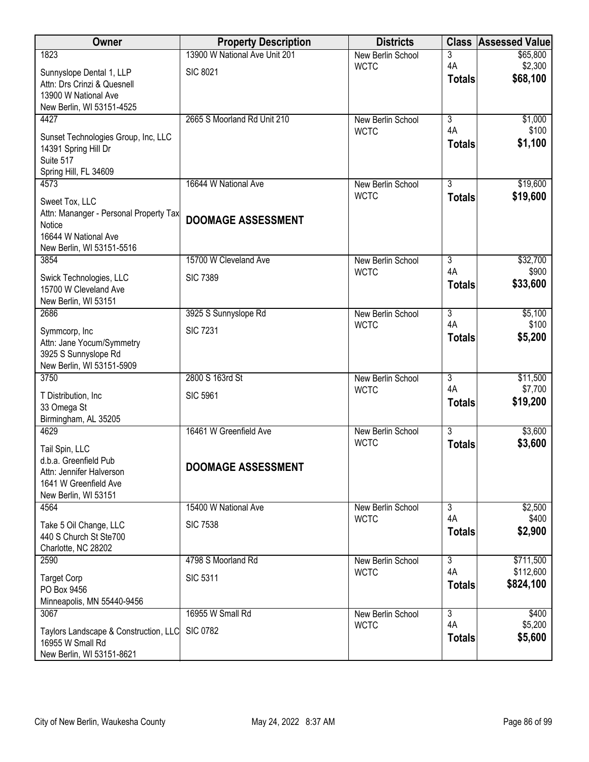| Owner                                                       | <b>Property Description</b>   | <b>Districts</b>                        | <b>Class</b>         | <b>Assessed Value</b> |
|-------------------------------------------------------------|-------------------------------|-----------------------------------------|----------------------|-----------------------|
| 1823                                                        | 13900 W National Ave Unit 201 | New Berlin School                       | 3                    | \$65,800              |
| Sunnyslope Dental 1, LLP                                    | <b>SIC 8021</b>               | <b>WCTC</b>                             | 4A                   | \$2,300<br>\$68,100   |
| Attn: Drs Crinzi & Quesnell                                 |                               |                                         | <b>Totals</b>        |                       |
| 13900 W National Ave<br>New Berlin, WI 53151-4525           |                               |                                         |                      |                       |
| 4427                                                        | 2665 S Moorland Rd Unit 210   | <b>New Berlin School</b>                | $\overline{3}$       | \$1,000               |
|                                                             |                               | <b>WCTC</b>                             | 4A                   | \$100                 |
| Sunset Technologies Group, Inc, LLC<br>14391 Spring Hill Dr |                               |                                         | <b>Totals</b>        | \$1,100               |
| Suite 517                                                   |                               |                                         |                      |                       |
| Spring Hill, FL 34609                                       |                               |                                         |                      |                       |
| 4573                                                        | 16644 W National Ave          | New Berlin School                       | $\overline{3}$       | \$19,600              |
| Sweet Tox, LLC                                              |                               | <b>WCTC</b>                             | <b>Totals</b>        | \$19,600              |
| Attn: Mananger - Personal Property Tax                      | <b>DOOMAGE ASSESSMENT</b>     |                                         |                      |                       |
| Notice<br>16644 W National Ave                              |                               |                                         |                      |                       |
| New Berlin, WI 53151-5516                                   |                               |                                         |                      |                       |
| 3854                                                        | 15700 W Cleveland Ave         | New Berlin School                       | 3                    | \$32,700              |
| Swick Technologies, LLC                                     | <b>SIC 7389</b>               | <b>WCTC</b>                             | 4A                   | \$900                 |
| 15700 W Cleveland Ave                                       |                               |                                         | <b>Totals</b>        | \$33,600              |
| New Berlin, WI 53151                                        |                               |                                         |                      |                       |
| 2686                                                        | 3925 S Sunnyslope Rd          | New Berlin School<br><b>WCTC</b>        | $\overline{3}$<br>4A | \$5,100<br>\$100      |
| Symmcorp, Inc                                               | <b>SIC 7231</b>               |                                         | <b>Totals</b>        | \$5,200               |
| Attn: Jane Yocum/Symmetry<br>3925 S Sunnyslope Rd           |                               |                                         |                      |                       |
| New Berlin, WI 53151-5909                                   |                               |                                         |                      |                       |
| 3750                                                        | 2800 S 163rd St               | New Berlin School                       | $\overline{3}$       | \$11,500              |
| T Distribution, Inc.                                        | <b>SIC 5961</b>               | <b>WCTC</b>                             | 4A                   | \$7,700               |
| 33 Omega St                                                 |                               |                                         | <b>Totals</b>        | \$19,200              |
| Birmingham, AL 35205                                        |                               |                                         |                      |                       |
| 4629                                                        | 16461 W Greenfield Ave        | <b>New Berlin School</b><br><b>WCTC</b> | $\overline{3}$       | \$3,600               |
| Tail Spin, LLC                                              |                               |                                         | <b>Totals</b>        | \$3,600               |
| d.b.a. Greenfield Pub<br>Attn: Jennifer Halverson           | <b>DOOMAGE ASSESSMENT</b>     |                                         |                      |                       |
| 1641 W Greenfield Ave                                       |                               |                                         |                      |                       |
| New Berlin, WI 53151                                        |                               |                                         |                      |                       |
| 4564                                                        | 15400 W National Ave          | New Berlin School                       | $\overline{3}$       | \$2,500               |
| Take 5 Oil Change, LLC                                      | <b>SIC 7538</b>               | <b>WCTC</b>                             | 4A<br><b>Totals</b>  | \$400<br>\$2,900      |
| 440 S Church St Ste700                                      |                               |                                         |                      |                       |
| Charlotte, NC 28202<br>2590                                 | 4798 S Moorland Rd            | New Berlin School                       | 3                    | \$711,500             |
|                                                             |                               | <b>WCTC</b>                             | 4A                   | \$112,600             |
| <b>Target Corp</b><br>PO Box 9456                           | <b>SIC 5311</b>               |                                         | <b>Totals</b>        | \$824,100             |
| Minneapolis, MN 55440-9456                                  |                               |                                         |                      |                       |
| 3067                                                        | 16955 W Small Rd              | New Berlin School                       | $\overline{3}$       | \$400                 |
| Taylors Landscape & Construction, LLC                       | <b>SIC 0782</b>               | <b>WCTC</b>                             | 4A                   | \$5,200               |
| 16955 W Small Rd                                            |                               |                                         | <b>Totals</b>        | \$5,600               |
| New Berlin, WI 53151-8621                                   |                               |                                         |                      |                       |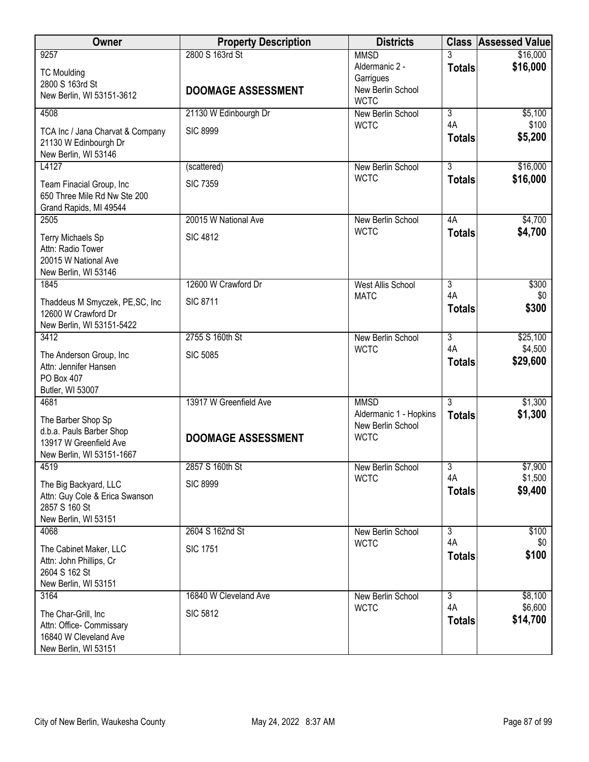| Owner                                                                                                 | <b>Property Description</b>                  | <b>Districts</b>                                                               | <b>Class</b>         | <b>Assessed Value</b> |
|-------------------------------------------------------------------------------------------------------|----------------------------------------------|--------------------------------------------------------------------------------|----------------------|-----------------------|
| 9257<br><b>TC Moulding</b><br>2800 S 163rd St<br>New Berlin, WI 53151-3612                            | 2800 S 163rd St<br><b>DOOMAGE ASSESSMENT</b> | <b>MMSD</b><br>Aldermanic 2 -<br>Garrigues<br>New Berlin School<br><b>WCTC</b> | <b>Totals</b>        | \$16,000<br>\$16,000  |
| 4508                                                                                                  | 21130 W Edinbourgh Dr                        | New Berlin School                                                              | 3                    | \$5,100               |
| TCA Inc / Jana Charvat & Company<br>21130 W Edinbourgh Dr<br>New Berlin, WI 53146                     | <b>SIC 8999</b>                              | <b>WCTC</b>                                                                    | 4A<br><b>Totals</b>  | \$100<br>\$5,200      |
| L4127                                                                                                 | (scattered)                                  | New Berlin School                                                              | $\overline{3}$       | \$16,000              |
| Team Finacial Group, Inc<br>650 Three Mile Rd Nw Ste 200<br>Grand Rapids, MI 49544                    | <b>SIC 7359</b>                              | <b>WCTC</b>                                                                    | <b>Totals</b>        | \$16,000              |
| 2505                                                                                                  | 20015 W National Ave                         | New Berlin School                                                              | 4A                   | \$4,700               |
| Terry Michaels Sp<br>Attn: Radio Tower<br>20015 W National Ave<br>New Berlin, WI 53146                | <b>SIC 4812</b>                              | <b>WCTC</b>                                                                    | <b>Totals</b>        | \$4,700               |
| 1845                                                                                                  | 12600 W Crawford Dr                          | <b>West Allis School</b>                                                       | 3                    | \$300                 |
| Thaddeus M Smyczek, PE,SC, Inc<br>12600 W Crawford Dr<br>New Berlin, WI 53151-5422                    | <b>SIC 8711</b>                              | <b>MATC</b>                                                                    | 4A<br><b>Totals</b>  | \$0<br>\$300          |
| 3412                                                                                                  | 2755 S 160th St                              | New Berlin School                                                              | $\overline{3}$       | \$25,100              |
| The Anderson Group, Inc<br>Attn: Jennifer Hansen<br>PO Box 407<br>Butler, WI 53007                    | <b>SIC 5085</b>                              | <b>WCTC</b>                                                                    | 4A<br><b>Totals</b>  | \$4,500<br>\$29,600   |
| 4681                                                                                                  | 13917 W Greenfield Ave                       | <b>MMSD</b>                                                                    | $\overline{3}$       | \$1,300               |
| The Barber Shop Sp<br>d.b.a. Pauls Barber Shop<br>13917 W Greenfield Ave<br>New Berlin, WI 53151-1667 | <b>DOOMAGE ASSESSMENT</b>                    | Aldermanic 1 - Hopkins<br>New Berlin School<br><b>WCTC</b>                     | <b>Totals</b>        | \$1,300               |
| 4519                                                                                                  | 2857 S 160th St                              | New Berlin School                                                              | $\overline{3}$<br>4A | \$7,900<br>\$1,500    |
| The Big Backyard, LLC<br>Attn: Guy Cole & Erica Swanson<br>2857 S 160 St<br>New Berlin, WI 53151      | <b>SIC 8999</b>                              | <b>WCTC</b>                                                                    | <b>Totals</b>        | \$9,400               |
| 4068                                                                                                  | 2604 S 162nd St                              | New Berlin School                                                              | $\overline{3}$       | \$100                 |
| The Cabinet Maker, LLC<br>Attn: John Phillips, Cr<br>2604 S 162 St<br>New Berlin, WI 53151            | <b>SIC 1751</b>                              | <b>WCTC</b>                                                                    | 4A<br><b>Totals</b>  | \$0<br>\$100          |
| 3164                                                                                                  | 16840 W Cleveland Ave                        | New Berlin School<br><b>WCTC</b>                                               | 3<br>4A              | \$8,100<br>\$6,600    |
| The Char-Grill, Inc<br>Attn: Office- Commissary<br>16840 W Cleveland Ave<br>New Berlin, WI 53151      | <b>SIC 5812</b>                              |                                                                                | <b>Totals</b>        | \$14,700              |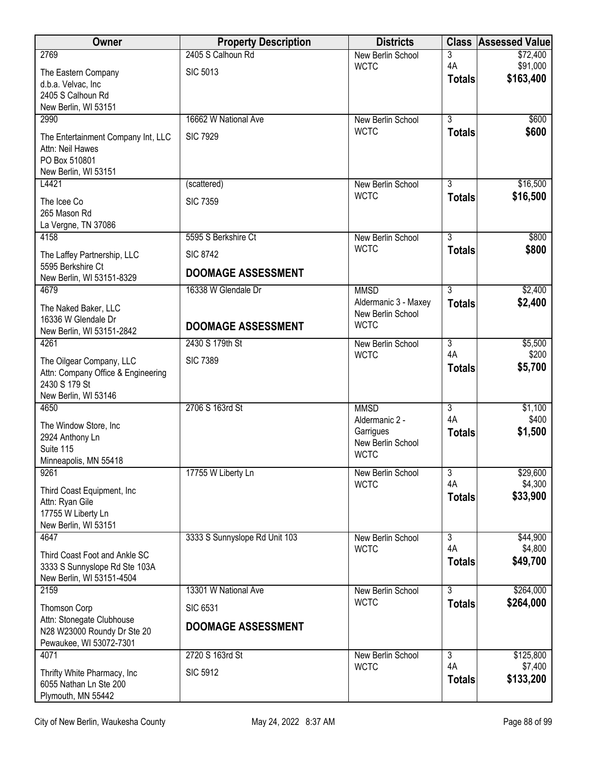| Owner                                                      | <b>Property Description</b>   | <b>Districts</b>                 | <b>Class</b>         | <b>Assessed Value</b> |
|------------------------------------------------------------|-------------------------------|----------------------------------|----------------------|-----------------------|
| 2769                                                       | 2405 S Calhoun Rd             | New Berlin School                | 3<br>4A              | \$72,400<br>\$91,000  |
| The Eastern Company                                        | <b>SIC 5013</b>               | <b>WCTC</b>                      | <b>Totals</b>        | \$163,400             |
| d.b.a. Velvac, Inc<br>2405 S Calhoun Rd                    |                               |                                  |                      |                       |
| New Berlin, WI 53151                                       |                               |                                  |                      |                       |
| 2990                                                       | 16662 W National Ave          | New Berlin School                | $\overline{3}$       | \$600                 |
| The Entertainment Company Int, LLC                         | <b>SIC 7929</b>               | <b>WCTC</b>                      | <b>Totals</b>        | \$600                 |
| Attn: Neil Hawes                                           |                               |                                  |                      |                       |
| PO Box 510801                                              |                               |                                  |                      |                       |
| New Berlin, WI 53151<br>L4421                              | (scattered)                   | New Berlin School                | 3                    | \$16,500              |
| The Icee Co                                                | <b>SIC 7359</b>               | <b>WCTC</b>                      | <b>Totals</b>        | \$16,500              |
| 265 Mason Rd                                               |                               |                                  |                      |                       |
| La Vergne, TN 37086                                        |                               |                                  |                      |                       |
| 4158                                                       | 5595 S Berkshire Ct           | New Berlin School                | $\overline{3}$       | \$800                 |
| The Laffey Partnership, LLC                                | <b>SIC 8742</b>               | <b>WCTC</b>                      | <b>Totals</b>        | \$800                 |
| 5595 Berkshire Ct<br>New Berlin, WI 53151-8329             | <b>DOOMAGE ASSESSMENT</b>     |                                  |                      |                       |
| 4679                                                       | 16338 W Glendale Dr           | <b>MMSD</b>                      | $\overline{3}$       | \$2,400               |
| The Naked Baker, LLC                                       |                               | Aldermanic 3 - Maxey             | <b>Totals</b>        | \$2,400               |
| 16336 W Glendale Dr                                        |                               | New Berlin School<br><b>WCTC</b> |                      |                       |
| New Berlin, WI 53151-2842                                  | <b>DOOMAGE ASSESSMENT</b>     |                                  |                      |                       |
| 4261                                                       | 2430 S 179th St               | New Berlin School<br><b>WCTC</b> | $\overline{3}$<br>4A | \$5,500<br>\$200      |
| The Oilgear Company, LLC                                   | <b>SIC 7389</b>               |                                  | <b>Totals</b>        | \$5,700               |
| Attn: Company Office & Engineering<br>2430 S 179 St        |                               |                                  |                      |                       |
| New Berlin, WI 53146                                       |                               |                                  |                      |                       |
| 4650                                                       | 2706 S 163rd St               | <b>MMSD</b>                      | 3                    | \$1,100               |
| The Window Store, Inc                                      |                               | Aldermanic 2 -                   | 4A                   | \$400                 |
| 2924 Anthony Ln                                            |                               | Garrigues<br>New Berlin School   | <b>Totals</b>        | \$1,500               |
| Suite 115                                                  |                               | <b>WCTC</b>                      |                      |                       |
| Minneapolis, MN 55418<br>9261                              | 17755 W Liberty Ln            | New Berlin School                | 3                    | \$29,600              |
| Third Coast Equipment, Inc.                                |                               | <b>WCTC</b>                      | 4A                   | \$4,300               |
| Attn: Ryan Gile                                            |                               |                                  | <b>Totals</b>        | \$33,900              |
| 17755 W Liberty Ln                                         |                               |                                  |                      |                       |
| New Berlin, WI 53151                                       |                               |                                  |                      |                       |
| 4647                                                       | 3333 S Sunnyslope Rd Unit 103 | New Berlin School<br><b>WCTC</b> | $\overline{3}$<br>4A | \$44,900<br>\$4,800   |
| Third Coast Foot and Ankle SC                              |                               |                                  | <b>Totals</b>        | \$49,700              |
| 3333 S Sunnyslope Rd Ste 103A<br>New Berlin, WI 53151-4504 |                               |                                  |                      |                       |
| 2159                                                       | 13301 W National Ave          | New Berlin School                | $\overline{3}$       | \$264,000             |
| Thomson Corp                                               | <b>SIC 6531</b>               | <b>WCTC</b>                      | <b>Totals</b>        | \$264,000             |
| Attn: Stonegate Clubhouse                                  | <b>DOOMAGE ASSESSMENT</b>     |                                  |                      |                       |
| N28 W23000 Roundy Dr Ste 20                                |                               |                                  |                      |                       |
| Pewaukee, WI 53072-7301<br>4071                            | 2720 S 163rd St               | New Berlin School                | $\overline{3}$       | \$125,800             |
|                                                            |                               | <b>WCTC</b>                      | 4A                   | \$7,400               |
| Thrifty White Pharmacy, Inc<br>6055 Nathan Ln Ste 200      | <b>SIC 5912</b>               |                                  | <b>Totals</b>        | \$133,200             |
| Plymouth, MN 55442                                         |                               |                                  |                      |                       |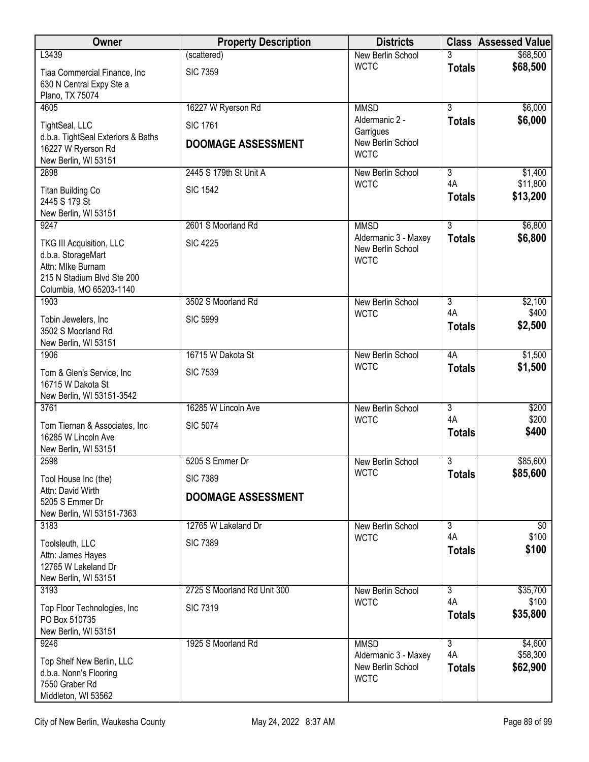| Owner                                                                                                                        | <b>Property Description</b>                  | <b>Districts</b>                                                |                      | <b>Class Assessed Value</b> |
|------------------------------------------------------------------------------------------------------------------------------|----------------------------------------------|-----------------------------------------------------------------|----------------------|-----------------------------|
| L3439                                                                                                                        | (scattered)                                  | New Berlin School                                               |                      | \$68,500                    |
| Tiaa Commercial Finance, Inc<br>630 N Central Expy Ste a<br>Plano, TX 75074                                                  | <b>SIC 7359</b>                              | <b>WCTC</b>                                                     | <b>Totals</b>        | \$68,500                    |
| 4605                                                                                                                         | 16227 W Ryerson Rd                           | <b>MMSD</b>                                                     | $\overline{3}$       | \$6,000                     |
| TightSeal, LLC<br>d.b.a. TightSeal Exteriors & Baths<br>16227 W Ryerson Rd<br>New Berlin, WI 53151                           | <b>SIC 1761</b><br><b>DOOMAGE ASSESSMENT</b> | Aldermanic 2 -<br>Garrigues<br>New Berlin School<br><b>WCTC</b> | <b>Totals</b>        | \$6,000                     |
| 2898                                                                                                                         | 2445 S 179th St Unit A                       | New Berlin School                                               | 3                    | \$1,400                     |
| <b>Titan Building Co</b><br>2445 S 179 St<br>New Berlin, WI 53151                                                            | <b>SIC 1542</b>                              | <b>WCTC</b>                                                     | 4A<br><b>Totals</b>  | \$11,800<br>\$13,200        |
| 9247                                                                                                                         | 2601 S Moorland Rd                           | <b>MMSD</b>                                                     | $\overline{3}$       | \$6,800                     |
| TKG III Acquisition, LLC<br>d.b.a. StorageMart<br>Attn: Mlke Burnam<br>215 N Stadium Blvd Ste 200<br>Columbia, MO 65203-1140 | <b>SIC 4225</b>                              | Aldermanic 3 - Maxey<br>New Berlin School<br><b>WCTC</b>        | <b>Totals</b>        | \$6,800                     |
| 1903                                                                                                                         | 3502 S Moorland Rd                           | New Berlin School                                               | $\overline{3}$       | \$2,100                     |
| Tobin Jewelers, Inc<br>3502 S Moorland Rd<br>New Berlin, WI 53151                                                            | <b>SIC 5999</b>                              | <b>WCTC</b>                                                     | 4A<br><b>Totals</b>  | \$400<br>\$2,500            |
| 1906                                                                                                                         | 16715 W Dakota St                            | New Berlin School                                               | 4A                   | \$1,500                     |
| Tom & Glen's Service, Inc<br>16715 W Dakota St<br>New Berlin, WI 53151-3542                                                  | <b>SIC 7539</b>                              | <b>WCTC</b>                                                     | <b>Totals</b>        | \$1,500                     |
| 3761                                                                                                                         | 16285 W Lincoln Ave                          | New Berlin School                                               | $\overline{3}$       | \$200                       |
| Tom Tiernan & Associates, Inc<br>16285 W Lincoln Ave<br>New Berlin, WI 53151                                                 | <b>SIC 5074</b>                              | <b>WCTC</b>                                                     | 4A<br><b>Totals</b>  | \$200<br>\$400              |
| 2598                                                                                                                         | 5205 S Emmer Dr                              | New Berlin School                                               | $\overline{3}$       | \$85,600                    |
| Tool House Inc (the)                                                                                                         | <b>SIC 7389</b>                              | <b>WCTC</b>                                                     | <b>Totals</b>        | \$85,600                    |
| Attn: David Wirth<br>5205 S Emmer Dr<br>New Berlin, WI 53151-7363                                                            | <b>DOOMAGE ASSESSMENT</b>                    |                                                                 |                      |                             |
| 3183                                                                                                                         | 12765 W Lakeland Dr                          | New Berlin School                                               | 3                    | \$0                         |
| Toolsleuth, LLC<br>Attn: James Hayes<br>12765 W Lakeland Dr<br>New Berlin, WI 53151                                          | <b>SIC 7389</b>                              | <b>WCTC</b>                                                     | 4A<br><b>Totals</b>  | \$100<br>\$100              |
| 3193                                                                                                                         | 2725 S Moorland Rd Unit 300                  | New Berlin School                                               | $\overline{3}$       | \$35,700                    |
| Top Floor Technologies, Inc<br>PO Box 510735<br>New Berlin, WI 53151                                                         | <b>SIC 7319</b>                              | <b>WCTC</b>                                                     | 4A<br><b>Totals</b>  | \$100<br>\$35,800           |
| 9246                                                                                                                         | 1925 S Moorland Rd                           | <b>MMSD</b>                                                     | $\overline{3}$<br>4A | \$4,600                     |
| Top Shelf New Berlin, LLC<br>d.b.a. Nonn's Flooring<br>7550 Graber Rd<br>Middleton, WI 53562                                 |                                              | Aldermanic 3 - Maxey<br>New Berlin School<br><b>WCTC</b>        | <b>Totals</b>        | \$58,300<br>\$62,900        |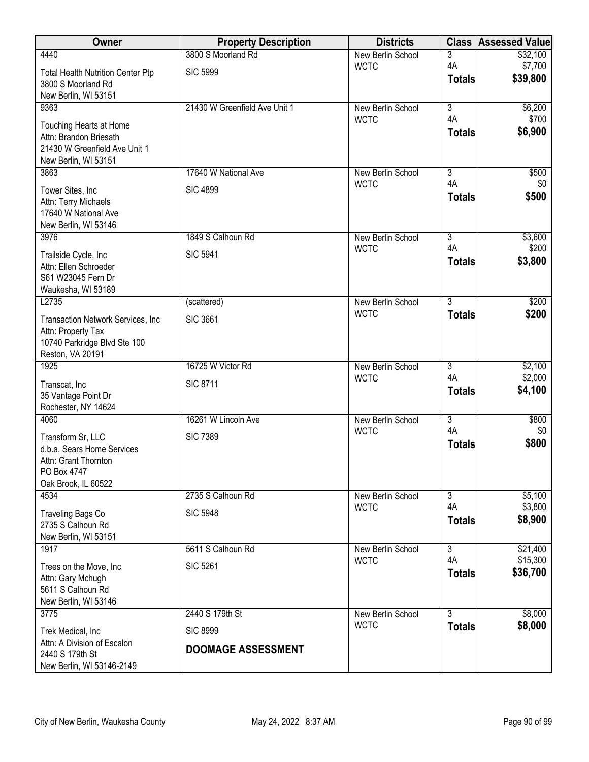| Owner                                             | <b>Property Description</b>   | <b>Districts</b>                 | <b>Class</b>              | <b>Assessed Value</b> |
|---------------------------------------------------|-------------------------------|----------------------------------|---------------------------|-----------------------|
| 4440                                              | 3800 S Moorland Rd            | New Berlin School                | 3                         | \$32,100              |
| <b>Total Health Nutrition Center Ptp</b>          | <b>SIC 5999</b>               | <b>WCTC</b>                      | 4A<br><b>Totals</b>       | \$7,700<br>\$39,800   |
| 3800 S Moorland Rd                                |                               |                                  |                           |                       |
| New Berlin, WI 53151<br>9363                      | 21430 W Greenfield Ave Unit 1 | New Berlin School                | $\overline{\overline{3}}$ | \$6,200               |
|                                                   |                               | <b>WCTC</b>                      | 4A                        | \$700                 |
| Touching Hearts at Home<br>Attn: Brandon Briesath |                               |                                  | <b>Totals</b>             | \$6,900               |
| 21430 W Greenfield Ave Unit 1                     |                               |                                  |                           |                       |
| New Berlin, WI 53151                              |                               |                                  |                           |                       |
| 3863                                              | 17640 W National Ave          | New Berlin School<br><b>WCTC</b> | $\overline{3}$<br>4A      | \$500<br>\$0          |
| Tower Sites, Inc                                  | <b>SIC 4899</b>               |                                  | <b>Totals</b>             | \$500                 |
| Attn: Terry Michaels<br>17640 W National Ave      |                               |                                  |                           |                       |
| New Berlin, WI 53146                              |                               |                                  |                           |                       |
| 3976                                              | 1849 S Calhoun Rd             | New Berlin School                | $\overline{3}$            | \$3,600               |
| Trailside Cycle, Inc                              | <b>SIC 5941</b>               | <b>WCTC</b>                      | 4A                        | \$200                 |
| Attn: Ellen Schroeder                             |                               |                                  | <b>Totals</b>             | \$3,800               |
| S61 W23045 Fern Dr<br>Waukesha, WI 53189          |                               |                                  |                           |                       |
| L2735                                             | (scattered)                   | New Berlin School                | $\overline{3}$            | \$200                 |
| Transaction Network Services, Inc                 | <b>SIC 3661</b>               | <b>WCTC</b>                      | <b>Totals</b>             | \$200                 |
| Attn: Property Tax                                |                               |                                  |                           |                       |
| 10740 Parkridge Blvd Ste 100                      |                               |                                  |                           |                       |
| Reston, VA 20191<br>1925                          | 16725 W Victor Rd             | New Berlin School                | $\overline{3}$            | \$2,100               |
|                                                   |                               | <b>WCTC</b>                      | 4A                        | \$2,000               |
| Transcat, Inc<br>35 Vantage Point Dr              | <b>SIC 8711</b>               |                                  | <b>Totals</b>             | \$4,100               |
| Rochester, NY 14624                               |                               |                                  |                           |                       |
| 4060                                              | 16261 W Lincoln Ave           | New Berlin School                | $\overline{\overline{3}}$ | \$800                 |
| Transform Sr, LLC                                 | <b>SIC 7389</b>               | <b>WCTC</b>                      | 4A                        | \$0                   |
| d.b.a. Sears Home Services                        |                               |                                  | <b>Totals</b>             | \$800                 |
| Attn: Grant Thornton                              |                               |                                  |                           |                       |
| PO Box 4747<br>Oak Brook, IL 60522                |                               |                                  |                           |                       |
| 4534                                              | 2735 S Calhoun Rd             | New Berlin School                | $\overline{3}$            | \$5,100               |
| Traveling Bags Co                                 | <b>SIC 5948</b>               | <b>WCTC</b>                      | 4A                        | \$3,800               |
| 2735 S Calhoun Rd                                 |                               |                                  | <b>Totals</b>             | \$8,900               |
| New Berlin, WI 53151                              |                               |                                  |                           |                       |
| 1917                                              | 5611 S Calhoun Rd             | New Berlin School<br><b>WCTC</b> | $\overline{3}$<br>4A      | \$21,400<br>\$15,300  |
| Trees on the Move, Inc.                           | <b>SIC 5261</b>               |                                  | <b>Totals</b>             | \$36,700              |
| Attn: Gary Mchugh<br>5611 S Calhoun Rd            |                               |                                  |                           |                       |
| New Berlin, WI 53146                              |                               |                                  |                           |                       |
| 3775                                              | 2440 S 179th St               | New Berlin School                | $\overline{3}$            | \$8,000               |
| Trek Medical, Inc                                 | <b>SIC 8999</b>               | <b>WCTC</b>                      | <b>Totals</b>             | \$8,000               |
| Attn: A Division of Escalon                       | <b>DOOMAGE ASSESSMENT</b>     |                                  |                           |                       |
| 2440 S 179th St<br>New Berlin, WI 53146-2149      |                               |                                  |                           |                       |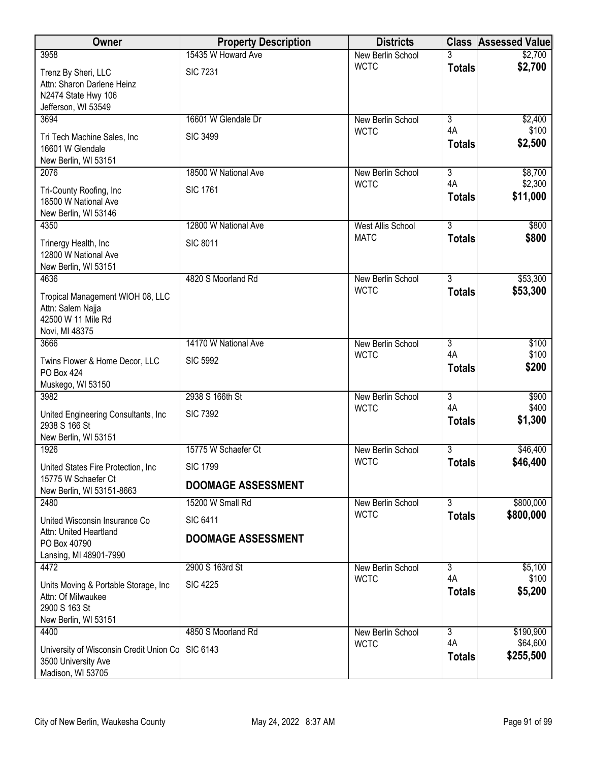| Owner                                                                                                | <b>Property Description</b> | <b>Districts</b>                 |                           | <b>Class Assessed Value</b> |
|------------------------------------------------------------------------------------------------------|-----------------------------|----------------------------------|---------------------------|-----------------------------|
| 3958                                                                                                 | 15435 W Howard Ave          | New Berlin School                | 3                         | \$2,700                     |
| Trenz By Sheri, LLC<br>Attn: Sharon Darlene Heinz<br>N2474 State Hwy 106<br>Jefferson, WI 53549      | <b>SIC 7231</b>             | <b>WCTC</b>                      | <b>Totals</b>             | \$2,700                     |
| 3694                                                                                                 | 16601 W Glendale Dr         | New Berlin School<br><b>WCTC</b> | $\overline{3}$<br>4A      | \$2,400<br>\$100            |
| Tri Tech Machine Sales, Inc<br>16601 W Glendale<br>New Berlin, WI 53151                              | <b>SIC 3499</b>             |                                  | <b>Totals</b>             | \$2,500                     |
| 2076                                                                                                 | 18500 W National Ave        | New Berlin School                | $\overline{3}$<br>4A      | \$8,700                     |
| Tri-County Roofing, Inc.<br>18500 W National Ave<br>New Berlin, WI 53146                             | <b>SIC 1761</b>             | <b>WCTC</b>                      | <b>Totals</b>             | \$2,300<br>\$11,000         |
| 4350                                                                                                 | 12800 W National Ave        | <b>West Allis School</b>         | $\overline{3}$            | \$800                       |
| Trinergy Health, Inc<br>12800 W National Ave<br>New Berlin, WI 53151                                 | <b>SIC 8011</b>             | <b>MATC</b>                      | <b>Totals</b>             | \$800                       |
| 4636                                                                                                 | 4820 S Moorland Rd          | New Berlin School                | $\overline{3}$            | \$53,300                    |
| Tropical Management WIOH 08, LLC<br>Attn: Salem Najja<br>42500 W 11 Mile Rd<br>Novi, MI 48375        |                             | <b>WCTC</b>                      | <b>Totals</b>             | \$53,300                    |
| 3666                                                                                                 | 14170 W National Ave        | New Berlin School                | $\overline{3}$            | \$100                       |
| Twins Flower & Home Decor, LLC<br>PO Box 424<br>Muskego, WI 53150                                    | <b>SIC 5992</b>             | <b>WCTC</b>                      | 4A<br><b>Totals</b>       | \$100<br>\$200              |
| 3982                                                                                                 | 2938 S 166th St             | New Berlin School                | $\overline{\overline{3}}$ | \$900                       |
| United Engineering Consultants, Inc.<br>2938 S 166 St<br>New Berlin, WI 53151                        | <b>SIC 7392</b>             | <b>WCTC</b>                      | 4A<br><b>Totals</b>       | \$400<br>\$1,300            |
| 1926                                                                                                 | 15775 W Schaefer Ct         | New Berlin School                | $\overline{3}$            | \$46,400                    |
| United States Fire Protection, Inc                                                                   | <b>SIC 1799</b>             | <b>WCTC</b>                      | <b>Totals</b>             | \$46,400                    |
| 15775 W Schaefer Ct<br>New Berlin, WI 53151-8663                                                     | <b>DOOMAGE ASSESSMENT</b>   |                                  |                           |                             |
| 2480                                                                                                 | 15200 W Small Rd            | New Berlin School                | $\overline{3}$            | \$800,000                   |
| United Wisconsin Insurance Co                                                                        | <b>SIC 6411</b>             | <b>WCTC</b>                      | <b>Totals</b>             | \$800,000                   |
| Attn: United Heartland<br>PO Box 40790<br>Lansing, MI 48901-7990                                     | <b>DOOMAGE ASSESSMENT</b>   |                                  |                           |                             |
| 4472                                                                                                 | 2900 S 163rd St             | New Berlin School                | 3                         | \$5,100                     |
| Units Moving & Portable Storage, Inc.<br>Attn: Of Milwaukee<br>2900 S 163 St<br>New Berlin, WI 53151 | <b>SIC 4225</b>             | <b>WCTC</b>                      | 4A<br><b>Totals</b>       | \$100<br>\$5,200            |
| 4400                                                                                                 | 4850 S Moorland Rd          | New Berlin School                | $\overline{3}$            | \$190,900                   |
| University of Wisconsin Credit Union Co<br>3500 University Ave<br>Madison, WI 53705                  | <b>SIC 6143</b>             | <b>WCTC</b>                      | 4A<br><b>Totals</b>       | \$64,600<br>\$255,500       |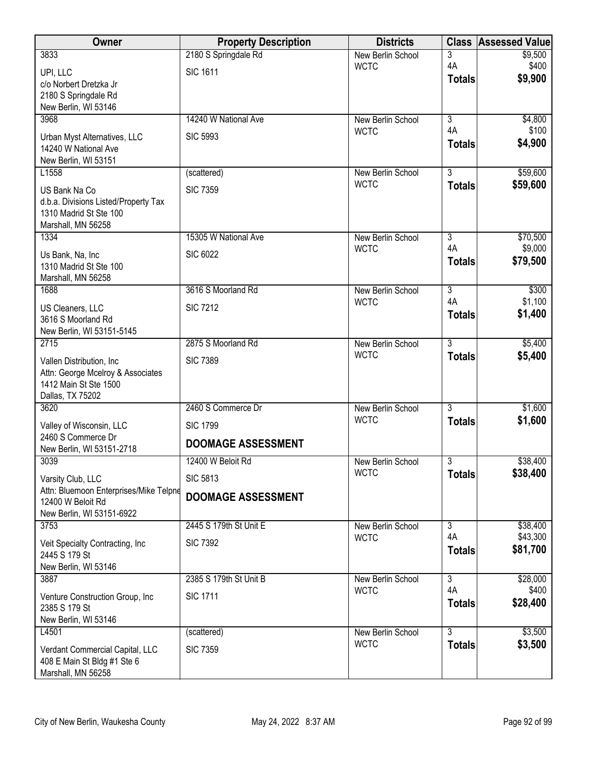| Owner                                                          | <b>Property Description</b> | <b>Districts</b>                 | <b>Class</b>                    | <b>Assessed Value</b> |
|----------------------------------------------------------------|-----------------------------|----------------------------------|---------------------------------|-----------------------|
| 3833                                                           | 2180 S Springdale Rd        | New Berlin School                | 3                               | \$9,500               |
| UPI, LLC                                                       | <b>SIC 1611</b>             | <b>WCTC</b>                      | 4A<br><b>Totals</b>             | \$400<br>\$9,900      |
| c/o Norbert Dretzka Jr                                         |                             |                                  |                                 |                       |
| 2180 S Springdale Rd<br>New Berlin, WI 53146                   |                             |                                  |                                 |                       |
| 3968                                                           | 14240 W National Ave        | New Berlin School                | $\overline{3}$                  | \$4,800               |
| Urban Myst Alternatives, LLC                                   | <b>SIC 5993</b>             | <b>WCTC</b>                      | 4A                              | \$100                 |
| 14240 W National Ave                                           |                             |                                  | <b>Totals</b>                   | \$4,900               |
| New Berlin, WI 53151                                           |                             |                                  |                                 |                       |
| L1558                                                          | (scattered)                 | New Berlin School<br><b>WCTC</b> | $\overline{3}$<br><b>Totals</b> | \$59,600<br>\$59,600  |
| US Bank Na Co                                                  | <b>SIC 7359</b>             |                                  |                                 |                       |
| d.b.a. Divisions Listed/Property Tax<br>1310 Madrid St Ste 100 |                             |                                  |                                 |                       |
| Marshall, MN 56258                                             |                             |                                  |                                 |                       |
| 1334                                                           | 15305 W National Ave        | New Berlin School                | $\overline{3}$                  | \$70,500              |
| Us Bank, Na, Inc                                               | <b>SIC 6022</b>             | <b>WCTC</b>                      | 4A<br><b>Totals</b>             | \$9,000<br>\$79,500   |
| 1310 Madrid St Ste 100                                         |                             |                                  |                                 |                       |
| Marshall, MN 56258<br>1688                                     | 3616 S Moorland Rd          | New Berlin School                | $\overline{3}$                  | \$300                 |
|                                                                | <b>SIC 7212</b>             | <b>WCTC</b>                      | 4A                              | \$1,100               |
| US Cleaners, LLC<br>3616 S Moorland Rd                         |                             |                                  | <b>Totals</b>                   | \$1,400               |
| New Berlin, WI 53151-5145                                      |                             |                                  |                                 |                       |
| 2715                                                           | 2875 S Moorland Rd          | New Berlin School                | $\overline{3}$                  | \$5,400               |
| Vallen Distribution, Inc                                       | <b>SIC 7389</b>             | <b>WCTC</b>                      | <b>Totals</b>                   | \$5,400               |
| Attn: George Mcelroy & Associates                              |                             |                                  |                                 |                       |
| 1412 Main St Ste 1500<br>Dallas, TX 75202                      |                             |                                  |                                 |                       |
| 3620                                                           | 2460 S Commerce Dr          | <b>New Berlin School</b>         | $\overline{3}$                  | \$1,600               |
| Valley of Wisconsin, LLC                                       | <b>SIC 1799</b>             | <b>WCTC</b>                      | <b>Totals</b>                   | \$1,600               |
| 2460 S Commerce Dr                                             |                             |                                  |                                 |                       |
| New Berlin, WI 53151-2718                                      | <b>DOOMAGE ASSESSMENT</b>   |                                  |                                 |                       |
| 3039                                                           | 12400 W Beloit Rd           | New Berlin School<br><b>WCTC</b> | 3<br><b>Totals</b>              | \$38,400<br>\$38,400  |
| Varsity Club, LLC                                              | <b>SIC 5813</b>             |                                  |                                 |                       |
| Attn: Bluemoon Enterprises/Mike Telpne<br>12400 W Beloit Rd    | <b>DOOMAGE ASSESSMENT</b>   |                                  |                                 |                       |
| New Berlin, WI 53151-6922                                      |                             |                                  |                                 |                       |
| 3753                                                           | 2445 S 179th St Unit E      | New Berlin School                | 3                               | \$38,400              |
| Veit Specialty Contracting, Inc.                               | <b>SIC 7392</b>             | <b>WCTC</b>                      | 4A<br><b>Totals</b>             | \$43,300<br>\$81,700  |
| 2445 S 179 St                                                  |                             |                                  |                                 |                       |
| New Berlin, WI 53146<br>3887                                   | 2385 S 179th St Unit B      | New Berlin School                | $\overline{3}$                  | \$28,000              |
|                                                                | <b>SIC 1711</b>             | <b>WCTC</b>                      | 4A                              | \$400                 |
| Venture Construction Group, Inc<br>2385 S 179 St               |                             |                                  | <b>Totals</b>                   | \$28,400              |
| New Berlin, WI 53146                                           |                             |                                  |                                 |                       |
| L4501                                                          | (scattered)                 | New Berlin School                | $\overline{3}$                  | \$3,500               |
| Verdant Commercial Capital, LLC                                | <b>SIC 7359</b>             | <b>WCTC</b>                      | <b>Totals</b>                   | \$3,500               |
| 408 E Main St Bldg #1 Ste 6                                    |                             |                                  |                                 |                       |
| Marshall, MN 56258                                             |                             |                                  |                                 |                       |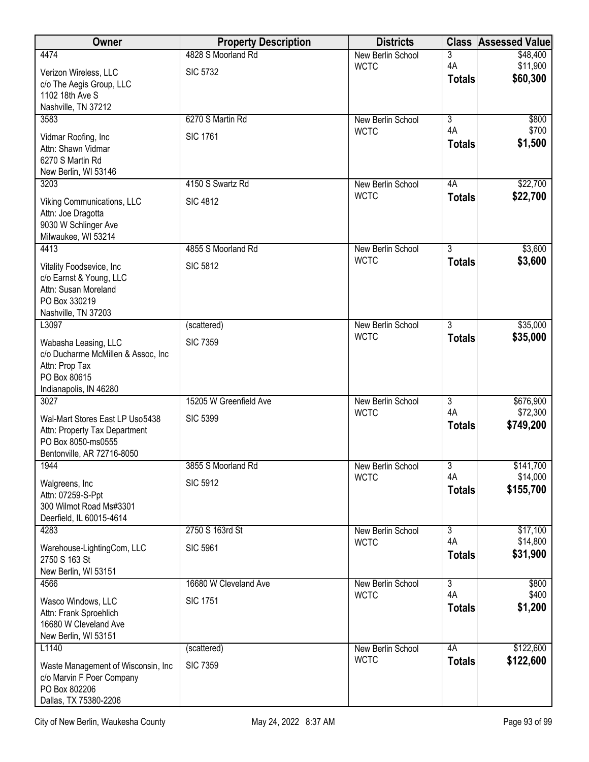| Owner                                                      | <b>Property Description</b> | <b>Districts</b>                 | <b>Class</b>         | <b>Assessed Value</b> |
|------------------------------------------------------------|-----------------------------|----------------------------------|----------------------|-----------------------|
| 4474                                                       | 4828 S Moorland Rd          | New Berlin School                | 3                    | \$48,400              |
| Verizon Wireless, LLC                                      | <b>SIC 5732</b>             | <b>WCTC</b>                      | 4A<br><b>Totals</b>  | \$11,900<br>\$60,300  |
| c/o The Aegis Group, LLC<br>1102 18th Ave S                |                             |                                  |                      |                       |
| Nashville, TN 37212                                        |                             |                                  |                      |                       |
| 3583                                                       | 6270 S Martin Rd            | New Berlin School                | 3                    | \$800                 |
| Vidmar Roofing, Inc                                        | <b>SIC 1761</b>             | <b>WCTC</b>                      | 4A                   | \$700                 |
| Attn: Shawn Vidmar                                         |                             |                                  | <b>Totals</b>        | \$1,500               |
| 6270 S Martin Rd<br>New Berlin, WI 53146                   |                             |                                  |                      |                       |
| 3203                                                       | 4150 S Swartz Rd            | New Berlin School                | 4A                   | \$22,700              |
| Viking Communications, LLC                                 | <b>SIC 4812</b>             | <b>WCTC</b>                      | <b>Totals</b>        | \$22,700              |
| Attn: Joe Dragotta                                         |                             |                                  |                      |                       |
| 9030 W Schlinger Ave                                       |                             |                                  |                      |                       |
| Milwaukee, WI 53214<br>4413                                | 4855 S Moorland Rd          | New Berlin School                | $\overline{3}$       | \$3,600               |
|                                                            |                             | <b>WCTC</b>                      | <b>Totals</b>        | \$3,600               |
| Vitality Foodsevice, Inc.<br>c/o Earnst & Young, LLC       | <b>SIC 5812</b>             |                                  |                      |                       |
| Attn: Susan Moreland                                       |                             |                                  |                      |                       |
| PO Box 330219                                              |                             |                                  |                      |                       |
| Nashville, TN 37203<br>L3097                               | (scattered)                 | New Berlin School                | $\overline{3}$       | \$35,000              |
|                                                            | <b>SIC 7359</b>             | <b>WCTC</b>                      | <b>Totals</b>        | \$35,000              |
| Wabasha Leasing, LLC<br>c/o Ducharme McMillen & Assoc, Inc |                             |                                  |                      |                       |
| Attn: Prop Tax                                             |                             |                                  |                      |                       |
| PO Box 80615<br>Indianapolis, IN 46280                     |                             |                                  |                      |                       |
| 3027                                                       | 15205 W Greenfield Ave      | New Berlin School                | $\overline{3}$       | \$676,900             |
| Wal-Mart Stores East LP Uso5438                            | <b>SIC 5399</b>             | <b>WCTC</b>                      | 4A                   | \$72,300              |
| Attn: Property Tax Department                              |                             |                                  | <b>Totals</b>        | \$749,200             |
| PO Box 8050-ms0555                                         |                             |                                  |                      |                       |
| Bentonville, AR 72716-8050<br>1944                         | 3855 S Moorland Rd          | New Berlin School                | $\overline{3}$       | \$141,700             |
|                                                            |                             | <b>WCTC</b>                      | 4A                   | \$14,000              |
| Walgreens, Inc.<br>Attn: 07259-S-Ppt                       | <b>SIC 5912</b>             |                                  | <b>Totals</b>        | \$155,700             |
| 300 Wilmot Road Ms#3301                                    |                             |                                  |                      |                       |
| Deerfield, IL 60015-4614                                   |                             |                                  |                      |                       |
| 4283                                                       | 2750 S 163rd St             | New Berlin School<br><b>WCTC</b> | $\overline{3}$<br>4A | \$17,100<br>\$14,800  |
| Warehouse-LightingCom, LLC<br>2750 S 163 St                | <b>SIC 5961</b>             |                                  | <b>Totals</b>        | \$31,900              |
| New Berlin, WI 53151                                       |                             |                                  |                      |                       |
| 4566                                                       | 16680 W Cleveland Ave       | New Berlin School                | $\overline{3}$       | \$800                 |
| Wasco Windows, LLC                                         | <b>SIC 1751</b>             | <b>WCTC</b>                      | 4A                   | \$400                 |
| Attn: Frank Sproehlich                                     |                             |                                  | <b>Totals</b>        | \$1,200               |
| 16680 W Cleveland Ave<br>New Berlin, WI 53151              |                             |                                  |                      |                       |
| L1140                                                      | (scattered)                 | New Berlin School                | 4A                   | \$122,600             |
| Waste Management of Wisconsin, Inc.                        | <b>SIC 7359</b>             | <b>WCTC</b>                      | <b>Totals</b>        | \$122,600             |
| c/o Marvin F Poer Company                                  |                             |                                  |                      |                       |
| PO Box 802206                                              |                             |                                  |                      |                       |
| Dallas, TX 75380-2206                                      |                             |                                  |                      |                       |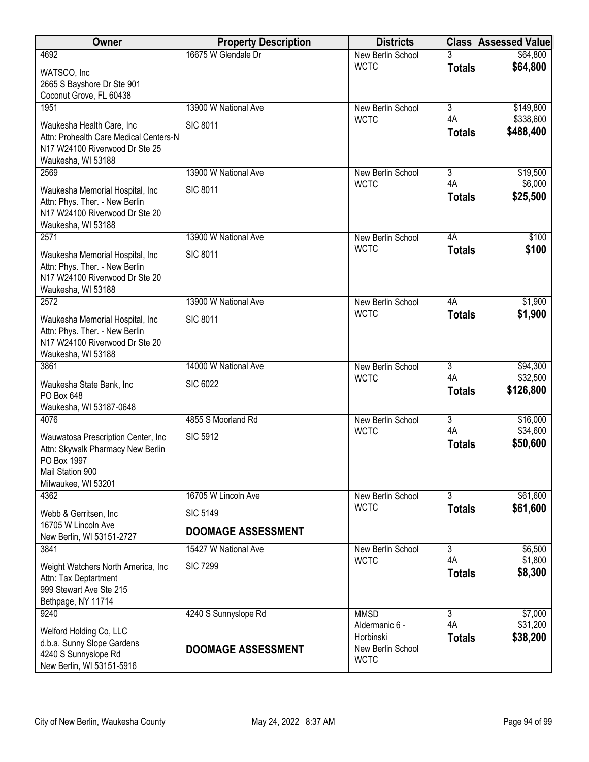| Owner                                                                    | <b>Property Description</b> | <b>Districts</b>                 |                | <b>Class Assessed Value</b> |
|--------------------------------------------------------------------------|-----------------------------|----------------------------------|----------------|-----------------------------|
| 4692                                                                     | 16675 W Glendale Dr         | New Berlin School                | 3              | \$64,800                    |
| WATSCO, Inc                                                              |                             | <b>WCTC</b>                      | <b>Totals</b>  | \$64,800                    |
| 2665 S Bayshore Dr Ste 901                                               |                             |                                  |                |                             |
| Coconut Grove, FL 60438<br>1951                                          | 13900 W National Ave        | New Berlin School                | $\overline{3}$ | \$149,800                   |
|                                                                          |                             | <b>WCTC</b>                      | 4A             | \$338,600                   |
| Waukesha Health Care, Inc                                                | <b>SIC 8011</b>             |                                  | <b>Totals</b>  | \$488,400                   |
| Attn: Prohealth Care Medical Centers-N<br>N17 W24100 Riverwood Dr Ste 25 |                             |                                  |                |                             |
| Waukesha, WI 53188                                                       |                             |                                  |                |                             |
| 2569                                                                     | 13900 W National Ave        | New Berlin School                | 3              | \$19,500                    |
| Waukesha Memorial Hospital, Inc                                          | <b>SIC 8011</b>             | <b>WCTC</b>                      | 4A             | \$6,000                     |
| Attn: Phys. Ther. - New Berlin                                           |                             |                                  | <b>Totals</b>  | \$25,500                    |
| N17 W24100 Riverwood Dr Ste 20                                           |                             |                                  |                |                             |
| Waukesha, WI 53188<br>2571                                               | 13900 W National Ave        |                                  | 4A             | \$100                       |
|                                                                          |                             | New Berlin School<br><b>WCTC</b> | <b>Totals</b>  | \$100                       |
| Waukesha Memorial Hospital, Inc                                          | <b>SIC 8011</b>             |                                  |                |                             |
| Attn: Phys. Ther. - New Berlin<br>N17 W24100 Riverwood Dr Ste 20         |                             |                                  |                |                             |
| Waukesha, WI 53188                                                       |                             |                                  |                |                             |
| 2572                                                                     | 13900 W National Ave        | New Berlin School                | 4A             | \$1,900                     |
| Waukesha Memorial Hospital, Inc                                          | <b>SIC 8011</b>             | <b>WCTC</b>                      | <b>Totals</b>  | \$1,900                     |
| Attn: Phys. Ther. - New Berlin                                           |                             |                                  |                |                             |
| N17 W24100 Riverwood Dr Ste 20                                           |                             |                                  |                |                             |
| Waukesha, WI 53188<br>3861                                               | 14000 W National Ave        | New Berlin School                | $\overline{3}$ | \$94,300                    |
|                                                                          |                             | <b>WCTC</b>                      | 4A             | \$32,500                    |
| Waukesha State Bank, Inc<br>PO Box 648                                   | <b>SIC 6022</b>             |                                  | <b>Totals</b>  | \$126,800                   |
| Waukesha, WI 53187-0648                                                  |                             |                                  |                |                             |
| 4076                                                                     | 4855 S Moorland Rd          | New Berlin School                | $\overline{3}$ | \$16,000                    |
| Wauwatosa Prescription Center, Inc.                                      | <b>SIC 5912</b>             | <b>WCTC</b>                      | 4A             | \$34,600                    |
| Attn: Skywalk Pharmacy New Berlin                                        |                             |                                  | <b>Totals</b>  | \$50,600                    |
| PO Box 1997                                                              |                             |                                  |                |                             |
| Mail Station 900<br>Milwaukee, WI 53201                                  |                             |                                  |                |                             |
| 4362                                                                     | 16705 W Lincoln Ave         | New Berlin School                | $\overline{3}$ | \$61,600                    |
|                                                                          |                             | <b>WCTC</b>                      | <b>Totals</b>  | \$61,600                    |
| Webb & Gerritsen, Inc.<br>16705 W Lincoln Ave                            | <b>SIC 5149</b>             |                                  |                |                             |
| New Berlin, WI 53151-2727                                                | <b>DOOMAGE ASSESSMENT</b>   |                                  |                |                             |
| 3841                                                                     | 15427 W National Ave        | New Berlin School                | $\overline{3}$ | \$6,500                     |
| Weight Watchers North America, Inc.                                      | <b>SIC 7299</b>             | <b>WCTC</b>                      | 4A             | \$1,800                     |
| Attn: Tax Deptartment                                                    |                             |                                  | <b>Totals</b>  | \$8,300                     |
| 999 Stewart Ave Ste 215                                                  |                             |                                  |                |                             |
| Bethpage, NY 11714<br>9240                                               | 4240 S Sunnyslope Rd        | <b>MMSD</b>                      | $\overline{3}$ | \$7,000                     |
|                                                                          |                             | Aldermanic 6 -                   | 4A             | \$31,200                    |
| Welford Holding Co, LLC                                                  |                             | Horbinski                        | <b>Totals</b>  | \$38,200                    |
| d.b.a. Sunny Slope Gardens<br>4240 S Sunnyslope Rd                       | <b>DOOMAGE ASSESSMENT</b>   | New Berlin School                |                |                             |
| New Berlin, WI 53151-5916                                                |                             | <b>WCTC</b>                      |                |                             |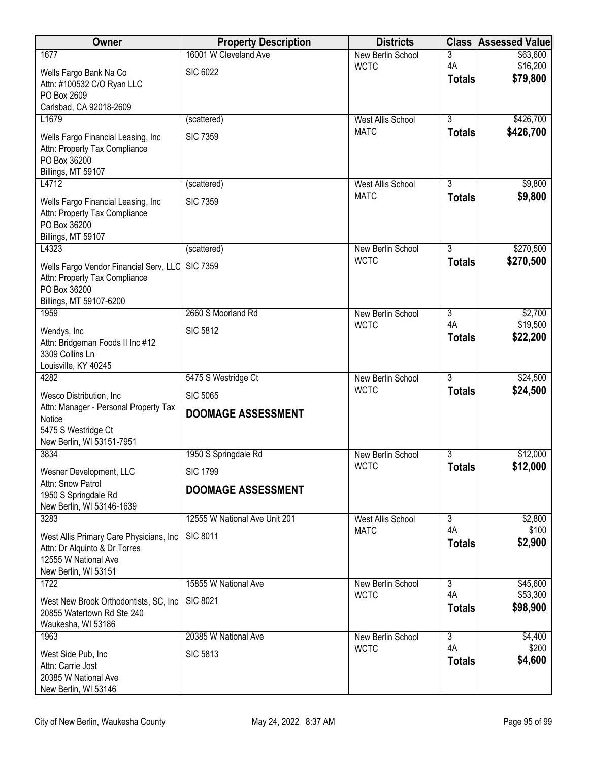| Owner                                                                                                     | <b>Property Description</b>   | <b>Districts</b>         |                     | <b>Class Assessed Value</b> |
|-----------------------------------------------------------------------------------------------------------|-------------------------------|--------------------------|---------------------|-----------------------------|
| 1677                                                                                                      | 16001 W Cleveland Ave         | New Berlin School        | 3                   | \$63,600                    |
| Wells Fargo Bank Na Co<br>Attn: #100532 C/O Ryan LLC                                                      | <b>SIC 6022</b>               | <b>WCTC</b>              | 4A<br><b>Totals</b> | \$16,200<br>\$79,800        |
| PO Box 2609<br>Carlsbad, CA 92018-2609                                                                    |                               |                          |                     |                             |
| L1679                                                                                                     | (scattered)                   | <b>West Allis School</b> | $\overline{3}$      | \$426,700                   |
| Wells Fargo Financial Leasing, Inc                                                                        | <b>SIC 7359</b>               | <b>MATC</b>              | <b>Totals</b>       | \$426,700                   |
| Attn: Property Tax Compliance<br>PO Box 36200<br>Billings, MT 59107                                       |                               |                          |                     |                             |
| L4712                                                                                                     | (scattered)                   | <b>West Allis School</b> | 3                   | \$9,800                     |
| Wells Fargo Financial Leasing, Inc<br>Attn: Property Tax Compliance<br>PO Box 36200<br>Billings, MT 59107 | <b>SIC 7359</b>               | <b>MATC</b>              | <b>Totals</b>       | \$9,800                     |
| L4323                                                                                                     | (scattered)                   | New Berlin School        | $\overline{3}$      | \$270,500                   |
| Wells Fargo Vendor Financial Serv, LLC<br>Attn: Property Tax Compliance<br>PO Box 36200                   | <b>SIC 7359</b>               | <b>WCTC</b>              | <b>Totals</b>       | \$270,500                   |
| Billings, MT 59107-6200<br>1959                                                                           | 2660 S Moorland Rd            | New Berlin School        | 3                   | \$2,700                     |
|                                                                                                           |                               | <b>WCTC</b>              | 4A                  | \$19,500                    |
| Wendys, Inc<br>Attn: Bridgeman Foods II Inc #12<br>3309 Collins Ln<br>Louisville, KY 40245                | <b>SIC 5812</b>               |                          | <b>Totals</b>       | \$22,200                    |
| 4282                                                                                                      | 5475 S Westridge Ct           | New Berlin School        | $\overline{3}$      | \$24,500                    |
| Wesco Distribution, Inc.                                                                                  | <b>SIC 5065</b>               | <b>WCTC</b>              | <b>Totals</b>       | \$24,500                    |
| Attn: Manager - Personal Property Tax                                                                     | <b>DOOMAGE ASSESSMENT</b>     |                          |                     |                             |
| Notice<br>5475 S Westridge Ct                                                                             |                               |                          |                     |                             |
| New Berlin, WI 53151-7951                                                                                 |                               |                          |                     |                             |
| 3834                                                                                                      | 1950 S Springdale Rd          | New Berlin School        | 3                   | \$12,000                    |
| Wesner Development, LLC                                                                                   | <b>SIC 1799</b>               | <b>WCTC</b>              | <b>Totals</b>       | \$12,000                    |
| Attn: Snow Patrol                                                                                         | <b>DOOMAGE ASSESSMENT</b>     |                          |                     |                             |
| 1950 S Springdale Rd<br>New Berlin, WI 53146-1639                                                         |                               |                          |                     |                             |
| 3283                                                                                                      | 12555 W National Ave Unit 201 | <b>West Allis School</b> | $\overline{3}$      | \$2,800                     |
| West Allis Primary Care Physicians, Inc                                                                   | <b>SIC 8011</b>               | <b>MATC</b>              | 4A                  | \$100                       |
| Attn: Dr Alquinto & Dr Torres                                                                             |                               |                          | <b>Totals</b>       | \$2,900                     |
| 12555 W National Ave                                                                                      |                               |                          |                     |                             |
| New Berlin, WI 53151<br>1722                                                                              | 15855 W National Ave          | New Berlin School        | $\overline{3}$      | \$45,600                    |
|                                                                                                           |                               | <b>WCTC</b>              | 4A                  | \$53,300                    |
| West New Brook Orthodontists, SC, Inc.<br>20855 Watertown Rd Ste 240                                      | <b>SIC 8021</b>               |                          | <b>Totals</b>       | \$98,900                    |
| Waukesha, WI 53186                                                                                        |                               |                          |                     |                             |
| 1963                                                                                                      | 20385 W National Ave          | New Berlin School        | $\overline{3}$      | \$4,400                     |
| West Side Pub, Inc                                                                                        | <b>SIC 5813</b>               | <b>WCTC</b>              | 4A                  | \$200                       |
| Attn: Carrie Jost                                                                                         |                               |                          | <b>Totals</b>       | \$4,600                     |
| 20385 W National Ave<br>New Berlin, WI 53146                                                              |                               |                          |                     |                             |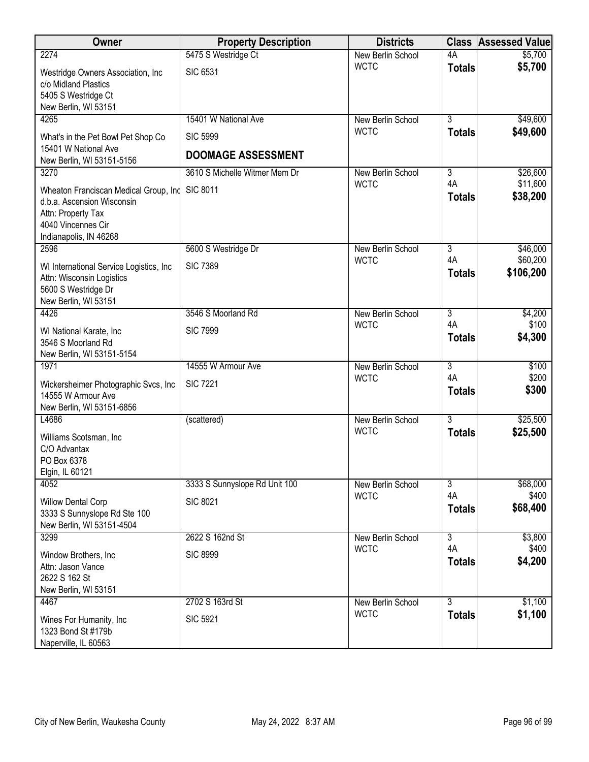| Owner                                                                                                                                     | <b>Property Description</b>   | <b>Districts</b>  | <b>Class</b>        | <b>Assessed Value</b> |
|-------------------------------------------------------------------------------------------------------------------------------------------|-------------------------------|-------------------|---------------------|-----------------------|
| 2274                                                                                                                                      | 5475 S Westridge Ct           | New Berlin School | 4A                  | \$5,700               |
| Westridge Owners Association, Inc<br>c/o Midland Plastics<br>5405 S Westridge Ct<br>New Berlin, WI 53151                                  | <b>SIC 6531</b>               | <b>WCTC</b>       | <b>Totals</b>       | \$5,700               |
| 4265                                                                                                                                      | 15401 W National Ave          | New Berlin School | $\overline{3}$      | \$49,600              |
| What's in the Pet Bowl Pet Shop Co<br>15401 W National Ave                                                                                | <b>SIC 5999</b>               | <b>WCTC</b>       | <b>Totals</b>       | \$49,600              |
| New Berlin, WI 53151-5156                                                                                                                 | <b>DOOMAGE ASSESSMENT</b>     |                   |                     |                       |
| 3270                                                                                                                                      | 3610 S Michelle Witmer Mem Dr | New Berlin School | 3                   | \$26,600              |
| Wheaton Franciscan Medical Group, Ind<br>d.b.a. Ascension Wisconsin<br>Attn: Property Tax<br>4040 Vincennes Cir<br>Indianapolis, IN 46268 | <b>SIC 8011</b>               | <b>WCTC</b>       | 4A<br><b>Totals</b> | \$11,600<br>\$38,200  |
| 2596                                                                                                                                      | 5600 S Westridge Dr           | New Berlin School | $\overline{3}$      | \$46,000              |
| WI International Service Logistics, Inc.<br>Attn: Wisconsin Logistics<br>5600 S Westridge Dr<br>New Berlin, WI 53151                      | <b>SIC 7389</b>               | <b>WCTC</b>       | 4A<br><b>Totals</b> | \$60,200<br>\$106,200 |
| 4426                                                                                                                                      | 3546 S Moorland Rd            | New Berlin School | $\overline{3}$      | \$4,200               |
| WI National Karate, Inc<br>3546 S Moorland Rd<br>New Berlin, WI 53151-5154                                                                | <b>SIC 7999</b>               | <b>WCTC</b>       | 4A<br><b>Totals</b> | \$100<br>\$4,300      |
| 1971                                                                                                                                      | 14555 W Armour Ave            | New Berlin School | $\overline{3}$      | \$100                 |
| Wickersheimer Photographic Svcs, Inc.<br>14555 W Armour Ave<br>New Berlin, WI 53151-6856                                                  | <b>SIC 7221</b>               | <b>WCTC</b>       | 4A<br><b>Totals</b> | \$200<br>\$300        |
| L4686                                                                                                                                     | (scattered)                   | New Berlin School | $\overline{3}$      | \$25,500              |
| Williams Scotsman, Inc.<br>C/O Advantax<br>PO Box 6378<br>Elgin, IL 60121                                                                 |                               | <b>WCTC</b>       | <b>Totals</b>       | \$25,500              |
| 4052                                                                                                                                      | 3333 S Sunnyslope Rd Unit 100 | New Berlin School | $\overline{3}$      | \$68,000              |
| <b>Willow Dental Corp</b><br>3333 S Sunnyslope Rd Ste 100<br>New Berlin, WI 53151-4504                                                    | <b>SIC 8021</b>               | <b>WCTC</b>       | 4A<br><b>Totals</b> | \$400<br>\$68,400     |
| 3299                                                                                                                                      | 2622 S 162nd St               | New Berlin School | $\overline{3}$      | \$3,800               |
| Window Brothers, Inc.<br>Attn: Jason Vance<br>2622 S 162 St<br>New Berlin, WI 53151                                                       | <b>SIC 8999</b>               | <b>WCTC</b>       | 4A<br><b>Totals</b> | \$400<br>\$4,200      |
| 4467                                                                                                                                      | 2702 S 163rd St               | New Berlin School | $\overline{3}$      | \$1,100               |
| Wines For Humanity, Inc.<br>1323 Bond St #179b<br>Naperville, IL 60563                                                                    | <b>SIC 5921</b>               | <b>WCTC</b>       | <b>Totals</b>       | \$1,100               |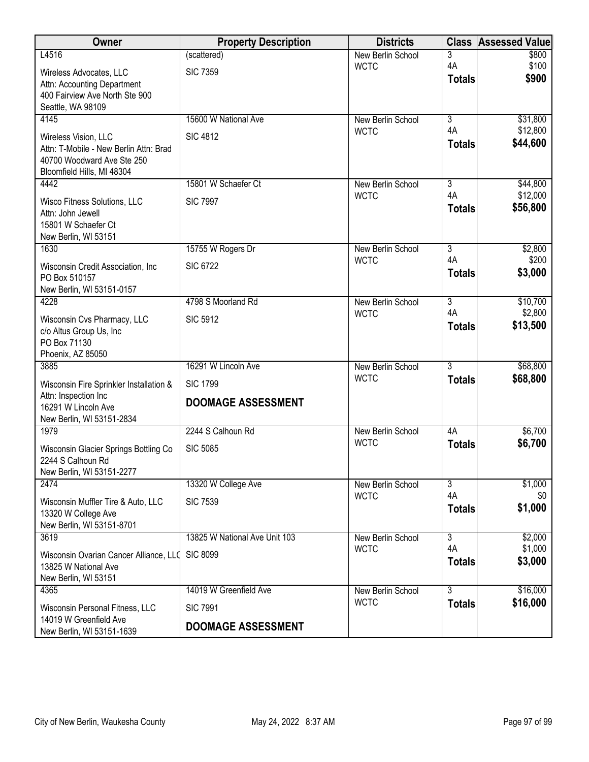| Owner                                                     | <b>Property Description</b>   | <b>Districts</b>                 | <b>Class</b>   | <b>Assessed Value</b> |
|-----------------------------------------------------------|-------------------------------|----------------------------------|----------------|-----------------------|
| L4516                                                     | (scattered)                   | New Berlin School                | 3              | \$800                 |
| Wireless Advocates, LLC                                   | <b>SIC 7359</b>               | <b>WCTC</b>                      | 4A             | \$100<br>\$900        |
| Attn: Accounting Department                               |                               |                                  | <b>Totals</b>  |                       |
| 400 Fairview Ave North Ste 900<br>Seattle, WA 98109       |                               |                                  |                |                       |
| 4145                                                      | 15600 W National Ave          | <b>New Berlin School</b>         | $\overline{3}$ | \$31,800              |
| Wireless Vision, LLC                                      | <b>SIC 4812</b>               | <b>WCTC</b>                      | 4A             | \$12,800              |
| Attn: T-Mobile - New Berlin Attn: Brad                    |                               |                                  | <b>Totals</b>  | \$44,600              |
| 40700 Woodward Ave Ste 250                                |                               |                                  |                |                       |
| Bloomfield Hills, MI 48304                                |                               |                                  |                |                       |
| 4442                                                      | 15801 W Schaefer Ct           | New Berlin School<br><b>WCTC</b> | 3<br>4A        | \$44,800<br>\$12,000  |
| Wisco Fitness Solutions, LLC                              | <b>SIC 7997</b>               |                                  | <b>Totals</b>  | \$56,800              |
| Attn: John Jewell<br>15801 W Schaefer Ct                  |                               |                                  |                |                       |
| New Berlin, WI 53151                                      |                               |                                  |                |                       |
| 1630                                                      | 15755 W Rogers Dr             | New Berlin School                | $\overline{3}$ | \$2,800               |
| Wisconsin Credit Association, Inc                         | <b>SIC 6722</b>               | <b>WCTC</b>                      | 4A             | \$200                 |
| PO Box 510157                                             |                               |                                  | <b>Totals</b>  | \$3,000               |
| New Berlin, WI 53151-0157<br>4228                         | 4798 S Moorland Rd            | New Berlin School                | $\overline{3}$ | \$10,700              |
|                                                           |                               | <b>WCTC</b>                      | 4A             | \$2,800               |
| Wisconsin Cvs Pharmacy, LLC<br>c/o Altus Group Us, Inc    | <b>SIC 5912</b>               |                                  | <b>Totals</b>  | \$13,500              |
| PO Box 71130                                              |                               |                                  |                |                       |
| Phoenix, AZ 85050                                         |                               |                                  |                |                       |
| 3885                                                      | 16291 W Lincoln Ave           | New Berlin School<br><b>WCTC</b> | $\overline{3}$ | \$68,800<br>\$68,800  |
| Wisconsin Fire Sprinkler Installation &                   | <b>SIC 1799</b>               |                                  | <b>Totals</b>  |                       |
| Attn: Inspection Inc<br>16291 W Lincoln Ave               | <b>DOOMAGE ASSESSMENT</b>     |                                  |                |                       |
| New Berlin, WI 53151-2834                                 |                               |                                  |                |                       |
| 1979                                                      | 2244 S Calhoun Rd             | <b>New Berlin School</b>         | 4A             | \$6,700               |
| Wisconsin Glacier Springs Bottling Co                     | <b>SIC 5085</b>               | <b>WCTC</b>                      | <b>Totals</b>  | \$6,700               |
| 2244 S Calhoun Rd                                         |                               |                                  |                |                       |
| New Berlin, WI 53151-2277<br>2474                         | 13320 W College Ave           | New Berlin School                | 3              | \$1,000               |
|                                                           |                               | <b>WCTC</b>                      | 4A             | \$0                   |
| Wisconsin Muffler Tire & Auto, LLC<br>13320 W College Ave | <b>SIC 7539</b>               |                                  | <b>Totals</b>  | \$1,000               |
| New Berlin, WI 53151-8701                                 |                               |                                  |                |                       |
| 3619                                                      | 13825 W National Ave Unit 103 | New Berlin School                | 3              | \$2,000               |
| Wisconsin Ovarian Cancer Alliance, LLO                    | <b>SIC 8099</b>               | <b>WCTC</b>                      | 4A             | \$1,000<br>\$3,000    |
| 13825 W National Ave                                      |                               |                                  | <b>Totals</b>  |                       |
| New Berlin, WI 53151<br>4365                              | 14019 W Greenfield Ave        | New Berlin School                | $\overline{3}$ | \$16,000              |
|                                                           |                               | <b>WCTC</b>                      | <b>Totals</b>  | \$16,000              |
| Wisconsin Personal Fitness, LLC<br>14019 W Greenfield Ave | <b>SIC 7991</b>               |                                  |                |                       |
| New Berlin, WI 53151-1639                                 | <b>DOOMAGE ASSESSMENT</b>     |                                  |                |                       |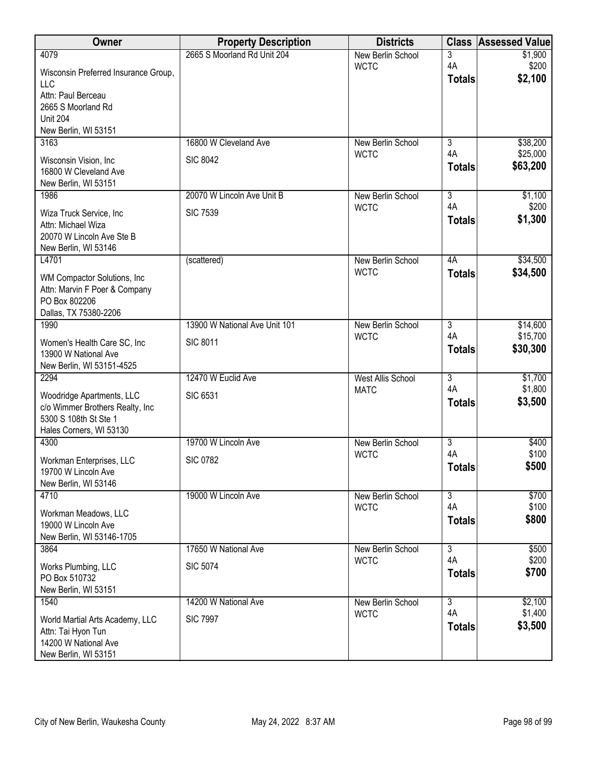| <b>Owner</b>                                       | <b>Property Description</b>   | <b>Districts</b>                 | <b>Class</b>        | <b>Assessed Value</b> |
|----------------------------------------------------|-------------------------------|----------------------------------|---------------------|-----------------------|
| 4079                                               | 2665 S Moorland Rd Unit 204   | New Berlin School                | 3                   | \$1,900               |
| Wisconsin Preferred Insurance Group,<br><b>LLC</b> |                               | <b>WCTC</b>                      | 4A<br><b>Totals</b> | \$200<br>\$2,100      |
| Attn: Paul Berceau                                 |                               |                                  |                     |                       |
| 2665 S Moorland Rd<br><b>Unit 204</b>              |                               |                                  |                     |                       |
| New Berlin, WI 53151                               |                               |                                  |                     |                       |
| 3163                                               | 16800 W Cleveland Ave         | <b>New Berlin School</b>         | $\overline{3}$      | \$38,200              |
| Wisconsin Vision, Inc.                             | <b>SIC 8042</b>               | <b>WCTC</b>                      | 4A<br><b>Totals</b> | \$25,000<br>\$63,200  |
| 16800 W Cleveland Ave<br>New Berlin, WI 53151      |                               |                                  |                     |                       |
| 1986                                               | 20070 W Lincoln Ave Unit B    | New Berlin School                | $\overline{3}$      | \$1,100               |
| Wiza Truck Service, Inc                            | <b>SIC 7539</b>               | <b>WCTC</b>                      | 4A                  | \$200                 |
| Attn: Michael Wiza                                 |                               |                                  | <b>Totals</b>       | \$1,300               |
| 20070 W Lincoln Ave Ste B<br>New Berlin, WI 53146  |                               |                                  |                     |                       |
| L4701                                              | (scattered)                   | New Berlin School                | 4A                  | \$34,500              |
| WM Compactor Solutions, Inc.                       |                               | <b>WCTC</b>                      | <b>Totals</b>       | \$34,500              |
| Attn: Marvin F Poer & Company                      |                               |                                  |                     |                       |
| PO Box 802206<br>Dallas, TX 75380-2206             |                               |                                  |                     |                       |
| 1990                                               | 13900 W National Ave Unit 101 | New Berlin School                | $\overline{3}$      | \$14,600              |
| Women's Health Care SC, Inc                        | <b>SIC 8011</b>               | <b>WCTC</b>                      | 4A<br><b>Totals</b> | \$15,700<br>\$30,300  |
| 13900 W National Ave                               |                               |                                  |                     |                       |
| New Berlin, WI 53151-4525<br>2294                  | 12470 W Euclid Ave            | <b>West Allis School</b>         | $\overline{3}$      | \$1,700               |
| Woodridge Apartments, LLC                          | <b>SIC 6531</b>               | <b>MATC</b>                      | 4A                  | \$1,800               |
| c/o Wimmer Brothers Realty, Inc                    |                               |                                  | <b>Totals</b>       | \$3,500               |
| 5300 S 108th St Ste 1<br>Hales Corners, WI 53130   |                               |                                  |                     |                       |
| 4300                                               | 19700 W Lincoln Ave           | <b>New Berlin School</b>         | $\overline{3}$      | \$400                 |
| Workman Enterprises, LLC                           | <b>SIC 0782</b>               | <b>WCTC</b>                      | 4A                  | \$100                 |
| 19700 W Lincoln Ave                                |                               |                                  | <b>Totals</b>       | \$500                 |
| New Berlin, WI 53146<br>4710                       | 19000 W Lincoln Ave           | New Berlin School                | $\overline{3}$      | \$700                 |
|                                                    |                               | <b>WCTC</b>                      | 4A                  | \$100                 |
| Workman Meadows, LLC<br>19000 W Lincoln Ave        |                               |                                  | <b>Totals</b>       | \$800                 |
| New Berlin, WI 53146-1705                          |                               |                                  |                     |                       |
| 3864                                               | 17650 W National Ave          | New Berlin School<br><b>WCTC</b> | 3<br>4A             | \$500<br>\$200        |
| Works Plumbing, LLC<br>PO Box 510732               | <b>SIC 5074</b>               |                                  | <b>Totals</b>       | \$700                 |
| New Berlin, WI 53151                               |                               |                                  |                     |                       |
| 1540                                               | 14200 W National Ave          | New Berlin School                | $\overline{3}$      | \$2,100               |
| World Martial Arts Academy, LLC                    | <b>SIC 7997</b>               | <b>WCTC</b>                      | 4A                  | \$1,400<br>\$3,500    |
| Attn: Tai Hyon Tun<br>14200 W National Ave         |                               |                                  | <b>Totals</b>       |                       |
| New Berlin, WI 53151                               |                               |                                  |                     |                       |